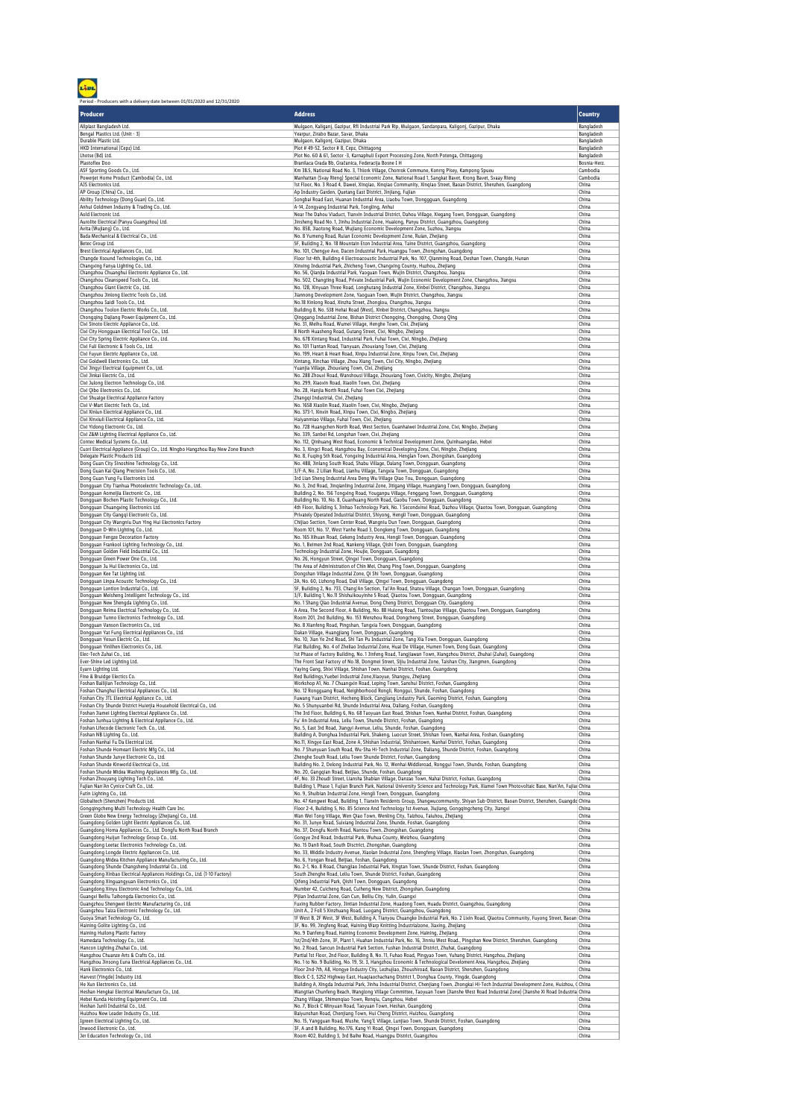Period - Producers with a delivery date between 01/01/2020 and 12/31/2020

| Producer                                                                                                             | <b>Address</b>                                                                                                                                                                                                     | <b>Country</b>           |
|----------------------------------------------------------------------------------------------------------------------|--------------------------------------------------------------------------------------------------------------------------------------------------------------------------------------------------------------------|--------------------------|
| Allplast Bangladesh Ltd.                                                                                             | Mulgaon, Kaliganj, Gazipur, Rfl Industrial Park Rip, Mulgaon, Sandanpara, Kaligonj, Gazipur, Dhaka                                                                                                                 | Bangladesh               |
| Bengal Plastics Ltd. (Unit - 3)                                                                                      | Yearpur, Zirabo Bazar, Savar, Dhaka                                                                                                                                                                                | Bangladesh               |
| Durable Plastic Ltd.<br>HKD International (Cepz) Ltd.                                                                | Mulgaon, Kaligonj, Gazipur, Dhaka<br>Plot #49-52, Sector #8, Cepz, Chittagong                                                                                                                                      | Bangladesh<br>Bangladesh |
| Lhotse (Bd) Ltd.                                                                                                     | Plot No. 60 & 61, Sector -3, Karnaphuli Export Processing Zone, North Potenga, Chittagong                                                                                                                          | Bangladesh               |
| Plastoflex Doo                                                                                                       | Branilaca Grada Bb, Gračanica, Federacija Bosne I H                                                                                                                                                                | Bosnia-Herz.             |
| ASF Sporting Goods Co., Ltd.<br>Powerjet Home Product (Cambodia) Co., Ltd.                                           | Km 38.5, National Road No. 3, Thlork Village, Chonrok Commune, Konrrg Pisey, Kampong Spueu<br>Manhattan (Svay Rieng) Special Economic Zone, National Road 1, Sangkat Bavet, Krong Bavet, Svaay Rieng               | Cambodia<br>Cambodia     |
| AJS Electronics Ltd.                                                                                                 | 1st Floor, No. 3 Road 4, Dawei, Xingiao, Xingiao Community, Xingiao Street, Baoan District, Shenzhen, Guangdong                                                                                                    | China                    |
| AP Group (China) Co., Ltd.                                                                                           | Ap Industry Garden, Quetang East District, Jinjiang, Fujian                                                                                                                                                        | China                    |
| Ability Technology (Dong Guan) Co., Ltd.<br>Anhui Goldmen Industry & Trading Co., Ltd.                               | Songbai Road East, Huanan Industrial Area, Liaobu Town, Donggguan, Guangdong<br>A-14, Zongyang Industrial Park, Tongling, Anhui                                                                                    | China<br>China           |
| Aold Electronic Ltd.                                                                                                 | Near The Dahou Viaduct, Tianxin Industrial District, Dahou Village, Xiegang Town, Dongguan, Guangdong                                                                                                              | China                    |
| Aurolite Electrical (Panyu Guangzhou) Ltd.                                                                           | Jinsheng Road No. 1, Jinhu Industrial Zone, Hualong, Panyu District, Guangzhou, Guangdong                                                                                                                          | China                    |
| Avita (Wujiang) Co., Ltd.                                                                                            | No. 858, Jiaotong Road, Wujiang Economic Development Zone, Suzhou, Jiangsu                                                                                                                                         | China                    |
| Bada Mechanical & Electrical Co., Ltd.<br>Betec Group Ltd.                                                           | No. 8 Yumeng Road, Ruian Economic Development Zone, Ruian, Zhejiang<br>5F, Building 2, No. 18 Mountain Eton Industrial Area, Taine District, Guangzhou, Guangdong                                                  | China<br>China           |
| Brest Electrical Appliances Co., Ltd.                                                                                | No. 101, Chengye Ave, Dacen Industrial Park, Huangpu Town, Zhongshan, Guangdong                                                                                                                                    | China                    |
| Changde Xsound Technologies Co., Ltd.                                                                                | Floor 1st-4th, Building 4 Electroacoustic Industrial Park, No. 107, Qianming Road, Deshan Town, Changde, Hunan                                                                                                     | China                    |
| Changxing Fanya Lighting Co., Ltd.                                                                                   | Xinxing Industrial Park, Zhicheng Town, Changxing County, Huzhou, Zhejiang                                                                                                                                         | China                    |
| Changzhou Chuanghui Electronic Appliance Co., Ltd.<br>Changzhou Cleanspeed Tools Co., Ltd.                           | No. 56, Qianjia Industrial Park, Yaoguan Town, Wujin District, Changzhou, Jiangsu<br>No. 502, Changting Road, Private Industrial Park, Wujin Economic Development Zone, Changzhou, Jiangsu                         | China<br>China           |
| Changzhou Giant Electric Co., Ltd.                                                                                   | No. 128, Xinyuan Three Road, Longhutang Industrial Zone, Xinbei District, Changzhou, Jiangsu                                                                                                                       | China                    |
| Changzhou Jinlong Electric Tools Co., Ltd.                                                                           | Jiannong Development Zone, Yaoguan Town, Wujin District, Changzhou, Jiangsu                                                                                                                                        | China                    |
| Changzhou Saidi Tools Co., Ltd.                                                                                      | No.18 Xinlong Road, Xinzha Street, Zhonglou, Changzhou, Jiangsu                                                                                                                                                    | China                    |
| Changzhou Toolon Electric Works Co., Ltd.<br>Chongqing Dajiang Power Equipment Co., Ltd.                             | Building 8, No. 538 Hehai Road (West), Xinbei District, Changzhou, Jiangsu<br>Qinggang Industrial Zone, Bishan District Chongqing, Chongqing, Chong Qing                                                           | China<br>China           |
| Cixi Sinoto Electric Appliance Co., Ltd.                                                                             | No. 31, Meihu Road, Wumei Village, Henghe Town, Cixi, Zhejiang                                                                                                                                                     | China                    |
| Cixi City Hongguan Electrical Tool Co., Ltd.                                                                         | 8 North Huasheng Road, Gutang Street, Cixi, Ningbo, Zhejiang                                                                                                                                                       | China                    |
| Cixi City Spring Electric Appliance Co., Ltd.                                                                        | No. 678 Xintang Road, Industrial Park, Fuhai Town, Cixi, Ningbo, Zhejiang                                                                                                                                          | China                    |
| Cixi Fuli Electronic & Tools Co., Ltd.<br>Cixi Fuyun Electric Appliance Co., Ltd.                                    | No. 101 Tiantan Road, Tianyuan, Zhouxiang Town, Cixi, Zhejiang<br>No. 199, Heart & Heart Road, Xinpu Industrial Zone, Xinpu Town, Cixi, Zhejiang                                                                   | China<br>China           |
| Cixi Goldwell Electronics Co., Ltd.                                                                                  | Xintang, Xinchao Village, Zhou Xiang Town, Cixi City, Ningbo, Zhejiang                                                                                                                                             | China                    |
| Cixi Jingyi Electrical Equipment Co., Ltd.                                                                           | Yuanjia Village, Zhouxiang Town, Cixi, Zhejiang                                                                                                                                                                    | China                    |
| Cixi Jinkai Electric Co., Ltd.                                                                                       | No. 288 Zhouxi Road, Wanshousi Village, Zhouxiang Town, Cixicity, Ningbo, Zhejiang                                                                                                                                 | China                    |
| Cixi Julong Electron Technology Co., Ltd.<br>Cixi Qibo Electronics Co., Ltd.                                         | No. 299, Xiaoxin Road, Xiaolin Town, Cixi, Zhejiang<br>No. 28, Hanjia North Road, Fuhai Town Cixi, Zhejiang                                                                                                        | China<br>China           |
| Cixi Shuaige Electrical Appliance Factory                                                                            | Zhangqi Industrial, Cixi, Zhejiang                                                                                                                                                                                 | China                    |
| Cixi V-Mart Electric Tech. Co., Ltd.                                                                                 | No. 1658 Xiaolin Road, Xiaolin Town, Cixi, Ningbo, Zhejiang                                                                                                                                                        | China                    |
| Cixi Xinlun Electrical Appliance Co., Ltd.                                                                           | No. 373-1, Xinxin Road, Xinpu Town, Cixi, Ningbo, Zhejiang                                                                                                                                                         | China                    |
| Cixi Xinxiuli Electrical Appliance Co., Ltd.<br>Cixi Yidong Electronic Co., Ltd.                                     | Haiyanmiao Village, Fuhai Town, Cixi, Zhejiang<br>No. 728 Huangchen North Road, West Section, Guanhaiwei Industrial Zone, Cixi, Ningbo, Zhejiang                                                                   | China<br>China           |
| Cixi Z&M Lighting Electrical Appliance Co., Ltd.                                                                     | No. 339, Sanbei Rd, Longshan Town, Cixi, Zhejiang                                                                                                                                                                  | China                    |
| Contec Medical Systems Co., Ltd.                                                                                     | No. 112, Qinhuang West Road, Economic & Technical Development Zone, Quinhuangdao, Hebei                                                                                                                            | China                    |
| Cuori Electrical Appliance (Group) Co., Ltd. Ningbo Hangzhou Bay New Zone Branch                                     | No. 3, Xingci Road, Hangzhou Bay, Economical Developing Zone, Cixi, Ningbo, Zhejiang                                                                                                                               | China                    |
| Delegate Plastic Products Ltd.<br>Dong Guan City Sinoshine Technology Co., Ltd.                                      | No. 8, Fuqing 5th Road, Yongxing Industrial Area, Henglan Town, Zhongshan, Guangdong<br>No. 488, Jinlang South Road, Shabu Village, Dalang Town, Dongguan, Guangdong                                               | China<br>China           |
| Dong Guan Kai Qiang Precision Tools Co., Ltd.                                                                        | 3/F-A, No. 2 Lilian Road, Lianhu Village, Tangxia Town, Dongguan, Guangdong                                                                                                                                        | China                    |
| Dong Guan Yung Fu Electronics Ltd.                                                                                   | 3rd Lian Sheng Industrial Area Deng Wu Village Qiao Tou, Dongguan, Guangdong                                                                                                                                       | China                    |
| Dongquan City Tianhua Photoelectric Technology Co., Ltd.                                                             | No. 3, 2nd Road, Jinqianling Industrial Zone, Jitigang Village, Huangiang Town, Dongguan, Guangdong                                                                                                                | China                    |
| Dongguan Aomeijia Electronic Co., Ltd.<br>Dongguan Bochen Plastic Technology Co., Ltd.                               | Building 2, No. 156 Tongxing Road, Youganpu Village, Fenggang Town, Dongguan, Guangdong<br>Building No. 10, No. 8, Guanhuang North Road, Gaobu Town, Dongguan, Guangdong                                           | China<br>China           |
| Dongguan Chuangxing Electronics Ltd.                                                                                 | 4th Floor, Building 5, Jinhao Technology Park, No. 1 Secondxinxi Road, Dazhou Village, Qiaotou Town, Dongguan, Guangdong                                                                                           | China                    |
| Dongguan City Gangqi Electronic Co., Ltd.                                                                            | Privately Operated Industrial District, Shiyong, Hengli Town, Dongguan, Guangdong                                                                                                                                  | China                    |
| Dongguan City Wangniu Dun Ying Hui Electronics Factory                                                               | Chijiao Section, Town Center Road, Wangniu Dun Town, Dongguan, Guangdong                                                                                                                                           | China                    |
| Dongguan D-Win Lighting Co., Ltd.<br>Dongguan Fengze Decoration Factory                                              | Room 101, No. 17, West Yanhe Road 3, Dongkeng Town, Dongguan, Guangdong<br>No. 165 Xihuan Road, Gekeng Industry Area, Hengli Town, Dongguan, Guangdong                                                             | China<br>China           |
| Dongguan Frankool Lighting Technology Co., Ltd.                                                                      | No. 1, Beimen 2nd Road, Nankeng Village, Qishi Town, Dongguan, Guangdong                                                                                                                                           | China                    |
| Dongguan Golden Field Industrial Co., Ltd.                                                                           | Technology Industrial Zone, Houjie, Dongguan, Guangdong                                                                                                                                                            | China                    |
| Dongguan Green Power One Co., Ltd.                                                                                   | No. 26, Hongyun Street, Qingxi Town, Dongguan, Guangdong                                                                                                                                                           | China                    |
| Dongguan Ju Hui Electronics Co., Ltd.<br>Dongguan Kee Tat Lighting Ltd.                                              | The Area of Administration of Chin Mei, Chang Ping Town, Dongguan, Guangdong<br>Dongshan Village Industrial Zone, Qi Shi Town, Dongguan, Guangdong                                                                 | China<br>China           |
| Dongguan Linpa Acoustic Technology Co., Ltd.                                                                         | 2A, No. 60, Lizhong Road, Dali Village, Qingxi Town, Dongguan, Guangdong                                                                                                                                           | China                    |
| Dongguan Lontion Industrial Co., Ltd.                                                                                | 5F, Building 2, No. 733, Chang'An Section, Tai'An Road, Shatou Village, Changan Town, Dongguan, Guangdong                                                                                                          | China                    |
| Dongguan Meisheng Intelligent Technology Co., Ltd.                                                                   | 3/F, Building 1, No.11 Shishuikouyinhe 5 Road, Qiaotou Town, Dongguan, Guangdong                                                                                                                                   | China<br>China           |
| Dongguan New Shengda Lighting Co., Ltd<br>Dongguan Reima Electrical Technology Co., Ltd.                             | No. 1 Shang Qiao Industrial Avenue, Dong Cheng District, Dongguan City, Guangdong<br>A Area, The Second Floor, A Building, No. 88 Hulong Road, Tiantoujiao Village, Qiaotou Town, Dongguan, Guangdong              | China                    |
| Dongguan Tunno Electronics Technology Co., Ltd.                                                                      | Room 201, 2nd Building, No. 153 Wenzhou Road, Dongcheng Street, Dongguan, Guangdong                                                                                                                                | China                    |
| Dongguan Vanson Electronics Co., Ltd.                                                                                | No. 8 Xianfeng Road, Pingshan, Tangxia Town, Dongguan, Guangdong                                                                                                                                                   | China                    |
| Dongguan Yat Fung Electrical Appliances Co., Ltd.                                                                    | Dakan Village, Huangjiang Town, Dongguan, Guangdong                                                                                                                                                                | China<br>China           |
| Dongguan Yesun Electric Co., Ltd.<br>Dongguan Yinlihen Electronics Co., Ltd.                                         | No. 10, Jian Ye 2nd Road, Shi Tan Pu Industrial Zone, Tang Xia Town, Dongguan, Guangdong<br>Flat Building, No. 4 of Zheliao Industrial Zone, Huai De Village, Humen Town, Dong Guan, Guangdong                     | China                    |
| Elec-Tech Zuhai Co., Ltd.                                                                                            | 1st Phase of Factory Building, No. 1 Jinfeng Road, Tangjiawan Town, Xiangzhou District, Zhuhai (Zuhai), Guangdong                                                                                                  | China                    |
| Ever-Shine Led Lighting Ltd.                                                                                         | The Front Seat Factory of No.18, Dongmei Street, Sijiu Industrial Zone, Taishan City, Jiangmen, Guangdong                                                                                                          | China                    |
| Eyam Lighting Ltd.                                                                                                   | Yaying Gang, Shixi Village, Shishan Town, Nanhai District, Foshan, Guangdong                                                                                                                                       | China                    |
| Fine & Bruidge Electics Co.<br>Foshan Bailijian Technology Co., Ltd.                                                 | Red Buildings, Yuebei Industrial Zone, Xiaoyue, Shangyu, Zhejiang<br>Workshop A1, No. 7 Chuangxin Road, Leping Town, Sanshui District, Foshan, Guangdong                                                           | China<br>China           |
| Foshan Changhui Electrical Appliances Co., Ltd.                                                                      | No. 12 Rongguang Road, Neighborhood Rongli, Ronggui, Shunde, Foshan, Guangdong                                                                                                                                     | China                    |
| Foshan City JTL Electrical Appliance Co., Ltd.                                                                       | Fuwang Yuan District, Hecheng Block, Cangjiang Lndustry Park, Gaoming District, Foshan, Guangdong                                                                                                                  | China                    |
| hold Flectrical Co. Ltd.<br>City Shunde District Ho                                                                  | shai Dd. Shunda Industrial Araa<br>, Daliang, Foshan, Guang                                                                                                                                                        | Chir                     |
| Foshan Jiamei Lighting Electrical Appliance Co., Ltd.                                                                | The 3rd Floor, Building 6, No. 68 Taoyuan East Road, Shishan Town, Nanhai District, Foshan, Guangdong                                                                                                              | China<br>China           |
| Foshan Junhua Lighting & Electrical Appliance Co., Ltd.<br>Foshan Lifecode Electronic Tech. Co., Ltd.                | Fu' An Industrial Area, Leliu Town, Shunde District, Foshan, Guangdong<br>No. 5, East 3rd Road, Jiangyi Avenue, Leliu, Shunde, Foshan, Guangdong                                                                   | China                    |
| Foshan NB Lighting Co., Ltd.                                                                                         | Building A, Donghua Industrial Park, Shakeng, Luocun Street, Shishan Town, Nanhai Area, Foshan, Guangdong                                                                                                          | China                    |
| Foshan Nanhai Fu Da Electrical Ltd.                                                                                  | No.11, Xingye East Road, Zone A, Shishan Industrial, Shishantown, Nanhai District, Foshan, Guangdong                                                                                                               | China                    |
| Foshan Shunde Homeart Electric Mfg Co., Ltd.<br>Foshan Shunde Junye Electronic Co., Ltd.                             | No. 7 Shunyuan South Road, Wu-Sha Hi-Tech Industrial Zone, Daliang, Shunde District, Foshan, Guangdong<br>Zhenghe South Road, Leliu Town Shunde District, Foshan, Guangdong                                        | China<br>China           |
| Foshan Shunde Kinworld Electrical Co., Ltd.                                                                          | Building No. 2, Delong Industrial Park, No. 12, Wenhai Middleroad, Ronggui Town, Shunde, Foshan, Guangdong                                                                                                         | China                    |
| Foshan Shunde Midea Washing Appliances Mfg. Co., Ltd.                                                                | No. 20, Gangqian Road, Beijiao, Shunde, Foshan, Guangdong                                                                                                                                                          | China                    |
| Foshan Zhouyang Lighting Tech Co., Ltd.                                                                              | 4F, No. 33 Zhoudi Street, Liansha Shabian Village, Danzao Town, Nahai District, Foshan, Guangdong                                                                                                                  | China                    |
| Fujian Nan'An Cynice Craft Co., Ltd.<br>Futin Lighting Co., Ltd.                                                     | Building 1, Phase 1, Fujian Branch Park, National University Science and Technology Park, Xiamei Town Photovoltaic Base, Nan'An, Fujial China<br>No. 9, Shuibian Industrial Zone, Hengli Town, Dongguan, Guangdong | China                    |
| Globaltech (Shenzhen) Products Ltd.                                                                                  | No. 47 Kengwei Road, Building 1, Tianxin Residents Group, Shangwucommunity, Shiyan Sub-District, Baoan District, Shenzhen, Guangde China                                                                           |                          |
| Gongqingcheng Multi Technology Health Care Inc.                                                                      | Floor 2-4, Building 5, No. 85 Science And Technology 1st Avenue, Jiujiang, Gongqingcheng City, Jiangxi                                                                                                             | China                    |
| Green Globe New Energy Technology (Zhejiang) Co., Ltd.                                                               | Wan Wei Tong Village, Wen Qiao Town, Wenling City, Taizhou, Taiuhou, Zhejiang                                                                                                                                      | China                    |
| Guangdong Golden Light Electric Appliances Co., Ltd.<br>Guangdong Homa Appliances Co., Ltd. Dongfu North Road Branch | No. 31, Junye Road, Suixiang Industrial Zone, Shunde, Foshan, Guangdong<br>No. 37, Dongfu North Road, Nantou Town, Zhongshan, Guangdong                                                                            | China<br>China           |
| Guangdong Huijun Technology Group Co., Ltd.                                                                          | Gongye 2nd Road, Industrial Park, Wuhua County, Meizhou, Guangdong                                                                                                                                                 | China                    |
| Guangdong Leetac Electronics Technology Co., Ltd.                                                                    | No. 15 Danli Road, South Disctrict, Zhongshan, Guangdong                                                                                                                                                           | China                    |
| Guangdong Longde Electric Appliances Co., Ltd.<br>Guangdong Midea Kitchen Appliance Manufacturing Co., Ltd.          | No. 33, Middle Industry Avenue, Xiaolan Industrial Zone, Shengfeng Village, Xiaolan Town, Zhongshan, Guangdong<br>No. 6, Yongan Road, Beijiao, Foshan, Guangdong                                                   | China<br>China           |
| Guangdong Shunde Changsheng Industrial Co., Ltd.                                                                     | No. 2-1, No. 8 Road, Changjiao Industrial Park, Xingtan Town, Shunde District, Foshan, Guangdong                                                                                                                   | China                    |
| Guangdong Xinbao Electrical Appliances Holdings Co., Ltd. (1-10 Factory)                                             | South Zhenghe Road, Leliu Town, Shunde District, Foshan, Guangdong                                                                                                                                                 | China                    |
| Guangdong Xinguangyuan Electronics Co., Ltd.                                                                         | Qifeng Industrial Park, Qishi Town, Dongguan, Guangdong                                                                                                                                                            | China                    |
| Guangdong Xinyu Electronic And Technology Co., Ltd.                                                                  | Number 42, Cuicheng Road, Cuiheng New District, Zhongshan, Guangdong                                                                                                                                               | China<br>China           |
| Guangxi Beiliu Taihongda Electronics Co., Ltd.<br>Guangzhou Shengwei Electric Manufacturing Co., Ltd.                | Pijian Industrial Zone, Gan Cun, Beiliu City, Yulin, Guangxi<br>Fuxing Rubber Factory, Jintian Industrial Zone, Huadong Town, Huadu District, Guangzhou, Guangdong                                                 | China                    |
| Guangzhou Taiza Electronic Technology Co., Ltd.                                                                      | Unit A., 2 Foll 5 Xinzhuang Road, Luogang District, Guangzhou, Guangdong                                                                                                                                           | China                    |
| Guoya Smart Technology Co., Ltd.                                                                                     | 1F West B, 2F West, 3F West, Building A, Tianyou Chuangke Industrial Park, No. 2 Lixin Road, Qiaotou Community, Fuyong Street, Baoan China                                                                         |                          |
| Haining Golite Lighting Co., Ltd.                                                                                    | 3F, No. 99, Jingfeng Road, Haining Warp Knitting Industrialzone, Jiaxing, Zhejiang                                                                                                                                 | China                    |
| Haining Huilong Plastic Factory<br>Hamedata Technology Co., Ltd.                                                     | No. 9 Danfeng Road, Haining Economic Development Zone, Haining, Zhejiang<br>1st/2nd/4th Zone, 3F, Plant 1, Huahan Industrial Park, No. 16, Jinniu West Road., Pingshan New District, Shenzhen, Guangdong           | China<br>China           |
| Hancon Lighting Zhuhai Co., Ltd.                                                                                     | No. 2 Road, Sancun Industrial Park Section, Fushan Industrial District, Zhuhai, Guangdong                                                                                                                          | China                    |
| Hangzhou Chuanze Arts & Crafts Co., Ltd.                                                                             | Partial 1st Floor, 2nd Floor, Building B, No. 11, Fuhao Road, Pingyao Town, Yuhang District, Hangzhou, Zhejiang                                                                                                    | China                    |
| Hangzhou Jinsong Euna Electrical Appliances Co., Ltd.                                                                | No. 1 to No. 9 Building, No. 19, St. 3, Hangzhou Economic & Technological Develoment Area, Hangzhou, Zhejiang                                                                                                      | China                    |
| Hank Electronics Co., Ltd.<br>Harvest (Yingde) Industry Ltd.                                                         | Floor 2nd-7th, A8, Hongye Industry City, Lezhujiao, Zhoushiroad, Baoan District, Shenzhen, Guangdong<br>Block C-3, S252 Highway East, Huaqiaochachang District 1, Donghua County, Yingde, Guangdong                | China<br>China           |
| He Xun Electronics Co., Ltd.                                                                                         | Building A, Xingda Industrial Park, Jinhu Industrial District, Chenjiang Town, Zhongkai Hi-Tech Industrial Development Zone, Huizhou, (China                                                                       |                          |
| Heshan Hengkai Electrical Manufacture Co., Ltd.                                                                      | Wangtian Chunfeng Beach, Wanglong Village Committee, Taoyuan Town (Jianshe West Road Industrial Zone) (Jianshe Xi Road Industria China                                                                             |                          |
| Hebei Kunda Hoisting Equipment Co., Ltd.                                                                             | Zhang Village, Shimenqiao Town, Renqiu, Cangzhou, Hebei                                                                                                                                                            | China                    |
| Heshan Junli Industrial Co., Ltd.<br>Huizhou New Leader Industry Co., Ltd.                                           | No. 7, Block C Minyuan Road, Taoyuan Town, Heshan, Guangdong<br>Baiyunshan Road, Chenjiang Town, Hui Cheng District, Huizhou, Guangdong                                                                            | China<br>China           |
| Igreen Electrical Lighting Co., Ltd.                                                                                 | No. 15, Yangguan Road, Wushe, Yang'E Village, Lunjiao Town, Shunde District, Foshan, Guangdong                                                                                                                     | China                    |
| Inwood Electronic Co., Ltd.                                                                                          | 3F, A and B Building, No.176, Kang Yi Road, Qingxi Town, Dongguan, Guangdong                                                                                                                                       | China                    |
| Jer Education Technology Co., Ltd.                                                                                   | Room 402, Building 3, 3rd Baihe Road, Huangpu District, Guangzhou                                                                                                                                                  | China                    |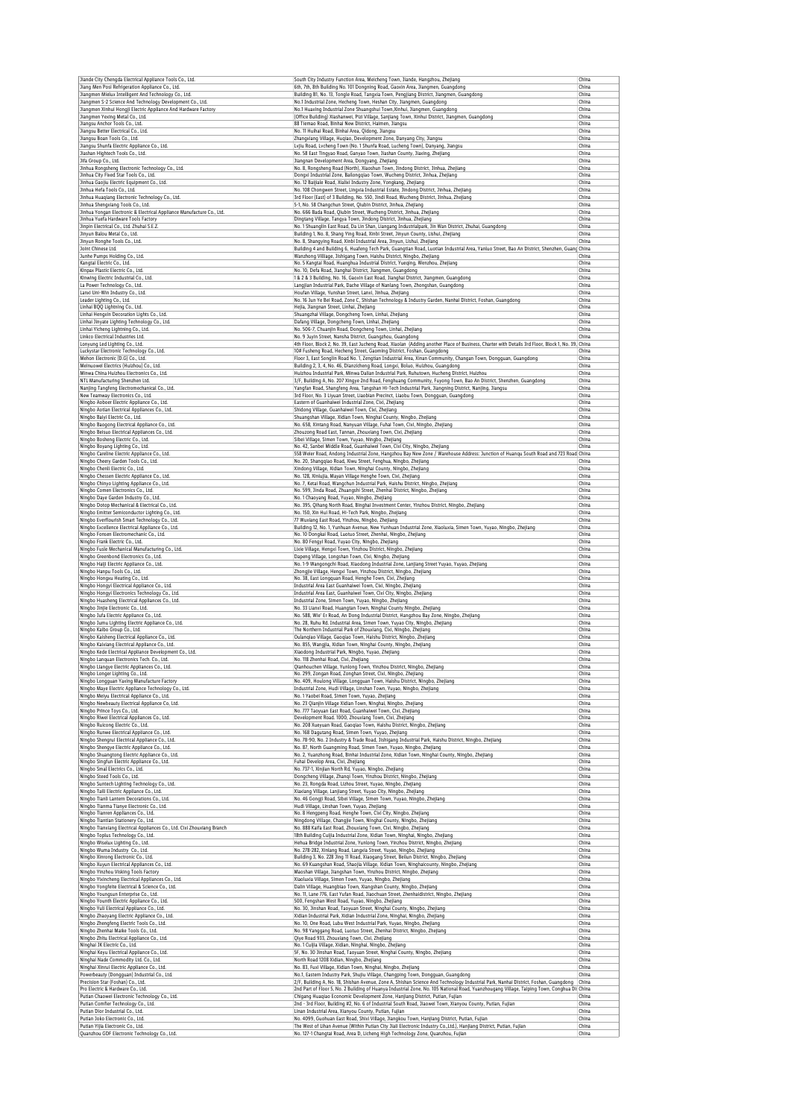| Jiande City Chengda Electrical Appliance Tools Co., Ltd.<br>Jiang Men Posi Refrigeration Appliance Co., Ltd.                                                                                                                                                                                                                                                                                                                                                                                                                                                                                                                                                                                                                                                                                                                                                                                                                                                                                                                                                 | South City Industry Function Area, Meicheng Town, Jiande, Hangzhou, Zhejiang<br>6th, 7th, 8th Building No. 101 Dongning Road, Gaoxin Area, Jiangmen, Guangdong                                                                                                                    | China<br>China |
|--------------------------------------------------------------------------------------------------------------------------------------------------------------------------------------------------------------------------------------------------------------------------------------------------------------------------------------------------------------------------------------------------------------------------------------------------------------------------------------------------------------------------------------------------------------------------------------------------------------------------------------------------------------------------------------------------------------------------------------------------------------------------------------------------------------------------------------------------------------------------------------------------------------------------------------------------------------------------------------------------------------------------------------------------------------|-----------------------------------------------------------------------------------------------------------------------------------------------------------------------------------------------------------------------------------------------------------------------------------|----------------|
| Jiangmen Mielux Intelligent And Technology Co., Ltd.                                                                                                                                                                                                                                                                                                                                                                                                                                                                                                                                                                                                                                                                                                                                                                                                                                                                                                                                                                                                         | Building B1, No. 13, Tongle Road, Tangxia Town, Pengjiang District, Jiangmen, Guangdong                                                                                                                                                                                           | China          |
| Jiangmen S-2 Science And Technology Development Co., Ltd.<br>Jiangmen Xinhui Hongji Electric Appliance And Hardware Factory                                                                                                                                                                                                                                                                                                                                                                                                                                                                                                                                                                                                                                                                                                                                                                                                                                                                                                                                  | No.1 Industrial Zone, Hecheng Town, Heshan City, Jiangmen, Guangdong<br>No.1 Huaxing Industrial Zone Shuangshui Town, Xinhui, Jiangmen, Guangdong                                                                                                                                 | China<br>China |
| Jiangmen Yexing Metal Co., Ltd.                                                                                                                                                                                                                                                                                                                                                                                                                                                                                                                                                                                                                                                                                                                                                                                                                                                                                                                                                                                                                              | (Office Building) Xiashanwei, Pizi Village, Sanjiang Town, Xinhui District, Jiangmen, Guangdong                                                                                                                                                                                   | China          |
| Jiangsu Anchor Tools Co., Ltd.                                                                                                                                                                                                                                                                                                                                                                                                                                                                                                                                                                                                                                                                                                                                                                                                                                                                                                                                                                                                                               | 88 Tiemao Road, Binhai New District, Haimen, Jianosu                                                                                                                                                                                                                              | China          |
| Jiangsu Better Electrical Co., Ltd.<br>Jiangsu Boan Tools Co., Ltd.                                                                                                                                                                                                                                                                                                                                                                                                                                                                                                                                                                                                                                                                                                                                                                                                                                                                                                                                                                                          | No. 11 Huihai Road, Binhai Area, Qidong, Jiangsu<br>Zhangxiang Village, Huqiao, Development Zone, Danyang City, Jiangsu                                                                                                                                                           | China<br>China |
| Jiangsu Shunfa Electric Appliance Co., Ltd.                                                                                                                                                                                                                                                                                                                                                                                                                                                                                                                                                                                                                                                                                                                                                                                                                                                                                                                                                                                                                  | Lvjiu Road, Lvcheng Town (No. 1 Shunfa Road, Lucheng Town), Danyang, Jiangsu                                                                                                                                                                                                      | China          |
| Jiashan Hightech Tools Co., Ltd.<br>Jifa Group Co., Ltd.                                                                                                                                                                                                                                                                                                                                                                                                                                                                                                                                                                                                                                                                                                                                                                                                                                                                                                                                                                                                     | No. 58 East Tingyao Road, Ganyao Town, Jiashan County, Jiaxing, Zhejiang<br>Jiangnan Development Area, Dongyang, Zhejiang                                                                                                                                                         | China<br>China |
| Jinhua Rongsheng Electronic Technology Co., Ltd.                                                                                                                                                                                                                                                                                                                                                                                                                                                                                                                                                                                                                                                                                                                                                                                                                                                                                                                                                                                                             | No. 8, Rongsheng Road (North), Xiaoshun Town, Jindong District, Jinhua, Zhejiang                                                                                                                                                                                                  | China          |
| Jinhua City Fixed Star Tools Co., Ltd.<br>Jinhua Gaojiu Electric Equipment Co., Ltd.                                                                                                                                                                                                                                                                                                                                                                                                                                                                                                                                                                                                                                                                                                                                                                                                                                                                                                                                                                         | Dongxi Industrial Zone, Bailongqiao Town, Wucheng District, Jinhua, Zhejiang                                                                                                                                                                                                      | China<br>China |
| Jinhua Hefa Tools Co., Ltd.                                                                                                                                                                                                                                                                                                                                                                                                                                                                                                                                                                                                                                                                                                                                                                                                                                                                                                                                                                                                                                  | No. 12 Baijiale Road, Xialixi Industry Zone, Yongkang, Zhejiang<br>No. 108 Chongwen Street, Lingxia Industrial Estate, Jindong District, Jinhua, Zhejiang                                                                                                                         | China          |
| Jinhua Huaqiang Electronic Technology Co., Ltd.                                                                                                                                                                                                                                                                                                                                                                                                                                                                                                                                                                                                                                                                                                                                                                                                                                                                                                                                                                                                              | 3rd Floor (East) of 3 Building, No. 550, Jindi Road, Wucheng District, Jinhua, Zhejiang                                                                                                                                                                                           | China          |
| Jinhua Shengxiang Tools Co., Ltd.<br>Jinhua Yongan Electronic & Electrical Appliance Manufacture Co., Ltd.                                                                                                                                                                                                                                                                                                                                                                                                                                                                                                                                                                                                                                                                                                                                                                                                                                                                                                                                                   | 5-1, No. 58 Changchun Street, Qiubin District, Jinhua, Zhejiang<br>No. 666 Bada Road, Qiubin Street, Wucheng District, Jinhua, Zhejiang                                                                                                                                           | China<br>China |
| Jinhua Yuefa Hardware Tools Factory                                                                                                                                                                                                                                                                                                                                                                                                                                                                                                                                                                                                                                                                                                                                                                                                                                                                                                                                                                                                                          | Dingtang Village, Tangya Town, Jindong District, Jinhua, Zhejiang                                                                                                                                                                                                                 | China          |
| Jinpin Electrical Co., Ltd. Zhuhai S.E.Z.<br>Jinyun Balou Metal Co., Ltd.                                                                                                                                                                                                                                                                                                                                                                                                                                                                                                                                                                                                                                                                                                                                                                                                                                                                                                                                                                                    | No. 1 Shuanglin East Road, Da Lin Shan, Liangang Industrialpark, Jin Wan District, Zhuhai, Guangdong<br>Building 1, No. 8, Shang Ying Road, Xinbi Street, Jinyun County, Lishui, Zhejiang                                                                                         | China<br>China |
| Jinvun Ronahe Tools Co., Ltd.                                                                                                                                                                                                                                                                                                                                                                                                                                                                                                                                                                                                                                                                                                                                                                                                                                                                                                                                                                                                                                | No. 8. Shanovino Road, Xinbi Industrial Area, Jinvun, Lishui, Zheilano                                                                                                                                                                                                            | China          |
| Joint Chinese Ltd.                                                                                                                                                                                                                                                                                                                                                                                                                                                                                                                                                                                                                                                                                                                                                                                                                                                                                                                                                                                                                                           | Building 4 and Building 6, Huafeng Tech Park, Guangtian Road, Luotian Industrial Area, Yanluo Street, Bao An District, Shenzhen, Guang China                                                                                                                                      |                |
| Junhe Pumps Holding Co., Ltd.<br>Kangtai Electric Co., Ltd.                                                                                                                                                                                                                                                                                                                                                                                                                                                                                                                                                                                                                                                                                                                                                                                                                                                                                                                                                                                                  | Wanzhong Villiage, Jishigang Town, Haishu District, Ningbo, Zhejiang<br>No. 5 Kangtai Road, Huanghua Industrial District, Yueqing, Wenzhou, Zhejiang                                                                                                                              | China<br>China |
| Kinpax Plastic Electric Co., Ltd.                                                                                                                                                                                                                                                                                                                                                                                                                                                                                                                                                                                                                                                                                                                                                                                                                                                                                                                                                                                                                            | No. 10, Defa Road, Jianghai District, Jiangmen, Guangdong                                                                                                                                                                                                                         | China          |
| Kinwing Electric Industrial Co., Ltd.<br>La Power Technology Co., Ltd.                                                                                                                                                                                                                                                                                                                                                                                                                                                                                                                                                                                                                                                                                                                                                                                                                                                                                                                                                                                       | 1& 2 & 3 Building, No. 16, Gaoxin East Road, Jianghai District, Jiangmen, Guangdong<br>Langjian Industrial Park, Dache Village of Nanlang Town, Zhongshan, Guangdong                                                                                                              | China<br>China |
| Lanxi Uni-Win Industry Co., Ltd.                                                                                                                                                                                                                                                                                                                                                                                                                                                                                                                                                                                                                                                                                                                                                                                                                                                                                                                                                                                                                             | Houfan Village, Yunshan Street, Lanxi, Jinhua, Zhejiang                                                                                                                                                                                                                           | China          |
| Leader Lighting Co., Ltd.<br>Linhai BQQ Lightning Co., Ltd.                                                                                                                                                                                                                                                                                                                                                                                                                                                                                                                                                                                                                                                                                                                                                                                                                                                                                                                                                                                                  | No. 16 Jun Ye Bei Road, Zone C, Shishan Technology & Industry Garden, Nanhai District, Foshan, Guangdong<br>Hejia, Jiangnan Street, Linhai, Zhejiang                                                                                                                              | China<br>China |
| Linhai Hengxin Decoration Lights Co., Ltd.                                                                                                                                                                                                                                                                                                                                                                                                                                                                                                                                                                                                                                                                                                                                                                                                                                                                                                                                                                                                                   | Shuangzhai Village, Dongcheng Town, Linhai, Zhejiang                                                                                                                                                                                                                              | China          |
| Linhai Jinyate Lighting Technology Co., Ltd.                                                                                                                                                                                                                                                                                                                                                                                                                                                                                                                                                                                                                                                                                                                                                                                                                                                                                                                                                                                                                 | Dafang Village, Dongcheng Town, Linhai, Zhejiang                                                                                                                                                                                                                                  | China          |
| Linhai Yicheng Lightning Co., Ltd.<br>Linkco Electrical Industries Ltd.                                                                                                                                                                                                                                                                                                                                                                                                                                                                                                                                                                                                                                                                                                                                                                                                                                                                                                                                                                                      | No. 506-7, Chuanjin Road, Dongcheng Town, Linhai, Zhejiang<br>No. 9 Juyin Street, Nansha District, Guangzhou, Guangdong                                                                                                                                                           | China<br>China |
| Lonyung Led Lighting Co., Ltd.                                                                                                                                                                                                                                                                                                                                                                                                                                                                                                                                                                                                                                                                                                                                                                                                                                                                                                                                                                                                                               | 4th Floor, Block 2, No. 39, East Jucheng Road, Xiaolan (Adding another Place of Business, Charter with Details 3rd Floor, Block 1, No. 39, China                                                                                                                                  |                |
| Luckystar Electronic Technology Co., Ltd.<br>Mehon Electronic (D.G) Co., Ltd.                                                                                                                                                                                                                                                                                                                                                                                                                                                                                                                                                                                                                                                                                                                                                                                                                                                                                                                                                                                | 10# Fusheng Road, Hecheng Street, Gaoming District, Foshan, Guangdong<br>Floor 3, East Songlin Road No. 1, Zengtian Industrial Area, Xinan Community, Changan Town, Dongguan, Guangdong                                                                                           | China<br>China |
| Meinuowei Electrics (Huizhou) Co., Ltd.                                                                                                                                                                                                                                                                                                                                                                                                                                                                                                                                                                                                                                                                                                                                                                                                                                                                                                                                                                                                                      | Building 2, 3, 4, No. 46, Dianzicheng Road, Longxi, Boluo, Huizhou, Guangdong                                                                                                                                                                                                     | China          |
| Minwa China Huizhou Electronics Co., Ltd.                                                                                                                                                                                                                                                                                                                                                                                                                                                                                                                                                                                                                                                                                                                                                                                                                                                                                                                                                                                                                    | Huizhou Industrial Park, Minwa Dalian Industrial Park, Ruhutown, Hucheng District, Huizhou                                                                                                                                                                                        | China          |
| NTL Manufacturing Shenzhen Ltd.<br>Nanjing Tangfeng Electromechanical Co., Ltd.                                                                                                                                                                                                                                                                                                                                                                                                                                                                                                                                                                                                                                                                                                                                                                                                                                                                                                                                                                              | 3/F, Building A, No. 207 Xingye 2nd Road, Fenghuang Community, Fuyong Town, Bao An District, Shenzhen, Guangdong<br>Yangfan Road, Shangfeng Area, Tangshan Hi-Tech Industrial Park, Jiangning District, Nanjing, Jiangsu                                                          | China<br>China |
| New Teamway Electronics Co., Ltd.                                                                                                                                                                                                                                                                                                                                                                                                                                                                                                                                                                                                                                                                                                                                                                                                                                                                                                                                                                                                                            | 3rd Floor, No. 3 Liyuan Street, Liaobian Precinct, Liaobu Town, Dongguan, Guangdong                                                                                                                                                                                               | China          |
| Ningbo Aoboer Electric Appliance Co., Ltd.                                                                                                                                                                                                                                                                                                                                                                                                                                                                                                                                                                                                                                                                                                                                                                                                                                                                                                                                                                                                                   | Eastern of Guanhaiwei Industrial Zone, Cixi, Zhejiang<br>Shidong Village, Guanhaiwei Town, Cixi, Zhejiang                                                                                                                                                                         | China          |
| Ningbo Aotian Electrical Appliances Co., Ltd.<br>Ningbo Baiyi Electric Co., Ltd.                                                                                                                                                                                                                                                                                                                                                                                                                                                                                                                                                                                                                                                                                                                                                                                                                                                                                                                                                                             | Shuangshan Village, Xidian Town, Ninghai County, Ningbo, Zhejiang                                                                                                                                                                                                                 | China<br>China |
| Ningbo Baogong Electrical Appliance Co., Ltd.                                                                                                                                                                                                                                                                                                                                                                                                                                                                                                                                                                                                                                                                                                                                                                                                                                                                                                                                                                                                                | No. 658, Xintang Road, Nanyuan Village, Fuhai Town, Cixi, Ningbo, Zhejiang                                                                                                                                                                                                        | China          |
| Ningbo Beisuo Electrical Appliances Co., Ltd.<br>Ningbo Bosheng Electric Co., Ltd.                                                                                                                                                                                                                                                                                                                                                                                                                                                                                                                                                                                                                                                                                                                                                                                                                                                                                                                                                                           | Zhouzong Road East, Tannan, Zhouxiang Town, Cixi, Zhejiang<br>Sibei Village, Simen Town, Yuyao, Ningbo, Zhejiang                                                                                                                                                                  | China<br>China |
| Ningbo Boyang Lighting Co., Ltd.                                                                                                                                                                                                                                                                                                                                                                                                                                                                                                                                                                                                                                                                                                                                                                                                                                                                                                                                                                                                                             | No. 42, Sanbei Middle Road, Guanhaiwei Town, Cixi City, Ningbo, Zhejiang                                                                                                                                                                                                          | China          |
| Ningbo Careline Electric Appliance Co., Ltd.                                                                                                                                                                                                                                                                                                                                                                                                                                                                                                                                                                                                                                                                                                                                                                                                                                                                                                                                                                                                                 | 558 Weier Road, Andong Industrial Zone, Hangzhou Bay New Zone / Warehouse Address: Junction of Huanqu South Road and 723 Road China                                                                                                                                               | China          |
| Ningbo Cheery Garden Tools Co., Ltd.<br>Ningbo Chenli Electric Co., Ltd.                                                                                                                                                                                                                                                                                                                                                                                                                                                                                                                                                                                                                                                                                                                                                                                                                                                                                                                                                                                     | No. 20, Shangqiao Road, Xiwu Street, Fenghua, Ningbo, Zhejiang<br>Xindong Village, Xidian Town, Ninghai County, Ningbo, Zhejiang                                                                                                                                                  | China          |
| Ningbo Chessen Electric Appliance Co., Ltd.                                                                                                                                                                                                                                                                                                                                                                                                                                                                                                                                                                                                                                                                                                                                                                                                                                                                                                                                                                                                                  | No. 128, Xinlujia, Mayan Village Henghe Town, Cixi, Zhejiang                                                                                                                                                                                                                      | China          |
| Ningbo Chinyo Lighting Appliance Co., Ltd.<br>Ningbo Comen Electronics Co., Ltd.                                                                                                                                                                                                                                                                                                                                                                                                                                                                                                                                                                                                                                                                                                                                                                                                                                                                                                                                                                             | No. 7, Ketai Road, Wangchun Industrial Park, Haishu District, Ningbo, Zhejiang<br>No. 599, Jinda Road, Zhuangshi Street, Zhenhai District, Ningbo, Zhejiang                                                                                                                       | China<br>China |
| Ningbo Daye Garden Industry Co., Ltd.                                                                                                                                                                                                                                                                                                                                                                                                                                                                                                                                                                                                                                                                                                                                                                                                                                                                                                                                                                                                                        | No. 1 Chaoyang Road, Yuyao, Ningbo, Zhejiang                                                                                                                                                                                                                                      | China          |
| Ningbo Dotop Mechanical & Electrical Co., Ltd.                                                                                                                                                                                                                                                                                                                                                                                                                                                                                                                                                                                                                                                                                                                                                                                                                                                                                                                                                                                                               | No. 395, Qihang North Road, Binghai Investment Center, Yinzhou District, Ningbo, Zhejiang                                                                                                                                                                                         | China<br>China |
| Ningbo Emitter Semiconductor Lighting Co., Ltd.<br>Ningbo Everflourish Smart Technology Co., Ltd.                                                                                                                                                                                                                                                                                                                                                                                                                                                                                                                                                                                                                                                                                                                                                                                                                                                                                                                                                            | No. 150, Xin Hui Road, Hi-Tech Park, Ningbo, Zhejiang<br>77 Wuxiang East Road, Yinzhou, Ningbo, Zhejiang                                                                                                                                                                          | China          |
| Ningbo Excellence Electrical Appliance Co., Ltd.                                                                                                                                                                                                                                                                                                                                                                                                                                                                                                                                                                                                                                                                                                                                                                                                                                                                                                                                                                                                             | Building 12, No. 1, Yunhuan Avenue, New Yunhuan Industrial Zone, Xiaoluxia, Simen Town, Yuyao, Ningbo, Zhejiang                                                                                                                                                                   | China          |
| Ningbo Fonsen Electromechanic Co., Ltd.<br>Ningbo Frank Electric Co., Ltd.                                                                                                                                                                                                                                                                                                                                                                                                                                                                                                                                                                                                                                                                                                                                                                                                                                                                                                                                                                                   | No. 10 Dongkai Road, Luotuo Street, Zhenhai, Ningbo, Zhejiang<br>No. 80 Fengyi Road, Yuyao City, Ningbo, Zhejiang                                                                                                                                                                 | China<br>China |
| Ningbo Fusle Mechanical Manufacturing Co., Ltd.                                                                                                                                                                                                                                                                                                                                                                                                                                                                                                                                                                                                                                                                                                                                                                                                                                                                                                                                                                                                              | Lixie Village, Hengxi Town, Yinzhou District, Ningbo, Zhejiang                                                                                                                                                                                                                    | China          |
| Ningbo Greenbond Electronics Co., Ltd.                                                                                                                                                                                                                                                                                                                                                                                                                                                                                                                                                                                                                                                                                                                                                                                                                                                                                                                                                                                                                       | Dapeng Village, Longshan Town, Cixi, Ningbo, Zhejiang                                                                                                                                                                                                                             | China<br>China |
| Ningbo Haiji Electric Appliance Co., Ltd.<br>Ningbo Hanpu Tools Co., Ltd.                                                                                                                                                                                                                                                                                                                                                                                                                                                                                                                                                                                                                                                                                                                                                                                                                                                                                                                                                                                    | No. 1-9 Wangongchi Road, Xiaodong Industrial Zone, Lanjiang Street Yuyao, Yuyao, Zhejiang<br>Zhongjie Village, Hengxi Town, Yinzhou District, Ningbo, Zhejiang                                                                                                                    | China          |
| Ningbo Hongxu Heating Co., Ltd.                                                                                                                                                                                                                                                                                                                                                                                                                                                                                                                                                                                                                                                                                                                                                                                                                                                                                                                                                                                                                              | No. 38, East Longquan Road, Henghe Town, Cixi, Zhejiang                                                                                                                                                                                                                           | China          |
| Ningbo Hongyi Electrical Appliance Co., Ltd.<br>Ningbo Hongyi Electronics Technology Co., Ltd.                                                                                                                                                                                                                                                                                                                                                                                                                                                                                                                                                                                                                                                                                                                                                                                                                                                                                                                                                               | Industrial Area East Guanhaiwei Town, Cixi, Ningbo, Zheijang<br>Industrial Area East, Guanhaiwei Town, Cixi City, Ningbo, Zhejiang                                                                                                                                                | China<br>China |
| Ningbo Huasheng Electrical Appliances Co., Ltd.                                                                                                                                                                                                                                                                                                                                                                                                                                                                                                                                                                                                                                                                                                                                                                                                                                                                                                                                                                                                              | Industrial Zone, Simen Town, Yuyao, Ningbo, Zhejiang                                                                                                                                                                                                                              | China          |
| Ningbo Jinjie Electronic Co., Ltd.                                                                                                                                                                                                                                                                                                                                                                                                                                                                                                                                                                                                                                                                                                                                                                                                                                                                                                                                                                                                                           | No. 33 Lianxi Road, Huangtan Town, Ninghai County Ningbo, Zhejiang                                                                                                                                                                                                                | China          |
| Ningbo Jufa Electric Appliance Co., Ltd.<br>Ningbo Jumu Lighting Electric Appliance Co., Ltd.                                                                                                                                                                                                                                                                                                                                                                                                                                                                                                                                                                                                                                                                                                                                                                                                                                                                                                                                                                | No. 588, Wie' Er Road, An Dong Industrial District, Hangzhou Bay Zone, Ningbo, Zhejiang<br>No. 28, Ruhu Rd. Industrial Area, Simen Town, Yuyao City, Ningbo, Zhejiang                                                                                                             | China<br>China |
| Ningbo Kaibo Group Co., Ltd.                                                                                                                                                                                                                                                                                                                                                                                                                                                                                                                                                                                                                                                                                                                                                                                                                                                                                                                                                                                                                                 | The Northern Industrial Park of Zhouxiang, Cixi, Ningbo, Zhejiang                                                                                                                                                                                                                 | China          |
| Ningbo Kaisheng Electrical Appliance Co., Ltd.                                                                                                                                                                                                                                                                                                                                                                                                                                                                                                                                                                                                                                                                                                                                                                                                                                                                                                                                                                                                               | Oulanqiao Village, Gaoqiao Town, Haishu District, Ningbo, Zhejiang                                                                                                                                                                                                                | China          |
| Ningbo Kaixiang Electrical Appliance Co., Ltd.<br>Ningbo Kede Electrical Appliance Development Co., Ltd.                                                                                                                                                                                                                                                                                                                                                                                                                                                                                                                                                                                                                                                                                                                                                                                                                                                                                                                                                     | No. 855, Wangjia, Xidian Town, Ninghai County, Ningbo, Zhejiang<br>Xiaodong Industrial Park, Ningbo, Yuyao, Zhejiang                                                                                                                                                              | China<br>China |
| Ningbo Lanquan Electronics Tech. Co., Ltd.                                                                                                                                                                                                                                                                                                                                                                                                                                                                                                                                                                                                                                                                                                                                                                                                                                                                                                                                                                                                                   | No. 118 Zhenhai Road, Cixi, Zhejiang                                                                                                                                                                                                                                              | China          |
| Ningbo Liangye Electric Appliances Co., Ltd.<br>Ningbo Longer Lighting Co., Ltd.                                                                                                                                                                                                                                                                                                                                                                                                                                                                                                                                                                                                                                                                                                                                                                                                                                                                                                                                                                             | Qianhouchen Village, Yunlong Town, Yinzhou District, Ningbo, Zhejiang<br>No. 299, Zongan Road, Zonghan Street, Cixi, Ningho, Zhejia                                                                                                                                               | China<br>China |
| Ningbo Longguan Yaxing Manufacture Factory                                                                                                                                                                                                                                                                                                                                                                                                                                                                                                                                                                                                                                                                                                                                                                                                                                                                                                                                                                                                                   | No. 409, Houlong Village, Longguan Town, Haishu District, Ningbo, Zhejiang                                                                                                                                                                                                        | China          |
| Ningbo Maye Electric Appliance Technology Co., Ltd.                                                                                                                                                                                                                                                                                                                                                                                                                                                                                                                                                                                                                                                                                                                                                                                                                                                                                                                                                                                                          | Industrial Zone, Hudi Village, Linshan Town, Yuyao, Ningbo, Zhejiang                                                                                                                                                                                                              | China          |
| Ningbo Meiyu Electrical Appliance Co., Ltd.<br>Ningbo Newbeauty Electrical Appliance Co, Ltd.                                                                                                                                                                                                                                                                                                                                                                                                                                                                                                                                                                                                                                                                                                                                                                                                                                                                                                                                                                | No. 1 Yaobei Road, Simen Town, Yuyao, Zhejiang<br>No. 23 Qianjin Village Xidian Town, Ninghai, Ningbo, Zhejiang                                                                                                                                                                   | China<br>China |
| Ningbo Prince Toys Co., Ltd.                                                                                                                                                                                                                                                                                                                                                                                                                                                                                                                                                                                                                                                                                                                                                                                                                                                                                                                                                                                                                                 | No. 777 Taoyuan East Road, Guanhaiwei Town, Cixi, Zhejiang                                                                                                                                                                                                                        | China          |
| Ningbo Riwei Electrical Appliances Co., Ltd.<br>Ningbo Ruicong Electric Co., Ltd.                                                                                                                                                                                                                                                                                                                                                                                                                                                                                                                                                                                                                                                                                                                                                                                                                                                                                                                                                                            | Development Road. 1000, Zhouxiang Town, Cixi, Zhejiang<br>No. 208 Xueyuan Road, Gaoqiao Town, Haishu District, Ningbo, Zhejiang                                                                                                                                                   | China<br>China |
| Ningbo Runwe Electrical Appliance Co., Ltd.                                                                                                                                                                                                                                                                                                                                                                                                                                                                                                                                                                                                                                                                                                                                                                                                                                                                                                                                                                                                                  | No. 168 Dagutang Road, Simen Town, Yuyao, Zhejiang                                                                                                                                                                                                                                | China          |
| Ningbo Shengrui Electrical Appliance Co., Ltd.<br>Ningbo Shengye Electric Appliance Co., Ltd.                                                                                                                                                                                                                                                                                                                                                                                                                                                                                                                                                                                                                                                                                                                                                                                                                                                                                                                                                                | No. 78-90, No. 2 Industry & Trade Road, Jishigang Industrial Park, Haishu District, Ningbo, Zhejiang<br>No. 87, North Guangming Road, Simen Town, Yuyao, Ningbo, Zhejiang                                                                                                         | China<br>China |
| Ningbo Shuangtong Electric Appliance Co., Ltd.                                                                                                                                                                                                                                                                                                                                                                                                                                                                                                                                                                                                                                                                                                                                                                                                                                                                                                                                                                                                               | No. 2, Yuanzhong Road, Binhai Industrial Zone, Xidian Town, Ninghai County, Ningbo, Zhejiang                                                                                                                                                                                      | China          |
| Ningbo Singfun Electric Appliance Co., Ltd.                                                                                                                                                                                                                                                                                                                                                                                                                                                                                                                                                                                                                                                                                                                                                                                                                                                                                                                                                                                                                  |                                                                                                                                                                                                                                                                                   | China          |
| Ningbo Smal Electrics Co., Ltd.<br>Ningbo Steed Tools Co., Ltd.                                                                                                                                                                                                                                                                                                                                                                                                                                                                                                                                                                                                                                                                                                                                                                                                                                                                                                                                                                                              | Fuhai Develop Area, Cixi, Zhejiang                                                                                                                                                                                                                                                |                |
| Ningbo Suntech Lighting Technology Co., Ltd.                                                                                                                                                                                                                                                                                                                                                                                                                                                                                                                                                                                                                                                                                                                                                                                                                                                                                                                                                                                                                 | No. 737-1, Xinjian North Rd, Yuyao, Ningbo, Zhejiang                                                                                                                                                                                                                              | China<br>China |
|                                                                                                                                                                                                                                                                                                                                                                                                                                                                                                                                                                                                                                                                                                                                                                                                                                                                                                                                                                                                                                                              | Dongcheng Village, Zhanqi Town, Yinzhou District, Ningbo, Zhejiang<br>No. 23, Rongda Road, Lizhou Street, Yuyao, Ningbo, Zhejiang                                                                                                                                                 | China          |
|                                                                                                                                                                                                                                                                                                                                                                                                                                                                                                                                                                                                                                                                                                                                                                                                                                                                                                                                                                                                                                                              | Xiaxiang Village, Lanjiang Street, Yuyao City, Ningbo, Zhejiang                                                                                                                                                                                                                   | China          |
|                                                                                                                                                                                                                                                                                                                                                                                                                                                                                                                                                                                                                                                                                                                                                                                                                                                                                                                                                                                                                                                              | No. 46 Gongji Road, Sibei Village, Simen Town, Yuyao, Ningbo, Zhejiang<br>Hudi Village, Linshan Town, Yuyao, Zhejiang                                                                                                                                                             | China<br>China |
|                                                                                                                                                                                                                                                                                                                                                                                                                                                                                                                                                                                                                                                                                                                                                                                                                                                                                                                                                                                                                                                              | No. 8 Hengpeng Road, Henghe Town, Cixi City, Ningbo, Zhejiang                                                                                                                                                                                                                     | China          |
|                                                                                                                                                                                                                                                                                                                                                                                                                                                                                                                                                                                                                                                                                                                                                                                                                                                                                                                                                                                                                                                              | Ningdong Village, Changjie Town, Ninghai County, Ningbo, Zhejiang                                                                                                                                                                                                                 | China<br>China |
|                                                                                                                                                                                                                                                                                                                                                                                                                                                                                                                                                                                                                                                                                                                                                                                                                                                                                                                                                                                                                                                              | No. 888 Kaifa East Road, Zhouxiang Town, Cixi, Ningbo, Zhejiang<br>18th Building Cuijia Industrial Zone, Xidian Town, Ninghai, Ningbo, Zhejiang                                                                                                                                   | China          |
|                                                                                                                                                                                                                                                                                                                                                                                                                                                                                                                                                                                                                                                                                                                                                                                                                                                                                                                                                                                                                                                              | Hehua Bridge Industrial Zone, Yunlong Town, Yinzhou District, Ningbo, Zhejiang                                                                                                                                                                                                    | China          |
|                                                                                                                                                                                                                                                                                                                                                                                                                                                                                                                                                                                                                                                                                                                                                                                                                                                                                                                                                                                                                                                              | No. 278-282, Xinlang Road, Langxia Street, Yuyao, Ningbo, Zhejiang<br>Building 3, No. 228 Jing 11 Road, Xiaogang Street, Beilun District, Ningbo, Zhejiang                                                                                                                        | China<br>China |
|                                                                                                                                                                                                                                                                                                                                                                                                                                                                                                                                                                                                                                                                                                                                                                                                                                                                                                                                                                                                                                                              | No. 69 Kuangshan Road, Shaojia Village, Xidian Town, Ninghaicounty, Ningbo, Zhejiang                                                                                                                                                                                              | China          |
|                                                                                                                                                                                                                                                                                                                                                                                                                                                                                                                                                                                                                                                                                                                                                                                                                                                                                                                                                                                                                                                              | Maoshan Village, Jiangshan Town, Yinzhou District, Ningbo, Zhejiang                                                                                                                                                                                                               | China<br>China |
|                                                                                                                                                                                                                                                                                                                                                                                                                                                                                                                                                                                                                                                                                                                                                                                                                                                                                                                                                                                                                                                              | Xiaoluxia Village, Simen Town, Yuyao, Ningbo, Zhejiang<br>Dalin Village, Huangbiao Town, Xiangshan County, Ningbo, Zhejiang                                                                                                                                                       | China          |
|                                                                                                                                                                                                                                                                                                                                                                                                                                                                                                                                                                                                                                                                                                                                                                                                                                                                                                                                                                                                                                                              | No. 11, Lane 776, East Yufan Road, Jiaochuan Street, Zhenhaidistrict, Ningbo, Zhejiang                                                                                                                                                                                            | China          |
|                                                                                                                                                                                                                                                                                                                                                                                                                                                                                                                                                                                                                                                                                                                                                                                                                                                                                                                                                                                                                                                              | 500, Fengshan West Road, Yuyao, Ningbo, Zhejiang<br>No. 30, Jinshan Road, Taoyuan Street, Ninghai County, Ningbo, Zhejiang                                                                                                                                                        | China<br>China |
|                                                                                                                                                                                                                                                                                                                                                                                                                                                                                                                                                                                                                                                                                                                                                                                                                                                                                                                                                                                                                                                              | Xidian Industrial Park, Xidian Industrial Zone, Ninghai, Ningbo, Zhejiang                                                                                                                                                                                                         | China          |
|                                                                                                                                                                                                                                                                                                                                                                                                                                                                                                                                                                                                                                                                                                                                                                                                                                                                                                                                                                                                                                                              | No. 10, One Road, Lubu West Industrial Park, Yuyao, Ningbo, Zhejiang                                                                                                                                                                                                              | China<br>China |
|                                                                                                                                                                                                                                                                                                                                                                                                                                                                                                                                                                                                                                                                                                                                                                                                                                                                                                                                                                                                                                                              | No. 98 Yanggang Road, Luotuo Street, Zhenhai District, Ningbo, Zhejiang<br>Qiye Road 933, Zhouxiang Town, Cixi, Zhejiang                                                                                                                                                          | China          |
|                                                                                                                                                                                                                                                                                                                                                                                                                                                                                                                                                                                                                                                                                                                                                                                                                                                                                                                                                                                                                                                              | No. 1 Cuijia Village, Xidian, Ninghai, Ningbo, Zhejiang                                                                                                                                                                                                                           | China          |
|                                                                                                                                                                                                                                                                                                                                                                                                                                                                                                                                                                                                                                                                                                                                                                                                                                                                                                                                                                                                                                                              | 5F, No. 30 Jinshan Road, Taoyuan Street, Ninghai County, Ningbo, Zhejiang<br>North Road 1208 Xidian, Ningbo, Zhejiang                                                                                                                                                             | China<br>China |
|                                                                                                                                                                                                                                                                                                                                                                                                                                                                                                                                                                                                                                                                                                                                                                                                                                                                                                                                                                                                                                                              | No. 83, Fuxi Village, Xidian Town, Ninghai, Ningbo, Zhejiang                                                                                                                                                                                                                      | China          |
|                                                                                                                                                                                                                                                                                                                                                                                                                                                                                                                                                                                                                                                                                                                                                                                                                                                                                                                                                                                                                                                              | No.1, Eastern Industry Park, Shujiu Village, Changping Town, Dongguan, Guangdong                                                                                                                                                                                                  | China<br>China |
| Ningbo Taili Electric Appliance Co., Ltd.<br>Ningbo Tianli Lantern Decorations Co., Ltd.<br>Ningbo Toplus Technology Co., Ltd.<br>Ningbo Wiselux Lighting Co., Ltd.<br>Ningbo Wuma Industry Co., Ltd.<br>Ningbo Yinzhou Visking Tools Factory<br>Ningbo Yongfeite Electrical & Science Co., Ltd.<br>Ningbo Zhenhai Maike Tools Co., Ltd.                                                                                                                                                                                                                                                                                                                                                                                                                                                                                                                                                                                                                                                                                                                     | 2/F, Building A, No. 18, Shishan Avenue, Zone A, Shishan Science And Technology Industrial Park, Nanhai District, Foshan, Guangdong<br>2nd Part of Floor 5, No. 2 Building of Huanya Industrial Zone, No. 105 National Road, Yuanzhougang Village, Taiping Town, Conghua Di China |                |
|                                                                                                                                                                                                                                                                                                                                                                                                                                                                                                                                                                                                                                                                                                                                                                                                                                                                                                                                                                                                                                                              | Chigang Huaqiao Economic Development Zone, Hanjiang District, Putian, Fujian                                                                                                                                                                                                      | China          |
| Ningbo Tianma Tianye Electronic Co., Ltd.<br>Ningbo Tianren Appliances Co., Ltd.<br>Ningbo Tiantian Stationery Co., Ltd.<br>Ningbo Tianxiang Electrical Appliances Co., Ltd. Cixi Zhouxiang Branch<br>Ningbo Xinrong Electronic Co., Ltd.<br>Ningbo Xuyun Electrical Appliances Co., Ltd.<br>Ningbo Yixincheng Electrical Appliances Co., Ltd.<br>Ningbo Youngsun Enterprise Co., Ltd.<br>Ningbo Younth Electric Appliance Co., Ltd.<br>Ningbo Yuli Electrical Appliance Co., Ltd.<br>Ningbo Zhaoyang Electric Appliance Co., Ltd.<br>Ningbo Zhengfeng Electric Tools Co., Ltd.<br>Ningbo Zhitu Electrical Appliance Co., Ltd.<br>Ninghai JK Electric Co., Ltd.<br>Ninghai Keyu Electrical Appliance Co., Ltd.<br>Ninghai Nade Commodity Ltd. Co., Ltd.<br>Ninghai Xinrui Electric Appliance Co., Ltd.<br>Powerbeauty (Dongguan) Industrial Co., Ltd.<br>Precision Star (Foshan) Co., Ltd.<br>Pro Electric & Hardware Co., Ltd.<br>Putian Chaowei Electronic Technology Co., Ltd.<br>Putian Comfier Technology Co., Ltd.<br>Putian Dior Industrial Co., Ltd. | 2nd - 3rd Floor, Building #2, No. 6 of Industrial South Road, Jiaowei Town, Xianyou County, Putian, Fujian<br>Linan Industrial Area, Xianyou County, Putian, Fujian                                                                                                               | China<br>China |
| Putian Joko Electronic Co., Ltd.                                                                                                                                                                                                                                                                                                                                                                                                                                                                                                                                                                                                                                                                                                                                                                                                                                                                                                                                                                                                                             | No. 4099, Guohuan East Road, Shixi Village, Jiangkou Town, Hanjiang District, Putian, Fujian                                                                                                                                                                                      | China          |
| Putian Yijia Electronic Co., Ltd.<br>Quanzhou GDF Electronic Technology Co., Ltd.                                                                                                                                                                                                                                                                                                                                                                                                                                                                                                                                                                                                                                                                                                                                                                                                                                                                                                                                                                            | The West of Lihan Avenue (Within Putian City Jiali Electronic Industry Co., Ltd.), Hanjiang District, Putian, Fujian<br>No. 127-1 Changtai Road, Area D, Licheng High Technology Zone, Quanzhou, Fujian                                                                           | China<br>China |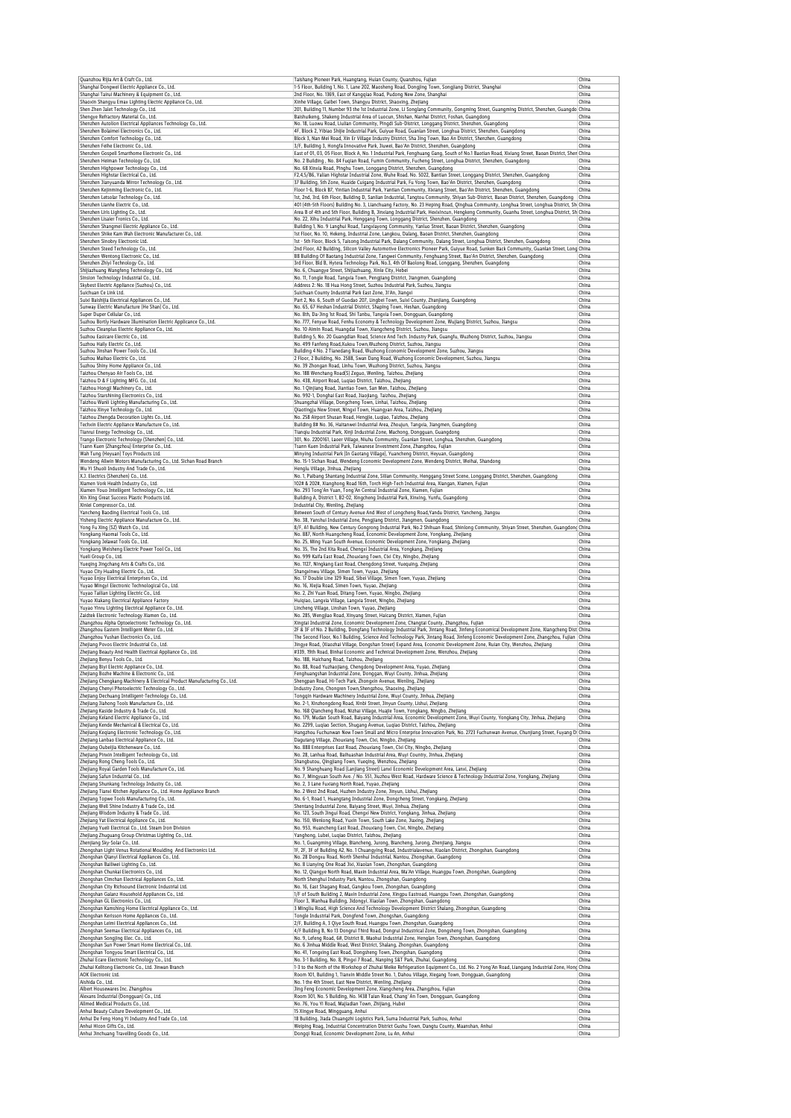|                                                                                                                                                                                                                                                                                                                                                                                                                                                                                                                                                                                                                                                                                                                                                                                                                                                                                                                                                                                                                                                                                                                                                                                                                                                                                                                                                                                                                                                                                                                                                                                                                                                                                                                                                                                                                                                                                                                                                                                                                                                                                                                                                                                                                                                                                                                                                                                                                                                                                                                                                                                                                                                                                                                                  | Taishang Pioneer Park, Huangtang, Huian County, Quanzhou, Fujian                                                                                                                                                                                                        | China          |
|----------------------------------------------------------------------------------------------------------------------------------------------------------------------------------------------------------------------------------------------------------------------------------------------------------------------------------------------------------------------------------------------------------------------------------------------------------------------------------------------------------------------------------------------------------------------------------------------------------------------------------------------------------------------------------------------------------------------------------------------------------------------------------------------------------------------------------------------------------------------------------------------------------------------------------------------------------------------------------------------------------------------------------------------------------------------------------------------------------------------------------------------------------------------------------------------------------------------------------------------------------------------------------------------------------------------------------------------------------------------------------------------------------------------------------------------------------------------------------------------------------------------------------------------------------------------------------------------------------------------------------------------------------------------------------------------------------------------------------------------------------------------------------------------------------------------------------------------------------------------------------------------------------------------------------------------------------------------------------------------------------------------------------------------------------------------------------------------------------------------------------------------------------------------------------------------------------------------------------------------------------------------------------------------------------------------------------------------------------------------------------------------------------------------------------------------------------------------------------------------------------------------------------------------------------------------------------------------------------------------------------------------------------------------------------------------------------------------------------|-------------------------------------------------------------------------------------------------------------------------------------------------------------------------------------------------------------------------------------------------------------------------|----------------|
| Shanghai Dongwei Electric Appliance Co., Ltd.<br>Shanghai Tairui Machinery & Equipment Co., Ltd.                                                                                                                                                                                                                                                                                                                                                                                                                                                                                                                                                                                                                                                                                                                                                                                                                                                                                                                                                                                                                                                                                                                                                                                                                                                                                                                                                                                                                                                                                                                                                                                                                                                                                                                                                                                                                                                                                                                                                                                                                                                                                                                                                                                                                                                                                                                                                                                                                                                                                                                                                                                                                                 | 1-5 Floor, Building 1, No. 1, Lane 202, Maosheng Road, Dongjing Town, Songjiang District, Shanghai<br>2nd Floor, No. 1369, East of Kangqiao Road, Pudong New Zone, Shanghai                                                                                             | China<br>China |
| Shaoxin Shangyu Emax Lighting Electric Appliance Co., Ltd.                                                                                                                                                                                                                                                                                                                                                                                                                                                                                                                                                                                                                                                                                                                                                                                                                                                                                                                                                                                                                                                                                                                                                                                                                                                                                                                                                                                                                                                                                                                                                                                                                                                                                                                                                                                                                                                                                                                                                                                                                                                                                                                                                                                                                                                                                                                                                                                                                                                                                                                                                                                                                                                                       | Xinhe Village, Gaibei Town, Shangyu District, Shaoxing, Zhejiang                                                                                                                                                                                                        | China          |
| Shen Zhen Jalet Technology Co., Ltd.                                                                                                                                                                                                                                                                                                                                                                                                                                                                                                                                                                                                                                                                                                                                                                                                                                                                                                                                                                                                                                                                                                                                                                                                                                                                                                                                                                                                                                                                                                                                                                                                                                                                                                                                                                                                                                                                                                                                                                                                                                                                                                                                                                                                                                                                                                                                                                                                                                                                                                                                                                                                                                                                                             | 201, Building 11, Number 93 the 1st Industrial Zone, Li Songlang Community, Gongming Street, Guangming District, Shenzhen, Guangdo China                                                                                                                                |                |
| Shengye Refractory Material Co., Ltd.<br>Shenzhen Autolion Electrical Appliances Technology Co., Ltd.                                                                                                                                                                                                                                                                                                                                                                                                                                                                                                                                                                                                                                                                                                                                                                                                                                                                                                                                                                                                                                                                                                                                                                                                                                                                                                                                                                                                                                                                                                                                                                                                                                                                                                                                                                                                                                                                                                                                                                                                                                                                                                                                                                                                                                                                                                                                                                                                                                                                                                                                                                                                                            | Baishuikeng, Shakeng Industrial Area of Luocun, Shishan, Nanhai District, Foshan, Guangdong<br>No. 18, Luowu Road, Liulian Community, Pingdi Sub-District, Longgang District, Shenzhen, Guangdong                                                                       | China<br>China |
| Shenzhen Bolaimei Electronics Co., Ltd.                                                                                                                                                                                                                                                                                                                                                                                                                                                                                                                                                                                                                                                                                                                                                                                                                                                                                                                                                                                                                                                                                                                                                                                                                                                                                                                                                                                                                                                                                                                                                                                                                                                                                                                                                                                                                                                                                                                                                                                                                                                                                                                                                                                                                                                                                                                                                                                                                                                                                                                                                                                                                                                                                          | 4F, Block 2, Yibiao Shijie Industrial Park, Guiyue Road, Guanlan Street, Longhua District, Shenzhen, Guangdong                                                                                                                                                          | China          |
| Shenzhen Comfort Technology Co., Ltd.                                                                                                                                                                                                                                                                                                                                                                                                                                                                                                                                                                                                                                                                                                                                                                                                                                                                                                                                                                                                                                                                                                                                                                                                                                                                                                                                                                                                                                                                                                                                                                                                                                                                                                                                                                                                                                                                                                                                                                                                                                                                                                                                                                                                                                                                                                                                                                                                                                                                                                                                                                                                                                                                                            | Block 3, Nan Mei Road, Xin Er Village Industry District, Sha Jing Town, Bao An District, Shenzhen, Guangdong                                                                                                                                                            | China          |
| Shenzhen Feihe Electronic Co., Ltd.<br>Shenzhen Gospell Smarthome Electronic Co., Ltd.                                                                                                                                                                                                                                                                                                                                                                                                                                                                                                                                                                                                                                                                                                                                                                                                                                                                                                                                                                                                                                                                                                                                                                                                                                                                                                                                                                                                                                                                                                                                                                                                                                                                                                                                                                                                                                                                                                                                                                                                                                                                                                                                                                                                                                                                                                                                                                                                                                                                                                                                                                                                                                           | 3/F, Building 3, Hongfa Innovative Park, Jiuwei, Bao'An District, Shenzhen, Guangdong<br>East of 01, 03, 05 Floor, Block A, No. 1 Industrial Park, Fenghuang Gang, South of No.1 Baotian Road, Xixiang Street, Baoan District, Sher China                               | China          |
| Shenzhen Heiman Technology Co., Ltd.                                                                                                                                                                                                                                                                                                                                                                                                                                                                                                                                                                                                                                                                                                                                                                                                                                                                                                                                                                                                                                                                                                                                                                                                                                                                                                                                                                                                                                                                                                                                                                                                                                                                                                                                                                                                                                                                                                                                                                                                                                                                                                                                                                                                                                                                                                                                                                                                                                                                                                                                                                                                                                                                                             | No. 2 Building, No. 84 Fuqian Road, Fumin Community, Fucheng Street, Longhua District, Shenzhen, Guangdong                                                                                                                                                              | China          |
| Shenzhen Highpower Technology Co., Ltd.                                                                                                                                                                                                                                                                                                                                                                                                                                                                                                                                                                                                                                                                                                                                                                                                                                                                                                                                                                                                                                                                                                                                                                                                                                                                                                                                                                                                                                                                                                                                                                                                                                                                                                                                                                                                                                                                                                                                                                                                                                                                                                                                                                                                                                                                                                                                                                                                                                                                                                                                                                                                                                                                                          | No. 68 Xinxia Road, Pinghu Town, Longgang District, Shenzhen, Guangdong                                                                                                                                                                                                 | China          |
| Shenzhen Highstar Electrical Co., Ltd.                                                                                                                                                                                                                                                                                                                                                                                                                                                                                                                                                                                                                                                                                                                                                                                                                                                                                                                                                                                                                                                                                                                                                                                                                                                                                                                                                                                                                                                                                                                                                                                                                                                                                                                                                                                                                                                                                                                                                                                                                                                                                                                                                                                                                                                                                                                                                                                                                                                                                                                                                                                                                                                                                           | F2,4,5/B6, Yalian Highstar Industrial Zone, Wuhe Road. No. 5022, Bantian Street, Longgang District, Shenzhen, Guangdong                                                                                                                                                 | China          |
| Shenzhen Jianyuanda Mirror Technology Co., Ltd.<br>Shenzhen Kejinming Electronic Co., Ltd.                                                                                                                                                                                                                                                                                                                                                                                                                                                                                                                                                                                                                                                                                                                                                                                                                                                                                                                                                                                                                                                                                                                                                                                                                                                                                                                                                                                                                                                                                                                                                                                                                                                                                                                                                                                                                                                                                                                                                                                                                                                                                                                                                                                                                                                                                                                                                                                                                                                                                                                                                                                                                                       | 37 Building, 5th Zone, Huaide Cuigang Industrial Park, Fu Yong Town, Bao'An District, Shenzhen, Guangdong<br>Floor 1-6, Block B7, Yintian Industrial Park, Yantian Community, Xixiang Street, Bao'An District, Shenzhen, Guangdong                                      | China<br>China |
| Shenzhen Letsolar Technology Co., Ltd.                                                                                                                                                                                                                                                                                                                                                                                                                                                                                                                                                                                                                                                                                                                                                                                                                                                                                                                                                                                                                                                                                                                                                                                                                                                                                                                                                                                                                                                                                                                                                                                                                                                                                                                                                                                                                                                                                                                                                                                                                                                                                                                                                                                                                                                                                                                                                                                                                                                                                                                                                                                                                                                                                           | 1st, 2nd, 3rd, 6th Floor, Building D, Sanlian Industrial, Tangtou Community, Shiyan Sub-District, Baoan District, Shenzhen, Guangdong                                                                                                                                   | China          |
| Shenzhen Lianhe Electric Co., Ltd.                                                                                                                                                                                                                                                                                                                                                                                                                                                                                                                                                                                                                                                                                                                                                                                                                                                                                                                                                                                                                                                                                                                                                                                                                                                                                                                                                                                                                                                                                                                                                                                                                                                                                                                                                                                                                                                                                                                                                                                                                                                                                                                                                                                                                                                                                                                                                                                                                                                                                                                                                                                                                                                                                               | 401 (4th-5th Floors) Building No. 3, Lianchuang Factory, No. 23 Heping Road, Qinghua Community, Longhua Street, Longhua District, Sh China                                                                                                                              |                |
| Shenzhen Liris Lighting Co., Ltd.<br>Shenzhen Lisaier Tronics Co., Ltd.                                                                                                                                                                                                                                                                                                                                                                                                                                                                                                                                                                                                                                                                                                                                                                                                                                                                                                                                                                                                                                                                                                                                                                                                                                                                                                                                                                                                                                                                                                                                                                                                                                                                                                                                                                                                                                                                                                                                                                                                                                                                                                                                                                                                                                                                                                                                                                                                                                                                                                                                                                                                                                                          | Area B of 4th and 5th Floor, Building B, Jinxiang Industrial Park, Hexixincun, Hengkeng Community, Guanhu Street, Longhua District, Sh  China<br>No. 22, Xihu Industrial Park, Henggang Town, Longgang District, Shenzhen, Guangdong                                    | China          |
| Shenzhen Shangmei Electric Appliance Co., Ltd.                                                                                                                                                                                                                                                                                                                                                                                                                                                                                                                                                                                                                                                                                                                                                                                                                                                                                                                                                                                                                                                                                                                                                                                                                                                                                                                                                                                                                                                                                                                                                                                                                                                                                                                                                                                                                                                                                                                                                                                                                                                                                                                                                                                                                                                                                                                                                                                                                                                                                                                                                                                                                                                                                   | Building 1, No. 9 Langhui Road, Tangxiayong Community, Yanluo Street, Baoan District, Shenzhen, Guangdong                                                                                                                                                               | China          |
| Shenzhen Shike Kam Wah Electronic Manufacturer Co., Ltd                                                                                                                                                                                                                                                                                                                                                                                                                                                                                                                                                                                                                                                                                                                                                                                                                                                                                                                                                                                                                                                                                                                                                                                                                                                                                                                                                                                                                                                                                                                                                                                                                                                                                                                                                                                                                                                                                                                                                                                                                                                                                                                                                                                                                                                                                                                                                                                                                                                                                                                                                                                                                                                                          | 1st Floor, No. 10, Hekeng, Industrial Zone, Langkou, Dalang, Baoan District, Shenzhen, Guangdong                                                                                                                                                                        | China          |
| Shenzhen Sinobry Electronic Ltd<br>Shenzhen Steed Technology Co., Ltd.                                                                                                                                                                                                                                                                                                                                                                                                                                                                                                                                                                                                                                                                                                                                                                                                                                                                                                                                                                                                                                                                                                                                                                                                                                                                                                                                                                                                                                                                                                                                                                                                                                                                                                                                                                                                                                                                                                                                                                                                                                                                                                                                                                                                                                                                                                                                                                                                                                                                                                                                                                                                                                                           | 1st - 5th Floor, Block 5, Taisong Industrial Park, Dalang Community, Dalang Street, Longhua District, Shenzhen, Guangdong<br>2nd Floor, A2 Building, Silicon Valley Automotive Electronics Pioneer Park, Guiyue Road, Sunken Back Community, Guanlan Street, Long China | China          |
| Shenzhen Wentong Electronic Co., Ltd.                                                                                                                                                                                                                                                                                                                                                                                                                                                                                                                                                                                                                                                                                                                                                                                                                                                                                                                                                                                                                                                                                                                                                                                                                                                                                                                                                                                                                                                                                                                                                                                                                                                                                                                                                                                                                                                                                                                                                                                                                                                                                                                                                                                                                                                                                                                                                                                                                                                                                                                                                                                                                                                                                            | B8 Building Of Baotang Industrial Zone, Tangwei Community, Fenghuang Street, Bao'An District, Shenzhen, Guangdong                                                                                                                                                       | China          |
| Shenzhen Zhivi Technology Co., Ltd.                                                                                                                                                                                                                                                                                                                                                                                                                                                                                                                                                                                                                                                                                                                                                                                                                                                                                                                                                                                                                                                                                                                                                                                                                                                                                                                                                                                                                                                                                                                                                                                                                                                                                                                                                                                                                                                                                                                                                                                                                                                                                                                                                                                                                                                                                                                                                                                                                                                                                                                                                                                                                                                                                              | 3rd Floor, Bld B, Hytera Technology Park, No.3, 4th Of Baolong Road, Longgang, Shenzhen, Guangdong                                                                                                                                                                      | China          |
| Shijiazhuang Wangfeng Technology Co., Ltd.                                                                                                                                                                                                                                                                                                                                                                                                                                                                                                                                                                                                                                                                                                                                                                                                                                                                                                                                                                                                                                                                                                                                                                                                                                                                                                                                                                                                                                                                                                                                                                                                                                                                                                                                                                                                                                                                                                                                                                                                                                                                                                                                                                                                                                                                                                                                                                                                                                                                                                                                                                                                                                                                                       | No. 6, Chuangye Street, Shijiazhuang, Xinle City, Hebei                                                                                                                                                                                                                 | China          |
| Sinsion Technology Industrial Co., Ltd.<br>Skybest Electric Appliance (Suzhou) Co., Ltd.                                                                                                                                                                                                                                                                                                                                                                                                                                                                                                                                                                                                                                                                                                                                                                                                                                                                                                                                                                                                                                                                                                                                                                                                                                                                                                                                                                                                                                                                                                                                                                                                                                                                                                                                                                                                                                                                                                                                                                                                                                                                                                                                                                                                                                                                                                                                                                                                                                                                                                                                                                                                                                         | No. 11, Tongle Road, Tangxia Town, Pengjiang District, Jiangmen, Guangdong<br>Address 2: No. 18 Hua Hong Street, Suzhou Industrial Park, Suzhou, Jiangsu                                                                                                                | China<br>China |
| Suichuan Ce Link Ltd.                                                                                                                                                                                                                                                                                                                                                                                                                                                                                                                                                                                                                                                                                                                                                                                                                                                                                                                                                                                                                                                                                                                                                                                                                                                                                                                                                                                                                                                                                                                                                                                                                                                                                                                                                                                                                                                                                                                                                                                                                                                                                                                                                                                                                                                                                                                                                                                                                                                                                                                                                                                                                                                                                                            | Suichuan County Industrial Park East Zone, Ji'An, Jiangxi                                                                                                                                                                                                               | China          |
| Suixi Baishijia Electrical Appliances Co., Ltd.                                                                                                                                                                                                                                                                                                                                                                                                                                                                                                                                                                                                                                                                                                                                                                                                                                                                                                                                                                                                                                                                                                                                                                                                                                                                                                                                                                                                                                                                                                                                                                                                                                                                                                                                                                                                                                                                                                                                                                                                                                                                                                                                                                                                                                                                                                                                                                                                                                                                                                                                                                                                                                                                                  | Part 2, No. 6, South of Guodao 207, Lingbei Town, Suixi County, Zhanjiang, Guangdong                                                                                                                                                                                    | China          |
| Sunway Electric Manufacture (He Shan) Co., Ltd.                                                                                                                                                                                                                                                                                                                                                                                                                                                                                                                                                                                                                                                                                                                                                                                                                                                                                                                                                                                                                                                                                                                                                                                                                                                                                                                                                                                                                                                                                                                                                                                                                                                                                                                                                                                                                                                                                                                                                                                                                                                                                                                                                                                                                                                                                                                                                                                                                                                                                                                                                                                                                                                                                  | No. 65, 67 Heshan Industrial District, Shaping Town, Heshan, Guangdong                                                                                                                                                                                                  | China          |
| Super Duper Cellular Co., Ltd.<br>Suzhou Bortly Hardware Illumination Electric Applicance Co., Ltd.                                                                                                                                                                                                                                                                                                                                                                                                                                                                                                                                                                                                                                                                                                                                                                                                                                                                                                                                                                                                                                                                                                                                                                                                                                                                                                                                                                                                                                                                                                                                                                                                                                                                                                                                                                                                                                                                                                                                                                                                                                                                                                                                                                                                                                                                                                                                                                                                                                                                                                                                                                                                                              | No. 8th, Da-Jing 1st Road, Shi Tanbu, Tangxia Town, Dongguan, Guangdong<br>No. 777, Fenyue Road, Fenhu Economy & Technology Development Zone, Wujiang District, Suzhou, Jiangsu                                                                                         | China<br>China |
| Suzhou Cleanplus Electric Appliance Co., Ltd.                                                                                                                                                                                                                                                                                                                                                                                                                                                                                                                                                                                                                                                                                                                                                                                                                                                                                                                                                                                                                                                                                                                                                                                                                                                                                                                                                                                                                                                                                                                                                                                                                                                                                                                                                                                                                                                                                                                                                                                                                                                                                                                                                                                                                                                                                                                                                                                                                                                                                                                                                                                                                                                                                    | No. 10 Aimin Road, Huangdai Town, Xiangcheng District, Suzhou, Jiangsu                                                                                                                                                                                                  | China          |
| Suzhou Easicare Electric Co., Ltd.                                                                                                                                                                                                                                                                                                                                                                                                                                                                                                                                                                                                                                                                                                                                                                                                                                                                                                                                                                                                                                                                                                                                                                                                                                                                                                                                                                                                                                                                                                                                                                                                                                                                                                                                                                                                                                                                                                                                                                                                                                                                                                                                                                                                                                                                                                                                                                                                                                                                                                                                                                                                                                                                                               | Building 5, No. 20 Guangdian Road, Science And Tech. Industry Park, Guangfu, Wuzhong District, Suzhou, Jiangsu                                                                                                                                                          | China          |
| Suzhou Haily Electric Co., Ltd.<br>Suzhou Jinshan Power Tools Co., Ltd.                                                                                                                                                                                                                                                                                                                                                                                                                                                                                                                                                                                                                                                                                                                                                                                                                                                                                                                                                                                                                                                                                                                                                                                                                                                                                                                                                                                                                                                                                                                                                                                                                                                                                                                                                                                                                                                                                                                                                                                                                                                                                                                                                                                                                                                                                                                                                                                                                                                                                                                                                                                                                                                          | No. 499 Fanfeng Road, Xukou Town, Wuzhong District, Suzhou, Jiangsu<br>Building 4 No. 2 Tianedang Road, Wuzhong Economic Development Zone, Suzhou, Jiangsu                                                                                                              | China<br>China |
| Suzhou Maihao Electric Co., Ltd.                                                                                                                                                                                                                                                                                                                                                                                                                                                                                                                                                                                                                                                                                                                                                                                                                                                                                                                                                                                                                                                                                                                                                                                                                                                                                                                                                                                                                                                                                                                                                                                                                                                                                                                                                                                                                                                                                                                                                                                                                                                                                                                                                                                                                                                                                                                                                                                                                                                                                                                                                                                                                                                                                                 | 2 Floor, 2 Building, No. 2588, Swan Dang Road, Wuzhong Economic Development, Suzhou, Jiangsu                                                                                                                                                                            | China          |
| Suzhou Shiny Home Appliance Co., Ltd.                                                                                                                                                                                                                                                                                                                                                                                                                                                                                                                                                                                                                                                                                                                                                                                                                                                                                                                                                                                                                                                                                                                                                                                                                                                                                                                                                                                                                                                                                                                                                                                                                                                                                                                                                                                                                                                                                                                                                                                                                                                                                                                                                                                                                                                                                                                                                                                                                                                                                                                                                                                                                                                                                            | No. 39 Zhongan Road, Linhu Town, Wuzhong District, Suzhou, Jiangsu                                                                                                                                                                                                      | China          |
| Taizhou Chenyao Air Tools Co., Ltd.                                                                                                                                                                                                                                                                                                                                                                                                                                                                                                                                                                                                                                                                                                                                                                                                                                                                                                                                                                                                                                                                                                                                                                                                                                                                                                                                                                                                                                                                                                                                                                                                                                                                                                                                                                                                                                                                                                                                                                                                                                                                                                                                                                                                                                                                                                                                                                                                                                                                                                                                                                                                                                                                                              | No. 188 Wenchang Road(S) Zeguo, Wenling, Taizhou, Zhejiang                                                                                                                                                                                                              | China          |
| Taizhou D & F Lighting MFG. Co., Ltd.<br>Taizhou Hongji Machinery Co., Ltd.                                                                                                                                                                                                                                                                                                                                                                                                                                                                                                                                                                                                                                                                                                                                                                                                                                                                                                                                                                                                                                                                                                                                                                                                                                                                                                                                                                                                                                                                                                                                                                                                                                                                                                                                                                                                                                                                                                                                                                                                                                                                                                                                                                                                                                                                                                                                                                                                                                                                                                                                                                                                                                                      | No. 438, Airport Road, Lugiao District, Taizhou, Zhejiang<br>No. 1 Oinijang Road, Jiantiao Town, San Men, Taizhou, Zheijang                                                                                                                                             | China<br>China |
| Taizhou Starshining Electronics Co., Ltd.                                                                                                                                                                                                                                                                                                                                                                                                                                                                                                                                                                                                                                                                                                                                                                                                                                                                                                                                                                                                                                                                                                                                                                                                                                                                                                                                                                                                                                                                                                                                                                                                                                                                                                                                                                                                                                                                                                                                                                                                                                                                                                                                                                                                                                                                                                                                                                                                                                                                                                                                                                                                                                                                                        | No. 992-1, Donghai East Road, Jiaojiang, Taizhou, Zhejiang                                                                                                                                                                                                              | China          |
| Taizhou Wanli Lighting Manufacturing Co., Ltd.                                                                                                                                                                                                                                                                                                                                                                                                                                                                                                                                                                                                                                                                                                                                                                                                                                                                                                                                                                                                                                                                                                                                                                                                                                                                                                                                                                                                                                                                                                                                                                                                                                                                                                                                                                                                                                                                                                                                                                                                                                                                                                                                                                                                                                                                                                                                                                                                                                                                                                                                                                                                                                                                                   | Shuangzhai Village, Dongcheng Town, Linhai, Taizhou, Zhejiang                                                                                                                                                                                                           | China          |
| Taizhou Xinye Technology Co., Ltd.                                                                                                                                                                                                                                                                                                                                                                                                                                                                                                                                                                                                                                                                                                                                                                                                                                                                                                                                                                                                                                                                                                                                                                                                                                                                                                                                                                                                                                                                                                                                                                                                                                                                                                                                                                                                                                                                                                                                                                                                                                                                                                                                                                                                                                                                                                                                                                                                                                                                                                                                                                                                                                                                                               | Qiaotingju New Street, Ningxi Town, Huangyan Area, Taizhou, Zhejiang                                                                                                                                                                                                    | China<br>China |
| Taizhou Zhengda Decoration Lights Co., Ltd.<br>Techxin Electric Appliance Manufacture Co., Ltd.                                                                                                                                                                                                                                                                                                                                                                                                                                                                                                                                                                                                                                                                                                                                                                                                                                                                                                                                                                                                                                                                                                                                                                                                                                                                                                                                                                                                                                                                                                                                                                                                                                                                                                                                                                                                                                                                                                                                                                                                                                                                                                                                                                                                                                                                                                                                                                                                                                                                                                                                                                                                                                  | No. 258 Airport Shusan Road, Hengjie, Luqiao, Taizhou, Zhejiang<br>Building 8# No. 36, Haitanwei Industrial Area, Zhoujun, Tangxia, Jiangmen, Guangdong                                                                                                                 | China          |
| Tianrui Energy Technology Co., Ltd.                                                                                                                                                                                                                                                                                                                                                                                                                                                                                                                                                                                                                                                                                                                                                                                                                                                                                                                                                                                                                                                                                                                                                                                                                                                                                                                                                                                                                                                                                                                                                                                                                                                                                                                                                                                                                                                                                                                                                                                                                                                                                                                                                                                                                                                                                                                                                                                                                                                                                                                                                                                                                                                                                              | Tianqiu Industrial Park, Xinji Industrial Zone, Machong, Dongguan, Guangdong                                                                                                                                                                                            | China          |
| Trango Electronic Technology (Shenzhen) Co., Ltd.                                                                                                                                                                                                                                                                                                                                                                                                                                                                                                                                                                                                                                                                                                                                                                                                                                                                                                                                                                                                                                                                                                                                                                                                                                                                                                                                                                                                                                                                                                                                                                                                                                                                                                                                                                                                                                                                                                                                                                                                                                                                                                                                                                                                                                                                                                                                                                                                                                                                                                                                                                                                                                                                                | 301, No. 2200161, Laoer Village, Niuhu Community, Guanlan Street, Longhua, Shenzhen, Guangdong                                                                                                                                                                          | China          |
| Tsann Kuen (Zhangzhou) Enterprise Co., Ltd.<br>Wah Tung (Heyuan) Toys Products Ltd.                                                                                                                                                                                                                                                                                                                                                                                                                                                                                                                                                                                                                                                                                                                                                                                                                                                                                                                                                                                                                                                                                                                                                                                                                                                                                                                                                                                                                                                                                                                                                                                                                                                                                                                                                                                                                                                                                                                                                                                                                                                                                                                                                                                                                                                                                                                                                                                                                                                                                                                                                                                                                                              | Tsann Kuen Industrial Park, Taiwanese Investment Zone, Zhangzhou, Fujian<br>Minying Industrial Park (In Gaotang Village), Yuancheng District, Heyuan, Guangdong                                                                                                         | China<br>China |
| Wendeng Allwin Motors Manufacturing Co., Ltd. Sichan Road Branch                                                                                                                                                                                                                                                                                                                                                                                                                                                                                                                                                                                                                                                                                                                                                                                                                                                                                                                                                                                                                                                                                                                                                                                                                                                                                                                                                                                                                                                                                                                                                                                                                                                                                                                                                                                                                                                                                                                                                                                                                                                                                                                                                                                                                                                                                                                                                                                                                                                                                                                                                                                                                                                                 | No. 15-1 Sichan Road, Wendeng Economic Development Zone, Wendeng District, Weihai, Shandong                                                                                                                                                                             | China          |
| Wu Yi Shuoli Industry And Trade Co., Ltd.                                                                                                                                                                                                                                                                                                                                                                                                                                                                                                                                                                                                                                                                                                                                                                                                                                                                                                                                                                                                                                                                                                                                                                                                                                                                                                                                                                                                                                                                                                                                                                                                                                                                                                                                                                                                                                                                                                                                                                                                                                                                                                                                                                                                                                                                                                                                                                                                                                                                                                                                                                                                                                                                                        | Henglu Village, Jinhua, Zhejiang                                                                                                                                                                                                                                        | China          |
| X.J. Electrics (Shenzhen) Co., Ltd.<br>Xiamen Vork Health Industry Co., Ltd.                                                                                                                                                                                                                                                                                                                                                                                                                                                                                                                                                                                                                                                                                                                                                                                                                                                                                                                                                                                                                                                                                                                                                                                                                                                                                                                                                                                                                                                                                                                                                                                                                                                                                                                                                                                                                                                                                                                                                                                                                                                                                                                                                                                                                                                                                                                                                                                                                                                                                                                                                                                                                                                     | No. 1, Paibang Shantang Industrial Zone, Silian Community, Henggang Street Scene, Longgang District, Shenzhen, Guangdong<br>102# & 202#, Xianghong Road 16th, Torch High-Tech Industrial Area, Xiangan, Xiamen, Fujian                                                  | China<br>China |
| Xiamen Youo Intelligent Technology Co., Ltd.                                                                                                                                                                                                                                                                                                                                                                                                                                                                                                                                                                                                                                                                                                                                                                                                                                                                                                                                                                                                                                                                                                                                                                                                                                                                                                                                                                                                                                                                                                                                                                                                                                                                                                                                                                                                                                                                                                                                                                                                                                                                                                                                                                                                                                                                                                                                                                                                                                                                                                                                                                                                                                                                                     | No. 293 Tong'An Yuan, Tong'An Central Industrial Zone, Xiamen, Fujian                                                                                                                                                                                                   | China          |
| Xin Xing Great Success Plastic Products Ltd.                                                                                                                                                                                                                                                                                                                                                                                                                                                                                                                                                                                                                                                                                                                                                                                                                                                                                                                                                                                                                                                                                                                                                                                                                                                                                                                                                                                                                                                                                                                                                                                                                                                                                                                                                                                                                                                                                                                                                                                                                                                                                                                                                                                                                                                                                                                                                                                                                                                                                                                                                                                                                                                                                     | Building A, District 1, B2-02, Xingcheng Industrial Park, Xinxing, Yunfu, Guangdong                                                                                                                                                                                     | China          |
| Xinlei Compressor Co., Ltd.<br>Yancheng Baoding Electrical Tools Co., Ltd.                                                                                                                                                                                                                                                                                                                                                                                                                                                                                                                                                                                                                                                                                                                                                                                                                                                                                                                                                                                                                                                                                                                                                                                                                                                                                                                                                                                                                                                                                                                                                                                                                                                                                                                                                                                                                                                                                                                                                                                                                                                                                                                                                                                                                                                                                                                                                                                                                                                                                                                                                                                                                                                       | Industrial City, Wenling, Zhejiang                                                                                                                                                                                                                                      | China<br>China |
| Yisheng Electric Appliance Manufacture Co., Ltd.                                                                                                                                                                                                                                                                                                                                                                                                                                                                                                                                                                                                                                                                                                                                                                                                                                                                                                                                                                                                                                                                                                                                                                                                                                                                                                                                                                                                                                                                                                                                                                                                                                                                                                                                                                                                                                                                                                                                                                                                                                                                                                                                                                                                                                                                                                                                                                                                                                                                                                                                                                                                                                                                                 | Between South of Century Avenue And West of Longcheng Road, Yandu District, Yancheng, Jiangsu<br>No. 38, Yanshui Industrial Zone, Pengjiang District, Jiangmen, Guangdong                                                                                               | China          |
| Yong Fu Xing (SZ) Watch Co., Ltd.                                                                                                                                                                                                                                                                                                                                                                                                                                                                                                                                                                                                                                                                                                                                                                                                                                                                                                                                                                                                                                                                                                                                                                                                                                                                                                                                                                                                                                                                                                                                                                                                                                                                                                                                                                                                                                                                                                                                                                                                                                                                                                                                                                                                                                                                                                                                                                                                                                                                                                                                                                                                                                                                                                | 8/F, A1 Building, New Century Gongrong Industrial Park, No.2 Shihuan Road, Shinlong Community, Shiyan Street, Shenzhen, Guangdong China                                                                                                                                 |                |
| Yongkang Haomai Tools Co., Ltd.                                                                                                                                                                                                                                                                                                                                                                                                                                                                                                                                                                                                                                                                                                                                                                                                                                                                                                                                                                                                                                                                                                                                                                                                                                                                                                                                                                                                                                                                                                                                                                                                                                                                                                                                                                                                                                                                                                                                                                                                                                                                                                                                                                                                                                                                                                                                                                                                                                                                                                                                                                                                                                                                                                  | No. 887, North Huangcheng Road, Economic Development Zone, Yongkang, Zhejiang                                                                                                                                                                                           | China          |
| Yongkang Jelawat Tools Co., Ltd.<br>Yongkang Weisheng Electric Power Tool Co., Ltd.                                                                                                                                                                                                                                                                                                                                                                                                                                                                                                                                                                                                                                                                                                                                                                                                                                                                                                                                                                                                                                                                                                                                                                                                                                                                                                                                                                                                                                                                                                                                                                                                                                                                                                                                                                                                                                                                                                                                                                                                                                                                                                                                                                                                                                                                                                                                                                                                                                                                                                                                                                                                                                              | No. 25, Ming Yuan South Avenue, Economic Development Zone, Yongkang, Zhejiang<br>No. 35, The 2nd Xita Road, Chengxi Industrial Area, Yongkang, Zhejiang                                                                                                                 | China<br>China |
| Yueli Group Co., Ltd.                                                                                                                                                                                                                                                                                                                                                                                                                                                                                                                                                                                                                                                                                                                                                                                                                                                                                                                                                                                                                                                                                                                                                                                                                                                                                                                                                                                                                                                                                                                                                                                                                                                                                                                                                                                                                                                                                                                                                                                                                                                                                                                                                                                                                                                                                                                                                                                                                                                                                                                                                                                                                                                                                                            | No. 999 Kaifa East Road, Zhouxiang Town, Cixi City, Ningbo, Zhejiang                                                                                                                                                                                                    | China          |
| Yueqing Jingchang Arts & Crafts Co., Ltd.                                                                                                                                                                                                                                                                                                                                                                                                                                                                                                                                                                                                                                                                                                                                                                                                                                                                                                                                                                                                                                                                                                                                                                                                                                                                                                                                                                                                                                                                                                                                                                                                                                                                                                                                                                                                                                                                                                                                                                                                                                                                                                                                                                                                                                                                                                                                                                                                                                                                                                                                                                                                                                                                                        | No. 1127, Ningkang East Road, Chengdong Street, Yuequing, Zhejiang                                                                                                                                                                                                      | China          |
| Yuyao City Hualing Electric Co., Ltd.                                                                                                                                                                                                                                                                                                                                                                                                                                                                                                                                                                                                                                                                                                                                                                                                                                                                                                                                                                                                                                                                                                                                                                                                                                                                                                                                                                                                                                                                                                                                                                                                                                                                                                                                                                                                                                                                                                                                                                                                                                                                                                                                                                                                                                                                                                                                                                                                                                                                                                                                                                                                                                                                                            | Shangxinwu Village, Simen Town, Yuyao, Zhejiang                                                                                                                                                                                                                         | China          |
| Yuyao Enjoy Electrical Enterprises Co., Ltd.<br>Yuyao Mingyi Electronic Technological Co., Ltd.                                                                                                                                                                                                                                                                                                                                                                                                                                                                                                                                                                                                                                                                                                                                                                                                                                                                                                                                                                                                                                                                                                                                                                                                                                                                                                                                                                                                                                                                                                                                                                                                                                                                                                                                                                                                                                                                                                                                                                                                                                                                                                                                                                                                                                                                                                                                                                                                                                                                                                                                                                                                                                  | No. 17 Double Line 329 Road, Sibei Village, Simen Town, Yuyao, Zhejiang<br>No. 16, Xiejia Road, Simen Town, Yuyao, Zhejiang                                                                                                                                             | China<br>China |
| Yuyao Tailian Lighting Electric Co., Ltd.                                                                                                                                                                                                                                                                                                                                                                                                                                                                                                                                                                                                                                                                                                                                                                                                                                                                                                                                                                                                                                                                                                                                                                                                                                                                                                                                                                                                                                                                                                                                                                                                                                                                                                                                                                                                                                                                                                                                                                                                                                                                                                                                                                                                                                                                                                                                                                                                                                                                                                                                                                                                                                                                                        | No. 2, Zhi Yuan Road, Ditang Town, Yuyao, Ningbo, Zhejiang                                                                                                                                                                                                              | China          |
| Yuyao Xiakang Electrical Appliance Factory                                                                                                                                                                                                                                                                                                                                                                                                                                                                                                                                                                                                                                                                                                                                                                                                                                                                                                                                                                                                                                                                                                                                                                                                                                                                                                                                                                                                                                                                                                                                                                                                                                                                                                                                                                                                                                                                                                                                                                                                                                                                                                                                                                                                                                                                                                                                                                                                                                                                                                                                                                                                                                                                                       | Huiqiao, Langxia Village, Langxia Street, Ningbo, Zhejiang                                                                                                                                                                                                              | China          |
| Yuyao Yinru Lighting Electrical Appliance Co., Ltd.<br>Zaidtek Electronic Technology Xiamen Co., Ltd.                                                                                                                                                                                                                                                                                                                                                                                                                                                                                                                                                                                                                                                                                                                                                                                                                                                                                                                                                                                                                                                                                                                                                                                                                                                                                                                                                                                                                                                                                                                                                                                                                                                                                                                                                                                                                                                                                                                                                                                                                                                                                                                                                                                                                                                                                                                                                                                                                                                                                                                                                                                                                            | Lincheng Village, Linshan Town, Yuyao, Zhejiang<br>No. 285, Wengjiao Road, Xinyang Street, Haicang District, Xiamen, Fujian                                                                                                                                             | China<br>China |
| Zhangzhou Alpha Optoelectronic Technology Co., Ltd.                                                                                                                                                                                                                                                                                                                                                                                                                                                                                                                                                                                                                                                                                                                                                                                                                                                                                                                                                                                                                                                                                                                                                                                                                                                                                                                                                                                                                                                                                                                                                                                                                                                                                                                                                                                                                                                                                                                                                                                                                                                                                                                                                                                                                                                                                                                                                                                                                                                                                                                                                                                                                                                                              | Xingtai Industrial Zone, Economic Development Zone, Changtai County, Zhangzhou, Fujian                                                                                                                                                                                  | China          |
| Zhangzhou Eastern Intelligent Meter Co., Ltd.                                                                                                                                                                                                                                                                                                                                                                                                                                                                                                                                                                                                                                                                                                                                                                                                                                                                                                                                                                                                                                                                                                                                                                                                                                                                                                                                                                                                                                                                                                                                                                                                                                                                                                                                                                                                                                                                                                                                                                                                                                                                                                                                                                                                                                                                                                                                                                                                                                                                                                                                                                                                                                                                                    | 2F & 3F of No. 2 Building, Dongfang Technology Industrial Park, Jintang Road, Jinfeng Economical Development Zone, Xiangcheng Dist China                                                                                                                                |                |
|                                                                                                                                                                                                                                                                                                                                                                                                                                                                                                                                                                                                                                                                                                                                                                                                                                                                                                                                                                                                                                                                                                                                                                                                                                                                                                                                                                                                                                                                                                                                                                                                                                                                                                                                                                                                                                                                                                                                                                                                                                                                                                                                                                                                                                                                                                                                                                                                                                                                                                                                                                                                                                                                                                                                  | The Second Floor, No.1 Building, Science And Technology Park, Jintang Road, Jinfeng Economic Development Zone, Zhangzhou, Fujian China                                                                                                                                  |                |
|                                                                                                                                                                                                                                                                                                                                                                                                                                                                                                                                                                                                                                                                                                                                                                                                                                                                                                                                                                                                                                                                                                                                                                                                                                                                                                                                                                                                                                                                                                                                                                                                                                                                                                                                                                                                                                                                                                                                                                                                                                                                                                                                                                                                                                                                                                                                                                                                                                                                                                                                                                                                                                                                                                                                  |                                                                                                                                                                                                                                                                         |                |
|                                                                                                                                                                                                                                                                                                                                                                                                                                                                                                                                                                                                                                                                                                                                                                                                                                                                                                                                                                                                                                                                                                                                                                                                                                                                                                                                                                                                                                                                                                                                                                                                                                                                                                                                                                                                                                                                                                                                                                                                                                                                                                                                                                                                                                                                                                                                                                                                                                                                                                                                                                                                                                                                                                                                  | Jingye Road, (Xiaozhai Village, Dongshan Street) Expand Area, Economic Development Zone, Ruian City, Wenzhou, Zhejiang                                                                                                                                                  | China          |
|                                                                                                                                                                                                                                                                                                                                                                                                                                                                                                                                                                                                                                                                                                                                                                                                                                                                                                                                                                                                                                                                                                                                                                                                                                                                                                                                                                                                                                                                                                                                                                                                                                                                                                                                                                                                                                                                                                                                                                                                                                                                                                                                                                                                                                                                                                                                                                                                                                                                                                                                                                                                                                                                                                                                  | #339, 19th Road, Binhai Economic and Technical Development Zone, Wenzhou, Zhejiang<br>No. 188, Haichang Road, Taizhou, Zhejiang                                                                                                                                         | China<br>China |
|                                                                                                                                                                                                                                                                                                                                                                                                                                                                                                                                                                                                                                                                                                                                                                                                                                                                                                                                                                                                                                                                                                                                                                                                                                                                                                                                                                                                                                                                                                                                                                                                                                                                                                                                                                                                                                                                                                                                                                                                                                                                                                                                                                                                                                                                                                                                                                                                                                                                                                                                                                                                                                                                                                                                  | No. 88, Road Yuzhaojiang, Chengdong Development Area, Yuyao, Zhejiang                                                                                                                                                                                                   | China          |
|                                                                                                                                                                                                                                                                                                                                                                                                                                                                                                                                                                                                                                                                                                                                                                                                                                                                                                                                                                                                                                                                                                                                                                                                                                                                                                                                                                                                                                                                                                                                                                                                                                                                                                                                                                                                                                                                                                                                                                                                                                                                                                                                                                                                                                                                                                                                                                                                                                                                                                                                                                                                                                                                                                                                  | Fenghuangshan Industrial Zone, Donggan, Wuyi County,                                                                                                                                                                                                                    | China          |
|                                                                                                                                                                                                                                                                                                                                                                                                                                                                                                                                                                                                                                                                                                                                                                                                                                                                                                                                                                                                                                                                                                                                                                                                                                                                                                                                                                                                                                                                                                                                                                                                                                                                                                                                                                                                                                                                                                                                                                                                                                                                                                                                                                                                                                                                                                                                                                                                                                                                                                                                                                                                                                                                                                                                  | Shengpan Road, Hi-Tech Park, Zhongxin Avenue, Wenling, Zhejiang                                                                                                                                                                                                         | China<br>China |
|                                                                                                                                                                                                                                                                                                                                                                                                                                                                                                                                                                                                                                                                                                                                                                                                                                                                                                                                                                                                                                                                                                                                                                                                                                                                                                                                                                                                                                                                                                                                                                                                                                                                                                                                                                                                                                                                                                                                                                                                                                                                                                                                                                                                                                                                                                                                                                                                                                                                                                                                                                                                                                                                                                                                  | Industry Zone, Chongren Town, Shengzhou, Shaoxing, Zhejiang<br>Tongqin Hardware Machinery Industrial Zone, Wuyi County, Jinhua, Zhejiang                                                                                                                                | China          |
|                                                                                                                                                                                                                                                                                                                                                                                                                                                                                                                                                                                                                                                                                                                                                                                                                                                                                                                                                                                                                                                                                                                                                                                                                                                                                                                                                                                                                                                                                                                                                                                                                                                                                                                                                                                                                                                                                                                                                                                                                                                                                                                                                                                                                                                                                                                                                                                                                                                                                                                                                                                                                                                                                                                                  | No. 2-1, Xinzhongdong Road, Xinbi Street, Jinyun County, Lishui, Zhejiang                                                                                                                                                                                               | China          |
|                                                                                                                                                                                                                                                                                                                                                                                                                                                                                                                                                                                                                                                                                                                                                                                                                                                                                                                                                                                                                                                                                                                                                                                                                                                                                                                                                                                                                                                                                                                                                                                                                                                                                                                                                                                                                                                                                                                                                                                                                                                                                                                                                                                                                                                                                                                                                                                                                                                                                                                                                                                                                                                                                                                                  | No. 168 Qiancheng Road, Nizhai Village, Huajie Town, Yongkang, Ningbo, Zhejiang                                                                                                                                                                                         | China<br>China |
|                                                                                                                                                                                                                                                                                                                                                                                                                                                                                                                                                                                                                                                                                                                                                                                                                                                                                                                                                                                                                                                                                                                                                                                                                                                                                                                                                                                                                                                                                                                                                                                                                                                                                                                                                                                                                                                                                                                                                                                                                                                                                                                                                                                                                                                                                                                                                                                                                                                                                                                                                                                                                                                                                                                                  | No. 179, Mudan South Road, Baiyang Industrial Area, Economic Development Zone, Wuyi County, Yongkang City, Jinhua, Zhejiang<br>No. 2299, Luqiao Section, Shugang Avenue, Luqiao District, Taizhou, Zhejiang                                                             | China          |
|                                                                                                                                                                                                                                                                                                                                                                                                                                                                                                                                                                                                                                                                                                                                                                                                                                                                                                                                                                                                                                                                                                                                                                                                                                                                                                                                                                                                                                                                                                                                                                                                                                                                                                                                                                                                                                                                                                                                                                                                                                                                                                                                                                                                                                                                                                                                                                                                                                                                                                                                                                                                                                                                                                                                  | Hangzhou Fuchunwan New Town Small and Micro Enterprise Innovation Park, No. 2723 Fuchunwan Avenue, Chunjiang Street, Fuyang D China                                                                                                                                     |                |
|                                                                                                                                                                                                                                                                                                                                                                                                                                                                                                                                                                                                                                                                                                                                                                                                                                                                                                                                                                                                                                                                                                                                                                                                                                                                                                                                                                                                                                                                                                                                                                                                                                                                                                                                                                                                                                                                                                                                                                                                                                                                                                                                                                                                                                                                                                                                                                                                                                                                                                                                                                                                                                                                                                                                  | Dagutang Village, Zhouxiang Town, Cixi, Ningbo, Zhejiang                                                                                                                                                                                                                | China          |
|                                                                                                                                                                                                                                                                                                                                                                                                                                                                                                                                                                                                                                                                                                                                                                                                                                                                                                                                                                                                                                                                                                                                                                                                                                                                                                                                                                                                                                                                                                                                                                                                                                                                                                                                                                                                                                                                                                                                                                                                                                                                                                                                                                                                                                                                                                                                                                                                                                                                                                                                                                                                                                                                                                                                  | No. 888 Enterprises East Road, Zhouxiang Town, Cixi City, Ningbo, Zhejiang<br>No. 28, Lanhua Road, Baihuashan Industrial Area, Wuyi Country, Jinhua, Zhejiang                                                                                                           | China<br>China |
|                                                                                                                                                                                                                                                                                                                                                                                                                                                                                                                                                                                                                                                                                                                                                                                                                                                                                                                                                                                                                                                                                                                                                                                                                                                                                                                                                                                                                                                                                                                                                                                                                                                                                                                                                                                                                                                                                                                                                                                                                                                                                                                                                                                                                                                                                                                                                                                                                                                                                                                                                                                                                                                                                                                                  | Shangbutou, Qingjiang Town, Yueqing, Wenzhou, Zhejiang                                                                                                                                                                                                                  | China          |
|                                                                                                                                                                                                                                                                                                                                                                                                                                                                                                                                                                                                                                                                                                                                                                                                                                                                                                                                                                                                                                                                                                                                                                                                                                                                                                                                                                                                                                                                                                                                                                                                                                                                                                                                                                                                                                                                                                                                                                                                                                                                                                                                                                                                                                                                                                                                                                                                                                                                                                                                                                                                                                                                                                                                  | No. 9 Shanghuang Road (Lanjiang Street) Lanxi Economic Development Area, Lanxi, Zhejiang                                                                                                                                                                                | China          |
|                                                                                                                                                                                                                                                                                                                                                                                                                                                                                                                                                                                                                                                                                                                                                                                                                                                                                                                                                                                                                                                                                                                                                                                                                                                                                                                                                                                                                                                                                                                                                                                                                                                                                                                                                                                                                                                                                                                                                                                                                                                                                                                                                                                                                                                                                                                                                                                                                                                                                                                                                                                                                                                                                                                                  | No. 7, Mingyuan South Ave. / No. 551, Jiuzhou West Road, Hardware Science & Technology Industrial Zone, Yongkang, Zhejiang<br>No. 2, 3 Lane Fuxiang North Road, Yuyao, Zhejiang                                                                                         | China<br>China |
|                                                                                                                                                                                                                                                                                                                                                                                                                                                                                                                                                                                                                                                                                                                                                                                                                                                                                                                                                                                                                                                                                                                                                                                                                                                                                                                                                                                                                                                                                                                                                                                                                                                                                                                                                                                                                                                                                                                                                                                                                                                                                                                                                                                                                                                                                                                                                                                                                                                                                                                                                                                                                                                                                                                                  | No. 2 West 2nd Road, Huzhen Industry Zone, Jinyun, Lishui, Zhejiang                                                                                                                                                                                                     | China          |
|                                                                                                                                                                                                                                                                                                                                                                                                                                                                                                                                                                                                                                                                                                                                                                                                                                                                                                                                                                                                                                                                                                                                                                                                                                                                                                                                                                                                                                                                                                                                                                                                                                                                                                                                                                                                                                                                                                                                                                                                                                                                                                                                                                                                                                                                                                                                                                                                                                                                                                                                                                                                                                                                                                                                  | No. 6-1, Road 1, Huangtang Industrial Zone, Dongcheng Street, Yongkang, Zhejiang                                                                                                                                                                                        | China          |
|                                                                                                                                                                                                                                                                                                                                                                                                                                                                                                                                                                                                                                                                                                                                                                                                                                                                                                                                                                                                                                                                                                                                                                                                                                                                                                                                                                                                                                                                                                                                                                                                                                                                                                                                                                                                                                                                                                                                                                                                                                                                                                                                                                                                                                                                                                                                                                                                                                                                                                                                                                                                                                                                                                                                  | Shentang Industrial Zone, Baiyang Street, Wuyi, Jinhua, Zhejiang<br>No. 123, South Jingui Road, Chengxi New District, Yongkang, Jinhua, Zhejiang                                                                                                                        | China<br>China |
|                                                                                                                                                                                                                                                                                                                                                                                                                                                                                                                                                                                                                                                                                                                                                                                                                                                                                                                                                                                                                                                                                                                                                                                                                                                                                                                                                                                                                                                                                                                                                                                                                                                                                                                                                                                                                                                                                                                                                                                                                                                                                                                                                                                                                                                                                                                                                                                                                                                                                                                                                                                                                                                                                                                                  | No. 150, Wenlong Road, Yuxin Town, South Lake Zone, Jiaxing, Zhejiang                                                                                                                                                                                                   | China          |
|                                                                                                                                                                                                                                                                                                                                                                                                                                                                                                                                                                                                                                                                                                                                                                                                                                                                                                                                                                                                                                                                                                                                                                                                                                                                                                                                                                                                                                                                                                                                                                                                                                                                                                                                                                                                                                                                                                                                                                                                                                                                                                                                                                                                                                                                                                                                                                                                                                                                                                                                                                                                                                                                                                                                  | No. 953, Huancheng East Road, Zhouxiang Town, Cixi, Ningbo, Zhejiang                                                                                                                                                                                                    | China          |
|                                                                                                                                                                                                                                                                                                                                                                                                                                                                                                                                                                                                                                                                                                                                                                                                                                                                                                                                                                                                                                                                                                                                                                                                                                                                                                                                                                                                                                                                                                                                                                                                                                                                                                                                                                                                                                                                                                                                                                                                                                                                                                                                                                                                                                                                                                                                                                                                                                                                                                                                                                                                                                                                                                                                  | Yanghong, Lubei, Luqiao District, Taizhou, Zhejiang                                                                                                                                                                                                                     | China          |
|                                                                                                                                                                                                                                                                                                                                                                                                                                                                                                                                                                                                                                                                                                                                                                                                                                                                                                                                                                                                                                                                                                                                                                                                                                                                                                                                                                                                                                                                                                                                                                                                                                                                                                                                                                                                                                                                                                                                                                                                                                                                                                                                                                                                                                                                                                                                                                                                                                                                                                                                                                                                                                                                                                                                  | No. 1, Guangming Village, Biancheng, Jurong, Biancheng, Jurong, Zhenjiang, Jiangsu<br>1F, 2F, 3F of Building A2, No. 1 Chuangying Road, Industrialavenue, Xiaolan District, Zhongshan, Guangdong                                                                        | China<br>China |
|                                                                                                                                                                                                                                                                                                                                                                                                                                                                                                                                                                                                                                                                                                                                                                                                                                                                                                                                                                                                                                                                                                                                                                                                                                                                                                                                                                                                                                                                                                                                                                                                                                                                                                                                                                                                                                                                                                                                                                                                                                                                                                                                                                                                                                                                                                                                                                                                                                                                                                                                                                                                                                                                                                                                  | No. 28 Dongxu Road, North Shenhui Industrial, Nantou, Zhongshan, Guangdong                                                                                                                                                                                              | China          |
|                                                                                                                                                                                                                                                                                                                                                                                                                                                                                                                                                                                                                                                                                                                                                                                                                                                                                                                                                                                                                                                                                                                                                                                                                                                                                                                                                                                                                                                                                                                                                                                                                                                                                                                                                                                                                                                                                                                                                                                                                                                                                                                                                                                                                                                                                                                                                                                                                                                                                                                                                                                                                                                                                                                                  | No. 8 Lianying One Road Jixi, Xiaolan Town, Zhongshan, Guangdong                                                                                                                                                                                                        | China          |
|                                                                                                                                                                                                                                                                                                                                                                                                                                                                                                                                                                                                                                                                                                                                                                                                                                                                                                                                                                                                                                                                                                                                                                                                                                                                                                                                                                                                                                                                                                                                                                                                                                                                                                                                                                                                                                                                                                                                                                                                                                                                                                                                                                                                                                                                                                                                                                                                                                                                                                                                                                                                                                                                                                                                  | No. 12, Qiangye North Road, Maxin Industrial Area, Ma'An Village, Huangpu Town, Zhongshan, Guangdong                                                                                                                                                                    | China<br>China |
|                                                                                                                                                                                                                                                                                                                                                                                                                                                                                                                                                                                                                                                                                                                                                                                                                                                                                                                                                                                                                                                                                                                                                                                                                                                                                                                                                                                                                                                                                                                                                                                                                                                                                                                                                                                                                                                                                                                                                                                                                                                                                                                                                                                                                                                                                                                                                                                                                                                                                                                                                                                                                                                                                                                                  | North Shenghui Industry Park, Nantou, Zhongshan, Guangdong<br>No. 16, East Shagang Road, Gangkou Town, Zhongshan, Guangdong                                                                                                                                             | China          |
|                                                                                                                                                                                                                                                                                                                                                                                                                                                                                                                                                                                                                                                                                                                                                                                                                                                                                                                                                                                                                                                                                                                                                                                                                                                                                                                                                                                                                                                                                                                                                                                                                                                                                                                                                                                                                                                                                                                                                                                                                                                                                                                                                                                                                                                                                                                                                                                                                                                                                                                                                                                                                                                                                                                                  | 1/F of South Building 2, Maxin Industrial Zone, Xingpu Eastroad, Huangpu Town, Zhongshan, Guangdong                                                                                                                                                                     | China          |
|                                                                                                                                                                                                                                                                                                                                                                                                                                                                                                                                                                                                                                                                                                                                                                                                                                                                                                                                                                                                                                                                                                                                                                                                                                                                                                                                                                                                                                                                                                                                                                                                                                                                                                                                                                                                                                                                                                                                                                                                                                                                                                                                                                                                                                                                                                                                                                                                                                                                                                                                                                                                                                                                                                                                  | Floor 3, Wanhua Building, Jidongyi, Xiaolan Town, Zhongshan, Guangdong                                                                                                                                                                                                  | China          |
|                                                                                                                                                                                                                                                                                                                                                                                                                                                                                                                                                                                                                                                                                                                                                                                                                                                                                                                                                                                                                                                                                                                                                                                                                                                                                                                                                                                                                                                                                                                                                                                                                                                                                                                                                                                                                                                                                                                                                                                                                                                                                                                                                                                                                                                                                                                                                                                                                                                                                                                                                                                                                                                                                                                                  | 3 Mingliu Road, High Science And Technology Development District Shalang, Zhongshan, Guangdong<br>Tongle Industrial Park, Dongfend Town, Zhongshan, Guangdong                                                                                                           | China<br>China |
|                                                                                                                                                                                                                                                                                                                                                                                                                                                                                                                                                                                                                                                                                                                                                                                                                                                                                                                                                                                                                                                                                                                                                                                                                                                                                                                                                                                                                                                                                                                                                                                                                                                                                                                                                                                                                                                                                                                                                                                                                                                                                                                                                                                                                                                                                                                                                                                                                                                                                                                                                                                                                                                                                                                                  | 2/F, Building A, 3 Qiye South Road, Huangpu Town, Zhongshan, Guangdong                                                                                                                                                                                                  | China          |
|                                                                                                                                                                                                                                                                                                                                                                                                                                                                                                                                                                                                                                                                                                                                                                                                                                                                                                                                                                                                                                                                                                                                                                                                                                                                                                                                                                                                                                                                                                                                                                                                                                                                                                                                                                                                                                                                                                                                                                                                                                                                                                                                                                                                                                                                                                                                                                                                                                                                                                                                                                                                                                                                                                                                  | 4/F Building B, No 13 Dongrui Third Road, Dongrui Industrical Zone, Dongsheng Town, Zhongshan, Guangdong                                                                                                                                                                | China          |
|                                                                                                                                                                                                                                                                                                                                                                                                                                                                                                                                                                                                                                                                                                                                                                                                                                                                                                                                                                                                                                                                                                                                                                                                                                                                                                                                                                                                                                                                                                                                                                                                                                                                                                                                                                                                                                                                                                                                                                                                                                                                                                                                                                                                                                                                                                                                                                                                                                                                                                                                                                                                                                                                                                                                  | No. 9, Lefeng Road, 6#, District B, Maohui Industrial Zone, Henglan Town, Zhongshan, Guangdong                                                                                                                                                                          | China<br>China |
|                                                                                                                                                                                                                                                                                                                                                                                                                                                                                                                                                                                                                                                                                                                                                                                                                                                                                                                                                                                                                                                                                                                                                                                                                                                                                                                                                                                                                                                                                                                                                                                                                                                                                                                                                                                                                                                                                                                                                                                                                                                                                                                                                                                                                                                                                                                                                                                                                                                                                                                                                                                                                                                                                                                                  | No. 6 Jinhua Middle Road, West District, Shalang, Zhongshan, Guangdong<br>No. 41, Tongxing East Road, Dongsheng Town, Zhongshan, Guangdong                                                                                                                              | China          |
|                                                                                                                                                                                                                                                                                                                                                                                                                                                                                                                                                                                                                                                                                                                                                                                                                                                                                                                                                                                                                                                                                                                                                                                                                                                                                                                                                                                                                                                                                                                                                                                                                                                                                                                                                                                                                                                                                                                                                                                                                                                                                                                                                                                                                                                                                                                                                                                                                                                                                                                                                                                                                                                                                                                                  | No. 3-1 Building, No. 8, Pingxi 7 Road., Nanping S&T Park, Zhuhai, Guangdong                                                                                                                                                                                            | China          |
|                                                                                                                                                                                                                                                                                                                                                                                                                                                                                                                                                                                                                                                                                                                                                                                                                                                                                                                                                                                                                                                                                                                                                                                                                                                                                                                                                                                                                                                                                                                                                                                                                                                                                                                                                                                                                                                                                                                                                                                                                                                                                                                                                                                                                                                                                                                                                                                                                                                                                                                                                                                                                                                                                                                                  | 1-3 to the North of the Workshop of Zhuhai Meike Refrigeration Equipment Co., Ltd. No. 2 Yong'An Road, Liangang Industrial Zone, Hong China                                                                                                                             |                |
|                                                                                                                                                                                                                                                                                                                                                                                                                                                                                                                                                                                                                                                                                                                                                                                                                                                                                                                                                                                                                                                                                                                                                                                                                                                                                                                                                                                                                                                                                                                                                                                                                                                                                                                                                                                                                                                                                                                                                                                                                                                                                                                                                                                                                                                                                                                                                                                                                                                                                                                                                                                                                                                                                                                                  | Room 101, Building 1, Tianxin Middle Street No. 1, Dahou Village, Xiegang Town, Dongguan, Guangdong<br>No. 1 the 4th Street, East New District, Wenling, Zhejiang                                                                                                       | China<br>China |
|                                                                                                                                                                                                                                                                                                                                                                                                                                                                                                                                                                                                                                                                                                                                                                                                                                                                                                                                                                                                                                                                                                                                                                                                                                                                                                                                                                                                                                                                                                                                                                                                                                                                                                                                                                                                                                                                                                                                                                                                                                                                                                                                                                                                                                                                                                                                                                                                                                                                                                                                                                                                                                                                                                                                  | Jing Feng Economic Development Zone, Xiangcheng Area, Zhangzhou, Fujian                                                                                                                                                                                                 | China          |
|                                                                                                                                                                                                                                                                                                                                                                                                                                                                                                                                                                                                                                                                                                                                                                                                                                                                                                                                                                                                                                                                                                                                                                                                                                                                                                                                                                                                                                                                                                                                                                                                                                                                                                                                                                                                                                                                                                                                                                                                                                                                                                                                                                                                                                                                                                                                                                                                                                                                                                                                                                                                                                                                                                                                  | Room 301, No. 5 Building, No. 1438 Taian Road, Chang' An Town, Dongguan, Guangdong                                                                                                                                                                                      | China          |
|                                                                                                                                                                                                                                                                                                                                                                                                                                                                                                                                                                                                                                                                                                                                                                                                                                                                                                                                                                                                                                                                                                                                                                                                                                                                                                                                                                                                                                                                                                                                                                                                                                                                                                                                                                                                                                                                                                                                                                                                                                                                                                                                                                                                                                                                                                                                                                                                                                                                                                                                                                                                                                                                                                                                  | No. 76, You Yi Road, Majiadian Town, Zhijiang, Hubei                                                                                                                                                                                                                    | China          |
|                                                                                                                                                                                                                                                                                                                                                                                                                                                                                                                                                                                                                                                                                                                                                                                                                                                                                                                                                                                                                                                                                                                                                                                                                                                                                                                                                                                                                                                                                                                                                                                                                                                                                                                                                                                                                                                                                                                                                                                                                                                                                                                                                                                                                                                                                                                                                                                                                                                                                                                                                                                                                                                                                                                                  | 15 Xingye Road, Mingguang, Anhui<br>18 Building, Jiada Chuangzhi Logistics Park, Suma Industrial Park, Suzhou, Anhui                                                                                                                                                    | China<br>China |
| Zhangzhou Yushan Electronics Co., Ltd.<br>Zhejiang Povos Electric Industrial Co., Ltd.<br>Zhejiang Beauty And Health Electrical Appliance Co., Ltd.<br>Zhejiang Benyu Tools Co., Ltd.<br>Zhejiang Biyi Electric Appliance Co., Ltd.<br>Zheijang Bozhe Machine & Flectronic Co.<br>Zhejiang Chengkang Machinery & Electrical Product Manufacturing Co., Ltd.<br>Zhejiang Chenyi Photoelectric Technology Co., Ltd.<br>Zhejiang Dechuang Intelligent-Technology Co., Ltd.<br>Zhejiang Jiahong Tools Manufacture Co., Ltd.<br>Zhejiang Kaside Industry & Trade Co., Ltd.<br>Zhejiang Keland Electric Appliance Co., Ltd.<br>Zhejiang Kende Mechanical & Electrical Co., Ltd.<br>Zhejiang Keqiang Electronic Technology Co., Ltd.<br>Zhejiang Lanbao Electrical Appliance Co., Ltd.<br>Zhejiang Oubeijia Kitchenware Co., Ltd.<br>Zhejiang Pinxin Intelligent Technology Co., Ltd.<br>Zhejiang Rong Cheng Tools Co., Ltd.<br>Zhejiang Royal Garden Tools Manufacture Co., Ltd.<br>Zhejiang Safun Industrial Co., Ltd.<br>Zhejiang Shunkang Technology Industry Co., Ltd.<br>Zhejiang Tianxi Kitchen Appliance Co., Ltd. Home Appliance Branch<br>Zhejiang Topwe Tools Manufacturing Co., Ltd.<br>Zhejiang Well Shine Industry & Trade Co., Ltd.<br>Zheilang Wisdom Industry & Trade Co., Ltd.<br>Zhejiang Yat Electrical Appliance Co., Ltd.<br>Zhejiang Yueli Electrical Co., Ltd. Steam Iron Division<br>Zhejiang Zhuguang Group Christmas Lighting Co., Ltd.<br>Zhenjiang Sky-Solar Co., Ltd.<br>Zhongshan Light Venus Rotational Moulding And Electronics Ltd.<br>Zhongshan Qianyi Electrical Appliances Co., Ltd.<br>Zhongshan Bailiwei Lighting Co., Ltd.<br>Zhongshan Chunkai Electronics Co., Ltd.<br>Zhongshan Cimchan Electrical Appliances Co., Ltd.<br>Zhongshan City Richsound Electronic Industrial Ltd.<br>Zhongshan Galanz Household Appliances Co., Ltd.<br>Zhongshan GL Electronics Co., Ltd.<br>Zhongshan Kamshing Home Electrical Appliance Co., Ltd.<br>Zhongshan Kerisson Home Appliances Co., Ltd.<br>Zhongshan Leimi Electrical Appliances Co., Ltd.<br>Zhongshan Seemax Electrical Appliances Co., Ltd.<br>Zhongshan Songjing Elec. Co., Ltd.<br>Zhongshan Sun Power Smart Home Electrical Co., Ltd.<br>Zhongshan Tongyou Smart Electrical Co., Ltd.<br>Zhuhai Ecare Electronic Technology Co., Ltd.<br>Zhuhai Kelitong Electronic Co., Ltd. Jinwan Branch<br>AOK Electronic Ltd.<br>Aishida Co., Ltd.<br>Albert Housewares Inc. Zhangzhou<br>Alexans Industrial (Dongguan) Co., Ltd.<br>Allmed Medical Products Co., Ltd.<br>Anhui Beauty Culture Development Co., Ltd.<br>Anhui De Feng Hong Yi Industry And Trade Co., Ltd.<br>Anhui Hicon Gifts Co., Ltd.<br>Anhui Jinchuang Travelling Goods Co., Ltd. | Weiping Roag, Industrial Concentration District Gushu Town, Dangtu County, Maanshan, Anhui<br>Donggi Road, Economic Development Zone, Lu An, Anhui                                                                                                                      | China<br>China |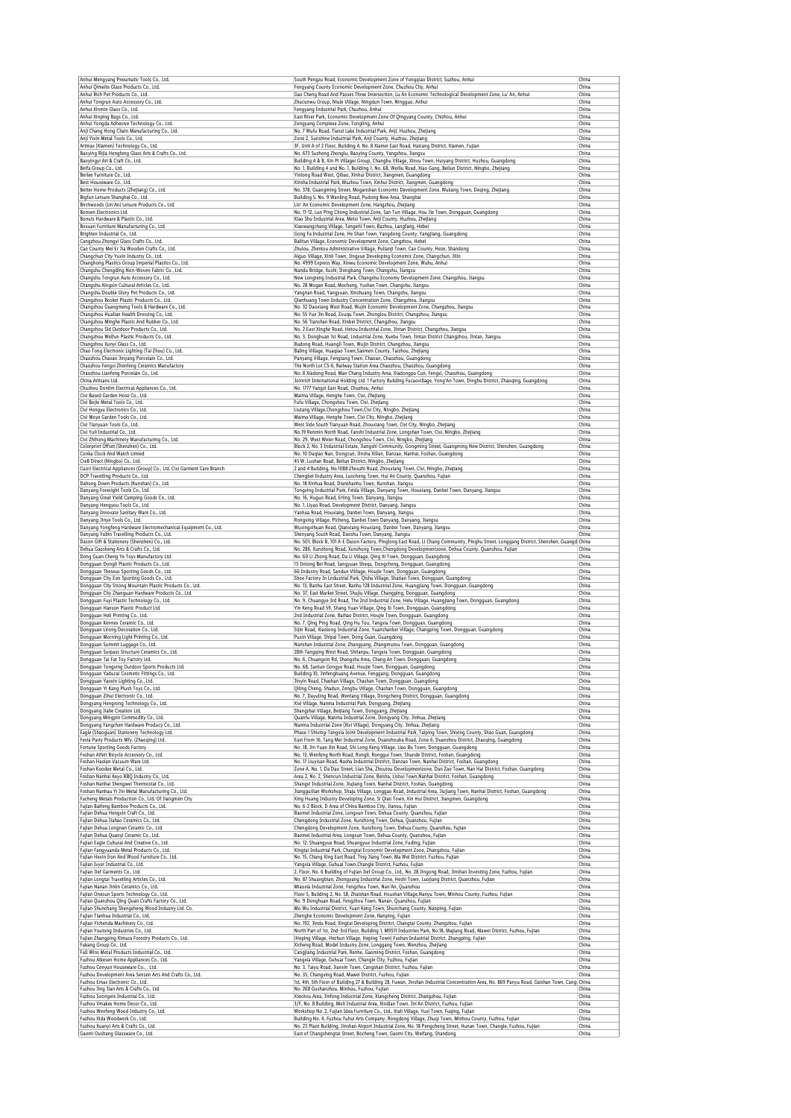| Anhui Mengyang Pneumatic Tools Co., Ltd.<br>Anhui Qimeite Glass Products Co., Ltd.                                                                                                                                                                                                                                                                                                                                                                                                                                                                                                                                                                                                                                                                                                                                                                                                                                                                                                                                                                                                                                                                                                                                                                                                                                                                                                                                                                                                                                                                                                                                                                                                                                                                                                                                                                                                                                                                               | South Pengzu Road, Economic Development Zone of Yongqiao District, Suzhou, Anhui<br>Fengyang County Economic Development Zone, Chuzhou City, Anhui                                                                                            | China<br>China |
|------------------------------------------------------------------------------------------------------------------------------------------------------------------------------------------------------------------------------------------------------------------------------------------------------------------------------------------------------------------------------------------------------------------------------------------------------------------------------------------------------------------------------------------------------------------------------------------------------------------------------------------------------------------------------------------------------------------------------------------------------------------------------------------------------------------------------------------------------------------------------------------------------------------------------------------------------------------------------------------------------------------------------------------------------------------------------------------------------------------------------------------------------------------------------------------------------------------------------------------------------------------------------------------------------------------------------------------------------------------------------------------------------------------------------------------------------------------------------------------------------------------------------------------------------------------------------------------------------------------------------------------------------------------------------------------------------------------------------------------------------------------------------------------------------------------------------------------------------------------------------------------------------------------------------------------------------------------|-----------------------------------------------------------------------------------------------------------------------------------------------------------------------------------------------------------------------------------------------|----------------|
| Anhui Rich Pet Products Co., Ltd.                                                                                                                                                                                                                                                                                                                                                                                                                                                                                                                                                                                                                                                                                                                                                                                                                                                                                                                                                                                                                                                                                                                                                                                                                                                                                                                                                                                                                                                                                                                                                                                                                                                                                                                                                                                                                                                                                                                                | Gao Cheng Road And Passes Three Intersection, Lu An Economic Technological Development Zone, Lu' An, Anhui                                                                                                                                    | China          |
| Anhui Tongrun Auto Accessory Co., Ltd.                                                                                                                                                                                                                                                                                                                                                                                                                                                                                                                                                                                                                                                                                                                                                                                                                                                                                                                                                                                                                                                                                                                                                                                                                                                                                                                                                                                                                                                                                                                                                                                                                                                                                                                                                                                                                                                                                                                           | Zhucunwu Group, Niule Village, Ningdun Town, Ningguo, Anhui                                                                                                                                                                                   | China          |
| Anhui Xinmin Glass Co., Ltd.<br>Anhui Xinping Bags Co., Ltd.                                                                                                                                                                                                                                                                                                                                                                                                                                                                                                                                                                                                                                                                                                                                                                                                                                                                                                                                                                                                                                                                                                                                                                                                                                                                                                                                                                                                                                                                                                                                                                                                                                                                                                                                                                                                                                                                                                     | Fengyang Industrial Park, Chuzhou, Anhui<br>East River Park, Economic Development Zone Of Qingyang County, Chizhou, Anhui                                                                                                                     | China<br>China |
| Anhui Yongda Adhesive Technology Co., Ltd.                                                                                                                                                                                                                                                                                                                                                                                                                                                                                                                                                                                                                                                                                                                                                                                                                                                                                                                                                                                                                                                                                                                                                                                                                                                                                                                                                                                                                                                                                                                                                                                                                                                                                                                                                                                                                                                                                                                       | Zongyang Complexe Zone, Tongling, Anhui                                                                                                                                                                                                       | China          |
| Anji Chang Hong Chain Manufacturing Co., Ltd.<br>Anji Yixin Metal Tools Co., Ltd.                                                                                                                                                                                                                                                                                                                                                                                                                                                                                                                                                                                                                                                                                                                                                                                                                                                                                                                                                                                                                                                                                                                                                                                                                                                                                                                                                                                                                                                                                                                                                                                                                                                                                                                                                                                                                                                                                | No. 7 Wufu Road, Tianzi Lake Industrial Park, Anji, Huzhou, Zhejiang<br>Zone 2, Sunshine Industrial Park, Anji County, Huzhou, Zhejiang                                                                                                       | China<br>China |
| Artmax (Xiamen) Technology Co., Ltd.                                                                                                                                                                                                                                                                                                                                                                                                                                                                                                                                                                                                                                                                                                                                                                                                                                                                                                                                                                                                                                                                                                                                                                                                                                                                                                                                                                                                                                                                                                                                                                                                                                                                                                                                                                                                                                                                                                                             | 3F, Unit A of 2 Floor, Building 4, No. 8 Xiamei East Road, Haicang District, Xiamen, Fujian                                                                                                                                                   | China          |
| Baoying Rijia Hengfeng Glass Arts & Crafts Co., Ltd.<br>Baoyingyi Art & Craft Co., Ltd.                                                                                                                                                                                                                                                                                                                                                                                                                                                                                                                                                                                                                                                                                                                                                                                                                                                                                                                                                                                                                                                                                                                                                                                                                                                                                                                                                                                                                                                                                                                                                                                                                                                                                                                                                                                                                                                                          | No. 673 Suzhong Zhonglu, Baoying County, Yangzhou, Jiangsu<br>Building A & B, Xin Pi Villager Group, Changbu Village, Xinxu Town, Huiyang District, Huzhou, Guangdong                                                                         | China<br>China |
| Beifa Group Co., Ltd.                                                                                                                                                                                                                                                                                                                                                                                                                                                                                                                                                                                                                                                                                                                                                                                                                                                                                                                                                                                                                                                                                                                                                                                                                                                                                                                                                                                                                                                                                                                                                                                                                                                                                                                                                                                                                                                                                                                                            | No. 1, Building 4 and No. 1, Building 1, No. 68, Weiliu Road, Xiao Gang, Beilun District, Ningbo, Zhejiang                                                                                                                                    | China          |
| Berlee Furniture Co., Ltd.                                                                                                                                                                                                                                                                                                                                                                                                                                                                                                                                                                                                                                                                                                                                                                                                                                                                                                                                                                                                                                                                                                                                                                                                                                                                                                                                                                                                                                                                                                                                                                                                                                                                                                                                                                                                                                                                                                                                       | Yinlong Road West, Qibao, Xinhui District, Jiangmen, Guangdong                                                                                                                                                                                | China          |
| Best Houseware Co., Ltd.<br>Better Home Products (Zhejiang) Co., Ltd.                                                                                                                                                                                                                                                                                                                                                                                                                                                                                                                                                                                                                                                                                                                                                                                                                                                                                                                                                                                                                                                                                                                                                                                                                                                                                                                                                                                                                                                                                                                                                                                                                                                                                                                                                                                                                                                                                            | Xinsha Industrial Park, Muzhou Town, Xinhui District, Jiangmen, Guangdong<br>No. 378, Guangming Street, Moganshan Economic Development Zone, Wukang Town, Deqing, Zhejiang                                                                    | China<br>China |
| Bigfun Leisure Shanghai Co., Ltd.                                                                                                                                                                                                                                                                                                                                                                                                                                                                                                                                                                                                                                                                                                                                                                                                                                                                                                                                                                                                                                                                                                                                                                                                                                                                                                                                                                                                                                                                                                                                                                                                                                                                                                                                                                                                                                                                                                                                | Building 5, No. 9 Wanling Road, Pudong New Area, Shanghai                                                                                                                                                                                     | China          |
| Birchwoods (Lin'An) Leisure Products Co., Ltd.<br>Bonsen Electronics Ltd.                                                                                                                                                                                                                                                                                                                                                                                                                                                                                                                                                                                                                                                                                                                                                                                                                                                                                                                                                                                                                                                                                                                                                                                                                                                                                                                                                                                                                                                                                                                                                                                                                                                                                                                                                                                                                                                                                        | Lin' An Economic Development Zone, Hangzhou, Zhejiang                                                                                                                                                                                         | China          |
| Bonuts Hardware & Plastic Co., Ltd.                                                                                                                                                                                                                                                                                                                                                                                                                                                                                                                                                                                                                                                                                                                                                                                                                                                                                                                                                                                                                                                                                                                                                                                                                                                                                                                                                                                                                                                                                                                                                                                                                                                                                                                                                                                                                                                                                                                              | No. 11-12, Lun Ping Chong Industrial Zone, San Tun Village, Hou Jie Town, Dongguan, Guangdong<br>Xiao Shu Industrial Area, Meixi Town, Anji County, Huzhou, Zhejiang                                                                          | China<br>China |
| Boxuan Furniture Manufacturing Co., Ltd.                                                                                                                                                                                                                                                                                                                                                                                                                                                                                                                                                                                                                                                                                                                                                                                                                                                                                                                                                                                                                                                                                                                                                                                                                                                                                                                                                                                                                                                                                                                                                                                                                                                                                                                                                                                                                                                                                                                         | Xiaowangchang Village, Tangerli Town, Bazhou, Langfang, Hebei                                                                                                                                                                                 | China          |
| Brighten Industrial Co., Ltd.<br>Cangzhou Zhongyi Glass Crafts Co., Ltd.                                                                                                                                                                                                                                                                                                                                                                                                                                                                                                                                                                                                                                                                                                                                                                                                                                                                                                                                                                                                                                                                                                                                                                                                                                                                                                                                                                                                                                                                                                                                                                                                                                                                                                                                                                                                                                                                                         | Gong Fa Industrial Zone, He Shan Town, Yangdong County, Yangjiang, Guangdong<br>Balitun Village, Economic Development Zone, Cangzhou, Hebei                                                                                                   | China<br>China |
| Cao County Mei Er Jia Wooden Crafts Co., Ltd.                                                                                                                                                                                                                                                                                                                                                                                                                                                                                                                                                                                                                                                                                                                                                                                                                                                                                                                                                                                                                                                                                                                                                                                                                                                                                                                                                                                                                                                                                                                                                                                                                                                                                                                                                                                                                                                                                                                    | Zhulou, Zhenlou Administrative Village, Pulianji Town, Cao County, Heze, Shandong                                                                                                                                                             | China          |
| Changchun City Yuxin Industry Co., Ltd.                                                                                                                                                                                                                                                                                                                                                                                                                                                                                                                                                                                                                                                                                                                                                                                                                                                                                                                                                                                                                                                                                                                                                                                                                                                                                                                                                                                                                                                                                                                                                                                                                                                                                                                                                                                                                                                                                                                          | Aiguo Village, Xinli Town, Jingyue Developing Economic Zone, Changchun, Jilin                                                                                                                                                                 | China          |
| Changhong Plastics Group Imperial Plastics Co., Ltd.<br>Changshu Chengding Non-Woven Fabric Co., Ltd.                                                                                                                                                                                                                                                                                                                                                                                                                                                                                                                                                                                                                                                                                                                                                                                                                                                                                                                                                                                                                                                                                                                                                                                                                                                                                                                                                                                                                                                                                                                                                                                                                                                                                                                                                                                                                                                            | No. 4999 Express Way, Xinwu Economic Development Zone, Wuhu, Anhui<br>Nandu Bridge, Xushi, Dongbang Town, Changshu, Jiangsu                                                                                                                   | China<br>China |
| Changshu Tongrun Auto Accessory Co., Ltd.                                                                                                                                                                                                                                                                                                                                                                                                                                                                                                                                                                                                                                                                                                                                                                                                                                                                                                                                                                                                                                                                                                                                                                                                                                                                                                                                                                                                                                                                                                                                                                                                                                                                                                                                                                                                                                                                                                                        | New Longteng Industrial Park, Changshu Economy Development Zone, Changzhou, Jiangsu                                                                                                                                                           | China          |
| Changshu Xingxin Cultural Articles Co., Ltd.<br>Changshu Double Glory Pet Products Co., Ltd.                                                                                                                                                                                                                                                                                                                                                                                                                                                                                                                                                                                                                                                                                                                                                                                                                                                                                                                                                                                                                                                                                                                                                                                                                                                                                                                                                                                                                                                                                                                                                                                                                                                                                                                                                                                                                                                                     | No. 28 Mogan Road, Mocheng, Yushan Town, Changshu, Jiangsu<br>Yangnan Road, Yangyuan, Xinzhuang Town, Changshu, Jiangsu                                                                                                                       | China<br>China |
| Changzhou Bosket Plastic Products Co., Ltd.                                                                                                                                                                                                                                                                                                                                                                                                                                                                                                                                                                                                                                                                                                                                                                                                                                                                                                                                                                                                                                                                                                                                                                                                                                                                                                                                                                                                                                                                                                                                                                                                                                                                                                                                                                                                                                                                                                                      | Qianhuang Town Industry Concentration Zone, Changzhou, Jiangsu                                                                                                                                                                                | China          |
| Changzhou Guangmeng Tools & Hardware Co., Ltd.                                                                                                                                                                                                                                                                                                                                                                                                                                                                                                                                                                                                                                                                                                                                                                                                                                                                                                                                                                                                                                                                                                                                                                                                                                                                                                                                                                                                                                                                                                                                                                                                                                                                                                                                                                                                                                                                                                                   | No. 32 Daoxiang West Road, Wujin Economic Development Zone, Changzhou, Jiangsu                                                                                                                                                                | China          |
| Changzhou Hualian Health Dressing Co., Ltd.<br>Changzhou Minghe Plastic And Rubber Co., Ltd.                                                                                                                                                                                                                                                                                                                                                                                                                                                                                                                                                                                                                                                                                                                                                                                                                                                                                                                                                                                                                                                                                                                                                                                                                                                                                                                                                                                                                                                                                                                                                                                                                                                                                                                                                                                                                                                                     | No. 55 Yue Jin Road, Zougu Town, Zhonglou District, Changzhou, Jiangsu<br>No. 56 Tianshan Road, Xinbei District, Changzhou, Jiangsu                                                                                                           | China<br>China |
| Changzhou Sld Outdoor Products Co., Ltd.                                                                                                                                                                                                                                                                                                                                                                                                                                                                                                                                                                                                                                                                                                                                                                                                                                                                                                                                                                                                                                                                                                                                                                                                                                                                                                                                                                                                                                                                                                                                                                                                                                                                                                                                                                                                                                                                                                                         | No. 2 East Xinghe Road, Hetou Industrial Zone, Jintan District, Changzhou, Jiangsu                                                                                                                                                            | China          |
| Changzhou Welfun Plastic Products Co., Ltd.                                                                                                                                                                                                                                                                                                                                                                                                                                                                                                                                                                                                                                                                                                                                                                                                                                                                                                                                                                                                                                                                                                                                                                                                                                                                                                                                                                                                                                                                                                                                                                                                                                                                                                                                                                                                                                                                                                                      | No. 3, Donghuan 1st Road, Lndustrial Zone, Xuebu Town, Jintan District Changzhou, Jintan, Jiangsu                                                                                                                                             | China          |
| Changzhou Xunyi Glass Co., Ltd.<br>Chao Tong Electronic Lighting (Tai Zhou) Co., Ltd.                                                                                                                                                                                                                                                                                                                                                                                                                                                                                                                                                                                                                                                                                                                                                                                                                                                                                                                                                                                                                                                                                                                                                                                                                                                                                                                                                                                                                                                                                                                                                                                                                                                                                                                                                                                                                                                                            | Budong Road, Huangli Town, Wujin District, Changzhou, Jiangsu<br>Baling Village, Huaqiao Town, Sanmen County, Taizhou, Zhejiang                                                                                                               | China<br>China |
| Chaozhou Chaoan Jinyang Porcelain Co., Ltd.                                                                                                                                                                                                                                                                                                                                                                                                                                                                                                                                                                                                                                                                                                                                                                                                                                                                                                                                                                                                                                                                                                                                                                                                                                                                                                                                                                                                                                                                                                                                                                                                                                                                                                                                                                                                                                                                                                                      | Panyang Village, Fengtang Town, Chaoan, Chaozhou, Guangdong                                                                                                                                                                                   | China          |
| Chaozhou Fengxi Zhenfeng Ceramics Manufactory                                                                                                                                                                                                                                                                                                                                                                                                                                                                                                                                                                                                                                                                                                                                                                                                                                                                                                                                                                                                                                                                                                                                                                                                                                                                                                                                                                                                                                                                                                                                                                                                                                                                                                                                                                                                                                                                                                                    | The North Lot C5-6, Railway Station Area Chaozhou, Chaozhou, Guangdong                                                                                                                                                                        | China          |
| Chaozhou Lianfeng Porcelain Co., Ltd.<br>China Artisans Ltd.                                                                                                                                                                                                                                                                                                                                                                                                                                                                                                                                                                                                                                                                                                                                                                                                                                                                                                                                                                                                                                                                                                                                                                                                                                                                                                                                                                                                                                                                                                                                                                                                                                                                                                                                                                                                                                                                                                     | No. 8 Xiadong Road, Man Chang Industry Area, Xiadongpu Cun, Fengxi, Chaozhou, Guangdong<br>Joinrich International Holding Ltd. 1 Factory Building Fucaovillage, Yong'An Town, Dinghu District, Zhaoqing, Guangdong                            | China<br>China |
| Chuzhou Donlim Electrical Appliances Co., Ltd.                                                                                                                                                                                                                                                                                                                                                                                                                                                                                                                                                                                                                                                                                                                                                                                                                                                                                                                                                                                                                                                                                                                                                                                                                                                                                                                                                                                                                                                                                                                                                                                                                                                                                                                                                                                                                                                                                                                   | No. 1777 Yangzi East Road, Chuzhou, Anhui                                                                                                                                                                                                     | China          |
| Cixi Based Garden Hose Co., Ltd.<br>Cixi Bojie Metal Tools Co., Ltd.                                                                                                                                                                                                                                                                                                                                                                                                                                                                                                                                                                                                                                                                                                                                                                                                                                                                                                                                                                                                                                                                                                                                                                                                                                                                                                                                                                                                                                                                                                                                                                                                                                                                                                                                                                                                                                                                                             | Maima Village, Henghe Town, Cixi, Zhejiang<br>Fufu Village, Chongshou Town, Cixi, Zhejiang                                                                                                                                                    | China<br>China |
| Cixi Hengyu Electronics Co., Ltd.                                                                                                                                                                                                                                                                                                                                                                                                                                                                                                                                                                                                                                                                                                                                                                                                                                                                                                                                                                                                                                                                                                                                                                                                                                                                                                                                                                                                                                                                                                                                                                                                                                                                                                                                                                                                                                                                                                                                | Liutang Village, Chongshou Town, Cixi City, Ningbo, Zhejiang                                                                                                                                                                                  | China          |
| Cixi Moye Garden Tools Co., Ltd.                                                                                                                                                                                                                                                                                                                                                                                                                                                                                                                                                                                                                                                                                                                                                                                                                                                                                                                                                                                                                                                                                                                                                                                                                                                                                                                                                                                                                                                                                                                                                                                                                                                                                                                                                                                                                                                                                                                                 | Maima Village, Henghe Town, Cixi City, Ningbo, Zhejiang                                                                                                                                                                                       | China          |
| Cixi Tianvuan Tools Co., Ltd.                                                                                                                                                                                                                                                                                                                                                                                                                                                                                                                                                                                                                                                                                                                                                                                                                                                                                                                                                                                                                                                                                                                                                                                                                                                                                                                                                                                                                                                                                                                                                                                                                                                                                                                                                                                                                                                                                                                                    | West Side South Tianyuan Road, Zhouxiang Town, Cixi City, Ningbo, Zhejiang                                                                                                                                                                    | China          |
| Cixi Yuli Industrial Co., Ltd.<br>Cixi Zhihong Machinery Manufacturing Co., Ltd.                                                                                                                                                                                                                                                                                                                                                                                                                                                                                                                                                                                                                                                                                                                                                                                                                                                                                                                                                                                                                                                                                                                                                                                                                                                                                                                                                                                                                                                                                                                                                                                                                                                                                                                                                                                                                                                                                 | No.19 Renmin North Road, Fanshi Industrial Zone, Longshan Town, Cixi, Ningbo, Zhejiang<br>No. 29, West Weier Road, Chongshou Town, Cixi, Ningbo, Zhejiang                                                                                     | China<br>China |
| Colorprint Offset (Shenzhen) Co., Ltd.                                                                                                                                                                                                                                                                                                                                                                                                                                                                                                                                                                                                                                                                                                                                                                                                                                                                                                                                                                                                                                                                                                                                                                                                                                                                                                                                                                                                                                                                                                                                                                                                                                                                                                                                                                                                                                                                                                                           | Block 2, No. 3 Industrial Estate, Jiangshi Community, Gongming Street, Guangming New District, Shenzhen, Guangdong                                                                                                                            | China          |
| Conka Clock And Watch Limied                                                                                                                                                                                                                                                                                                                                                                                                                                                                                                                                                                                                                                                                                                                                                                                                                                                                                                                                                                                                                                                                                                                                                                                                                                                                                                                                                                                                                                                                                                                                                                                                                                                                                                                                                                                                                                                                                                                                     | No. 10 Dagiao Nan, Dongcun, Jinsha Xilian, Danzao, Nanhai, Foshan, Guangdong                                                                                                                                                                  | China          |
| Cre8 Direct (Ningbo) Co., Ltd.<br>Cuori Electrical Appliances (Group) Co., Ltd. Cixi Garment Care Branch                                                                                                                                                                                                                                                                                                                                                                                                                                                                                                                                                                                                                                                                                                                                                                                                                                                                                                                                                                                                                                                                                                                                                                                                                                                                                                                                                                                                                                                                                                                                                                                                                                                                                                                                                                                                                                                         | 45 W, Lushan Road, Beilun District, Ningbo, Zhejiang<br>2 and 4 Building, No.1088 Zhouzhi Road, Zhouxiang Town, Cixi, Ningbo, Zhejiang                                                                                                        | China<br>China |
| DCP Travelling Products Co., Ltd.                                                                                                                                                                                                                                                                                                                                                                                                                                                                                                                                                                                                                                                                                                                                                                                                                                                                                                                                                                                                                                                                                                                                                                                                                                                                                                                                                                                                                                                                                                                                                                                                                                                                                                                                                                                                                                                                                                                                | Chengbei Industry Area, Luocheng Town, Hui An County, Quanzhou, Fujian                                                                                                                                                                        | China          |
| Dahong Down Products (Kunshan) Co., Ltd.                                                                                                                                                                                                                                                                                                                                                                                                                                                                                                                                                                                                                                                                                                                                                                                                                                                                                                                                                                                                                                                                                                                                                                                                                                                                                                                                                                                                                                                                                                                                                                                                                                                                                                                                                                                                                                                                                                                         | No. 18 Xinhua Road, Dianshanhu Town, Kunshan, Jiangsu                                                                                                                                                                                         | China<br>China |
| Danyang Foresight Tools Co., Ltd.<br>Danyang Great Yield Camping Goods Co., Ltd.                                                                                                                                                                                                                                                                                                                                                                                                                                                                                                                                                                                                                                                                                                                                                                                                                                                                                                                                                                                                                                                                                                                                                                                                                                                                                                                                                                                                                                                                                                                                                                                                                                                                                                                                                                                                                                                                                 | Tongxing Industrial Park, Feida Village, Danyang Town, Houxiang, Danbei Town, Danyang, Jiangsu<br>No. 16, Huguo Road, Erling Town, Danyang, Jiangsu                                                                                           | China          |
| Danyang Hengyou Tools Co., Ltd.                                                                                                                                                                                                                                                                                                                                                                                                                                                                                                                                                                                                                                                                                                                                                                                                                                                                                                                                                                                                                                                                                                                                                                                                                                                                                                                                                                                                                                                                                                                                                                                                                                                                                                                                                                                                                                                                                                                                  | No. 1, Liyao Road, Development District, Danyang, Jiangsu                                                                                                                                                                                     | China          |
| Danyang Innovate Sanitary Ware Co., Ltd.<br>Danyang Jinye Tools Co., Ltd.                                                                                                                                                                                                                                                                                                                                                                                                                                                                                                                                                                                                                                                                                                                                                                                                                                                                                                                                                                                                                                                                                                                                                                                                                                                                                                                                                                                                                                                                                                                                                                                                                                                                                                                                                                                                                                                                                        | Yaohua Road, Houxiang, Danbei Town, Danyang, Jiangsu<br>Rongxing Village, Picheng, Danbei Town Danyang, Danyang, Jiangsu                                                                                                                      | China<br>China |
| Danyang Yongfeng Hardware Electromechanical Equipment Co., Ltd.                                                                                                                                                                                                                                                                                                                                                                                                                                                                                                                                                                                                                                                                                                                                                                                                                                                                                                                                                                                                                                                                                                                                                                                                                                                                                                                                                                                                                                                                                                                                                                                                                                                                                                                                                                                                                                                                                                  | Wuxingxihuan Road, Qianxiang Houxiang, Danbei Town, Danyang, Jiangsu                                                                                                                                                                          | China          |
| Danyang Yubin Travelling Products Co., Ltd.                                                                                                                                                                                                                                                                                                                                                                                                                                                                                                                                                                                                                                                                                                                                                                                                                                                                                                                                                                                                                                                                                                                                                                                                                                                                                                                                                                                                                                                                                                                                                                                                                                                                                                                                                                                                                                                                                                                      | Shenyang South Road, Daoshu Town, Danyang, Jiangsu                                                                                                                                                                                            | China          |
| Dason Gift & Stationery (Shenzhen) Co., Ltd.<br>Dehua Gaosheng Arts & Crafts Co., Ltd.                                                                                                                                                                                                                                                                                                                                                                                                                                                                                                                                                                                                                                                                                                                                                                                                                                                                                                                                                                                                                                                                                                                                                                                                                                                                                                                                                                                                                                                                                                                                                                                                                                                                                                                                                                                                                                                                           | No. 501, Block B, 101 A-E Dason Factory, Pinglong East Road, Li Chang Community, Pinghu Street, Longgang District, Shenzhen, Guangd China<br>No. 286, Xunzhong Road, Xunzhong Town, Chengdong Developmentzone, Dehua County, Quanzhou, Fujian | China          |
| Dong Guan Cheng Ye Toys Manufactory Ltd.                                                                                                                                                                                                                                                                                                                                                                                                                                                                                                                                                                                                                                                                                                                                                                                                                                                                                                                                                                                                                                                                                                                                                                                                                                                                                                                                                                                                                                                                                                                                                                                                                                                                                                                                                                                                                                                                                                                         | No. 60 Li Zhong Road, Da Li Village, Qing Xi Town, Dongguan, Guangdong                                                                                                                                                                        | China          |
| Dongguan Dongli Plastic Products Co., Ltd.                                                                                                                                                                                                                                                                                                                                                                                                                                                                                                                                                                                                                                                                                                                                                                                                                                                                                                                                                                                                                                                                                                                                                                                                                                                                                                                                                                                                                                                                                                                                                                                                                                                                                                                                                                                                                                                                                                                       | 13 Jinlong Bei Road, Sangyuan Shequ, Dongcheng, Dongguan, Guangdong                                                                                                                                                                           | China          |
| Dongguan Theseus Sporting Goods Co., Ltd.                                                                                                                                                                                                                                                                                                                                                                                                                                                                                                                                                                                                                                                                                                                                                                                                                                                                                                                                                                                                                                                                                                                                                                                                                                                                                                                                                                                                                                                                                                                                                                                                                                                                                                                                                                                                                                                                                                                        | 66 Industry Road, Sandun Villiage, Houjie Town, Dongguan, Guangdong                                                                                                                                                                           | China<br>China |
| Dongguan City Eon Sporting Goods Co., Ltd.<br>Dongquan City Strong Mountain Plastic Products Co., Ltd.                                                                                                                                                                                                                                                                                                                                                                                                                                                                                                                                                                                                                                                                                                                                                                                                                                                                                                                                                                                                                                                                                                                                                                                                                                                                                                                                                                                                                                                                                                                                                                                                                                                                                                                                                                                                                                                           | Shoe Factory In Lndustrial Park, Qisha Village, Shatian Town, Dongguan, Guangdong<br>No. 13, Banhu East Street, Banhu 128 Industrial Zone, Huangjiang Town, Dongguan, Guangdong                                                               | China          |
| Dongguan City Zhanguan Hardware Products Co., Ltd.                                                                                                                                                                                                                                                                                                                                                                                                                                                                                                                                                                                                                                                                                                                                                                                                                                                                                                                                                                                                                                                                                                                                                                                                                                                                                                                                                                                                                                                                                                                                                                                                                                                                                                                                                                                                                                                                                                               | No. 37, East Market Street, Shujiu Village, Changping, Dongguan, Guangdong                                                                                                                                                                    | China          |
| Dongguan Fuyi Plastic Technology Co., Ltd.<br>Dongquan Hanson Plastic Product Ltd.                                                                                                                                                                                                                                                                                                                                                                                                                                                                                                                                                                                                                                                                                                                                                                                                                                                                                                                                                                                                                                                                                                                                                                                                                                                                                                                                                                                                                                                                                                                                                                                                                                                                                                                                                                                                                                                                               | No. 9, Chuangye 3rd Road, The 2nd Industrial Zone, Helu Village, Huangjiang Town, Dongguan, Guangdong                                                                                                                                         | China<br>China |
| Dongguan Heli Printing Co., Ltd.                                                                                                                                                                                                                                                                                                                                                                                                                                                                                                                                                                                                                                                                                                                                                                                                                                                                                                                                                                                                                                                                                                                                                                                                                                                                                                                                                                                                                                                                                                                                                                                                                                                                                                                                                                                                                                                                                                                                 | Yin Keng Road 59, Shang Yuan Village, Qing Xi Town, Dongguan, Guangdong<br>2nd Industrial Zone, Baihao District, Houjie Town, Dongguan, Guangdong                                                                                             | China          |
| Dongguan Kennex Ceramic Co., Ltd.                                                                                                                                                                                                                                                                                                                                                                                                                                                                                                                                                                                                                                                                                                                                                                                                                                                                                                                                                                                                                                                                                                                                                                                                                                                                                                                                                                                                                                                                                                                                                                                                                                                                                                                                                                                                                                                                                                                                | No. 7, Qing Ping Road, Qing Hu Tou, Tangxia Town, Dongguan, Guangdong                                                                                                                                                                         | China          |
| Dongguan Lirong Decoration Co., Ltd.                                                                                                                                                                                                                                                                                                                                                                                                                                                                                                                                                                                                                                                                                                                                                                                                                                                                                                                                                                                                                                                                                                                                                                                                                                                                                                                                                                                                                                                                                                                                                                                                                                                                                                                                                                                                                                                                                                                             | Sijin Road, Xiaolong Industrial Zone, Yuanshanbei Village, Changping Town, Dongguan, Guangdong                                                                                                                                                | China          |
| Dongguan Morning Light Printing Co., Ltd.<br>Dongguan Summit Luggage Co., Ltd.                                                                                                                                                                                                                                                                                                                                                                                                                                                                                                                                                                                                                                                                                                                                                                                                                                                                                                                                                                                                                                                                                                                                                                                                                                                                                                                                                                                                                                                                                                                                                                                                                                                                                                                                                                                                                                                                                   | Puxin Village, Shipai Town, Dong Guan, Guangdong<br>Nanshan Industrial Zone, Zhangyang, Zhangmutou Town, Dongguan, Guangdong                                                                                                                  | China<br>China |
| Dongguan Surpass Structure Ceramics Co., Ltd.                                                                                                                                                                                                                                                                                                                                                                                                                                                                                                                                                                                                                                                                                                                                                                                                                                                                                                                                                                                                                                                                                                                                                                                                                                                                                                                                                                                                                                                                                                                                                                                                                                                                                                                                                                                                                                                                                                                    | 28th Tangqing West Road, Shitanpu, Tangxia Town, Dongguan, Guangdong                                                                                                                                                                          | China          |
| Dongguan Tai Fat Toy Factory Ltd.                                                                                                                                                                                                                                                                                                                                                                                                                                                                                                                                                                                                                                                                                                                                                                                                                                                                                                                                                                                                                                                                                                                                                                                                                                                                                                                                                                                                                                                                                                                                                                                                                                                                                                                                                                                                                                                                                                                                | No. 6, Chuangxin Rd, Shangsha Area, Chang An Town, Dongguan, Guangdong                                                                                                                                                                        | China          |
| Dongguan Tongxing Outdoor Sports Products Ltd<br>Dongguan Yaducai Cosmetic Fittings Co Ltd                                                                                                                                                                                                                                                                                                                                                                                                                                                                                                                                                                                                                                                                                                                                                                                                                                                                                                                                                                                                                                                                                                                                                                                                                                                                                                                                                                                                                                                                                                                                                                                                                                                                                                                                                                                                                                                                       | No. 68, Santun Gongye Road, Houjie Town, Dongguan, Guangdong<br>Building 10, Jinfenghuang Avenue, Fenggang, Dongguan, Guangdo                                                                                                                 | China<br>Chin: |
| Dongguan Yaoxin Lighting Co., Ltd.                                                                                                                                                                                                                                                                                                                                                                                                                                                                                                                                                                                                                                                                                                                                                                                                                                                                                                                                                                                                                                                                                                                                                                                                                                                                                                                                                                                                                                                                                                                                                                                                                                                                                                                                                                                                                                                                                                                               | Jinyin Road, Chashan Village, Chashan Town, Dongguan, Guangdong                                                                                                                                                                               | China          |
| Dongguan Yi Kang Plush Toys Co., Ltd.<br>Dongquan Zihui Electronic Co., Ltd.                                                                                                                                                                                                                                                                                                                                                                                                                                                                                                                                                                                                                                                                                                                                                                                                                                                                                                                                                                                                                                                                                                                                                                                                                                                                                                                                                                                                                                                                                                                                                                                                                                                                                                                                                                                                                                                                                     | Qiling Cheng, Shadun, Zengbu Village, Chashan Town, Dongguan, Guangdong                                                                                                                                                                       | China          |
| Dongyang Hengrong Technology Co., Ltd.                                                                                                                                                                                                                                                                                                                                                                                                                                                                                                                                                                                                                                                                                                                                                                                                                                                                                                                                                                                                                                                                                                                                                                                                                                                                                                                                                                                                                                                                                                                                                                                                                                                                                                                                                                                                                                                                                                                           | No. 7, Dayuling Road, Wentang Village, Dongcheng District, Dongguan, Guangdong<br>Xixi Village, Nanma Industrial Park, Dongyang, Zhejiang                                                                                                     | China<br>China |
|                                                                                                                                                                                                                                                                                                                                                                                                                                                                                                                                                                                                                                                                                                                                                                                                                                                                                                                                                                                                                                                                                                                                                                                                                                                                                                                                                                                                                                                                                                                                                                                                                                                                                                                                                                                                                                                                                                                                                                  | Shangzhai Village, Beijiang Town, Dongyang, Zhejiang                                                                                                                                                                                          |                |
|                                                                                                                                                                                                                                                                                                                                                                                                                                                                                                                                                                                                                                                                                                                                                                                                                                                                                                                                                                                                                                                                                                                                                                                                                                                                                                                                                                                                                                                                                                                                                                                                                                                                                                                                                                                                                                                                                                                                                                  |                                                                                                                                                                                                                                               | China          |
|                                                                                                                                                                                                                                                                                                                                                                                                                                                                                                                                                                                                                                                                                                                                                                                                                                                                                                                                                                                                                                                                                                                                                                                                                                                                                                                                                                                                                                                                                                                                                                                                                                                                                                                                                                                                                                                                                                                                                                  | Quanfu Village, Nanma Industrial Zone, Dongyang City, Jinhua, Zhejiang                                                                                                                                                                        | China          |
|                                                                                                                                                                                                                                                                                                                                                                                                                                                                                                                                                                                                                                                                                                                                                                                                                                                                                                                                                                                                                                                                                                                                                                                                                                                                                                                                                                                                                                                                                                                                                                                                                                                                                                                                                                                                                                                                                                                                                                  | Nanma Industrial Zone (Xixi Village), Dongyang City, Jinhua, Zhejiang                                                                                                                                                                         | China<br>China |
|                                                                                                                                                                                                                                                                                                                                                                                                                                                                                                                                                                                                                                                                                                                                                                                                                                                                                                                                                                                                                                                                                                                                                                                                                                                                                                                                                                                                                                                                                                                                                                                                                                                                                                                                                                                                                                                                                                                                                                  | Phase 1 Shixing-Tangxia Joint Development Industrial Park, Taiping Town, Shixing County, Shao Guan, Guangdong<br>East From 16, Tang Mei Industrial Zone, Duanzhouba Road, Zone 6, Duanzhou District, Zhaoqing, Guangdong                      | China          |
|                                                                                                                                                                                                                                                                                                                                                                                                                                                                                                                                                                                                                                                                                                                                                                                                                                                                                                                                                                                                                                                                                                                                                                                                                                                                                                                                                                                                                                                                                                                                                                                                                                                                                                                                                                                                                                                                                                                                                                  | No. 18, Jin Yuan Xin Road, Shi Long Keng Village, Liao Bu Town, Dongquan, Guangdong                                                                                                                                                           | China          |
|                                                                                                                                                                                                                                                                                                                                                                                                                                                                                                                                                                                                                                                                                                                                                                                                                                                                                                                                                                                                                                                                                                                                                                                                                                                                                                                                                                                                                                                                                                                                                                                                                                                                                                                                                                                                                                                                                                                                                                  | No. 13, Wenfeng North Road, Rongli, Ronggui Town, Shunde District, Foshan, Guangdong                                                                                                                                                          | China<br>China |
|                                                                                                                                                                                                                                                                                                                                                                                                                                                                                                                                                                                                                                                                                                                                                                                                                                                                                                                                                                                                                                                                                                                                                                                                                                                                                                                                                                                                                                                                                                                                                                                                                                                                                                                                                                                                                                                                                                                                                                  | No. 17 Liuyisan Road, Nasha Industrial District, Danzao Town, Nanhai District, Foshan, Guangdong<br>Zone A, No. 1, Da Dao Street, Lian Sha, Zhoutou Developmentzone, Dan Zao Town, Nan Hai District, Foshan, Guangdong                        | China          |
|                                                                                                                                                                                                                                                                                                                                                                                                                                                                                                                                                                                                                                                                                                                                                                                                                                                                                                                                                                                                                                                                                                                                                                                                                                                                                                                                                                                                                                                                                                                                                                                                                                                                                                                                                                                                                                                                                                                                                                  | Area 2, No. 2, Shencun Industrial Zone, Beisha, Lishui Town, Nanhai District, Foshan, Guangdong                                                                                                                                               | China          |
|                                                                                                                                                                                                                                                                                                                                                                                                                                                                                                                                                                                                                                                                                                                                                                                                                                                                                                                                                                                                                                                                                                                                                                                                                                                                                                                                                                                                                                                                                                                                                                                                                                                                                                                                                                                                                                                                                                                                                                  | Shangxi Industrial Zone, Jiujiang Town, Nanhai District, Foshan, Guangdong                                                                                                                                                                    | China<br>China |
|                                                                                                                                                                                                                                                                                                                                                                                                                                                                                                                                                                                                                                                                                                                                                                                                                                                                                                                                                                                                                                                                                                                                                                                                                                                                                                                                                                                                                                                                                                                                                                                                                                                                                                                                                                                                                                                                                                                                                                  | Jiangguilian Workshop, Shaju Village, Longgao Road, Industrial Area, Jiujiang Town, Nanhai District, Foshan, Guangdong<br>Xing Huang Industry Developing Zone, Si Qian Town, Xin Hui District, Jiangmen, Guangdong                            | China          |
|                                                                                                                                                                                                                                                                                                                                                                                                                                                                                                                                                                                                                                                                                                                                                                                                                                                                                                                                                                                                                                                                                                                                                                                                                                                                                                                                                                                                                                                                                                                                                                                                                                                                                                                                                                                                                                                                                                                                                                  | No. 6-2 Block, D Area of China Bamboo City, Jianou, Fujian                                                                                                                                                                                    | China          |
|                                                                                                                                                                                                                                                                                                                                                                                                                                                                                                                                                                                                                                                                                                                                                                                                                                                                                                                                                                                                                                                                                                                                                                                                                                                                                                                                                                                                                                                                                                                                                                                                                                                                                                                                                                                                                                                                                                                                                                  | Baomei Industrial Zone, Longxun Town, Dehua County, Quanzhou, Fujian<br>Chengdong Industrial Zone, Xunzhong Town, Dehua, Quanzhou, Fujian                                                                                                     | China          |
|                                                                                                                                                                                                                                                                                                                                                                                                                                                                                                                                                                                                                                                                                                                                                                                                                                                                                                                                                                                                                                                                                                                                                                                                                                                                                                                                                                                                                                                                                                                                                                                                                                                                                                                                                                                                                                                                                                                                                                  | Chengdong Development Zone, Xunzhong Town, Dehua County, Quanzhou, Fujian                                                                                                                                                                     | China<br>China |
|                                                                                                                                                                                                                                                                                                                                                                                                                                                                                                                                                                                                                                                                                                                                                                                                                                                                                                                                                                                                                                                                                                                                                                                                                                                                                                                                                                                                                                                                                                                                                                                                                                                                                                                                                                                                                                                                                                                                                                  | Baomei Industrial Area, Longxun Town, Dehua County, Quanzhou, Fujian                                                                                                                                                                          | China          |
|                                                                                                                                                                                                                                                                                                                                                                                                                                                                                                                                                                                                                                                                                                                                                                                                                                                                                                                                                                                                                                                                                                                                                                                                                                                                                                                                                                                                                                                                                                                                                                                                                                                                                                                                                                                                                                                                                                                                                                  | No. 12, Shuangyue Road, Shuangyue Industrial Zone, Fuding, Fujian<br>Xingtai Industrial Park, Changtai Economic Development Zone, Zhangzhou, Fujian                                                                                           | China<br>China |
|                                                                                                                                                                                                                                                                                                                                                                                                                                                                                                                                                                                                                                                                                                                                                                                                                                                                                                                                                                                                                                                                                                                                                                                                                                                                                                                                                                                                                                                                                                                                                                                                                                                                                                                                                                                                                                                                                                                                                                  | No. 15, Chang Xing East Road, Ting Jiang Town, Ma Wei District, Fuzhou, Fujian                                                                                                                                                                | China          |
|                                                                                                                                                                                                                                                                                                                                                                                                                                                                                                                                                                                                                                                                                                                                                                                                                                                                                                                                                                                                                                                                                                                                                                                                                                                                                                                                                                                                                                                                                                                                                                                                                                                                                                                                                                                                                                                                                                                                                                  | Yangxia Village, Guhuai Town, Changle District, Fuzhou, Fujian                                                                                                                                                                                | China          |
|                                                                                                                                                                                                                                                                                                                                                                                                                                                                                                                                                                                                                                                                                                                                                                                                                                                                                                                                                                                                                                                                                                                                                                                                                                                                                                                                                                                                                                                                                                                                                                                                                                                                                                                                                                                                                                                                                                                                                                  | 2. Floor, No. 6 Building of Fujian Jief Group Co., Ltd., No. 28 Jingong Road, Jinshan Investing Zone, Fuzhou, Fujian                                                                                                                          | China<br>China |
|                                                                                                                                                                                                                                                                                                                                                                                                                                                                                                                                                                                                                                                                                                                                                                                                                                                                                                                                                                                                                                                                                                                                                                                                                                                                                                                                                                                                                                                                                                                                                                                                                                                                                                                                                                                                                                                                                                                                                                  | No. 87 Shuangbian, Zhongyang Industrial Zone, Heshi Town, Luojiang District, Quanzhou, Fujian<br>Miaoxia Industrial Zone, Fengzhou Town, Nan'An, Quanzhou                                                                                     | China          |
|                                                                                                                                                                                                                                                                                                                                                                                                                                                                                                                                                                                                                                                                                                                                                                                                                                                                                                                                                                                                                                                                                                                                                                                                                                                                                                                                                                                                                                                                                                                                                                                                                                                                                                                                                                                                                                                                                                                                                                  | Floor 5, Building 2, No. 58, Zhaishan Road, Houshan Village, Nanyu Town, Minhou County, Fuzhou, Fujian                                                                                                                                        | China          |
|                                                                                                                                                                                                                                                                                                                                                                                                                                                                                                                                                                                                                                                                                                                                                                                                                                                                                                                                                                                                                                                                                                                                                                                                                                                                                                                                                                                                                                                                                                                                                                                                                                                                                                                                                                                                                                                                                                                                                                  | No. 9 Donghuan Road, Fengzhou Town, Nanan, Quanzhou, Fujian                                                                                                                                                                                   | China<br>China |
|                                                                                                                                                                                                                                                                                                                                                                                                                                                                                                                                                                                                                                                                                                                                                                                                                                                                                                                                                                                                                                                                                                                                                                                                                                                                                                                                                                                                                                                                                                                                                                                                                                                                                                                                                                                                                                                                                                                                                                  | Mo Wu Industrial District, Yuan Keng Town, Shunchang County, Nanping, Fujian<br>Zhenghe Economic Development Zone, Nanping, Fujian                                                                                                            | China          |
|                                                                                                                                                                                                                                                                                                                                                                                                                                                                                                                                                                                                                                                                                                                                                                                                                                                                                                                                                                                                                                                                                                                                                                                                                                                                                                                                                                                                                                                                                                                                                                                                                                                                                                                                                                                                                                                                                                                                                                  | No. 192, Jindu Road, Xingtai Developing District, Changtai County, Zhangzhou, Fujian                                                                                                                                                          | China          |
|                                                                                                                                                                                                                                                                                                                                                                                                                                                                                                                                                                                                                                                                                                                                                                                                                                                                                                                                                                                                                                                                                                                                                                                                                                                                                                                                                                                                                                                                                                                                                                                                                                                                                                                                                                                                                                                                                                                                                                  | North Part of 1st, 2nd-3rd Floor, Building 1, M9511 Industries Park, No.18, Majiang Road, Mawei District, Fuzhou, Fujian                                                                                                                      | China          |
|                                                                                                                                                                                                                                                                                                                                                                                                                                                                                                                                                                                                                                                                                                                                                                                                                                                                                                                                                                                                                                                                                                                                                                                                                                                                                                                                                                                                                                                                                                                                                                                                                                                                                                                                                                                                                                                                                                                                                                  | (Heping Village, Hechun Village, Heping Town) Fushan Industrial District, Zhangping, Fujian                                                                                                                                                   | China<br>China |
|                                                                                                                                                                                                                                                                                                                                                                                                                                                                                                                                                                                                                                                                                                                                                                                                                                                                                                                                                                                                                                                                                                                                                                                                                                                                                                                                                                                                                                                                                                                                                                                                                                                                                                                                                                                                                                                                                                                                                                  | Xicheng Road, Model Industry Zone, Longgang Town, Wenzhou, Zhejiang<br>Cangjiang Industrial Park, Renhe, Gaoming District, Foshan, Guangdong                                                                                                  | China          |
|                                                                                                                                                                                                                                                                                                                                                                                                                                                                                                                                                                                                                                                                                                                                                                                                                                                                                                                                                                                                                                                                                                                                                                                                                                                                                                                                                                                                                                                                                                                                                                                                                                                                                                                                                                                                                                                                                                                                                                  | Yangxia Village, Guhuai Town, Changle City, Fuzhou, Fujian                                                                                                                                                                                    | China          |
|                                                                                                                                                                                                                                                                                                                                                                                                                                                                                                                                                                                                                                                                                                                                                                                                                                                                                                                                                                                                                                                                                                                                                                                                                                                                                                                                                                                                                                                                                                                                                                                                                                                                                                                                                                                                                                                                                                                                                                  | No. 3, Taiyu Road, Jianxin Town, Cangshan District, Fuzhou, Fujian                                                                                                                                                                            | China<br>China |
|                                                                                                                                                                                                                                                                                                                                                                                                                                                                                                                                                                                                                                                                                                                                                                                                                                                                                                                                                                                                                                                                                                                                                                                                                                                                                                                                                                                                                                                                                                                                                                                                                                                                                                                                                                                                                                                                                                                                                                  | No. 35, Changxing Road, Mawei District, Fuzhou, Fujian<br>1st, 4th, 5th Floor of Building 27 & Building 28, Fuwan, Jinshan Industrial Concentration Area, No. 869 Panyu Road, Gaishan Town, Cang China                                        |                |
|                                                                                                                                                                                                                                                                                                                                                                                                                                                                                                                                                                                                                                                                                                                                                                                                                                                                                                                                                                                                                                                                                                                                                                                                                                                                                                                                                                                                                                                                                                                                                                                                                                                                                                                                                                                                                                                                                                                                                                  | No. 268 Gushanzhou, Minhou, Fuzhou, Fujian                                                                                                                                                                                                    | China          |
|                                                                                                                                                                                                                                                                                                                                                                                                                                                                                                                                                                                                                                                                                                                                                                                                                                                                                                                                                                                                                                                                                                                                                                                                                                                                                                                                                                                                                                                                                                                                                                                                                                                                                                                                                                                                                                                                                                                                                                  | Xiexitou Area, Jinfeng Industrial Zone, Xiangcheng District, Zhangzhou, Fujian                                                                                                                                                                | China          |
|                                                                                                                                                                                                                                                                                                                                                                                                                                                                                                                                                                                                                                                                                                                                                                                                                                                                                                                                                                                                                                                                                                                                                                                                                                                                                                                                                                                                                                                                                                                                                                                                                                                                                                                                                                                                                                                                                                                                                                  | 3/F, No. 8 Building, Moli Industrial Area, Xindian Town, Jin'An District, Fuzhou, Fujian<br>Workshop No. 2, Fujian Idea Furniture Co., Ltd., Xiali Village, Yuxi Town, Fuqing, Fujian                                                         | China<br>China |
| Dongyang Jiahe Creation Ltd.<br>Dongyang Mingpin Commodity Co., Ltd.<br>Dongyang Yangchen Hardware Producy Co., Ltd.<br>Eagle (Shaoguan) Stationery Technology Ltd.<br>Festa Party Products Mfy. (Zhaoqing) Ltd.<br>Fortune Sporting Goods Factory<br>Foshan Aifeit Bicycle Accessory Co., Ltd.<br>Foshan Haolan Vacuum Ware Ltd.<br>Foshan Koodee Metal Co., Ltd.<br>Foshan Nanhai Keyo BBQ Industry Co., Ltd.<br>Foshan Nanhai Shengwei Thermostat Co., Ltd.<br>Foshan Nanhau Yi Jin Metal Manufacturing Co., Ltd.<br>Fucheng Metals Production Co., Ltd. Of Jiangmen City<br>Fujian Baifeng Bamboo Products Co., Ltd.<br>Fujian Dehua Hengxin Craft Co., Ltd.<br>Fujian Dehua Jiahao Ceramics Co., Ltd.<br>Fujian Dehua Longnan Ceramic Co., Ltd.<br>Fujian Dehua Quanyi Ceramic Co., Ltd.<br>Fujian Eagle Cultural And Creative Co., Ltd.<br>Fujian Fangyuanda Metal Products Co., Ltd.<br>Fujian Hexin Iron And Wood Furniture Co., Ltd.<br>Fujian Ivyer Industrial Co., Ltd.<br>Fujian Jief Garments Co., Ltd.<br>Fujian Longtai Travelling Articles Co., Ltd.<br>Fujian Nanan Jinlin Ceramics Co., Ltd.<br>Fujian Onesun Sports Technology Co., Ltd.<br>Fujian Quanzhou Qing Quan Crafts Factory Co., Ltd.<br>Fujian Shunchang Shengsheng Wood Industry Ltd. Co.<br>Fujian Tianhua Industrial Co., Ltd.<br>Fujian Yichenda Machinery Co., Ltd.<br>Fujian Youtong Industries Co., Ltd.<br>Fujian Zhangping Kimura Forestry Products Co., Ltd.<br>Fukang Group Co., Ltd.<br>Full Wins Metal Products Industrial Co., Ltd.<br>Fuzhou Aikesen Home Appliances Co., Ltd.<br>Fuzhou Cenyun Houseware Co., , Ltd.<br>Fuzhou Development Area Sensen Arts And Crafts Co., Ltd.<br>Fuzhou Emax Electronic Co., Ltd.<br>Fuzhou Jing Jian Arts & Crafts Co., Ltd.<br>Fuzhou Soongets Industrial Co., Ltd.<br>Fuzhou Vmakes Home Decor Co., Ltd.<br>Fuzhou Wenfeng Wood Industry Co., Ltd.<br>Fuzhou Xida Woodwork Co., Ltd.<br>Fuzhou Xuanyi Arts & Crafts Co., Ltd. | Building No. 4, Fuzhou Fuhui Arts Company, Rongdong Village, Zhuqi Town, Minhou County, Fuzhou, Fujian<br>No. 23 Plant Building, Jinshan Airport Industrial Zone, No. 18 Pengcheng Street, Hunan Town, Changle, Fuzhou, Fujian                | China<br>China |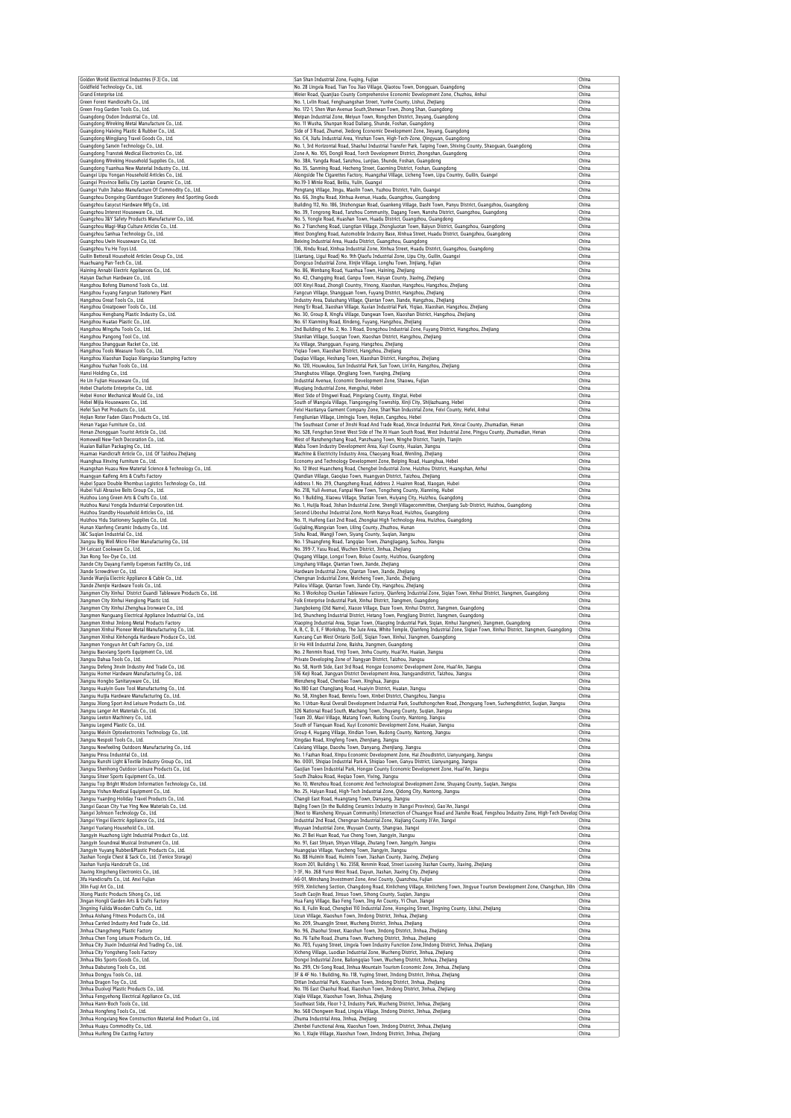| Golden World Electrical Industries (F.J) Co., Ltd.<br>Goldfield Technology Co., Ltd.                                                                                                                                                                                                                                                                                                                                                                                                                                                                                                                                                                                                                                                                                                                                                                                                                                                 | San Shan Industrial Zone, Fuqing, Fujian<br>No. 28 Lingxia Road, Tian Tou Jiao Village, Qiaotou Town, Dongguan, Guangdong                                                                                                    | China<br>China |
|--------------------------------------------------------------------------------------------------------------------------------------------------------------------------------------------------------------------------------------------------------------------------------------------------------------------------------------------------------------------------------------------------------------------------------------------------------------------------------------------------------------------------------------------------------------------------------------------------------------------------------------------------------------------------------------------------------------------------------------------------------------------------------------------------------------------------------------------------------------------------------------------------------------------------------------|------------------------------------------------------------------------------------------------------------------------------------------------------------------------------------------------------------------------------|----------------|
| Grand Enterprise Ltd.                                                                                                                                                                                                                                                                                                                                                                                                                                                                                                                                                                                                                                                                                                                                                                                                                                                                                                                | Weier Road, Quanjiao County Comprehensive Economic Development Zone, Chuzhou, Anhui                                                                                                                                          | China          |
| Green Forest Handicrafts Co., Ltd.                                                                                                                                                                                                                                                                                                                                                                                                                                                                                                                                                                                                                                                                                                                                                                                                                                                                                                   | No. 1, Lvlin Road, Fenghuangshan Street, Yunhe County, Lishui, Zhejiang                                                                                                                                                      | China          |
| Green Frog Garden Tools Co., Ltd.<br>Guangdong Osdon Industrial Co., Ltd.                                                                                                                                                                                                                                                                                                                                                                                                                                                                                                                                                                                                                                                                                                                                                                                                                                                            | No. 172-1. Shen Wan Avenue South.Shenwan Town, Zhong Shan, Guangdong<br>Meipan Industrial Zone, Meiyun Town, Rongchen District, Jieyang, Guangdong                                                                           | China<br>China |
| Guangdong Wireking Metal Manufacture Co., Ltd.                                                                                                                                                                                                                                                                                                                                                                                                                                                                                                                                                                                                                                                                                                                                                                                                                                                                                       | No. 11 Wusha, Shunpan Road Daliang, Shunde, Foshan, Guangdong                                                                                                                                                                | China          |
| Guangdong Haixing Plastic & Rubber Co., Ltd.                                                                                                                                                                                                                                                                                                                                                                                                                                                                                                                                                                                                                                                                                                                                                                                                                                                                                         | Side of 3 Road, Zhumei, Jiedong Economic Development Zone, Jieyang, Guangdong                                                                                                                                                | China          |
| Guangdong Mingjiang Travel Goods Co., Ltd.<br>Guangdong Sanxin Technology Co., Ltd.                                                                                                                                                                                                                                                                                                                                                                                                                                                                                                                                                                                                                                                                                                                                                                                                                                                  | No. C4, Jiafu Industrial Area, Yinzhan Town, High-Tech-Zone, Qingyuan, Guangdong<br>No. 1, 3rd Horizontal Road, Shashui Industrial Transfer Park, Taiping Town, Shixing County, Shaoguan, Guangdong                          | China<br>China |
| Guangdong Transtek Medical Electronics Co., Ltd.                                                                                                                                                                                                                                                                                                                                                                                                                                                                                                                                                                                                                                                                                                                                                                                                                                                                                     | Zone A, No. 105, Dongli Road, Torch Development District, Zhongshan, Guangdong                                                                                                                                               | China          |
| Guangdong Wireking Household Supplies Co., Ltd.                                                                                                                                                                                                                                                                                                                                                                                                                                                                                                                                                                                                                                                                                                                                                                                                                                                                                      | No. 38A, Yangda Road, Sanzhou, Lunjiao, Shunde, Foshan, Guangdong                                                                                                                                                            | China          |
| Guangdong Yuanhua New Material Industry Co., Ltd.                                                                                                                                                                                                                                                                                                                                                                                                                                                                                                                                                                                                                                                                                                                                                                                                                                                                                    | No. 35, Sanming Road, Hecheng Street, Gaoming District, Foshan, Guangdong                                                                                                                                                    | China<br>China |
| Guangxi Lipu Yongan Household Articles Co., Ltd.<br>Guangxi Province Beiliu City Laotian Ceramic Co., Ltd.                                                                                                                                                                                                                                                                                                                                                                                                                                                                                                                                                                                                                                                                                                                                                                                                                           | Alongside The Cigarettes Factory, Huangzhai Village, Licheng Town, Lipu Country, Guilin, Guangxi<br>No.19-3 Minle Road, Beiliu, Yulin, Guangxi                                                                               | China          |
| Guangxi Yulin Jiabao Manufacture Of Commodity Co., Ltd.                                                                                                                                                                                                                                                                                                                                                                                                                                                                                                                                                                                                                                                                                                                                                                                                                                                                              | Pengtang Village, Jingu, Maolin Town, Yuzhou District, Yulin, Guangxi                                                                                                                                                        | China          |
| Guangzhou Dongxing Giantdragon Stationery And Sporting Goods                                                                                                                                                                                                                                                                                                                                                                                                                                                                                                                                                                                                                                                                                                                                                                                                                                                                         | No. 66, Jinghu Road, Xinhua Avenue, Huadu, Guangzhou, Guangdong                                                                                                                                                              | China          |
| Guangzhou Easycut Hardware Mfq Co., Ltd.<br>Guangzhou Interest Houseware Co., Ltd.                                                                                                                                                                                                                                                                                                                                                                                                                                                                                                                                                                                                                                                                                                                                                                                                                                                   | Building 112, No. 186, Shizhongsan Road, Guankeng Village, Dashi Town, Panyu District, Guangzhou, Guangdong<br>No. 39, Tongrong Road, Tanzhou Community, Dagang Town, Nansha District, Guangzhou, Guangdong                  | China<br>China |
| Guangzhou J&Y Safety Products Manufacturer Co., Ltd.                                                                                                                                                                                                                                                                                                                                                                                                                                                                                                                                                                                                                                                                                                                                                                                                                                                                                 | No. 5, Yongle Road, Huashan Town, Huadu District, Guangzhou, Guangdong                                                                                                                                                       | China          |
| Guangzhou Magi-Wap Culture Articles Co., Ltd.                                                                                                                                                                                                                                                                                                                                                                                                                                                                                                                                                                                                                                                                                                                                                                                                                                                                                        | No. 2 Tiancheng Road, Liangtian Village, Zhongluotan Town, Baiyun District, Guangzhou, Guangdong                                                                                                                             | China          |
| Guangzhou Sanhua Technology Co., Ltd.                                                                                                                                                                                                                                                                                                                                                                                                                                                                                                                                                                                                                                                                                                                                                                                                                                                                                                | West Dongfeng Road, Automobile Industry Base, Xinhua Street, Huadu District, Guangzhou, Guangdong<br>Beixing Industrial Area, Huadu District, Guangzhou, Guangdong                                                           | China          |
| Guangzhou Uwin Houseware Co, Ltd.<br>Guangzhou Yu He Toys Ltd.                                                                                                                                                                                                                                                                                                                                                                                                                                                                                                                                                                                                                                                                                                                                                                                                                                                                       | 136, Xindu Road, Xinhua Industrial Zone, Xinhua Street, Huadu District, Guangzhou, Guangdong                                                                                                                                 | China<br>China |
| Guilin Betterall Household Articles Group Co., Ltd.                                                                                                                                                                                                                                                                                                                                                                                                                                                                                                                                                                                                                                                                                                                                                                                                                                                                                  | (Liantang, Ligui Road) No. 9th Qiaofu Industrial Zone, Lipu City, Guilin, Guangxi                                                                                                                                            | China          |
| Huachuang Pan-Tech Co., Ltd.                                                                                                                                                                                                                                                                                                                                                                                                                                                                                                                                                                                                                                                                                                                                                                                                                                                                                                         | Dongcuo Industrial Zone, Xinjie Village, Longhu Town, Jinjiang, Fujian                                                                                                                                                       | China          |
| Haining Annabi Electric Appliances Co., Ltd.<br>Haiyan Dachun Hardware Co., Ltd.                                                                                                                                                                                                                                                                                                                                                                                                                                                                                                                                                                                                                                                                                                                                                                                                                                                     | No. 86, Wenbang Road, Yuanhua Town, Haining, Zhejiang<br>No. 42, Changqing Road, Ganpu Town, Haiyan County, Jiaxing, Zhejiang                                                                                                | China<br>China |
| Hangzhou Bofeng Diamond Tools Co., Ltd.                                                                                                                                                                                                                                                                                                                                                                                                                                                                                                                                                                                                                                                                                                                                                                                                                                                                                              | 001 Xinyi Road, Zhongli Country, Yinong, Xiaoshan, Hangzhou, Hangzhou, Zhejiang                                                                                                                                              | China          |
| Hangzhou Fuyang Fangcun Stationery Plant                                                                                                                                                                                                                                                                                                                                                                                                                                                                                                                                                                                                                                                                                                                                                                                                                                                                                             | Fangcun Village, Shangguan Town, Fuyang District, Hangzhou, Zhejiang                                                                                                                                                         | China          |
| Hangzhou Great Tools Co., Ltd.                                                                                                                                                                                                                                                                                                                                                                                                                                                                                                                                                                                                                                                                                                                                                                                                                                                                                                       | Industry Area, Dalushang Village, Qiantan Town, Jiande, Hangzhou, Zhejiang                                                                                                                                                   | China          |
| Hangzhou Greatpower Tools Co., Ltd.<br>Hangzhou Hengbang Plastic Industry Co., Ltd.                                                                                                                                                                                                                                                                                                                                                                                                                                                                                                                                                                                                                                                                                                                                                                                                                                                  | Heng'Er Road, Jiaoshan Village, Xuxian Industrial Park, Yiqiao, Xiaoshan, Hangzhou, Zhejiang<br>No. 30, Group 8, Xingfu Village, Dangwan Town, Xiaoshan District, Hangzhou, Zhejiang                                         | China<br>China |
| Hangzhou Huatao Plastic Co., Ltd.                                                                                                                                                                                                                                                                                                                                                                                                                                                                                                                                                                                                                                                                                                                                                                                                                                                                                                    | No. 61 Xianming Road, Xindeng, Fuyang, Hangzhou, Zhejiang                                                                                                                                                                    | China          |
| Hangzhou Mingzhu Tools Co., Ltd.                                                                                                                                                                                                                                                                                                                                                                                                                                                                                                                                                                                                                                                                                                                                                                                                                                                                                                     | 2nd Building of No. 2, No. 3 Road, Dongzhou Industrial Zone, Fuyang District, Hangzhou, Zhejiang                                                                                                                             | China          |
| Hangzhou Pangong Tool Co., Ltd.                                                                                                                                                                                                                                                                                                                                                                                                                                                                                                                                                                                                                                                                                                                                                                                                                                                                                                      | Shanlian Village, Suoqian Town, Xiaoshan District, Hangzhou, Zhejiang                                                                                                                                                        | China          |
| Hangzhou Shangguan Racket Co., Ltd.<br>Hangzhou Tools Measure Tools Co., Ltd.                                                                                                                                                                                                                                                                                                                                                                                                                                                                                                                                                                                                                                                                                                                                                                                                                                                        | Xu Village, Shangguan, Fuyang, Hangzhou, Zhejiang<br>Yiqiao Town, Xiaoshan District, Hangzhou, Zhejiang                                                                                                                      | China<br>China |
| Hangzhou Xiaoshan Daqiao Xiangxiao Stamping Factory                                                                                                                                                                                                                                                                                                                                                                                                                                                                                                                                                                                                                                                                                                                                                                                                                                                                                  | Daqiao Village, Heshang Town, Xiaoshan District, Hangzhou, Zhejiang                                                                                                                                                          | China          |
| Hangzhou Yuzhan Tools Co., Ltd.                                                                                                                                                                                                                                                                                                                                                                                                                                                                                                                                                                                                                                                                                                                                                                                                                                                                                                      | No. 120, Houwukou, Sun Industrial Park, Sun Town, Lin'An, Hangzhou, Zhejiang                                                                                                                                                 | China          |
| Hansi Holding Co., Ltd.                                                                                                                                                                                                                                                                                                                                                                                                                                                                                                                                                                                                                                                                                                                                                                                                                                                                                                              | Shangbutou Village, Qingjiang Town, Yueging, Zhejiang                                                                                                                                                                        | China          |
| He Lin Fujian Houseware Co., Ltd.<br>Hebei Charlotte Enterprise Co., Ltd.                                                                                                                                                                                                                                                                                                                                                                                                                                                                                                                                                                                                                                                                                                                                                                                                                                                            | Industrial Avenue, Economic Development Zone, Shaowu, Fujian<br>Wugiang Industrial Zone, Hengshui, Hebei                                                                                                                     | China<br>China |
| Hebei Honor Mechanical Mould Co., Ltd.                                                                                                                                                                                                                                                                                                                                                                                                                                                                                                                                                                                                                                                                                                                                                                                                                                                                                               | West Side of Dingwei Road, Pingxiang County, Xingtai, Hebei                                                                                                                                                                  | China          |
| Hebei Mijia Housewares Co., Ltd.                                                                                                                                                                                                                                                                                                                                                                                                                                                                                                                                                                                                                                                                                                                                                                                                                                                                                                     | South of Wangxia Village, Tiangongying Township, Xinji City, Shijiazhuang, Hebei                                                                                                                                             | China          |
| Hefei Sun Pet Products Co., Ltd.<br>Hejian Roter Faden Glass Products Co., Ltd.                                                                                                                                                                                                                                                                                                                                                                                                                                                                                                                                                                                                                                                                                                                                                                                                                                                      | Feixi Haotianya Garment Company Zone, Shan'Nan Industrial Zone, Feixi County, Hefei, Anhui<br>Fengliunian Village, Limingju Town, Hejian, Cangzhou, Hebei                                                                    | China<br>China |
| Henan Yagao Furniture Co., Ltd.                                                                                                                                                                                                                                                                                                                                                                                                                                                                                                                                                                                                                                                                                                                                                                                                                                                                                                      | The Southeast Corner of Jinshi Road And Trade Road, Xincai Industrial Park, Xincai County, Zhumadian, Henan                                                                                                                  | China          |
| Henan Zhongguan Tourist Article Co., Ltd.                                                                                                                                                                                                                                                                                                                                                                                                                                                                                                                                                                                                                                                                                                                                                                                                                                                                                            | No. 528, Fengchan Street West Side of The Xi Huan South Road, West Industrial Zone, Pingyu County, Zhumadian, Henan                                                                                                          | China          |
| Homewell New-Tech Decoration Co., Ltd.<br>Huaian Bailian Packaging Co., Ltd.                                                                                                                                                                                                                                                                                                                                                                                                                                                                                                                                                                                                                                                                                                                                                                                                                                                         | West of Ranzhengchang Road, Panzhuang Town, Ninghe District, Tianjin, Tianjin<br>Maba Town Industry Development Area, Xuyi County, Huaian, Jiangsu                                                                           | China<br>China |
| Huamao Handicraft Article Co., Ltd. Of Taizhou Zhejiang                                                                                                                                                                                                                                                                                                                                                                                                                                                                                                                                                                                                                                                                                                                                                                                                                                                                              | Machine & Electricity Industry Area, Chaoyang Road, Wenling, Zhejiang                                                                                                                                                        | China          |
| Huanghua Xinxing Furniture Co., Ltd.                                                                                                                                                                                                                                                                                                                                                                                                                                                                                                                                                                                                                                                                                                                                                                                                                                                                                                 | Economy and Technology Development Zone, Beiping Road, Huanghua, Hebei                                                                                                                                                       | China          |
| Huangshan Huasu New Material Science & Technology Co., Ltd.                                                                                                                                                                                                                                                                                                                                                                                                                                                                                                                                                                                                                                                                                                                                                                                                                                                                          | No. 12 West Huancheng Road, Chengbei Industrial Zone, Huizhou District, Huangshan, Anhui                                                                                                                                     | China<br>China |
| Huangyan Kaifeng Arts & Crafts Factory<br>Hubei Space Double Rhombus Logistics Technology Co., Ltd.                                                                                                                                                                                                                                                                                                                                                                                                                                                                                                                                                                                                                                                                                                                                                                                                                                  | Qiandian Village, Gaoqiao Town, Huangyan District, Taizhou, Zhejiang<br>Address 1. No. 219, Changzheng Road, Address 2. Huairen Road, Xiaogan, Hubei                                                                         | China          |
| Hubei Yuli Abrasive Belts Group Co., Ltd.                                                                                                                                                                                                                                                                                                                                                                                                                                                                                                                                                                                                                                                                                                                                                                                                                                                                                            | No. 218, Yuli Avenue, Fanpai New Town, Tongcheng County, Xianning, Hubei                                                                                                                                                     | China          |
| Huizhou Long Green Arts & Crafts Co., Ltd.                                                                                                                                                                                                                                                                                                                                                                                                                                                                                                                                                                                                                                                                                                                                                                                                                                                                                           | No. 1 Building, Xiaowu Village, Shatian Town, Huiyang City, Huizhou, Guangdong                                                                                                                                               | China          |
| Huizhou Narui Yongda Industrial Corporation Ltd.<br>Huizhou Standby Household Articles Co., Ltd.                                                                                                                                                                                                                                                                                                                                                                                                                                                                                                                                                                                                                                                                                                                                                                                                                                     | No. 1, Huijia Road, Jishan Industrial Zone, Shengli Villagecommittee, Chenjiang Sub-District, Huizhou, Guangdong                                                                                                             | China<br>China |
| Huizhou Yidu Stationery Supplies Co., Ltd.                                                                                                                                                                                                                                                                                                                                                                                                                                                                                                                                                                                                                                                                                                                                                                                                                                                                                           | Second Liboshui Industrial Zone, North Nanya Road, Huizhou, Guangdong<br>No. 11, Huifeng East 2nd Road, Zhongkai High Technology Area, Huizhou, Guangdong                                                                    | China          |
| Hunan Xianfeng Ceramic Industry Co., Ltd.                                                                                                                                                                                                                                                                                                                                                                                                                                                                                                                                                                                                                                                                                                                                                                                                                                                                                            | Gujialing, Wangxian Town, Liling County, Zhuzhou, Hunan                                                                                                                                                                      | China          |
| J&C Suqian Industrial Co., Ltd.                                                                                                                                                                                                                                                                                                                                                                                                                                                                                                                                                                                                                                                                                                                                                                                                                                                                                                      | Sishu Road, Wangji Town, Siyang County, Suqian, Jiangsu                                                                                                                                                                      | China          |
| Jiangsu Big Well Micro Fiber Manufacturing Co., Ltd.<br>JH-Leicast Cookware Co., Ltd.                                                                                                                                                                                                                                                                                                                                                                                                                                                                                                                                                                                                                                                                                                                                                                                                                                                | No. 1 Shuangfeng Road, Tangqiao Town, Zhangjiagang, Suzhou, Jiangsu<br>No. 399-7, Yasu Road, Wuchen District, Jinhua, Zhejiang                                                                                               | China<br>China |
| Jian Rong Tex-Dye Co., Ltd.                                                                                                                                                                                                                                                                                                                                                                                                                                                                                                                                                                                                                                                                                                                                                                                                                                                                                                          | Qiugang Village, Longxi Town, Boluo County, Huizhou, Guangdong                                                                                                                                                               | China          |
| Jiande City Dayang Family Expenses Factility Co., Ltd.                                                                                                                                                                                                                                                                                                                                                                                                                                                                                                                                                                                                                                                                                                                                                                                                                                                                               | Lingshang Village, Qiantan Town, Jiande, Zhejiang                                                                                                                                                                            | China          |
| Jiande Screwdriver Co., Ltd.<br>Jiande Wanjia Electric Appliance & Cable Co., Ltd.                                                                                                                                                                                                                                                                                                                                                                                                                                                                                                                                                                                                                                                                                                                                                                                                                                                   | Hardware Industrial Zone, Qiantan Town, Jiande, Zhejiang<br>Chengnan Industrial Zone, Meicheng Town, Jiande, Zhejiang                                                                                                        | China<br>China |
| Jiande Zhenjie Hardware Tools Co., Ltd.                                                                                                                                                                                                                                                                                                                                                                                                                                                                                                                                                                                                                                                                                                                                                                                                                                                                                              | Pailou Village, Qiantan Town, Jiande City, Hangzhou, Zhejiang                                                                                                                                                                | China          |
| Jiangmen City Xinhui District Guandi Tableware Products Co., Ltd.                                                                                                                                                                                                                                                                                                                                                                                                                                                                                                                                                                                                                                                                                                                                                                                                                                                                    | No. 3 Workshop Chunlan Tableware Factory, Qianfeng Industrial Zone, Siqian Town, Xinhui District, Jiangmen, Guangdong                                                                                                        | China          |
| Jiangmen City Xinhui Henglong Plastic Ltd.                                                                                                                                                                                                                                                                                                                                                                                                                                                                                                                                                                                                                                                                                                                                                                                                                                                                                           | Folk Enterprise Industrial Park, Xinhui District, Jiangmen, Guangdong                                                                                                                                                        | China          |
| Jiangmen City Xinhui Zhenghua Ironware Co., Ltd<br>Jiangmen Nanguang Electrical Appliance Industrial Co., Ltd.                                                                                                                                                                                                                                                                                                                                                                                                                                                                                                                                                                                                                                                                                                                                                                                                                       | Jiangbokeng (Old Name), Xiaoze Village, Daze Town, Xinhui District, Jiangmen, Guangdong<br>3rd, Shuncheng Industrial District, Hetang Town, Pengjiang District, Jiangmen, Guangdong                                          | China<br>China |
| Jiangmen Xinhui Jinlong Metal Products Factory                                                                                                                                                                                                                                                                                                                                                                                                                                                                                                                                                                                                                                                                                                                                                                                                                                                                                       | Xiaoping Industrial Area, Sigian Town, (Xiaoping Industrial Park, Sigian, Xinhui Jiangmen), Jiangmen, Guangdong                                                                                                              | China          |
| Jiangmen Xinhui Pioneer Metal Manufacturing Co., Ltd.                                                                                                                                                                                                                                                                                                                                                                                                                                                                                                                                                                                                                                                                                                                                                                                                                                                                                | A, B, C, D, E, F Workshop, The Jute Area, White Temple, Qianfeng Industrial Zone, Siqian Town, Xinhui District, Jiangmen, Guangdong                                                                                          | China          |
| Jianomen Xinhui Xinhonoda Hardware Produce Co., Ltd.<br>liangmen Yongyun Art Craft Factory Co., Ltd.                                                                                                                                                                                                                                                                                                                                                                                                                                                                                                                                                                                                                                                                                                                                                                                                                                 | Kuncang Cun West Ontario (Soil), Sigian Town, Xinhui, Jiangmen, Guangdong<br>Er He Hill Industrial Zone, Baisha, Jiangmen, Guangdong                                                                                         | China<br>China |
| Jiangsu Baoxiang Sports Equipment Co., Ltd.                                                                                                                                                                                                                                                                                                                                                                                                                                                                                                                                                                                                                                                                                                                                                                                                                                                                                          | No. 2 Renmin Road, Yinji Town, Jinhu County, Huai'An, Huaian, Jiangsu                                                                                                                                                        | China          |
| Jiangsu Dahua Tools Co., Ltd.                                                                                                                                                                                                                                                                                                                                                                                                                                                                                                                                                                                                                                                                                                                                                                                                                                                                                                        | Private Developing Zone of Jiangyan District, Taizhou, Jiangsu                                                                                                                                                               | China          |
| lianosu Defeno Jinxin Industry And Trade Co., Itd.                                                                                                                                                                                                                                                                                                                                                                                                                                                                                                                                                                                                                                                                                                                                                                                                                                                                                   | No. 58, North Side, East 3rd Road, Hongze Economic Development Zone, Huai'An, Jianosi                                                                                                                                        | China          |
| Jiangsu Homer Hardware Manufacturing Co., Ltd.<br>Jiangsu Hongbo Sanitaryware Co., Ltd.                                                                                                                                                                                                                                                                                                                                                                                                                                                                                                                                                                                                                                                                                                                                                                                                                                              | 516 Keji Road, Jiangyan District Development Area, Jiangyandistrict, Taizhou, Jiangsu<br>Wenzheng Road, Chenbao Town, Xinghua, Jiangsu                                                                                       | China<br>China |
| Jiangsu Huaiyin Guex Tool Manufacturing Co., Ltd.                                                                                                                                                                                                                                                                                                                                                                                                                                                                                                                                                                                                                                                                                                                                                                                                                                                                                    | No.180 East Changjiang Road, Huaiyin District, Huaian, Jiangsu                                                                                                                                                               | China          |
| Jiangsu Huijia Hardware Manufacturing Co., Ltd.                                                                                                                                                                                                                                                                                                                                                                                                                                                                                                                                                                                                                                                                                                                                                                                                                                                                                      | No. 58, Xingben Road, Benniu Town, Xinbei District, Changzhou, Jiangsu                                                                                                                                                       | China          |
| Jiangsu Jilong Sport And Leisure Products Co., Ltd.<br>Jiangsu Langer Art Materials Co., Ltd.                                                                                                                                                                                                                                                                                                                                                                                                                                                                                                                                                                                                                                                                                                                                                                                                                                        | No. 1 Urban-Rural Overall Development Industrial Park, Southzhongchen Road, Zhongyang Town, Suchengdistrict, Suqian, Jiangsu<br>326 National Road South, Machang Town, Shuyang County, Suqian, Jiangsu                       | China<br>China |
| Jiangsu Leeton Machinery Co., Ltd.                                                                                                                                                                                                                                                                                                                                                                                                                                                                                                                                                                                                                                                                                                                                                                                                                                                                                                   | Team 20, Maxi Village, Matang Town, Rudong County, Nantong, Jiangsu                                                                                                                                                          | China          |
| Jiangsu Legend Plastic Co., Ltd.                                                                                                                                                                                                                                                                                                                                                                                                                                                                                                                                                                                                                                                                                                                                                                                                                                                                                                     | South of Tianquan Road, Xuyi Economic Development Zone, Huaian, Jiangsu                                                                                                                                                      | China          |
| Jiangsu Meixin Optoelectronics Technology Co., Ltd.                                                                                                                                                                                                                                                                                                                                                                                                                                                                                                                                                                                                                                                                                                                                                                                                                                                                                  | Group 4, Hugang Village, Xindian Town, Rudong County, Nantong, Jiangsu                                                                                                                                                       | China          |
| Jiangsu Nespoli Tools Co., Ltd.<br>Jiangsu Newfeeling Outdoors Manufacturing Co., Ltd.                                                                                                                                                                                                                                                                                                                                                                                                                                                                                                                                                                                                                                                                                                                                                                                                                                               | Xingdao Road, Xingfeng Town, Zhenjiang, Jiangsu<br>Caixiang Village, Daoshu Town, Danyang, Zhenjiang, Jiangsu                                                                                                                | China<br>China |
| Jiangsu Pinsu Industrial Co., Ltd.                                                                                                                                                                                                                                                                                                                                                                                                                                                                                                                                                                                                                                                                                                                                                                                                                                                                                                   | No. 1 Fazhan Road, Xinpu Economic Development Zone, Hai Zhoudistrict, Lianyungang, Jiangsu                                                                                                                                   | China          |
| Jiangsu Runshi Light &Textile Industry Group Co., Ltd.                                                                                                                                                                                                                                                                                                                                                                                                                                                                                                                                                                                                                                                                                                                                                                                                                                                                               | No. 0001, Shiqiao Industrial Park A, Shiqiao Town, Ganyu District, Lianyungang, Jiangsu                                                                                                                                      | China          |
|                                                                                                                                                                                                                                                                                                                                                                                                                                                                                                                                                                                                                                                                                                                                                                                                                                                                                                                                      |                                                                                                                                                                                                                              | China          |
|                                                                                                                                                                                                                                                                                                                                                                                                                                                                                                                                                                                                                                                                                                                                                                                                                                                                                                                                      | Gaojian Town Industrial Park, Hongze County Economic Development Zone, Huai'An, Jiangsu                                                                                                                                      |                |
|                                                                                                                                                                                                                                                                                                                                                                                                                                                                                                                                                                                                                                                                                                                                                                                                                                                                                                                                      | South Zhakou Road, Heqiao Town, Yixing, Jiangsu<br>No. 10, Wenzhou Road, Economic And Technological Development Zone, Shuyang County, Suqian, Jiangsu                                                                        | China<br>China |
|                                                                                                                                                                                                                                                                                                                                                                                                                                                                                                                                                                                                                                                                                                                                                                                                                                                                                                                                      | No. 25, Haiyan Road, High-Tech Industrial Zone, Oidong City, Nantong, Jiangsu                                                                                                                                                | China          |
|                                                                                                                                                                                                                                                                                                                                                                                                                                                                                                                                                                                                                                                                                                                                                                                                                                                                                                                                      | Changli East Road, Huangtang Town, Danyang, Jiangsu                                                                                                                                                                          | China          |
|                                                                                                                                                                                                                                                                                                                                                                                                                                                                                                                                                                                                                                                                                                                                                                                                                                                                                                                                      | Bajing Town (In the Building Ceramics Industry in Jiangxi Province), Gao'An, Jiangxi<br>(Next to Wansheng Xinyuan Community) Intersection of Chuangye Road and Jianshe Road, Fengshou Industry Zone, High-Tech Develor China | China          |
|                                                                                                                                                                                                                                                                                                                                                                                                                                                                                                                                                                                                                                                                                                                                                                                                                                                                                                                                      | Industrial 2nd Road, Chengnan Industrial Zone, Xiajiang County Ji'An, Jiangxi                                                                                                                                                | China          |
|                                                                                                                                                                                                                                                                                                                                                                                                                                                                                                                                                                                                                                                                                                                                                                                                                                                                                                                                      | Wuyuan Industrial Zone, Wuyuan County, Shangrao, Jiangxi                                                                                                                                                                     | China          |
|                                                                                                                                                                                                                                                                                                                                                                                                                                                                                                                                                                                                                                                                                                                                                                                                                                                                                                                                      | No. 21 Bei Huan Road, Yue Cheng Town, Jiangyin, Jiangsu                                                                                                                                                                      | China<br>China |
|                                                                                                                                                                                                                                                                                                                                                                                                                                                                                                                                                                                                                                                                                                                                                                                                                                                                                                                                      | No. 91, East Shiyan, Shiyan Village, Zhutang Town, Jiangyin, Jiangsu<br>Huangqiao Village, Yuecheng Town, Jiangyin, Jiangsu                                                                                                  | China          |
|                                                                                                                                                                                                                                                                                                                                                                                                                                                                                                                                                                                                                                                                                                                                                                                                                                                                                                                                      | No. 88 Huimin Road, Huimin Town, Jiashan County, Jiaxing, Zhejiang                                                                                                                                                           | China          |
|                                                                                                                                                                                                                                                                                                                                                                                                                                                                                                                                                                                                                                                                                                                                                                                                                                                                                                                                      | Room 201, Building 1, No. 2358, Renmin Road, Street Luoxing Jiashan County, Jiaxing, Zhejiang                                                                                                                                | China          |
|                                                                                                                                                                                                                                                                                                                                                                                                                                                                                                                                                                                                                                                                                                                                                                                                                                                                                                                                      | 1-3F, No. 268 Yunsi West Road, Dayun, Jiashan, Jiaxing City, Zhejiang<br>A6-01, Minshang Investment Zone, Anxi County, Quanzhou, Fujian                                                                                      | China<br>China |
|                                                                                                                                                                                                                                                                                                                                                                                                                                                                                                                                                                                                                                                                                                                                                                                                                                                                                                                                      | 9519, Xinlicheng Section, Changdong Road, Xinlicheng Village, Xinlicheng Town, Jingyue Tourism Development Zone, Changchun, Jilin China                                                                                      |                |
|                                                                                                                                                                                                                                                                                                                                                                                                                                                                                                                                                                                                                                                                                                                                                                                                                                                                                                                                      | South Caojin Road, Jinsuo Town, Sihong County, Suqian, Jiangsu                                                                                                                                                               | China          |
|                                                                                                                                                                                                                                                                                                                                                                                                                                                                                                                                                                                                                                                                                                                                                                                                                                                                                                                                      | Hua Fang Village, Bao Feng Town, Jing An County, Yi Chun, Jiangxi                                                                                                                                                            | China          |
| liangyin Huazhong Light Industrial Product Co., Ltd.<br>linhua Aishang Fitness Products Co., Ltd.                                                                                                                                                                                                                                                                                                                                                                                                                                                                                                                                                                                                                                                                                                                                                                                                                                    | No. 8, Fulin Road, Chengbei 110 Industrial Zone, Hongxing Street, Jingning County, Lishui, Zhejiang<br>Licun Village, Xiaoshun Town, Jindong District, Jinhua, Zhejiang                                                      | China<br>China |
| linhua Carried Industry And Trade Co., Ltd.                                                                                                                                                                                                                                                                                                                                                                                                                                                                                                                                                                                                                                                                                                                                                                                                                                                                                          | No. 209, Shuangjin Street, Wucheng District, Jinhua, Zhejiang                                                                                                                                                                | China          |
| linhua Changcheng Plastic Factory                                                                                                                                                                                                                                                                                                                                                                                                                                                                                                                                                                                                                                                                                                                                                                                                                                                                                                    | No. 96, Zhaohui Street, Xiaoshun Town, Jindong District, Jinhua, Zhejiang                                                                                                                                                    | China          |
|                                                                                                                                                                                                                                                                                                                                                                                                                                                                                                                                                                                                                                                                                                                                                                                                                                                                                                                                      | No. 76 Taihe Road, Zhuma Town, Wucheng District, Jinhua, Zhejiang                                                                                                                                                            | China          |
| Jiangsu Top Bright Wisdom Information Technology Co., Ltd.<br>Jiangsu Yishun Medical Equipment Co., Ltd.<br>Jiangyin Soundreal Musical Instrument Co., Ltd.<br>Jiashan Tongle Chest & Sack Co., Ltd. (Tenice Storage)<br>Jifa Handicrafts Co., Ltd. Anxi Fujian<br>Jingning Fulida Wooden Crafts Co., Ltd.<br>Jinhua City Yongsheng Tools Factory                                                                                                                                                                                                                                                                                                                                                                                                                                                                                                                                                                                    | No. 703, Fuyang Street, Lingxia Town Industry Function Zone, Jindong District, Jinhua, Zhejiang<br>Xicheng Village, Luodian Industrial Zone, Wucheng District, Jinhua, Zhejiang                                              | China<br>China |
|                                                                                                                                                                                                                                                                                                                                                                                                                                                                                                                                                                                                                                                                                                                                                                                                                                                                                                                                      | Dongxi Industrial Zone, Bailongqiao Town, Wucheng District, Jinhua, Zhejiang                                                                                                                                                 | China          |
| linhua Dabutong Tools Co., Ltd.                                                                                                                                                                                                                                                                                                                                                                                                                                                                                                                                                                                                                                                                                                                                                                                                                                                                                                      | No. 299, Chi-Song Road, Jinhua Mountain Tourism Economic Zone, Jinhua, Zhejiang                                                                                                                                              | China          |
|                                                                                                                                                                                                                                                                                                                                                                                                                                                                                                                                                                                                                                                                                                                                                                                                                                                                                                                                      | 3F & 4F No. 1 Building, No. 118, Yuping Street, Jindong District, Jinhua, Zhejiang                                                                                                                                           | China          |
| Jinhua Dks Sports Goods Co., Ltd.<br>Jinhua Dongyu Tools Co., Ltd.                                                                                                                                                                                                                                                                                                                                                                                                                                                                                                                                                                                                                                                                                                                                                                                                                                                                   | Ditian Industrial Park, Xiaoshun Town, Jindong District, Jinhua, Zhejiang<br>No. 116 East Chaohui Road, Xiaoshun Town, Jindong District, Jinhua, Zhejiang                                                                    | China<br>China |
| Jinhua Fengyehong Electrical Appliance Co., Ltd.                                                                                                                                                                                                                                                                                                                                                                                                                                                                                                                                                                                                                                                                                                                                                                                                                                                                                     | Xiajie Village, Xiaoshun Town, Jinhua, Zhejiang                                                                                                                                                                              | China          |
|                                                                                                                                                                                                                                                                                                                                                                                                                                                                                                                                                                                                                                                                                                                                                                                                                                                                                                                                      | Southeast Side, Floor 1-2, Industry Park, Wucheng District, Jinhua, Zhejiang                                                                                                                                                 | China          |
| Jiangsu Shenhong Outdoor Leisure Products Co., Ltd.<br>Jiangsu Siteer Sports Equipment Co., Ltd.<br>Jiangsu Yuanjing Holiday Travel Products Co., Ltd.<br>Jiangxi Gaoan City Yue Ying New Materials Co., Ltd.<br>Jiangxi Johnson Technology Co., Ltd.<br>Jiangxi Yingxi Electric Appliance Co., Ltd.<br>Jiangxi Yuxiang Household Co., Ltd.<br>Jiangyin Yuyang Rubber&Plastic Products Co., Ltd.<br>Jiashan Yunjia Handcraft Co., Ltd.<br>Jiaxing Xingcheng Electronics Co., Ltd.<br>Jilin Fuqi Art Co., Ltd.<br>Jilong Plastic Products Sihong Co., Ltd.<br>Jingan Hongli Garden Arts & Crafts Factory<br>Jinhua Chen Tong Leisure Products Co., Ltd.<br>Jinhua City Jiuxin Industrial And Trading Co., Ltd.<br>Jinhua Dragon Toy Co., Ltd.<br>Jinhua Duolvqi Plastic Products Co., Ltd.<br>Jinhua Hann-Boch Tools Co., Ltd.<br>Jinhua Hongfeng Tools Co., Ltd.<br>Jinhua Hongxiang New Construction Material And Product Co., Ltd. | No. 568 Chongwen Road, Lingxia Village, Jindong District, Jinhua, Zhejiang<br>Zhuma Industrial Area, Jinhua, Zhejiang                                                                                                        | China<br>China |
| Jinhua Huayu Commodity Co., Ltd.<br>Jinhua Huifeng Die Casting Factory                                                                                                                                                                                                                                                                                                                                                                                                                                                                                                                                                                                                                                                                                                                                                                                                                                                               | Zhenbei Functional Area, Xiaoshun Town, Jindong District, Jinhua, Zhejiang<br>No. 1, Xiajie Village, Xiaoshun Town, Jindong District, Jinhua, Zhejiang                                                                       | China<br>China |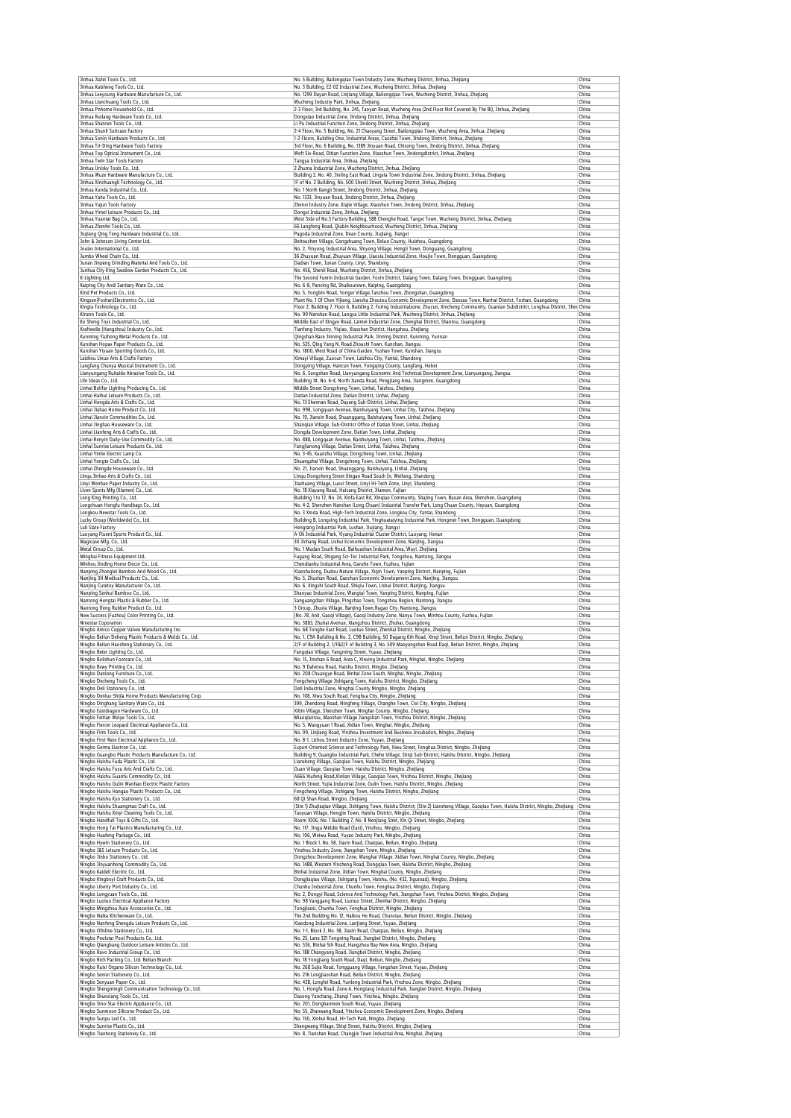| Jinhua Jiafei Tools Co., Ltd.<br>Jinhua Kaisheng Tools Co., Ltd.                                                                                                                                                                                                                                                                                                                                                                                                                                                                                                                                                                                                                                                                                                                                                                                                                                                                                          | No. 5 Building, Bailongqiao Town Industry Zone, Wucheng District, Jinhua, Zhejiang<br>No. 3 Building, E2-02 Industrial Zone, Wucheng District, Jinhua, Zhejiang                                     | China<br>China |
|-----------------------------------------------------------------------------------------------------------------------------------------------------------------------------------------------------------------------------------------------------------------------------------------------------------------------------------------------------------------------------------------------------------------------------------------------------------------------------------------------------------------------------------------------------------------------------------------------------------------------------------------------------------------------------------------------------------------------------------------------------------------------------------------------------------------------------------------------------------------------------------------------------------------------------------------------------------|-----------------------------------------------------------------------------------------------------------------------------------------------------------------------------------------------------|----------------|
| Jinhua Leeyoung Hardware Manufacture Co., Ltd.                                                                                                                                                                                                                                                                                                                                                                                                                                                                                                                                                                                                                                                                                                                                                                                                                                                                                                            | No. 1299 Dayan Road, Linjiang Village, Bailongqiao Town, Wucheng District, Jinhua, Zhejiang                                                                                                         | China          |
| Jinhua Lianchuang Tools Co., Ltd.<br>Jinhua Pnhome Household Co., Ltd.                                                                                                                                                                                                                                                                                                                                                                                                                                                                                                                                                                                                                                                                                                                                                                                                                                                                                    | Wucheng Industry Park, Jinhua, Zhejiang<br>2-3 Floor, 3rd Building, No. 245, Taoyan Road, Wucheng Area (2nd Floor Not Covered By The Bl), Jinhua, Zhejiang                                          | China<br>China |
| Jinhua Ruilang Hardware Tools Co., Ltd.                                                                                                                                                                                                                                                                                                                                                                                                                                                                                                                                                                                                                                                                                                                                                                                                                                                                                                                   | Dongxiao Industrial Zone, Jindong District, Jinhua, Zhejiang                                                                                                                                        | China          |
| Jinhua Shanran Tools Co., Ltd.                                                                                                                                                                                                                                                                                                                                                                                                                                                                                                                                                                                                                                                                                                                                                                                                                                                                                                                            | Li Pu Industrial Function Zone, Jindong District, Jinhua, Zhejiang                                                                                                                                  | China          |
| Jinhua Shunli Suitcase Factory<br>Jinhua Sonin Hardware Products Co., Ltd.                                                                                                                                                                                                                                                                                                                                                                                                                                                                                                                                                                                                                                                                                                                                                                                                                                                                                | 2-4 Floor, No. 5 Building, No. 21 Chaoyang Street, Bailongqiao Town, Wucheng Area, Jinhua, Zhejiang<br>1-2 Floors, Building One, Industrial Areas, Caozhai Town, Jindong District, Jinhua, Zhejiang | China<br>China |
| Jinhua Tri-Ding Hardware Tools Factory                                                                                                                                                                                                                                                                                                                                                                                                                                                                                                                                                                                                                                                                                                                                                                                                                                                                                                                    | 3rd Floor, No. 6 Building, No. 1389 Jinyuan Road, Chisong Town, Jindong District, Jinhua, Zhejiang                                                                                                  | China          |
| Jinhua Top Optical Instrument Co., Ltd.<br>Jinhua Twin Star Tools Factory                                                                                                                                                                                                                                                                                                                                                                                                                                                                                                                                                                                                                                                                                                                                                                                                                                                                                 | Weft Six-Road, Ditian Function Zone, Xiaoshun Town, Jindongdistrict, Jinhua, Zhejiang<br>Tangya Industrial Area, Jinhua, Zhejiang                                                                   | China<br>China |
| Jinhua Unisky Tools Co., Ltd.                                                                                                                                                                                                                                                                                                                                                                                                                                                                                                                                                                                                                                                                                                                                                                                                                                                                                                                             | 2 Zhuma Industrial Zone, Wucheng District, Jinhua, Zhejiang                                                                                                                                         | China          |
| Jinhua Wuze Hardware Manufacture Co., Ltd.                                                                                                                                                                                                                                                                                                                                                                                                                                                                                                                                                                                                                                                                                                                                                                                                                                                                                                                | Building 2, No. 40, Jinling East Road, Lingxia Town Industrial Zone, Jindong District, Jinhua, Zhejiang                                                                                             | China          |
| Jinhua Xinchuangli Technology Co., Ltd.<br>Jinhua Xunda Industrial Co., Ltd.                                                                                                                                                                                                                                                                                                                                                                                                                                                                                                                                                                                                                                                                                                                                                                                                                                                                              | 1F of No. 2 Building, No. 500 Shenli Street, Wucheng District, Jinhua, Zhejiang<br>No. 1 North Kangji Street, Jindong District, Jinhua, Zhejiang                                                    | China<br>China |
| Jinhua Yahu Tools Co., Ltd.                                                                                                                                                                                                                                                                                                                                                                                                                                                                                                                                                                                                                                                                                                                                                                                                                                                                                                                               | No. 1333, Jinyuan Road, Jindong District, Jinhua, Zhejiang                                                                                                                                          | China          |
| Jinhua Yajun Tools Factory<br>Jinhua Yimei Leisure Products Co., Ltd.                                                                                                                                                                                                                                                                                                                                                                                                                                                                                                                                                                                                                                                                                                                                                                                                                                                                                     | Zhenxi Industry Zone, Xiajie Village, Xiaoshun Town, Jindong District, Jinhua, Zhejiang<br>Dongxi Industrial Zone, Jinhua, Zhejiang                                                                 | China<br>China |
| Jinhua Yuantai Bag Co., Ltd.                                                                                                                                                                                                                                                                                                                                                                                                                                                                                                                                                                                                                                                                                                                                                                                                                                                                                                                              | West Side of No.3 Factory Building, 588 Chenghe Road, Tangxi Town, Wucheng District, Jinhua, Zhejiang                                                                                               | China          |
| Jinhua Zhenfei Tools Co., Ltd.                                                                                                                                                                                                                                                                                                                                                                                                                                                                                                                                                                                                                                                                                                                                                                                                                                                                                                                            | 66 Langfeng Road, Qiubin Neighbourhood, Wucheng District, Jinhua, Zhejiang                                                                                                                          | China          |
| Jiujiang Qing Teng Hardware Industrial Co., Ltd.<br>John & Johnson Living Center Ltd.                                                                                                                                                                                                                                                                                                                                                                                                                                                                                                                                                                                                                                                                                                                                                                                                                                                                     | Pagoda Industrial Zone, Dean County, Jiujiang, Jiangxi<br>Beitoushen Village, Gongzhuang Town, Boluo County, Huizhou, Guangdong                                                                     | China<br>China |
| Joules International Co., Ltd.                                                                                                                                                                                                                                                                                                                                                                                                                                                                                                                                                                                                                                                                                                                                                                                                                                                                                                                            | No. 2, Yinyong Industrial Area, Shiyong Village, Hengli Town, Donguang, Guangdong                                                                                                                   | China          |
| Jumbo Wheel Chain Co., Ltd.<br>Junan Jinpeng Grinding Material And Tools Co., Ltd.                                                                                                                                                                                                                                                                                                                                                                                                                                                                                                                                                                                                                                                                                                                                                                                                                                                                        | 36 Zhuyuan Road, Zhuyuan Village, Liaoxia Industrial Zone, Houjie Town, Dongguan, Guangdong<br>Dadian Town, Junan County, Linyi, Shandong                                                           | China<br>China |
| Junhua City King Swallow Garden Products Co., Ltd.                                                                                                                                                                                                                                                                                                                                                                                                                                                                                                                                                                                                                                                                                                                                                                                                                                                                                                        | No. 456, Shenli Road, Wucheng District, Jinhua, Zhejiang                                                                                                                                            | China          |
| K-Lighting Ltd.                                                                                                                                                                                                                                                                                                                                                                                                                                                                                                                                                                                                                                                                                                                                                                                                                                                                                                                                           | The Second Fumin Industrial Garden, Foxin District, Dalang Town, Dalang Town, Dongguan, Guangdong                                                                                                   | China          |
| Kaiping City Andi Sanitary Ware Co., Ltd.<br>Kind Pet Products Co., Ltd.                                                                                                                                                                                                                                                                                                                                                                                                                                                                                                                                                                                                                                                                                                                                                                                                                                                                                  | No. 6-8, Panxing Rd, Shuikoutown, Kaiping, Guangdong<br>No. 5, Yongbin Road, Yonger Village, Tanzhou Town, Zhongshan, Guangdong                                                                     | China<br>China |
| Kingsen(Foshan)Electronics Co., Ltd.                                                                                                                                                                                                                                                                                                                                                                                                                                                                                                                                                                                                                                                                                                                                                                                                                                                                                                                      | Plant No. 1 Of Chen Yijiang, Liansha Zhoutou Economic Development Zone, Danzao Town, Nanhai District, Foshan, Guangdong                                                                             | China          |
| Kingta Technology Co., Ltd.                                                                                                                                                                                                                                                                                                                                                                                                                                                                                                                                                                                                                                                                                                                                                                                                                                                                                                                               | Floor 2, Building 7, Floor 6, Building 2, Futing Industrialzone, Zhucun, Xincheng Community, Guanlan Subdistrict, Longhua District, Shei China                                                      |                |
| Kinzon Tools Co., Ltd.<br>Ko Sheng Toys Industrial Co., Ltd.                                                                                                                                                                                                                                                                                                                                                                                                                                                                                                                                                                                                                                                                                                                                                                                                                                                                                              | No. 99 Nanshan Road, Langya Little Industrial Park, Wucheng District, Jinhua, Zhejiang<br>Middle East of Xingye Road, Laimei Industrial Zone, Chenghai District, Shantou, Guangdong                 | China<br>China |
| Kraftwelle (Hangzhou) Industry Co., Ltd.                                                                                                                                                                                                                                                                                                                                                                                                                                                                                                                                                                                                                                                                                                                                                                                                                                                                                                                  | Tianfeng Industry, Yiqiao, Xiaoshan District, Hangzhou, Zhejiang                                                                                                                                    | China          |
| Kunming Yazhong Metal Products Co., Ltd.                                                                                                                                                                                                                                                                                                                                                                                                                                                                                                                                                                                                                                                                                                                                                                                                                                                                                                                  | Qingshan Base Jinning Industrial Park, Jinning District, Kunming, Yunnan                                                                                                                            | China          |
| Kunshan Hopax Paper Products Co., Ltd.<br>Kunshan Yiyuan Sporting Goods Co., Ltd.                                                                                                                                                                                                                                                                                                                                                                                                                                                                                                                                                                                                                                                                                                                                                                                                                                                                         | No. 525, Qing Yang N. Road Zhoushi Town, Kunshan, Jiangsu<br>No. 1800, West Road of China Garden, Yushan Town, Kunshan, Jiangsu                                                                     | China<br>China |
| Laizhou Linuo Arts & Crafts Factory                                                                                                                                                                                                                                                                                                                                                                                                                                                                                                                                                                                                                                                                                                                                                                                                                                                                                                                       | Ximayi Village, Zuocun Town, Laizhou City, Yantai, Shandong                                                                                                                                         | China          |
| Langfang Chunya Musical Instrument Co., Ltd.                                                                                                                                                                                                                                                                                                                                                                                                                                                                                                                                                                                                                                                                                                                                                                                                                                                                                                              | Dongying Village, Hancun Town, Yongqing County, Langfang, Hebei                                                                                                                                     | China          |
| Lianyungang Ruitaide Abrasive Tools Co., Ltd.<br>Life Ideas Co., Ltd.                                                                                                                                                                                                                                                                                                                                                                                                                                                                                                                                                                                                                                                                                                                                                                                                                                                                                     | No. 6, Songshan Road, Lianyungang Economic And Technical Development Zone, Lianyungang, Jiangsu<br>Building 1#, No. 6-4, North Jianda Road, Pengjiang Area, Jiangmen, Guangdong                     | China<br>China |
| Linhai Bolifar Lighting Producing Co., Ltd.                                                                                                                                                                                                                                                                                                                                                                                                                                                                                                                                                                                                                                                                                                                                                                                                                                                                                                               | Middle Street Dongcheng Town, Linhai, Taizhou, Zhejiang                                                                                                                                             | China          |
| Linhai Haihui Leisure Products Co., Ltd.<br>Linhai Hengda Arts & Crafts Co., Ltd.                                                                                                                                                                                                                                                                                                                                                                                                                                                                                                                                                                                                                                                                                                                                                                                                                                                                         | Datian Industrial Zone, Datian District, Linhai, Zhejiang<br>No. 13 Shennan Road, Dayang Sub-District, Linhai, Zhejiang                                                                             | China<br>China |
| Linhai Jiahao Home Product Co., Ltd.                                                                                                                                                                                                                                                                                                                                                                                                                                                                                                                                                                                                                                                                                                                                                                                                                                                                                                                      | No. 998, Longquan Avenue, Baishuiyang Town, Linhai City, Taizhou, Zhejiang                                                                                                                          | China          |
| Linhai Jianxin Commodities Co., Ltd.                                                                                                                                                                                                                                                                                                                                                                                                                                                                                                                                                                                                                                                                                                                                                                                                                                                                                                                      | No. 19, Jianxin Road, Shuanggang, Baishuiyang Town, Linhai, Zhejiang                                                                                                                                | China          |
| Linhai Jinghao Houseware Co., Ltd.<br>Linhai Lianfeng Arts & Crafts Co., Ltd.                                                                                                                                                                                                                                                                                                                                                                                                                                                                                                                                                                                                                                                                                                                                                                                                                                                                             | Shanqian Village, Sub-District Office of Datian Street, Linhai, Zhejiang                                                                                                                            | China<br>China |
| Linhai Renyin Daily-Use Commodity Co., Ltd.                                                                                                                                                                                                                                                                                                                                                                                                                                                                                                                                                                                                                                                                                                                                                                                                                                                                                                               | Dongda Development Zone, Datian Town, Linhai, Zhejiang<br>No. 888, Longquan Avenue, Baishuiyang Town, Linhai, Taizhou, Zhejiang                                                                     | China          |
| Linhai Sunrise Leisure Products Co., Ltd.                                                                                                                                                                                                                                                                                                                                                                                                                                                                                                                                                                                                                                                                                                                                                                                                                                                                                                                 | Fangjianong Village, Datian Street, Linhai, Taizhou, Zhejiang                                                                                                                                       | China          |
| Linhai Yinhe Electric Lamp Co.                                                                                                                                                                                                                                                                                                                                                                                                                                                                                                                                                                                                                                                                                                                                                                                                                                                                                                                            | No. 3-45, Xuanzhu Village, Dongcheng Town, Linhai, Zhejiang                                                                                                                                         | China<br>China |
| Linhai Yongte Crafts Co., Ltd.<br>Linhai Zhengde Houseware Co., Ltd.                                                                                                                                                                                                                                                                                                                                                                                                                                                                                                                                                                                                                                                                                                                                                                                                                                                                                      | Shuangzhai Village, Dongcheng Town, Linhai, Taizhou, Zhejiang<br>No. 21, Jianxin Road, Shuanggang, Baishuiyang, Linhai, Zhejiang                                                                    | China          |
| Lingu Jinhao Arts & Crafts Co., Ltd.                                                                                                                                                                                                                                                                                                                                                                                                                                                                                                                                                                                                                                                                                                                                                                                                                                                                                                                      | Lingu Dongcheng Street Xingan Road South In, Weifang, Shandong                                                                                                                                      | China          |
| Linyi Wenhao Paper Industry Co., Ltd.<br>Liven Sports Mfg (Xiamen) Co., Ltd.                                                                                                                                                                                                                                                                                                                                                                                                                                                                                                                                                                                                                                                                                                                                                                                                                                                                              | Jiazhuang Village, Luoxi Street, Linyi Hi-Tech Zone, Linyi, Shandong<br>No. 18 Xiayang Road, Haicang District, Xiamen, Fujian                                                                       | China<br>China |
| Long King Printing Co., Ltd.                                                                                                                                                                                                                                                                                                                                                                                                                                                                                                                                                                                                                                                                                                                                                                                                                                                                                                                              | Building 1 to 12, No. 24, Xinfa East Rd, Xinqiao Community, Shajing Town, Baoan Area, Shenzhen, Guangdong                                                                                           | China          |
| Longchuan Hongfu Handbags Co., Ltd.                                                                                                                                                                                                                                                                                                                                                                                                                                                                                                                                                                                                                                                                                                                                                                                                                                                                                                                       | No. 4-2, Shenzhen Nanshan (Long Chuan) Industrial Transfer Park, Long Chuan County, Heyuan, Guangdong                                                                                               | China          |
| Longkou Newstar Tools Co., Ltd.<br>Lucky Group (Worldwide) Co., Ltd.                                                                                                                                                                                                                                                                                                                                                                                                                                                                                                                                                                                                                                                                                                                                                                                                                                                                                      | No. 3 Xinda Road, High-Tech Industrial Zone, Longkou City, Yantai, Shandong<br>Building B, Longxing Industrial Park, Yinghuataiying Industrial Park, Hongmei Town, Dongguan, Guangdong              | China<br>China |
| Luli Slate Factory                                                                                                                                                                                                                                                                                                                                                                                                                                                                                                                                                                                                                                                                                                                                                                                                                                                                                                                                        | Hengtang Industrial Park, Lushan, Jiujiang, Jiangxi                                                                                                                                                 | China          |
| Luoyang Fluent Sports Product Co., Ltd.                                                                                                                                                                                                                                                                                                                                                                                                                                                                                                                                                                                                                                                                                                                                                                                                                                                                                                                   | A-Ok Industrial Park, Yiyang Industrial Cluster District, Luoyang, Henan                                                                                                                            | China          |
| Magicase Mfg. Co., Ltd.<br>Metal Group Co., Ltd.                                                                                                                                                                                                                                                                                                                                                                                                                                                                                                                                                                                                                                                                                                                                                                                                                                                                                                          | 30 Jichang Road, Lishui Economic Development Zone, Nanjing, Jiangsu<br>No. 1 Mudan South Road, Baihuashan Industrial Area, Wuyi, Zhejiang                                                           | China<br>China |
| Minghai Fitness Equipment Ltd.                                                                                                                                                                                                                                                                                                                                                                                                                                                                                                                                                                                                                                                                                                                                                                                                                                                                                                                            | Fugang Road, Shigang Sci-Tec Industrial Park, Tongzhou, Nantong, Jiangsu                                                                                                                            | China          |
| Minhou Jinding Home-Decor Co., Ltd.                                                                                                                                                                                                                                                                                                                                                                                                                                                                                                                                                                                                                                                                                                                                                                                                                                                                                                                       | Chendianhu Industrial Area, Ganzhe Town, Fuzhou, Fujian                                                                                                                                             | China          |
| Nanping Zhonglei Bamboo And Wood Co., Ltd.<br>Nanjing 3H Medical Products Co., Ltd.                                                                                                                                                                                                                                                                                                                                                                                                                                                                                                                                                                                                                                                                                                                                                                                                                                                                       | Xiaoshuilong, Dudou Nature Village, Xiqin Town, Yanping District, Nanping, Fujian<br>No. 5, Zhushan Road, Gaochun Economic Development Zone, Nanjing, Jiangsu                                       | China<br>China |
| Nanjing Cutetoy Manufacturer Co., Ltd.                                                                                                                                                                                                                                                                                                                                                                                                                                                                                                                                                                                                                                                                                                                                                                                                                                                                                                                    | No. 6, Xingshi South Road, Shiqiu Town, Lishui District, Nanjing, Jiangsu                                                                                                                           | China          |
| Nanping Senhui Bamboo Co., Ltd.<br>Nantong Hengtai Plastic & Rubber Co., Ltd.                                                                                                                                                                                                                                                                                                                                                                                                                                                                                                                                                                                                                                                                                                                                                                                                                                                                             | Shanyao Industrial Zone, Wangtai Town, Yanping District, Nanping, Fujian<br>Sanguangdian Village, Pingchao Town, Tongzhou Region, Nantong, Jiangsu                                                  | China<br>China |
| Nantong Ifeng Rubber Product Co., Ltd.                                                                                                                                                                                                                                                                                                                                                                                                                                                                                                                                                                                                                                                                                                                                                                                                                                                                                                                    | 3 Group, Zhuxia Village, Banjing Town, Rugao City, Nantong, Jiangsu                                                                                                                                 | China          |
| New Success (Fuzhou) Color Printing Co., Ltd.                                                                                                                                                                                                                                                                                                                                                                                                                                                                                                                                                                                                                                                                                                                                                                                                                                                                                                             | (No. 78, Anli, Gaoqi Village), Gaoqi Industry Zone, Nanyu Town, Minhou County, Fuzhou, Fujian                                                                                                       | China          |
| Ninestar Coporation<br>Ningbo Amico Copper Valves Manufacturing Inc.                                                                                                                                                                                                                                                                                                                                                                                                                                                                                                                                                                                                                                                                                                                                                                                                                                                                                      | No. 3883, Zhuhai Avenue, Xiangzhou District, Zhuhai, Guangdong<br>No. 68 Tonghe East Road, Luotuo Street, Zhenhai District, Ningbo, Zhejiang                                                        | China<br>China |
| Ningbo Beilun Deheng Plastic Products & Molds Co., Ltd.                                                                                                                                                                                                                                                                                                                                                                                                                                                                                                                                                                                                                                                                                                                                                                                                                                                                                                   | No. 1, C9A Building & No. 2, C9B Building, 50 Dagang 6th Road, Xingi Street, Beilun District, Ningbo, Zhejiang                                                                                      | China          |
| Ningbo Beilun Haosheng Stationary Co., Ltd.                                                                                                                                                                                                                                                                                                                                                                                                                                                                                                                                                                                                                                                                                                                                                                                                                                                                                                               | 2/F of Building 2, 1/F&2/F of Building 3, No. 509 Maoyangshan Road Daqi, Beilun District, Ningbo, Zhejiang                                                                                          | China          |
| Ningbo Beter Lighting Co., Ltd.<br>Ningbo Bolishun Footcare Co., Ltd.                                                                                                                                                                                                                                                                                                                                                                                                                                                                                                                                                                                                                                                                                                                                                                                                                                                                                     | Fangqiao Village, Yangming Street, Yuyao, Zhejiang<br>No. 15, Jinshan 6 Road, Area C, Xinxing Industrial Park, Ninghai, Ningbo, Zhejiang                                                            | China<br>China |
| Ningbo Bswy Printing Co., Ltd.                                                                                                                                                                                                                                                                                                                                                                                                                                                                                                                                                                                                                                                                                                                                                                                                                                                                                                                            | No. 9 Dahetou Road, Haishu District, Ningbo, Zhejiang                                                                                                                                               | China          |
| Ningho Danlong Eurniture Co., I                                                                                                                                                                                                                                                                                                                                                                                                                                                                                                                                                                                                                                                                                                                                                                                                                                                                                                                           | No. 208 Chuangye Road, Binhai Zone South. Ninghai. Ningho. 7heilano                                                                                                                                 | China          |
| Ningbo Decheng Tools Co., Ltd.<br>Ningbo Deli Stationery Co., Ltd.                                                                                                                                                                                                                                                                                                                                                                                                                                                                                                                                                                                                                                                                                                                                                                                                                                                                                        | Fengcheng Village Jishigang Town, Haishu District, Ningbo, Zhejiang<br>Deli Industrial Zone, Ninghai County Ningbo, Ningbo, Zhejiang                                                                | China<br>China |
| Ningbo Denlux-Shijia Home Products Manufacturing Corp.                                                                                                                                                                                                                                                                                                                                                                                                                                                                                                                                                                                                                                                                                                                                                                                                                                                                                                    | No. 108, Xiwu South Road, Fenghua City, Ningbo, Zhejiang                                                                                                                                            | China          |
| Ningbo Dinghang Sanitary Ware Co., Ltd.                                                                                                                                                                                                                                                                                                                                                                                                                                                                                                                                                                                                                                                                                                                                                                                                                                                                                                                   | 399, Zhendong Road, Ningfeng Village, Changhe Town, Cixi City, Ningbo, Zhejiang                                                                                                                     | China          |
| Ningbo Eastdragon Hardware Co., Ltd.<br>Ningbo Feitian Weiye Tools Co., Ltd.                                                                                                                                                                                                                                                                                                                                                                                                                                                                                                                                                                                                                                                                                                                                                                                                                                                                              | Xibin Village, Shenzhen Town, Ninghai County, Ningbo, Zhejiang<br>Miaoqiantou, Maoshan Village Jiangshan Town, Yinzhou District, Ningbo, Zhejiang                                                   | China<br>China |
| Ningbo Fiercer Leopard Electrical Appliance Co., Ltd.                                                                                                                                                                                                                                                                                                                                                                                                                                                                                                                                                                                                                                                                                                                                                                                                                                                                                                     | No. 5, Wangyuan 1 Road, Xidian Town, Ninghai, Ningbo, Zhejiang                                                                                                                                      | China          |
| Ningbo Firm Tools Co., Ltd.                                                                                                                                                                                                                                                                                                                                                                                                                                                                                                                                                                                                                                                                                                                                                                                                                                                                                                                               |                                                                                                                                                                                                     |                |
|                                                                                                                                                                                                                                                                                                                                                                                                                                                                                                                                                                                                                                                                                                                                                                                                                                                                                                                                                           | No. 99, Linjiang Road, Yinzhou Investment And Business Incubation, Ningbo, Zhejiang                                                                                                                 | China          |
|                                                                                                                                                                                                                                                                                                                                                                                                                                                                                                                                                                                                                                                                                                                                                                                                                                                                                                                                                           | No. 8-1, Lizhou Street Industry Zone, Yuyao, Zhejiang<br>Export-Oriented Science and Technology Park, Xiwu Street, Fenghua District, Ningbo, Zhejiang                                               | China<br>China |
|                                                                                                                                                                                                                                                                                                                                                                                                                                                                                                                                                                                                                                                                                                                                                                                                                                                                                                                                                           | Building 9, Guangbo Industrial Park, Chehe Village, Shiqi Sub-District, Haishu District, Ningbo, Zhejiang                                                                                           | China          |
|                                                                                                                                                                                                                                                                                                                                                                                                                                                                                                                                                                                                                                                                                                                                                                                                                                                                                                                                                           | Liansheng Village, Gaoqiao Town, Haishu District, Ningbo, Zhejiang                                                                                                                                  | China          |
|                                                                                                                                                                                                                                                                                                                                                                                                                                                                                                                                                                                                                                                                                                                                                                                                                                                                                                                                                           | Guan Village, Gaogiao Town, Haishu District, Ningbo, Zhejiang<br>A666 Xiufeng Road, Xinlian Village, Gaoqiao Town, Yinzhou District, Ningbo, Zhejiang                                               | China<br>China |
|                                                                                                                                                                                                                                                                                                                                                                                                                                                                                                                                                                                                                                                                                                                                                                                                                                                                                                                                                           | North Street, Yujia Industrial Zone, Gulin Town, Haishu District, Ningbo, Zhejiang                                                                                                                  | China          |
|                                                                                                                                                                                                                                                                                                                                                                                                                                                                                                                                                                                                                                                                                                                                                                                                                                                                                                                                                           | Fengcheng Village, Jishigang Town, Haishu District, Ningbo, Zhejiang                                                                                                                                | China<br>China |
|                                                                                                                                                                                                                                                                                                                                                                                                                                                                                                                                                                                                                                                                                                                                                                                                                                                                                                                                                           | 68 Qi Shan Road, Ningbo, Zhejiang<br>(Site 1) Zhujiaqiao Village, Jishigang Town, Haishu District; (Site 2) Liansheng Village, Gaoqiao Town, Haishu District, Ningbo, Zhejiang                      | China          |
|                                                                                                                                                                                                                                                                                                                                                                                                                                                                                                                                                                                                                                                                                                                                                                                                                                                                                                                                                           | Taoyuan Village, Hengjie Town, Haishu District, Ningbo, Zhejiang                                                                                                                                    | China          |
|                                                                                                                                                                                                                                                                                                                                                                                                                                                                                                                                                                                                                                                                                                                                                                                                                                                                                                                                                           | Room 1006, No. 1 Building 7, No. 8 Nenjiang Stret, Xin Qi Street, Ningbo, Zhejiang                                                                                                                  | China          |
|                                                                                                                                                                                                                                                                                                                                                                                                                                                                                                                                                                                                                                                                                                                                                                                                                                                                                                                                                           | No. 117, Jingu Middle Road (East), Yinzhou, Ningbo, Zhejiang<br>No. 106, Weiwu Road, Yuyao Industry Park, Ningbo, Zhejiang                                                                          | China<br>China |
|                                                                                                                                                                                                                                                                                                                                                                                                                                                                                                                                                                                                                                                                                                                                                                                                                                                                                                                                                           | No. 1 Block 1, No. 58, Jiaxin Road, Chaigiao, Beilun, Ningbo, Zhejiang                                                                                                                              | China          |
|                                                                                                                                                                                                                                                                                                                                                                                                                                                                                                                                                                                                                                                                                                                                                                                                                                                                                                                                                           | Yinzhou Industry Zone, Jiangshan Town, Ningbo, Zhejiang                                                                                                                                             | China<br>China |
|                                                                                                                                                                                                                                                                                                                                                                                                                                                                                                                                                                                                                                                                                                                                                                                                                                                                                                                                                           | Dongzhou Development Zone, Wanghai Village, Xidian Town, Ninghai County, Ningbo, Zhejiang<br>No. 1488, Western Yincheng Road, Dongqiao Town, Haishu District, Ningbo, Zhejiang                      | China          |
|                                                                                                                                                                                                                                                                                                                                                                                                                                                                                                                                                                                                                                                                                                                                                                                                                                                                                                                                                           | Binhai Industrial Zone, Xidian Town, Ninghai County, Ningbo, Zhejiang                                                                                                                               | China          |
|                                                                                                                                                                                                                                                                                                                                                                                                                                                                                                                                                                                                                                                                                                                                                                                                                                                                                                                                                           | Dongjiaqiao Village, Jishigang Town, Haishu, (No. 432, Jiguroad), Ningbo, Zhejiang<br>Chunhu Industrial Zone, Chunhu Town, Fenghua District, Ningbo, Zhejiang                                       | China<br>China |
|                                                                                                                                                                                                                                                                                                                                                                                                                                                                                                                                                                                                                                                                                                                                                                                                                                                                                                                                                           | No. 2, Dongyi Road, Science And Technology Park, Jiangshan Town, Yinzhou District, Ningbo, Zhejiang                                                                                                 | China          |
|                                                                                                                                                                                                                                                                                                                                                                                                                                                                                                                                                                                                                                                                                                                                                                                                                                                                                                                                                           | No. 98 Yanggang Road, Luotuo Street, Zhenhai District, Ningbo, Zhejiang                                                                                                                             | China          |
|                                                                                                                                                                                                                                                                                                                                                                                                                                                                                                                                                                                                                                                                                                                                                                                                                                                                                                                                                           | Tongjiaosi, Chunhu Town, Fenghua District, Ningbo, Zhejiang                                                                                                                                         | China<br>China |
|                                                                                                                                                                                                                                                                                                                                                                                                                                                                                                                                                                                                                                                                                                                                                                                                                                                                                                                                                           | The 2nd Building No. 12, Haikou He Road, Chunxiao, Beilun District, Ningbo, Zhejiang<br>Xiaodong Industrial Zone, Lanjiang Street, Yuyao, Zhejiang                                                  | China          |
|                                                                                                                                                                                                                                                                                                                                                                                                                                                                                                                                                                                                                                                                                                                                                                                                                                                                                                                                                           | No. 1-1, Block 2, No. 58, Jiaxin Road, Chaiqiao, Beilun, Ningbo, Zhejiang                                                                                                                           | China          |
|                                                                                                                                                                                                                                                                                                                                                                                                                                                                                                                                                                                                                                                                                                                                                                                                                                                                                                                                                           | No. 25, Lane 321 Tongning Road, Jiangbei District, Ningbo, Zhejiang                                                                                                                                 | China<br>China |
|                                                                                                                                                                                                                                                                                                                                                                                                                                                                                                                                                                                                                                                                                                                                                                                                                                                                                                                                                           | No. 536, Binhai 5th Road, Hangzhou Bay New Area, Ningbo, Zhejiang<br>No. 188 Changyang Road, Jiangbei District, Ningbo, Zhejiang                                                                    | China          |
|                                                                                                                                                                                                                                                                                                                                                                                                                                                                                                                                                                                                                                                                                                                                                                                                                                                                                                                                                           | No. 18 Yongjiang South Road, Daqi, Beilun, Ningbo, Zhejiang                                                                                                                                         | China          |
|                                                                                                                                                                                                                                                                                                                                                                                                                                                                                                                                                                                                                                                                                                                                                                                                                                                                                                                                                           | No. 268 Sujia Road, Tongguang Village, Fengshan Street, Yuyao, Zhejiang                                                                                                                             | China          |
|                                                                                                                                                                                                                                                                                                                                                                                                                                                                                                                                                                                                                                                                                                                                                                                                                                                                                                                                                           | No. 216 Longjiaoshan Road, Beilun District, Ningbo, Zhejiang<br>No. 428, Longfei Road, Yunlong Industrial Park, Yinzhou Zone, Ningbo, Zhejiang                                                      | China<br>China |
|                                                                                                                                                                                                                                                                                                                                                                                                                                                                                                                                                                                                                                                                                                                                                                                                                                                                                                                                                           | No. 1, Hongfa Road, Zone A, Hongtang Industrial Park, Jiangbei District, Ningbo, Zhejiang                                                                                                           | China          |
| Ningbo Guangbo Plastic Products Manufacture Co., Ltd.<br>Ningbo Haishu Guanfu Commodity Co., Ltd.<br>Ningbo Haishu Gulin Wanhao Electric Plastic Factory<br>Ningbo Haishu Hangao Plastic Products Co., Ltd.<br>Ningbo Haishu Kyo Stationery Co., Ltd.<br>Ningbo Hong Tai Plastics Manufacturing Co., Ltd.<br>Ningbo Huafeng Package Co., Ltd.<br>Ningbo Hywin Stationery Co., Ltd.<br>Ningbo Jinbo Stationery Co., Ltd.<br>Ningbo Jinyuanhong Commodity Co., Ltd.<br>Ningbo Kaideli Electric Co., Ltd.<br>Ningbo Kingboyi Craft Products Co., Ltd.<br>Ningbo Liberty Port Industry Co., Ltd.<br>Ningbo Naika Kitchenware Co., Ltd.<br>Ningbo Nanfeng Shengdu Leisure Products Co., Ltd.<br>Ningbo Ofisline Stationery Co., Ltd.<br>Ningbo Poolstar Pool Products Co., Ltd.<br>Ningbo Senior Stationery Co., Ltd.<br>Ningbo Senyuan Paper Co., Ltd.                                                                                                        | Dasong Yanchang, Zhanqi Town, Yinzhou, Ningbo, Zhejiang                                                                                                                                             | China<br>China |
|                                                                                                                                                                                                                                                                                                                                                                                                                                                                                                                                                                                                                                                                                                                                                                                                                                                                                                                                                           | No. 201, Donghanmen South Road, Yuyao, Zhejiang<br>No. 55, Zhanwang Road, Yinzhou Economic Development Zone, Ningbo, Zhejiang                                                                       | China          |
| Ningbo First-Rate Electrical Appliance Co., Ltd.<br>Ningbo Germa Electron Co., Ltd.<br>Ningbo Haishu Fuda Plastic Co., Ltd.<br>Ningbo Haishu Fuyu Arts And Crafts Co., Ltd.<br>Ningbo Haishu Shuangmao Craft Co., Ltd.<br>Ningbo Haishu Xinyi Cleaning Tools Co., Ltd.<br>Ningbo Handfull Toys & Gifts Co., Ltd.<br>Ningbo J&S Leisure Products Co., Ltd.<br>Ningbo Longyuan Tools Co., Ltd.<br>Ningbo Luotuo Electrical Appliance Factory<br>Ningbo Mingzhou Auto Accessories Co., Ltd.<br>Ningbo Qiangbang Outdoor Leisure Articles Co., Ltd.<br>Ningbo Ravo Industrial Group Co., Ltd.<br>Ningbo Rich Packing Co., Ltd. Beilun Branch<br>Ningbo Ruixi Organo Silicon Technology Co., Ltd.<br>Ningbo Shengmingli Communication Technology Co., Ltd.<br>Ningbo Shunxiang Tools Co., Ltd.<br>Ningbo Sino-Star Electric Appliance Co., Ltd.<br>Ningbo Sunmoon Silicone Product Co., Ltd.<br>Ningbo Sunpu Led Co., Ltd.<br>Ningbo Sunrise Plastic Co., Ltd. | No. 150, Xinhui Road, Hi-Tech Park, Ningbo, Zhejiang<br>Shangwang Village, Shiqi Street, Haishu District, Ningbo, Zhejiang                                                                          | China<br>China |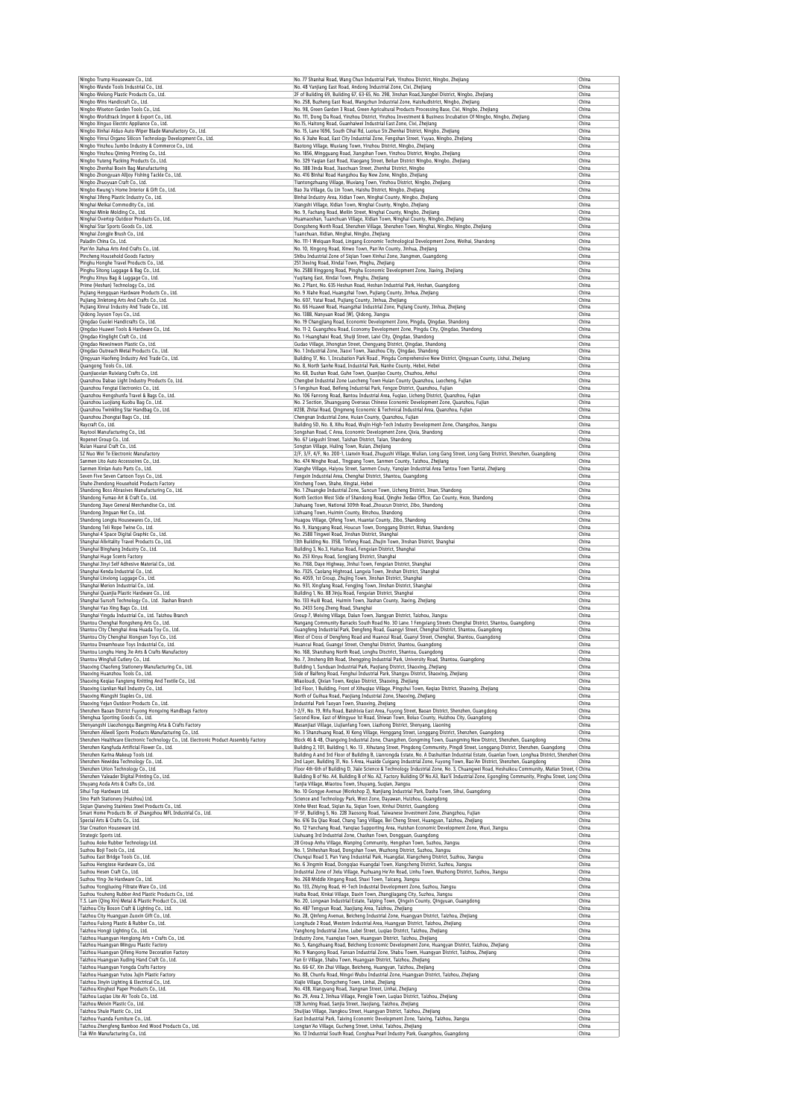| Ningbo Trump Houseware Co., Ltd.                                                                                                                                                                                                                                                                                                                                                                                                                                                                                                                                                                                                                                                                                                                                                                                                                                                                                                                                                                                                                                                                                                                                                                                                                                                                                                                                                                                                                                                                                                                                                                                                                                                                                                | No. 77 Shanhai Road, Wang Chun Industrial Park, Yinzhou District, Ningbo, Zhejiang                                                                                                                                                                                     | China          |
|---------------------------------------------------------------------------------------------------------------------------------------------------------------------------------------------------------------------------------------------------------------------------------------------------------------------------------------------------------------------------------------------------------------------------------------------------------------------------------------------------------------------------------------------------------------------------------------------------------------------------------------------------------------------------------------------------------------------------------------------------------------------------------------------------------------------------------------------------------------------------------------------------------------------------------------------------------------------------------------------------------------------------------------------------------------------------------------------------------------------------------------------------------------------------------------------------------------------------------------------------------------------------------------------------------------------------------------------------------------------------------------------------------------------------------------------------------------------------------------------------------------------------------------------------------------------------------------------------------------------------------------------------------------------------------------------------------------------------------|------------------------------------------------------------------------------------------------------------------------------------------------------------------------------------------------------------------------------------------------------------------------|----------------|
| Ningbo Wande Tools Industrial Co., Ltd.                                                                                                                                                                                                                                                                                                                                                                                                                                                                                                                                                                                                                                                                                                                                                                                                                                                                                                                                                                                                                                                                                                                                                                                                                                                                                                                                                                                                                                                                                                                                                                                                                                                                                         | No. 48 Yanjiang East Road, Andong Industrial Zone, Cixi, Zhejiang                                                                                                                                                                                                      | China          |
| Ningbo Welong Plastic Products Co., Ltd.<br>Ningbo Wins Handicraft Co., Ltd.                                                                                                                                                                                                                                                                                                                                                                                                                                                                                                                                                                                                                                                                                                                                                                                                                                                                                                                                                                                                                                                                                                                                                                                                                                                                                                                                                                                                                                                                                                                                                                                                                                                    | 2F of Building 69, Building 67, 63-65, No. 298, Jinshan Road, Jiangbei District, Ningbo, Zhejiang<br>No. 258, Buzheng East Road, Wangchun Industrial Zone, Haishudistrict, Ningbo, Zhejiang                                                                            | China<br>China |
| Ningbo Wiseton Garden Tools Co., Ltd.                                                                                                                                                                                                                                                                                                                                                                                                                                                                                                                                                                                                                                                                                                                                                                                                                                                                                                                                                                                                                                                                                                                                                                                                                                                                                                                                                                                                                                                                                                                                                                                                                                                                                           | No. 98, Green Garden 3 Road, Green Agricultural Products Processing Base, Cixi, Ningbo, Zhejiang                                                                                                                                                                       | China          |
| Ningbo Worldtrack Import & Export Co., Ltd.                                                                                                                                                                                                                                                                                                                                                                                                                                                                                                                                                                                                                                                                                                                                                                                                                                                                                                                                                                                                                                                                                                                                                                                                                                                                                                                                                                                                                                                                                                                                                                                                                                                                                     | No. 111, Dong Da Road, Yinzhou District, Yinzhou Investment & Business Incubation Of Ningbo, Ningbo, Zhejiang<br>No.15, Haitong Road, Guanhaiwei Industrial East Zone, Cixi, Zhejiang                                                                                  | China<br>China |
| Ningbo Xinguo Electric Appliance Co., Ltd.<br>Ningbo Xinhai Aiduo Auto Wiper Blade Manufactory Co., Ltd.                                                                                                                                                                                                                                                                                                                                                                                                                                                                                                                                                                                                                                                                                                                                                                                                                                                                                                                                                                                                                                                                                                                                                                                                                                                                                                                                                                                                                                                                                                                                                                                                                        | No. 15, Lane 1696, South Cihai Rd, Luotuo Str.Zhenhai District, Ningbo, Zhejiang                                                                                                                                                                                       | China          |
| Ningbo Yinrui Organo Silicon Technology Development Co., Ltd.                                                                                                                                                                                                                                                                                                                                                                                                                                                                                                                                                                                                                                                                                                                                                                                                                                                                                                                                                                                                                                                                                                                                                                                                                                                                                                                                                                                                                                                                                                                                                                                                                                                                   | No. 6 Jiahe Road, East City Industrial Zone, Fengshan Street, Yuyao, Ningbo, Zhejiang                                                                                                                                                                                  | China          |
| Ningbo Yinzhou Jumbo Industry & Commerce Co., Ltd.<br>Ningbo Yinzhou Qiming Printing Co., Ltd.                                                                                                                                                                                                                                                                                                                                                                                                                                                                                                                                                                                                                                                                                                                                                                                                                                                                                                                                                                                                                                                                                                                                                                                                                                                                                                                                                                                                                                                                                                                                                                                                                                  | Baotong Village, Wuxiang Town, Yinzhou District, Ningbo, Zhejiang<br>No. 1856, Mingguang Road, Jiangshan Town, Yinzhou District, Ningbo, Zhejiang                                                                                                                      | China<br>China |
| Ningbo Yuteng Packing Products Co., Ltd.                                                                                                                                                                                                                                                                                                                                                                                                                                                                                                                                                                                                                                                                                                                                                                                                                                                                                                                                                                                                                                                                                                                                                                                                                                                                                                                                                                                                                                                                                                                                                                                                                                                                                        | No. 329 Yaqian East Road, Xiaoqanq Street, Beilun District Ningbo, Ningbo, Zhejiang                                                                                                                                                                                    | China          |
| Ningbo Zhenhai Boxin Bag Manufacturing<br>Ningbo Zhongyuan Alljoy Fishing Tackle Co., Ltd.                                                                                                                                                                                                                                                                                                                                                                                                                                                                                                                                                                                                                                                                                                                                                                                                                                                                                                                                                                                                                                                                                                                                                                                                                                                                                                                                                                                                                                                                                                                                                                                                                                      | No. 388 Jinda Road, Jiaochuan Street, Zhenhai District, Ningbo                                                                                                                                                                                                         | China<br>China |
| Ningbo Zhuoyuan Craft Co., Ltd.                                                                                                                                                                                                                                                                                                                                                                                                                                                                                                                                                                                                                                                                                                                                                                                                                                                                                                                                                                                                                                                                                                                                                                                                                                                                                                                                                                                                                                                                                                                                                                                                                                                                                                 | No. 416 Binhai Road Hangzhou Bay New Zone, Ningbo, Zhejiang<br>Tiantongzhuang Village, Wuxiang Town, Yinzhou District, Ningbo, Zhejiang                                                                                                                                | China          |
| Ningbo Kwung's Home Interior & Gift Co., Ltd.                                                                                                                                                                                                                                                                                                                                                                                                                                                                                                                                                                                                                                                                                                                                                                                                                                                                                                                                                                                                                                                                                                                                                                                                                                                                                                                                                                                                                                                                                                                                                                                                                                                                                   | Bao Jia Village, Gu Lin Town, Haishu District, Ningbo, Zhejiang                                                                                                                                                                                                        | China          |
| Ninghai Jifeng Plastic Industry Co., Ltd.<br>Ninghai Meikai Commodity Co., Ltd.                                                                                                                                                                                                                                                                                                                                                                                                                                                                                                                                                                                                                                                                                                                                                                                                                                                                                                                                                                                                                                                                                                                                                                                                                                                                                                                                                                                                                                                                                                                                                                                                                                                 | Binhai Industry Area, Xidian Town, Ninghai County, Ningbo, Zhejiang<br>Xiangshi Village, Xidian Town, Ninghai County, Ningbo, Zhejiang                                                                                                                                 | China<br>China |
| Ninghai Minle Molding Co., Ltd.                                                                                                                                                                                                                                                                                                                                                                                                                                                                                                                                                                                                                                                                                                                                                                                                                                                                                                                                                                                                                                                                                                                                                                                                                                                                                                                                                                                                                                                                                                                                                                                                                                                                                                 | No. 9, Fachang Road, Meilin Street, Ninghai County, Ningbo, Zhejiang                                                                                                                                                                                                   | China          |
| Ninghai Overtop Outdoor Products Co., Ltd.<br>Ninghai Star Sports Goods Co., Ltd.                                                                                                                                                                                                                                                                                                                                                                                                                                                                                                                                                                                                                                                                                                                                                                                                                                                                                                                                                                                                                                                                                                                                                                                                                                                                                                                                                                                                                                                                                                                                                                                                                                               | Huamaoshan, Tuanchuan Village, Xidian Town, Ninghai County, Ningbo, Zhejiang<br>Dongsheng North Road, Shenzhen Village, Shenzhen Town, Ninghai, Ningbo, Ningbo, Zhejiang                                                                                               | China<br>China |
| Ninghai Zongjie Brush Co., Ltd.                                                                                                                                                                                                                                                                                                                                                                                                                                                                                                                                                                                                                                                                                                                                                                                                                                                                                                                                                                                                                                                                                                                                                                                                                                                                                                                                                                                                                                                                                                                                                                                                                                                                                                 | Tuanchuan, Xidian, Ninghai, Ningbo, Zhejiang                                                                                                                                                                                                                           | China          |
| Paladin China Co., Ltd.<br>Pan'An Jiahua Arts And Crafts Co., Ltd.                                                                                                                                                                                                                                                                                                                                                                                                                                                                                                                                                                                                                                                                                                                                                                                                                                                                                                                                                                                                                                                                                                                                                                                                                                                                                                                                                                                                                                                                                                                                                                                                                                                              | No. 111-1 Weiquan Road, Lingang Economic Technological Development Zone, Weihai, Shandong<br>No. 10, Xingong Road, Xinwo Town, Pan'An County, Jinhua, Zhejiang                                                                                                         | China<br>China |
| Pincheng Household Goods Factory                                                                                                                                                                                                                                                                                                                                                                                                                                                                                                                                                                                                                                                                                                                                                                                                                                                                                                                                                                                                                                                                                                                                                                                                                                                                                                                                                                                                                                                                                                                                                                                                                                                                                                | Shibu Industrial Zone of Sigian Town Xinhui Zone, Jiangmen, Guangdong                                                                                                                                                                                                  | China          |
| Pinghu Honghe Travel Products Co., Ltd.                                                                                                                                                                                                                                                                                                                                                                                                                                                                                                                                                                                                                                                                                                                                                                                                                                                                                                                                                                                                                                                                                                                                                                                                                                                                                                                                                                                                                                                                                                                                                                                                                                                                                         | 251 Jiexing Road, Xindai Town, Pinghu, Zhejiang                                                                                                                                                                                                                        | China          |
| Pinghu Sitong Luggage & Bag Co., Ltd.<br>Pinghu Xinyu Bag & Luggage Co., Ltd.                                                                                                                                                                                                                                                                                                                                                                                                                                                                                                                                                                                                                                                                                                                                                                                                                                                                                                                                                                                                                                                                                                                                                                                                                                                                                                                                                                                                                                                                                                                                                                                                                                                   | No. 2588 Xinggong Road, Pinghu Economic Development Zone, Jiaxing, Zhejiang<br>Yuqitang East, Xindai Town, Pinghu, Zhejiang                                                                                                                                            | China<br>China |
| Prime (Heshan) Technology Co., Ltd.                                                                                                                                                                                                                                                                                                                                                                                                                                                                                                                                                                                                                                                                                                                                                                                                                                                                                                                                                                                                                                                                                                                                                                                                                                                                                                                                                                                                                                                                                                                                                                                                                                                                                             | No. 2 Plant, No. 635 Heshun Road, Heshan Industrial Park, Heshan, Guangdong                                                                                                                                                                                            | China          |
| Pujiang Hengquan Hardware Products Co., Ltd.                                                                                                                                                                                                                                                                                                                                                                                                                                                                                                                                                                                                                                                                                                                                                                                                                                                                                                                                                                                                                                                                                                                                                                                                                                                                                                                                                                                                                                                                                                                                                                                                                                                                                    | No. 9 Xiahe Road, Huangzhai Town, Pujiang County, Jinhua, Zhejiang                                                                                                                                                                                                     | China<br>China |
| Pujiang Jinletong Arts And Crafts Co., Ltd.<br>Pujiang Xinrui Industry And Trade Co., Ltd.                                                                                                                                                                                                                                                                                                                                                                                                                                                                                                                                                                                                                                                                                                                                                                                                                                                                                                                                                                                                                                                                                                                                                                                                                                                                                                                                                                                                                                                                                                                                                                                                                                      | No. 607, Yatai Road, Pujiang County, Jinhua, Zhejiang<br>No. 66 Huawei Road, Huangzhai Industrial Zone, Pujiang County, Jinhua, Zhejiang                                                                                                                               | China          |
| Qidong Joyson Toys Co., Ltd.                                                                                                                                                                                                                                                                                                                                                                                                                                                                                                                                                                                                                                                                                                                                                                                                                                                                                                                                                                                                                                                                                                                                                                                                                                                                                                                                                                                                                                                                                                                                                                                                                                                                                                    | No. 1388, Nanyuan Road (W), Qidong, Jiangsu                                                                                                                                                                                                                            | China          |
| Qingdao Guolei Handicrafts Co., Ltd.                                                                                                                                                                                                                                                                                                                                                                                                                                                                                                                                                                                                                                                                                                                                                                                                                                                                                                                                                                                                                                                                                                                                                                                                                                                                                                                                                                                                                                                                                                                                                                                                                                                                                            | No. 19 Changjiang Road, Economic Development Zone, Pingdu, Qingdao, Shandong                                                                                                                                                                                           | China<br>China |
| Qingdao Huawei Tools & Hardware Co., Ltd.<br>Qingdao Kinglight Craft Co., Ltd.                                                                                                                                                                                                                                                                                                                                                                                                                                                                                                                                                                                                                                                                                                                                                                                                                                                                                                                                                                                                                                                                                                                                                                                                                                                                                                                                                                                                                                                                                                                                                                                                                                                  | No. 11-2, Guangzhou Road, Economy Development Zone, Pingdu City, Qingdao, Shandong<br>No. 1 Huanghaixi Road, Shuiji Street, Laixi City, Qingdao, Shandong                                                                                                              | China          |
| Qingdao Newsinwon Plastic Co., Ltd.                                                                                                                                                                                                                                                                                                                                                                                                                                                                                                                                                                                                                                                                                                                                                                                                                                                                                                                                                                                                                                                                                                                                                                                                                                                                                                                                                                                                                                                                                                                                                                                                                                                                                             | Gudao Village, Jihongtan Street, Chengyang District, Qingdao, Shandong                                                                                                                                                                                                 | China          |
| Qingdao Outreach Metal Products Co., Ltd.<br>Qingyuan Haofeng Industry And Trade Co., Ltd.                                                                                                                                                                                                                                                                                                                                                                                                                                                                                                                                                                                                                                                                                                                                                                                                                                                                                                                                                                                                                                                                                                                                                                                                                                                                                                                                                                                                                                                                                                                                                                                                                                      | No. 1 Industrial Zone, Jiaoxi Town, Jiaozhou City, Qingdao, Shandong<br>Building 17, No. 1, Incubation Park Road, Pingdu Comprehensive New District, Qingyuan County, Lishui, Zhejiang                                                                                 | China<br>China |
| Quangong Tools Co., Ltd.                                                                                                                                                                                                                                                                                                                                                                                                                                                                                                                                                                                                                                                                                                                                                                                                                                                                                                                                                                                                                                                                                                                                                                                                                                                                                                                                                                                                                                                                                                                                                                                                                                                                                                        | No. 8, North Sanhe Road, Industrial Park, Nanhe County, Hebei, Hebei                                                                                                                                                                                                   | China          |
| Quanjiaoxian Ruixiang Crafts Co., Ltd.                                                                                                                                                                                                                                                                                                                                                                                                                                                                                                                                                                                                                                                                                                                                                                                                                                                                                                                                                                                                                                                                                                                                                                                                                                                                                                                                                                                                                                                                                                                                                                                                                                                                                          | No. 68, Dushan Road, Guhe Town, Quanjiao County, Chuzhou, Anhui                                                                                                                                                                                                        | China<br>China |
| Quanzhou Dabao Light Industry Products Co, Ltd.<br>Quanzhou Fengtai Electronics Co., Ltd.                                                                                                                                                                                                                                                                                                                                                                                                                                                                                                                                                                                                                                                                                                                                                                                                                                                                                                                                                                                                                                                                                                                                                                                                                                                                                                                                                                                                                                                                                                                                                                                                                                       | Chengbei Industrial Zone Luocheng Town Huian County Quanzhou, Luocheng, Fujian<br>5 Fengshun Road, Beifeng Industrial Park, Fengze District, Quanzhou, Fujian                                                                                                          | China          |
| Quanzhou Hengshunfa Travel & Bags Co., Ltd.                                                                                                                                                                                                                                                                                                                                                                                                                                                                                                                                                                                                                                                                                                                                                                                                                                                                                                                                                                                                                                                                                                                                                                                                                                                                                                                                                                                                                                                                                                                                                                                                                                                                                     | No. 106 Fanrong Road, Bantou Industrial Area, Fugiao, Licheng District, Quanzhou, Fujian                                                                                                                                                                               | China          |
| Quanzhou Luojiang Kuobu Bag Co., Ltd.<br>Quanzhou Twinkling Star Handbag Co., Ltd.                                                                                                                                                                                                                                                                                                                                                                                                                                                                                                                                                                                                                                                                                                                                                                                                                                                                                                                                                                                                                                                                                                                                                                                                                                                                                                                                                                                                                                                                                                                                                                                                                                              | No. 2 Section, Shuangyang Overseas Chinese Economic Development Zone, Quanzhou, Fujian<br>#238, Zhitai Road, Qingmeng Economic & Technical Industrial Area, Quanzhou, Fujian                                                                                           | China<br>China |
| Quanzhou Zhongtai Bags Co., Ltd.                                                                                                                                                                                                                                                                                                                                                                                                                                                                                                                                                                                                                                                                                                                                                                                                                                                                                                                                                                                                                                                                                                                                                                                                                                                                                                                                                                                                                                                                                                                                                                                                                                                                                                | Chengnan Industrial Zone, Huian County, Quanzhou, Fujian                                                                                                                                                                                                               | China          |
| Raycraft Co., Ltd.<br>Raytool Manufacturing Co., Ltd.                                                                                                                                                                                                                                                                                                                                                                                                                                                                                                                                                                                                                                                                                                                                                                                                                                                                                                                                                                                                                                                                                                                                                                                                                                                                                                                                                                                                                                                                                                                                                                                                                                                                           | Building 5D, No. 8, Xihu Road, Wujin High-Tech Industry Development Zone, Changzhou, Jiangsu<br>Songshan Road, C Area, Economic Development Zone, Qixia, Shandong                                                                                                      | China<br>China |
| Ropenet Group Co., Ltd.                                                                                                                                                                                                                                                                                                                                                                                                                                                                                                                                                                                                                                                                                                                                                                                                                                                                                                                                                                                                                                                                                                                                                                                                                                                                                                                                                                                                                                                                                                                                                                                                                                                                                                         | No. 67 Leigushi Street, Taishan District, Taian, Shandong                                                                                                                                                                                                              | China          |
| Ruian Huarui Craft Co., Ltd.<br>S7 Nuo Wei Te Electronic Manufactory                                                                                                                                                                                                                                                                                                                                                                                                                                                                                                                                                                                                                                                                                                                                                                                                                                                                                                                                                                                                                                                                                                                                                                                                                                                                                                                                                                                                                                                                                                                                                                                                                                                            | Songtan Village, Huling Town, Ruian, Zhejiang                                                                                                                                                                                                                          | China          |
| Sanmen Lito Auto Accessoires Co., Ltd.                                                                                                                                                                                                                                                                                                                                                                                                                                                                                                                                                                                                                                                                                                                                                                                                                                                                                                                                                                                                                                                                                                                                                                                                                                                                                                                                                                                                                                                                                                                                                                                                                                                                                          | 2/F, 3/F, 4/F, No. 200-1, Lianxin Road, Zhugushi Village, Wulian, Long Gang Street, Long Gang District, Shenzhen, Guangdong<br>No. 474 Ninghe Road., Tingpang Town, Sanmen County, Taizhou, Zhejiang                                                                   | China<br>China |
| Sanmen Xinlan Auto Parts Co., Ltd.                                                                                                                                                                                                                                                                                                                                                                                                                                                                                                                                                                                                                                                                                                                                                                                                                                                                                                                                                                                                                                                                                                                                                                                                                                                                                                                                                                                                                                                                                                                                                                                                                                                                                              | Xianghe Village, Haiyou Street, Sanmen Couty, Yanqian Industrial Area Tantou Town Tiantai, Zhejiang                                                                                                                                                                    | China          |
| Seven Five Seven Cartoon Toys Co., Ltd.                                                                                                                                                                                                                                                                                                                                                                                                                                                                                                                                                                                                                                                                                                                                                                                                                                                                                                                                                                                                                                                                                                                                                                                                                                                                                                                                                                                                                                                                                                                                                                                                                                                                                         | Fengxin Industrial Area, Chenghai District, Shantou, Guangdong                                                                                                                                                                                                         | China<br>China |
| Shahe Zhendong Household Products Factory<br>Shandong Boss Abrasives Manufacturing Co., Ltd.                                                                                                                                                                                                                                                                                                                                                                                                                                                                                                                                                                                                                                                                                                                                                                                                                                                                                                                                                                                                                                                                                                                                                                                                                                                                                                                                                                                                                                                                                                                                                                                                                                    | Xincheng Town, Shahe, Xingtai, Hebei<br>No. 1 Zhuangke Industrial Zone, Suncun Town, Licheng District, Jinan, Shandong                                                                                                                                                 | China          |
| Shandong Fumao Art & Craft Co., Ltd.                                                                                                                                                                                                                                                                                                                                                                                                                                                                                                                                                                                                                                                                                                                                                                                                                                                                                                                                                                                                                                                                                                                                                                                                                                                                                                                                                                                                                                                                                                                                                                                                                                                                                            | North Section West Side of Shandong Road, Qinghe Jiedao Office, Cao County, Heze, Shandong                                                                                                                                                                             | China          |
| Shandong Jiaye General Merchandise Co., Ltd.<br>Shandong Jinguan Net Co., Ltd.                                                                                                                                                                                                                                                                                                                                                                                                                                                                                                                                                                                                                                                                                                                                                                                                                                                                                                                                                                                                                                                                                                                                                                                                                                                                                                                                                                                                                                                                                                                                                                                                                                                  | Jiahuang Town, National 309th Road., Zhoucun District, Zibo, Shandong<br>Lizhuang Town, Huimin County, Binzhou, Shandong                                                                                                                                               | China<br>China |
| Shandong Longtu Housewares Co., Ltd.                                                                                                                                                                                                                                                                                                                                                                                                                                                                                                                                                                                                                                                                                                                                                                                                                                                                                                                                                                                                                                                                                                                                                                                                                                                                                                                                                                                                                                                                                                                                                                                                                                                                                            | Huagou Village, Qifeng Town, Huantai County, Zibo, Shandong                                                                                                                                                                                                            | China          |
| Shandong Teli Rope Twine Co., Ltd.                                                                                                                                                                                                                                                                                                                                                                                                                                                                                                                                                                                                                                                                                                                                                                                                                                                                                                                                                                                                                                                                                                                                                                                                                                                                                                                                                                                                                                                                                                                                                                                                                                                                                              | No. 9, Xiangyang Road, Houcun Town, Donggang District, Rizhao, Shandong                                                                                                                                                                                                | China          |
| Shanghai 4 Space Digital Graphic Co., Ltd.<br>Shanghai Allvitality Travel Products Co., Ltd.                                                                                                                                                                                                                                                                                                                                                                                                                                                                                                                                                                                                                                                                                                                                                                                                                                                                                                                                                                                                                                                                                                                                                                                                                                                                                                                                                                                                                                                                                                                                                                                                                                    | No. 2588 Tingwei Road, Jinshan District, Shanghai<br>13th Building No. 3158, Tinfeng Road, Zhujin Town, Jinshan District, Shanghai                                                                                                                                     | China<br>China |
| Shanghai Binghang Industry Co., Ltd.                                                                                                                                                                                                                                                                                                                                                                                                                                                                                                                                                                                                                                                                                                                                                                                                                                                                                                                                                                                                                                                                                                                                                                                                                                                                                                                                                                                                                                                                                                                                                                                                                                                                                            | Building 3, No.3, Haituo Road, Fengxian District, Shanghai                                                                                                                                                                                                             | China          |
| Shanghai Huge Scents Factory                                                                                                                                                                                                                                                                                                                                                                                                                                                                                                                                                                                                                                                                                                                                                                                                                                                                                                                                                                                                                                                                                                                                                                                                                                                                                                                                                                                                                                                                                                                                                                                                                                                                                                    | No. 253 Xinyu Road, Songjiang District, Shanghai                                                                                                                                                                                                                       | China<br>China |
| Shanghai Jinyi Self Adhesive Material Co., Ltd.<br>Shanghai Kenda Industrial Co., Ltd.                                                                                                                                                                                                                                                                                                                                                                                                                                                                                                                                                                                                                                                                                                                                                                                                                                                                                                                                                                                                                                                                                                                                                                                                                                                                                                                                                                                                                                                                                                                                                                                                                                          | No. 7168, Daye Highway, Jinhui Town, Fengxian District, Shanghai<br>No. 7325, Caolang Highroad, Langxia Town, Jinshan District, Shanghai                                                                                                                               | China          |
| Shanghai Linxiong Luggage Co., Ltd.                                                                                                                                                                                                                                                                                                                                                                                                                                                                                                                                                                                                                                                                                                                                                                                                                                                                                                                                                                                                                                                                                                                                                                                                                                                                                                                                                                                                                                                                                                                                                                                                                                                                                             | No. 4059, 1st Group, Zhujing Town, Jinshan District, Shanghai                                                                                                                                                                                                          | China          |
| Shanghai Merion Industrial Co., Ltd.<br>Shanghai Quanjia Plastic Hardware Co., Ltd.                                                                                                                                                                                                                                                                                                                                                                                                                                                                                                                                                                                                                                                                                                                                                                                                                                                                                                                                                                                                                                                                                                                                                                                                                                                                                                                                                                                                                                                                                                                                                                                                                                             | No. 931, Xingfang Road, Fengjing Town, Jinshan District, Shanghai<br>Building 1, No. 88 Jinju Road, Fengxian District, Shanghai                                                                                                                                        | China<br>China |
| Shanghai Sursoft Technology Co., Ltd. Jiashan Branch                                                                                                                                                                                                                                                                                                                                                                                                                                                                                                                                                                                                                                                                                                                                                                                                                                                                                                                                                                                                                                                                                                                                                                                                                                                                                                                                                                                                                                                                                                                                                                                                                                                                            | No. 133 Huili Road, Huimin Town, Jiashan County, Jiaxing, Zhejiang                                                                                                                                                                                                     | China          |
| Shanghai Yao Xing Bags Co., Ltd.                                                                                                                                                                                                                                                                                                                                                                                                                                                                                                                                                                                                                                                                                                                                                                                                                                                                                                                                                                                                                                                                                                                                                                                                                                                                                                                                                                                                                                                                                                                                                                                                                                                                                                | No. 2433 Song Zheng Road, Shanghai                                                                                                                                                                                                                                     | China          |
| Shanghai Yingdu Industrial Co., Ltd. Taizhou Branch<br>Shantou Chenghai Rongsheng Arts Co., Ltd.                                                                                                                                                                                                                                                                                                                                                                                                                                                                                                                                                                                                                                                                                                                                                                                                                                                                                                                                                                                                                                                                                                                                                                                                                                                                                                                                                                                                                                                                                                                                                                                                                                | Group 7, Weixing Village, Dalun Town, Jiangyan District, Taizhou, Jiangsu<br>Nangang Community Barracks South Road No. 30 Lane. 1 Fengxiang Streets Chenghai District, Shantou, Guangdong                                                                              | China<br>China |
| Shantou City Chenghai Area Huada Toy Co., Ltd.                                                                                                                                                                                                                                                                                                                                                                                                                                                                                                                                                                                                                                                                                                                                                                                                                                                                                                                                                                                                                                                                                                                                                                                                                                                                                                                                                                                                                                                                                                                                                                                                                                                                                  | Guangfeng Industrial Park, Dengfeng Road, Guangyi Street, Chenghai District, Shantou, Guangdong                                                                                                                                                                        | China          |
| Shantou City Chenghai Xiongsen Toys Co., Ltd.<br>Shantou Dreamhouse Toys Industrial Co., Ltd.                                                                                                                                                                                                                                                                                                                                                                                                                                                                                                                                                                                                                                                                                                                                                                                                                                                                                                                                                                                                                                                                                                                                                                                                                                                                                                                                                                                                                                                                                                                                                                                                                                   | West of Cross of Dengfeng Road and Huancui Road, Guanyi Street, Chenghai, Shantou, Guangdong<br>Huancui Road, Guanqyi Street, Chenghai District, Shantou, Guangdong                                                                                                    | China<br>China |
| Shantou Longhu Heng Jie Arts & Crafts Manufactory                                                                                                                                                                                                                                                                                                                                                                                                                                                                                                                                                                                                                                                                                                                                                                                                                                                                                                                                                                                                                                                                                                                                                                                                                                                                                                                                                                                                                                                                                                                                                                                                                                                                               | No. 168, Shanzhang North Road, Longhu Disctrict, Shantou, Guangdong                                                                                                                                                                                                    | China          |
| Shantou Wingfull Cutlery Co., Ltd.                                                                                                                                                                                                                                                                                                                                                                                                                                                                                                                                                                                                                                                                                                                                                                                                                                                                                                                                                                                                                                                                                                                                                                                                                                                                                                                                                                                                                                                                                                                                                                                                                                                                                              | No. 7, Jinsheng 8th Road, Shengping Industrial Park, University Road, Shantou, Guangdong                                                                                                                                                                               | China          |
| Shaoxing Chaofeng Stationery Manufacturing Co., Ltd.<br>Shaoxing Huanzhou Tools Co., Ltd.                                                                                                                                                                                                                                                                                                                                                                                                                                                                                                                                                                                                                                                                                                                                                                                                                                                                                                                                                                                                                                                                                                                                                                                                                                                                                                                                                                                                                                                                                                                                                                                                                                       | Building 1 Sunduan Industrial Park, Paoliang District, Shaoying, Zheliang<br>Side of Baifeng Road, Fenghui Industrial Park, Shangyu District, Shaoxing, Zhejiang                                                                                                       |                |
|                                                                                                                                                                                                                                                                                                                                                                                                                                                                                                                                                                                                                                                                                                                                                                                                                                                                                                                                                                                                                                                                                                                                                                                                                                                                                                                                                                                                                                                                                                                                                                                                                                                                                                                                 |                                                                                                                                                                                                                                                                        | China          |
|                                                                                                                                                                                                                                                                                                                                                                                                                                                                                                                                                                                                                                                                                                                                                                                                                                                                                                                                                                                                                                                                                                                                                                                                                                                                                                                                                                                                                                                                                                                                                                                                                                                                                                                                 | Miaoloudi, Qixian Town, Keqiao District, Shaoxing, Zhejiang                                                                                                                                                                                                            | China<br>China |
|                                                                                                                                                                                                                                                                                                                                                                                                                                                                                                                                                                                                                                                                                                                                                                                                                                                                                                                                                                                                                                                                                                                                                                                                                                                                                                                                                                                                                                                                                                                                                                                                                                                                                                                                 | 3rd Floor, 1 Building, Front of Xihuqiao Village, Pingshui Town, Keqiao District, Shaoxing, Zhejiang                                                                                                                                                                   | China          |
|                                                                                                                                                                                                                                                                                                                                                                                                                                                                                                                                                                                                                                                                                                                                                                                                                                                                                                                                                                                                                                                                                                                                                                                                                                                                                                                                                                                                                                                                                                                                                                                                                                                                                                                                 | North of Guihua Road, Paojiang Industrial Zone, Shaoxing, Zhejiang<br>Industrial Park Taoyan Town, Shaoxing, Zhejiang                                                                                                                                                  | China<br>China |
|                                                                                                                                                                                                                                                                                                                                                                                                                                                                                                                                                                                                                                                                                                                                                                                                                                                                                                                                                                                                                                                                                                                                                                                                                                                                                                                                                                                                                                                                                                                                                                                                                                                                                                                                 | 1-2/F, No. 19, Rifu Road, Baishixia East Area, Fuyong Street, Baoan District, Shenzhen, Guangdong                                                                                                                                                                      | China          |
|                                                                                                                                                                                                                                                                                                                                                                                                                                                                                                                                                                                                                                                                                                                                                                                                                                                                                                                                                                                                                                                                                                                                                                                                                                                                                                                                                                                                                                                                                                                                                                                                                                                                                                                                 | Second Row, East of Mingyue 1st Road, Shiwan Town, Boluo County, Huizhou City, Guangdong                                                                                                                                                                               | China          |
|                                                                                                                                                                                                                                                                                                                                                                                                                                                                                                                                                                                                                                                                                                                                                                                                                                                                                                                                                                                                                                                                                                                                                                                                                                                                                                                                                                                                                                                                                                                                                                                                                                                                                                                                 | Masanjiazi Village, Liujianfang Town, Liazhong District, Shenyang, Liaoning<br>No. 3 Shanzhuang Road, Xi Keng Village, Henggang Street, Longgang District, Shenzhen, Guangdong                                                                                         | China<br>China |
|                                                                                                                                                                                                                                                                                                                                                                                                                                                                                                                                                                                                                                                                                                                                                                                                                                                                                                                                                                                                                                                                                                                                                                                                                                                                                                                                                                                                                                                                                                                                                                                                                                                                                                                                 | Block 46 & 48, Changxing Industrial Zone, Changzhen, Gongming Town, Guangming New District, Shenzhen, Guangdong                                                                                                                                                        | China          |
|                                                                                                                                                                                                                                                                                                                                                                                                                                                                                                                                                                                                                                                                                                                                                                                                                                                                                                                                                                                                                                                                                                                                                                                                                                                                                                                                                                                                                                                                                                                                                                                                                                                                                                                                 | Building 2, 101, Building 1, No. 13, Xihutang Street, Pingdong Community, Pingdi Street, Longgang District, Shenzhen, Guangdong                                                                                                                                        | China          |
|                                                                                                                                                                                                                                                                                                                                                                                                                                                                                                                                                                                                                                                                                                                                                                                                                                                                                                                                                                                                                                                                                                                                                                                                                                                                                                                                                                                                                                                                                                                                                                                                                                                                                                                                 | Building A and 3rd Floor of Building B, Lianrongda Estate, No. A Dashuitian Industrial Estate, Guanlan Town, Longhua District, Shenzher China<br>2nd Layer, Building 31, No. 5 Area, Huaide Cuigang Industrial Zone, Fuyong Town, Bao'An District, Shenzhen, Guangdong | China          |
|                                                                                                                                                                                                                                                                                                                                                                                                                                                                                                                                                                                                                                                                                                                                                                                                                                                                                                                                                                                                                                                                                                                                                                                                                                                                                                                                                                                                                                                                                                                                                                                                                                                                                                                                 | Floor 4th-6th of Building D, Jiale Science & Technology Industrial Zone, No. 3, Chuangwei Road, Heshuikou Community, Matian Street, I China                                                                                                                            |                |
|                                                                                                                                                                                                                                                                                                                                                                                                                                                                                                                                                                                                                                                                                                                                                                                                                                                                                                                                                                                                                                                                                                                                                                                                                                                                                                                                                                                                                                                                                                                                                                                                                                                                                                                                 | Building B of No. A4, Building B of No. A2, Factory Building Of No.A3, Bao'E Industrial Zone, Egongling Community, Pinghu Street, Long China<br>Tanjia Village, Miaotou Town, Shuyang, Sugian, Jiangsu                                                                 | China          |
|                                                                                                                                                                                                                                                                                                                                                                                                                                                                                                                                                                                                                                                                                                                                                                                                                                                                                                                                                                                                                                                                                                                                                                                                                                                                                                                                                                                                                                                                                                                                                                                                                                                                                                                                 | No. 10 Gongye Avenue (Workshop 2), Nanjiang Industrial Park, Dasha Town, Sihui, Guangdong                                                                                                                                                                              | China          |
|                                                                                                                                                                                                                                                                                                                                                                                                                                                                                                                                                                                                                                                                                                                                                                                                                                                                                                                                                                                                                                                                                                                                                                                                                                                                                                                                                                                                                                                                                                                                                                                                                                                                                                                                 | Science and Technology Park, West Zone, Dayawan, Huizhou, Guangdong                                                                                                                                                                                                    | China<br>China |
|                                                                                                                                                                                                                                                                                                                                                                                                                                                                                                                                                                                                                                                                                                                                                                                                                                                                                                                                                                                                                                                                                                                                                                                                                                                                                                                                                                                                                                                                                                                                                                                                                                                                                                                                 | Xinhe West Road, Siqian Xu, Siqian Town, Xinhui District, Guangdong<br>1F-5F, Building 5, No. 228 Jiaosong Road, Taiwanese Investment Zone, Zhangzhou, Fujian                                                                                                          | China          |
|                                                                                                                                                                                                                                                                                                                                                                                                                                                                                                                                                                                                                                                                                                                                                                                                                                                                                                                                                                                                                                                                                                                                                                                                                                                                                                                                                                                                                                                                                                                                                                                                                                                                                                                                 | No. 616 Da Qiao Road, Chang Tang Village, Bei Cheng Street, Huangyan, Taizhou, Zhejiang                                                                                                                                                                                | China          |
|                                                                                                                                                                                                                                                                                                                                                                                                                                                                                                                                                                                                                                                                                                                                                                                                                                                                                                                                                                                                                                                                                                                                                                                                                                                                                                                                                                                                                                                                                                                                                                                                                                                                                                                                 | No. 12 Yanchang Road, Yanqiao Supporting Area, Huishan Economic Development Zone, Wuxi, Jiangsu                                                                                                                                                                        | China          |
|                                                                                                                                                                                                                                                                                                                                                                                                                                                                                                                                                                                                                                                                                                                                                                                                                                                                                                                                                                                                                                                                                                                                                                                                                                                                                                                                                                                                                                                                                                                                                                                                                                                                                                                                 | Liuhuang 3rd Industrial Zone, Chashan Town, Dongguan, Guangdong<br>28 Group Anhu Village, Wanping Community, Hengshan Town, Suzhou, Jiangsu                                                                                                                            | China<br>China |
|                                                                                                                                                                                                                                                                                                                                                                                                                                                                                                                                                                                                                                                                                                                                                                                                                                                                                                                                                                                                                                                                                                                                                                                                                                                                                                                                                                                                                                                                                                                                                                                                                                                                                                                                 | No. 1, Shiheshan Road, Dongshan Town, Wuzhong District, Suzhou, Jiangsu                                                                                                                                                                                                | China          |
|                                                                                                                                                                                                                                                                                                                                                                                                                                                                                                                                                                                                                                                                                                                                                                                                                                                                                                                                                                                                                                                                                                                                                                                                                                                                                                                                                                                                                                                                                                                                                                                                                                                                                                                                 | Chunqui Road 3, Pan Yang Industrial Park, Huangdai, Xiangcheng District, Suzhou, Jiangsu<br>No. 6 Jingmin Road, Dongqiao Huangdai Town, Xiangcheng District, Suzhou, Jiangsu                                                                                           | China<br>China |
|                                                                                                                                                                                                                                                                                                                                                                                                                                                                                                                                                                                                                                                                                                                                                                                                                                                                                                                                                                                                                                                                                                                                                                                                                                                                                                                                                                                                                                                                                                                                                                                                                                                                                                                                 | Industrial Zone of Jielu Village, Puzhuang He'An Road, Linhu Town, Wuzhong District, Suzhou, Jiangsu                                                                                                                                                                   | China          |
|                                                                                                                                                                                                                                                                                                                                                                                                                                                                                                                                                                                                                                                                                                                                                                                                                                                                                                                                                                                                                                                                                                                                                                                                                                                                                                                                                                                                                                                                                                                                                                                                                                                                                                                                 | No. 268 Middle Xingang Road, Shaxi Town, Taicang, Jiangsu                                                                                                                                                                                                              | China<br>China |
|                                                                                                                                                                                                                                                                                                                                                                                                                                                                                                                                                                                                                                                                                                                                                                                                                                                                                                                                                                                                                                                                                                                                                                                                                                                                                                                                                                                                                                                                                                                                                                                                                                                                                                                                 | No. 133, Zhiying Road, Hi-Tech Industrial Development Zone, Suzhou, Jiangsu<br>Haiba Road, Xinkai Village, Daxin Town, Zhangjiagang City, Suzhou, Jiangsu                                                                                                              | China          |
|                                                                                                                                                                                                                                                                                                                                                                                                                                                                                                                                                                                                                                                                                                                                                                                                                                                                                                                                                                                                                                                                                                                                                                                                                                                                                                                                                                                                                                                                                                                                                                                                                                                                                                                                 | No. 20, Longwan Industrial Estate, Taiping Town, Qingxin County, Qingyuan, Guangdong                                                                                                                                                                                   | China          |
|                                                                                                                                                                                                                                                                                                                                                                                                                                                                                                                                                                                                                                                                                                                                                                                                                                                                                                                                                                                                                                                                                                                                                                                                                                                                                                                                                                                                                                                                                                                                                                                                                                                                                                                                 | No. 487 Tengyun Road, Jiaojiang Area, Taizhou, Zhejiang                                                                                                                                                                                                                | China<br>China |
| Taizhou City Huangyan Zuoxin Gift Co., Ltd.<br>Taizhou Fulong Plastic & Rubber Co., Ltd.                                                                                                                                                                                                                                                                                                                                                                                                                                                                                                                                                                                                                                                                                                                                                                                                                                                                                                                                                                                                                                                                                                                                                                                                                                                                                                                                                                                                                                                                                                                                                                                                                                        | No. 28, Qinfeng Avenue, Beicheng Industrial Zone, Huangyan District, Taizhou, Zhejiang<br>Longitude 2 Road, Western Industrial Area, Huangyan District, Taizhou, Zhejiang                                                                                              | China          |
|                                                                                                                                                                                                                                                                                                                                                                                                                                                                                                                                                                                                                                                                                                                                                                                                                                                                                                                                                                                                                                                                                                                                                                                                                                                                                                                                                                                                                                                                                                                                                                                                                                                                                                                                 | Yanghong Industrial Zone, Lubei Street, Luqiao District, Taizhou, Zhejiang                                                                                                                                                                                             | China          |
|                                                                                                                                                                                                                                                                                                                                                                                                                                                                                                                                                                                                                                                                                                                                                                                                                                                                                                                                                                                                                                                                                                                                                                                                                                                                                                                                                                                                                                                                                                                                                                                                                                                                                                                                 | Industry Zone, Yuanqiao Town, Huangyan District, Taizhou, Zhejiang                                                                                                                                                                                                     | China<br>China |
|                                                                                                                                                                                                                                                                                                                                                                                                                                                                                                                                                                                                                                                                                                                                                                                                                                                                                                                                                                                                                                                                                                                                                                                                                                                                                                                                                                                                                                                                                                                                                                                                                                                                                                                                 | No. 5, Kangzhuang Road, Beicheng Economic Development Zone, Huangyan District, Taizhou, Zhejiang<br>No. 9 Nangong Road, Fansan Industrial Zone, Shabu Towm, Huangyan District, Taizhou, Zhejiang                                                                       | China          |
|                                                                                                                                                                                                                                                                                                                                                                                                                                                                                                                                                                                                                                                                                                                                                                                                                                                                                                                                                                                                                                                                                                                                                                                                                                                                                                                                                                                                                                                                                                                                                                                                                                                                                                                                 | Fan Er Village, Shabu Town, Huangyan District, Taizhou, Zhejiang                                                                                                                                                                                                       | China          |
|                                                                                                                                                                                                                                                                                                                                                                                                                                                                                                                                                                                                                                                                                                                                                                                                                                                                                                                                                                                                                                                                                                                                                                                                                                                                                                                                                                                                                                                                                                                                                                                                                                                                                                                                 | No. 66-67, Xin Zhai Village, Beicheng, Huangyan, Taizhou, Zhejiang<br>No. 88, Chunfu Road, Ningxi Wubu Industrial Zone, Huangyan District, Taizhou, Zhejiang                                                                                                           | China<br>China |
|                                                                                                                                                                                                                                                                                                                                                                                                                                                                                                                                                                                                                                                                                                                                                                                                                                                                                                                                                                                                                                                                                                                                                                                                                                                                                                                                                                                                                                                                                                                                                                                                                                                                                                                                 | Xiajie Village, Dongcheng Town, Linhai, Zhejiang                                                                                                                                                                                                                       | China          |
|                                                                                                                                                                                                                                                                                                                                                                                                                                                                                                                                                                                                                                                                                                                                                                                                                                                                                                                                                                                                                                                                                                                                                                                                                                                                                                                                                                                                                                                                                                                                                                                                                                                                                                                                 | No. 438, Xiangyang Road, Jiangnan Street, Linhai, Zhejiang                                                                                                                                                                                                             | China          |
| Shaoxing Wangshi Staples Co., Ltd.<br>Shenzhen Allwell Sports Products Manufacturing Co., Ltd.<br>Taizhou Hongji Lighting Co., Ltd.<br>Taizhou Huangyan Henglong Arts + Crafts Co., Ltd.<br>Taizhou Huangyan Xuding Hand Craft Co., Ltd.<br>Taizhou Huangyan Yongda Crafts Factory<br>Taizhou Huangyan Yutou Jujin Plastic Factory<br>Taizhou Luqiao Lite Air Tools Co., Ltd.<br>Taizhou Meixin Plastic Co., Ltd.                                                                                                                                                                                                                                                                                                                                                                                                                                                                                                                                                                                                                                                                                                                                                                                                                                                                                                                                                                                                                                                                                                                                                                                                                                                                                                               | No. 29, Area 2, Jinhua Village, Pengjie Town, Luqiao District, Taizhou, Zhejiang<br>128 Juming Road, Sanjia Street, Jiaojiang, Taizhou, Zhejiang                                                                                                                       | China<br>China |
|                                                                                                                                                                                                                                                                                                                                                                                                                                                                                                                                                                                                                                                                                                                                                                                                                                                                                                                                                                                                                                                                                                                                                                                                                                                                                                                                                                                                                                                                                                                                                                                                                                                                                                                                 | Shuijiao Village, Jiangkou Street, Huangyan District, Taizhou, Zhejiang                                                                                                                                                                                                | China          |
| Shaoxing Keqiao Fangteng Knitting And Textile Co., Ltd.<br>Shaoxing Lianlian Nail Industry Co., Ltd.<br>Shaoxing Yejun Outdoor Products Co., Ltd.<br>Shenzhen Baoan District Fuyong Hongxing Handbags Factory<br>Shenghua Sporting Goods Co., Ltd.<br>Shenyangshi Liaozhongqu Bangming Arta & Crafts Factory<br>Shenzhen Healthcare Electronic Technology Co., Ltd. Electronic Product Assembly Factory<br>Shenzhen Kangfuda Artificial Flower Co., Ltd.<br>Shenzhen Karina Makeup Tools Ltd.<br>Shenzhen Newidea Technology Co., Ltd.<br>Shenzhen Urion Technology Co., Ltd.<br>Shenzhen Yaleader Digital Printing Co., Ltd.<br>Shuyang Aoda Arts & Crafts Co., Ltd.<br>Sihui Top Hardware Ltd.<br>Sino Path Stationery (Huizhou) Ltd.<br>Sigian Qianxing Stainless Steel Products Co., Ltd.<br>Smart Home Products Br. of Zhangzhou MFL Industrial Co., Ltd.<br>Special Arts & Crafts Co., Ltd.<br>Star Creation Houseware Ltd.<br>Strategic Sports Ltd.<br>Suzhou Aoke Rubber Technology Ltd.<br>Suzhou Boji Tools Co., Ltd.<br>Suzhou East Bridge Tools Co., Ltd.<br>Suzhou Hengtese Hardware Co., Ltd.<br>Suzhou Hesen Craft Co., Ltd.<br>Suzhou Ying-Jie Hardware Co., Ltd.<br>Suzhou Yongjiuxing Filtrate Ware Co., Ltd.<br>Suzhou Youheng Rubber And Plastic Products Co., Ltd.<br>T.S. Lam (Qing Xin) Metal & Plastic Product Co., Ltd.<br>Taizhou City Boson Craft & Lighting Co., Ltd.<br>Taizhou Huangyan Mingyu Plastic Factory<br>Taizhou Huangyan Qifeng Home Decoration Factory<br>Taizhou Jinyin Lighting & Electrical Co., Ltd.<br>Taizhou Kinghezi Paper Products Co., Ltd.<br>Taizhou Shule Plastic Co., Ltd.<br>Taizhou Yuanda Furniture Co., Ltd.<br>Taizhou Zhengfeng Bamboo And Wood Products Co., Ltd. | East Industrial Park, Taixing Economic Development Zone, Taixing, Taizhou, Jiangsu<br>Longtan'Ao Village, Gucheng Street, Linhai, Taizhou, Zhejiang<br>No. 12 Industrial South Road, Conghua Pearl Industry Park, Guangzhou, Guangdong                                 | China<br>China |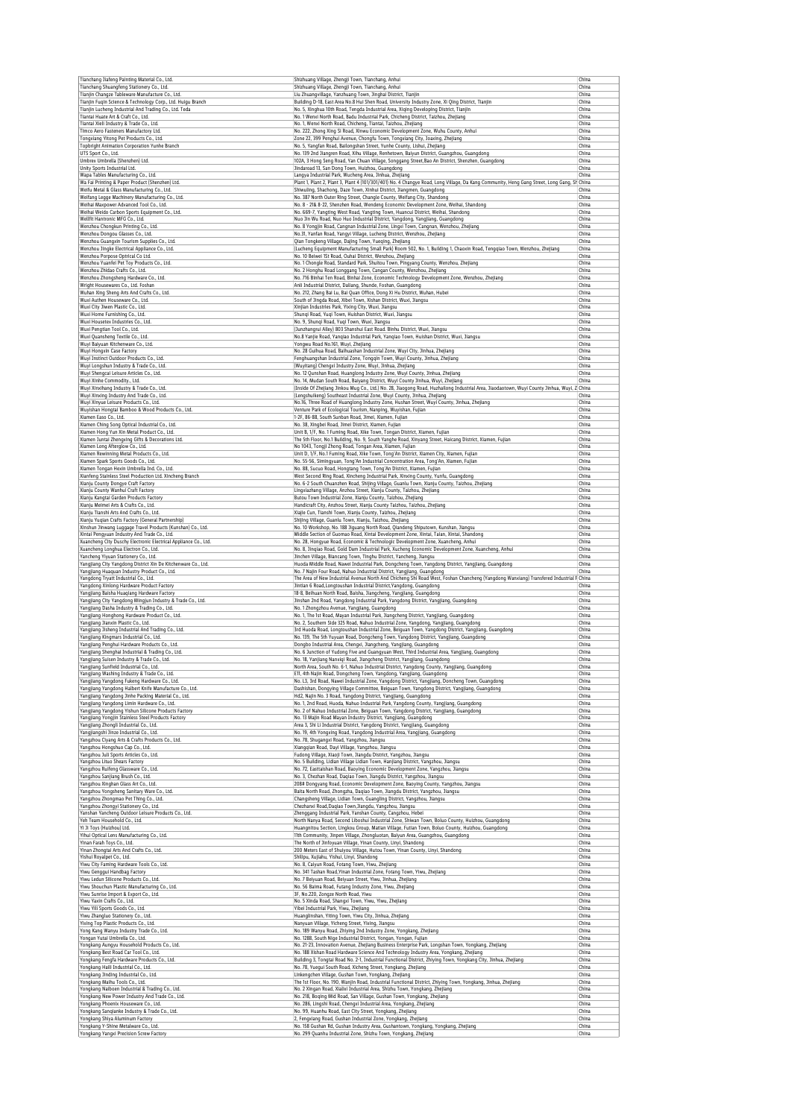| Tianchang Jiafeng Painting Material Co., Ltd.                                                                                                                                                                                                                                                                                                                                                                                                                                                                                                                                                                                                                                                                                                                                                                                                                                                                                                                                                                                                                                                                                                                                                                                                                                                                                                                                                                                                                                                                                                                                                                                                                                                                                                                                                                                                                                                                                                                                                                                                                                                                                                                                                                                                                                                                                                                                                                                                         | Shizhuang Village, Zhengji Town, Tianchang, Anhui                                                                                                                                                                   | China          |
|-------------------------------------------------------------------------------------------------------------------------------------------------------------------------------------------------------------------------------------------------------------------------------------------------------------------------------------------------------------------------------------------------------------------------------------------------------------------------------------------------------------------------------------------------------------------------------------------------------------------------------------------------------------------------------------------------------------------------------------------------------------------------------------------------------------------------------------------------------------------------------------------------------------------------------------------------------------------------------------------------------------------------------------------------------------------------------------------------------------------------------------------------------------------------------------------------------------------------------------------------------------------------------------------------------------------------------------------------------------------------------------------------------------------------------------------------------------------------------------------------------------------------------------------------------------------------------------------------------------------------------------------------------------------------------------------------------------------------------------------------------------------------------------------------------------------------------------------------------------------------------------------------------------------------------------------------------------------------------------------------------------------------------------------------------------------------------------------------------------------------------------------------------------------------------------------------------------------------------------------------------------------------------------------------------------------------------------------------------------------------------------------------------------------------------------------------------|---------------------------------------------------------------------------------------------------------------------------------------------------------------------------------------------------------------------|----------------|
| Tianchang Shuangfeng Stationery Co., Ltd.<br>Tianjin Changze Tableware Manufacture Co., Ltd.                                                                                                                                                                                                                                                                                                                                                                                                                                                                                                                                                                                                                                                                                                                                                                                                                                                                                                                                                                                                                                                                                                                                                                                                                                                                                                                                                                                                                                                                                                                                                                                                                                                                                                                                                                                                                                                                                                                                                                                                                                                                                                                                                                                                                                                                                                                                                          | Shizhuang Village, Zhengji Town, Tianchang, Anhui<br>Liu Zhuangvillage, Yanzhuang Town, Jinghai District, Tianjin                                                                                                   | China<br>China |
| Tianjin Fuqin Science & Technology Corp., Ltd. Huigu Branch                                                                                                                                                                                                                                                                                                                                                                                                                                                                                                                                                                                                                                                                                                                                                                                                                                                                                                                                                                                                                                                                                                                                                                                                                                                                                                                                                                                                                                                                                                                                                                                                                                                                                                                                                                                                                                                                                                                                                                                                                                                                                                                                                                                                                                                                                                                                                                                           | Building D-18, East Area No.8 Hui Shen Road, University Industry Zone, Xi Qing District, Tianjin                                                                                                                    | China          |
| Tianjin Lucheng Industrial And Trading Co., Ltd. Teda                                                                                                                                                                                                                                                                                                                                                                                                                                                                                                                                                                                                                                                                                                                                                                                                                                                                                                                                                                                                                                                                                                                                                                                                                                                                                                                                                                                                                                                                                                                                                                                                                                                                                                                                                                                                                                                                                                                                                                                                                                                                                                                                                                                                                                                                                                                                                                                                 | No. 5, Xinghua 10th Road, Tengda Industrial Area, Xiqing Developing District, Tianjin                                                                                                                               | China          |
| Tiantai Huate Art & Craft Co., Ltd.<br>Tiantai Xieli Industry & Trade Co., Ltd.                                                                                                                                                                                                                                                                                                                                                                                                                                                                                                                                                                                                                                                                                                                                                                                                                                                                                                                                                                                                                                                                                                                                                                                                                                                                                                                                                                                                                                                                                                                                                                                                                                                                                                                                                                                                                                                                                                                                                                                                                                                                                                                                                                                                                                                                                                                                                                       | No. 1 Wenxi North Road, Badu Industrial Park, Chicheng District, Taizhou, Zhejiang<br>No. 1, Wenxi North Road, Chicheng, Tiantai, Taizhou, Zhejiang                                                                 | China<br>China |
| Timco Aero Fasteners Manufactory Ltd.                                                                                                                                                                                                                                                                                                                                                                                                                                                                                                                                                                                                                                                                                                                                                                                                                                                                                                                                                                                                                                                                                                                                                                                                                                                                                                                                                                                                                                                                                                                                                                                                                                                                                                                                                                                                                                                                                                                                                                                                                                                                                                                                                                                                                                                                                                                                                                                                                 | No. 222, Zhong Xing Si Road, Xinwu Economic Development Zone, Wuhu County, Anhui                                                                                                                                    | China          |
| Tongxiang Yitong Pet Products Co., Ltd.                                                                                                                                                                                                                                                                                                                                                                                                                                                                                                                                                                                                                                                                                                                                                                                                                                                                                                                                                                                                                                                                                                                                                                                                                                                                                                                                                                                                                                                                                                                                                                                                                                                                                                                                                                                                                                                                                                                                                                                                                                                                                                                                                                                                                                                                                                                                                                                                               | Zone 22, 399 Penghui Avenue, Chongfu Town, Tongxiang City, Joaxing, Zhejiang                                                                                                                                        | China          |
| Topbright Animation Corporation Yunhe Branch                                                                                                                                                                                                                                                                                                                                                                                                                                                                                                                                                                                                                                                                                                                                                                                                                                                                                                                                                                                                                                                                                                                                                                                                                                                                                                                                                                                                                                                                                                                                                                                                                                                                                                                                                                                                                                                                                                                                                                                                                                                                                                                                                                                                                                                                                                                                                                                                          | No. 5, Yangfan Road, Bailongshan Street, Yunhe County, Lishui, Zhejiang                                                                                                                                             | China          |
| UTS Sport Co., Ltd.<br>Umbrex Umbrella (Shenzhen) Ltd.                                                                                                                                                                                                                                                                                                                                                                                                                                                                                                                                                                                                                                                                                                                                                                                                                                                                                                                                                                                                                                                                                                                                                                                                                                                                                                                                                                                                                                                                                                                                                                                                                                                                                                                                                                                                                                                                                                                                                                                                                                                                                                                                                                                                                                                                                                                                                                                                | No. 139 2nd Jiangren Road, Xihu Village, Renhetown, Baiyun District, Guangzhou, Guangdong<br>102A, 3 Hong Seng Road, Yan Chuan Village, Songgang Street, Bao An District, Shenzhen, Guangdong                       | China<br>China |
| Unity Sports Industrial Ltd.                                                                                                                                                                                                                                                                                                                                                                                                                                                                                                                                                                                                                                                                                                                                                                                                                                                                                                                                                                                                                                                                                                                                                                                                                                                                                                                                                                                                                                                                                                                                                                                                                                                                                                                                                                                                                                                                                                                                                                                                                                                                                                                                                                                                                                                                                                                                                                                                                          | Jindaroad 13, San Dong Town, Huizhou, Guangdong                                                                                                                                                                     | China          |
| Wapa Tables Manufacturing Co., Ltd.                                                                                                                                                                                                                                                                                                                                                                                                                                                                                                                                                                                                                                                                                                                                                                                                                                                                                                                                                                                                                                                                                                                                                                                                                                                                                                                                                                                                                                                                                                                                                                                                                                                                                                                                                                                                                                                                                                                                                                                                                                                                                                                                                                                                                                                                                                                                                                                                                   | Langya Industrial Park, Wucheng Area, Jinhua, Zhejiang                                                                                                                                                              | China          |
| Wa Fai Printing & Paper Product (Shenzhen) Ltd.<br>Weifu Metal & Glass Manufacturing Co., Ltd                                                                                                                                                                                                                                                                                                                                                                                                                                                                                                                                                                                                                                                                                                                                                                                                                                                                                                                                                                                                                                                                                                                                                                                                                                                                                                                                                                                                                                                                                                                                                                                                                                                                                                                                                                                                                                                                                                                                                                                                                                                                                                                                                                                                                                                                                                                                                         | Plant 1, Plant 2, Plant 3, Plant 4 (101/301/401) No. 4 Changye Road, Long Village, Da Kang Community, Heng Gang Street, Long Gang, SH China<br>Shiwuling, Shachong, Daze Town, Xinhui District, Jiangmen, Guangdong | China          |
| Weifang Legge Machinery Manufacturing Co., Ltd.                                                                                                                                                                                                                                                                                                                                                                                                                                                                                                                                                                                                                                                                                                                                                                                                                                                                                                                                                                                                                                                                                                                                                                                                                                                                                                                                                                                                                                                                                                                                                                                                                                                                                                                                                                                                                                                                                                                                                                                                                                                                                                                                                                                                                                                                                                                                                                                                       | No. 387 North Outer Ring Street, Changle County, Weifang City, Shandong                                                                                                                                             | China          |
| Weihai Maxpower Advanced Tool Co., Ltd.                                                                                                                                                                                                                                                                                                                                                                                                                                                                                                                                                                                                                                                                                                                                                                                                                                                                                                                                                                                                                                                                                                                                                                                                                                                                                                                                                                                                                                                                                                                                                                                                                                                                                                                                                                                                                                                                                                                                                                                                                                                                                                                                                                                                                                                                                                                                                                                                               | No. 8 - 21& 8-22. Shenzhen Road, Wendeng Economic Development Zone, Weihai, Shandong                                                                                                                                | China          |
| Weihai Weido Carbon Sports Equipment Co., Ltd.<br>Wellfit Hantronic MFG Co., Ltd.                                                                                                                                                                                                                                                                                                                                                                                                                                                                                                                                                                                                                                                                                                                                                                                                                                                                                                                                                                                                                                                                                                                                                                                                                                                                                                                                                                                                                                                                                                                                                                                                                                                                                                                                                                                                                                                                                                                                                                                                                                                                                                                                                                                                                                                                                                                                                                     | No. 669-7, Yangting West Road, Yangting Town, Huancui District, Weihai, Shandong<br>Nuo Jin Wu Road, Nuo Huo Industrial District, Yangdong, Yangjiang, Guangdong                                                    | China<br>China |
| Wenzhou Chongkun Printing Co., Ltd.                                                                                                                                                                                                                                                                                                                                                                                                                                                                                                                                                                                                                                                                                                                                                                                                                                                                                                                                                                                                                                                                                                                                                                                                                                                                                                                                                                                                                                                                                                                                                                                                                                                                                                                                                                                                                                                                                                                                                                                                                                                                                                                                                                                                                                                                                                                                                                                                                   | No. 8 Yongjin Road, Cangnan Industrial Zone, Lingxi Town, Cangnan, Wenzhou, Zhejiang                                                                                                                                | China          |
| Wenzhou Dongou Glasses Co., Ltd.                                                                                                                                                                                                                                                                                                                                                                                                                                                                                                                                                                                                                                                                                                                                                                                                                                                                                                                                                                                                                                                                                                                                                                                                                                                                                                                                                                                                                                                                                                                                                                                                                                                                                                                                                                                                                                                                                                                                                                                                                                                                                                                                                                                                                                                                                                                                                                                                                      | No.31, Yanfan Road, Yangyi Village, Lucheng District, Wenzhou, Zhejiang                                                                                                                                             | China          |
| Wenzhou Guanoxin Tourism Supplies Co., Ltd.<br>Wenzhou Jingke Electrical Appliance Co., Ltd.                                                                                                                                                                                                                                                                                                                                                                                                                                                                                                                                                                                                                                                                                                                                                                                                                                                                                                                                                                                                                                                                                                                                                                                                                                                                                                                                                                                                                                                                                                                                                                                                                                                                                                                                                                                                                                                                                                                                                                                                                                                                                                                                                                                                                                                                                                                                                          | Qian Tongkeng Village, Dajing Town, Yueqing, Zhejiang<br>(Lucheng Equipment Manufacturing Small Park) Room 502, No. 1, Building 1, Chaoxin Road, Tengqiao Town, Wenzhou, Zhejiang                                   | China<br>China |
| Wenzhou Porpose Optrical Co Ltd.                                                                                                                                                                                                                                                                                                                                                                                                                                                                                                                                                                                                                                                                                                                                                                                                                                                                                                                                                                                                                                                                                                                                                                                                                                                                                                                                                                                                                                                                                                                                                                                                                                                                                                                                                                                                                                                                                                                                                                                                                                                                                                                                                                                                                                                                                                                                                                                                                      | No. 10 Beiwei 1St Road, Ouhai District, Wenzhou, Zhejiang                                                                                                                                                           | China          |
| Wenzhou Yuanfei Pet Toy Products Co., Ltd.                                                                                                                                                                                                                                                                                                                                                                                                                                                                                                                                                                                                                                                                                                                                                                                                                                                                                                                                                                                                                                                                                                                                                                                                                                                                                                                                                                                                                                                                                                                                                                                                                                                                                                                                                                                                                                                                                                                                                                                                                                                                                                                                                                                                                                                                                                                                                                                                            | No. 1 Chongle Road, Standard Park, Shuitou Town, Pingyang County, Wenzhou, Zhejiang                                                                                                                                 | China          |
| Wenzhou Zhidao Crafts Co., Ltd.<br>Wenzhou Zhongsheng Hardware Co., Ltd.                                                                                                                                                                                                                                                                                                                                                                                                                                                                                                                                                                                                                                                                                                                                                                                                                                                                                                                                                                                                                                                                                                                                                                                                                                                                                                                                                                                                                                                                                                                                                                                                                                                                                                                                                                                                                                                                                                                                                                                                                                                                                                                                                                                                                                                                                                                                                                              | No. 2 Honghu Road Longgang Town, Cangan County, Wenzhou, Zhejiang<br>No. 716 Binhai Ten Road, Binhai Zone, Economic Technology Development Zone, Wenzhou, Zhejiang                                                  | China<br>China |
| Wright Housewares Co., Ltd. Foshan                                                                                                                                                                                                                                                                                                                                                                                                                                                                                                                                                                                                                                                                                                                                                                                                                                                                                                                                                                                                                                                                                                                                                                                                                                                                                                                                                                                                                                                                                                                                                                                                                                                                                                                                                                                                                                                                                                                                                                                                                                                                                                                                                                                                                                                                                                                                                                                                                    | Anli Industrial District, Daliang, Shunde, Foshan, Guangdong                                                                                                                                                        | China          |
| Wuhan Xing Sheng Arts And Crafts Co., Ltd.                                                                                                                                                                                                                                                                                                                                                                                                                                                                                                                                                                                                                                                                                                                                                                                                                                                                                                                                                                                                                                                                                                                                                                                                                                                                                                                                                                                                                                                                                                                                                                                                                                                                                                                                                                                                                                                                                                                                                                                                                                                                                                                                                                                                                                                                                                                                                                                                            | No. 212, Zhang Bai Lu, Bai Quan Office, Dong Xi Hu District, Wuhan, Hubei                                                                                                                                           | China          |
| Wuxi Authen Houseware Co., Ltd.                                                                                                                                                                                                                                                                                                                                                                                                                                                                                                                                                                                                                                                                                                                                                                                                                                                                                                                                                                                                                                                                                                                                                                                                                                                                                                                                                                                                                                                                                                                                                                                                                                                                                                                                                                                                                                                                                                                                                                                                                                                                                                                                                                                                                                                                                                                                                                                                                       | South of Jingda Road, Xibei Town, Xishan District, Wuxi, Jiangsu                                                                                                                                                    | China          |
| Wuxi City Jiwen Plastic Co., Ltd.<br>Wuxi Home Furnishing Co., Ltd.                                                                                                                                                                                                                                                                                                                                                                                                                                                                                                                                                                                                                                                                                                                                                                                                                                                                                                                                                                                                                                                                                                                                                                                                                                                                                                                                                                                                                                                                                                                                                                                                                                                                                                                                                                                                                                                                                                                                                                                                                                                                                                                                                                                                                                                                                                                                                                                   | Xinjian Industries Park, Yixing City, Wuxi, Jiangsu<br>Shunqi Road, Yuqi Town, Huishan District, Wuxi, Jiangsu                                                                                                      | China<br>China |
| Wuxi Housetex Industries Co., Ltd.                                                                                                                                                                                                                                                                                                                                                                                                                                                                                                                                                                                                                                                                                                                                                                                                                                                                                                                                                                                                                                                                                                                                                                                                                                                                                                                                                                                                                                                                                                                                                                                                                                                                                                                                                                                                                                                                                                                                                                                                                                                                                                                                                                                                                                                                                                                                                                                                                    | No. 9, Shungi Road, Yugi Town, Wuxi, Jiangsu                                                                                                                                                                        | China          |
| Wuxi Pengtian Tool Co., Ltd.                                                                                                                                                                                                                                                                                                                                                                                                                                                                                                                                                                                                                                                                                                                                                                                                                                                                                                                                                                                                                                                                                                                                                                                                                                                                                                                                                                                                                                                                                                                                                                                                                                                                                                                                                                                                                                                                                                                                                                                                                                                                                                                                                                                                                                                                                                                                                                                                                          | (Junzhangrui Alley) 803 Shanshui East Road. Binhu District, Wuxi, Jiangsu                                                                                                                                           | China          |
| Wuxi Quansheng Textile Co., Ltd.                                                                                                                                                                                                                                                                                                                                                                                                                                                                                                                                                                                                                                                                                                                                                                                                                                                                                                                                                                                                                                                                                                                                                                                                                                                                                                                                                                                                                                                                                                                                                                                                                                                                                                                                                                                                                                                                                                                                                                                                                                                                                                                                                                                                                                                                                                                                                                                                                      | No.8 Yanjie Road, Yanqiao Industrial Park, Yanqiao Town, Huishan District, Wuxi, Jiangsu                                                                                                                            | China          |
| Wuyi Baiyuan Kitchenware Co., Ltd.<br>Wuyi Hongxin Case Factory                                                                                                                                                                                                                                                                                                                                                                                                                                                                                                                                                                                                                                                                                                                                                                                                                                                                                                                                                                                                                                                                                                                                                                                                                                                                                                                                                                                                                                                                                                                                                                                                                                                                                                                                                                                                                                                                                                                                                                                                                                                                                                                                                                                                                                                                                                                                                                                       | Yongwu Road No.161, Wuyi, Zhejiang<br>No. 28 Guihua Road, Baihuashan Industrial Zone, Wuyi City, Jinhua, Zhejiang                                                                                                   | China<br>China |
| Wuyi Instinct Outdoor Products Co., Ltd.                                                                                                                                                                                                                                                                                                                                                                                                                                                                                                                                                                                                                                                                                                                                                                                                                                                                                                                                                                                                                                                                                                                                                                                                                                                                                                                                                                                                                                                                                                                                                                                                                                                                                                                                                                                                                                                                                                                                                                                                                                                                                                                                                                                                                                                                                                                                                                                                              | Fenghuangshan Industrial Zone, Tongqin Town, Wuyi County, Jinhua, Zhejiang                                                                                                                                          | China          |
| Wuyi Longshun Industry & Trade Co., Ltd.                                                                                                                                                                                                                                                                                                                                                                                                                                                                                                                                                                                                                                                                                                                                                                                                                                                                                                                                                                                                                                                                                                                                                                                                                                                                                                                                                                                                                                                                                                                                                                                                                                                                                                                                                                                                                                                                                                                                                                                                                                                                                                                                                                                                                                                                                                                                                                                                              | (Wuyitang) Chengxi Industry Zone, Wuyi, Jinhua, Zhejiang                                                                                                                                                            | China          |
| Wuyi Shengcai Leisure Articles Co., Ltd.                                                                                                                                                                                                                                                                                                                                                                                                                                                                                                                                                                                                                                                                                                                                                                                                                                                                                                                                                                                                                                                                                                                                                                                                                                                                                                                                                                                                                                                                                                                                                                                                                                                                                                                                                                                                                                                                                                                                                                                                                                                                                                                                                                                                                                                                                                                                                                                                              | No. 12 Qunshan Road, Huanglong Industry Zone, Wuyi County, Jinhua, Zhejiang<br>No. 14, Mudan South Road, Baiyang District, Wuyi County Jinhua, Wuyi, Zhejiang                                                       | China<br>China |
| Wuyi Xinhe Commodity., Ltd.<br>Wuyi Xinxihang Industry & Trade Co., Ltd.                                                                                                                                                                                                                                                                                                                                                                                                                                                                                                                                                                                                                                                                                                                                                                                                                                                                                                                                                                                                                                                                                                                                                                                                                                                                                                                                                                                                                                                                                                                                                                                                                                                                                                                                                                                                                                                                                                                                                                                                                                                                                                                                                                                                                                                                                                                                                                              | (Inside Of Zhejiang Jinkou Mug Co., Ltd.) No. 28, Jiaogong Road, Huzhailong Industrial Area, Jiaodaotown, Wuyi County Jinhua, Wuyi, Z China                                                                         |                |
| Wuyi Xinxing Industry And Trade Co., Ltd.                                                                                                                                                                                                                                                                                                                                                                                                                                                                                                                                                                                                                                                                                                                                                                                                                                                                                                                                                                                                                                                                                                                                                                                                                                                                                                                                                                                                                                                                                                                                                                                                                                                                                                                                                                                                                                                                                                                                                                                                                                                                                                                                                                                                                                                                                                                                                                                                             | (Lengshuikeng) Southeast Industrial Zone, Wuyi County, Jinhua, Zhejiang                                                                                                                                             | China          |
| Wuyi Xinyue Leisure Products Co., Ltd.                                                                                                                                                                                                                                                                                                                                                                                                                                                                                                                                                                                                                                                                                                                                                                                                                                                                                                                                                                                                                                                                                                                                                                                                                                                                                                                                                                                                                                                                                                                                                                                                                                                                                                                                                                                                                                                                                                                                                                                                                                                                                                                                                                                                                                                                                                                                                                                                                | No.16, Three Road of Huanglong Industry Zone, Hushan Street, Wuyi County, Jinhua, Zhejiang                                                                                                                          | China<br>China |
| Wuyishan Hongtai Bamboo & Wood Products Co., Ltd.<br>Xiamen Easo Co., Ltd.                                                                                                                                                                                                                                                                                                                                                                                                                                                                                                                                                                                                                                                                                                                                                                                                                                                                                                                                                                                                                                                                                                                                                                                                                                                                                                                                                                                                                                                                                                                                                                                                                                                                                                                                                                                                                                                                                                                                                                                                                                                                                                                                                                                                                                                                                                                                                                            | Venture Park of Ecological Tourism, Nanping, Wuyishan, Fujian<br>1-2F, 86-88, South Sunban Road, Jimei, Xiamen, Fujian                                                                                              | China          |
| Xiamen Ching Song Optical Industrial Co., Ltd.                                                                                                                                                                                                                                                                                                                                                                                                                                                                                                                                                                                                                                                                                                                                                                                                                                                                                                                                                                                                                                                                                                                                                                                                                                                                                                                                                                                                                                                                                                                                                                                                                                                                                                                                                                                                                                                                                                                                                                                                                                                                                                                                                                                                                                                                                                                                                                                                        | No. 38. Xingbei Road, Jimei District, Xiamen, Fuijan                                                                                                                                                                | China          |
| Xiamen Hong Yun Xin Metal Product Co., Ltd.                                                                                                                                                                                                                                                                                                                                                                                                                                                                                                                                                                                                                                                                                                                                                                                                                                                                                                                                                                                                                                                                                                                                                                                                                                                                                                                                                                                                                                                                                                                                                                                                                                                                                                                                                                                                                                                                                                                                                                                                                                                                                                                                                                                                                                                                                                                                                                                                           | Unit B, 1/F, No. 1 Fuming Road, Xike Town, Tongan District, Xiamen, Fujian                                                                                                                                          | China          |
| Xiamen Juntai Zhengxing Gifts & Decorations Ltd.<br>Xiamen Long Afterglow Co., Ltd.                                                                                                                                                                                                                                                                                                                                                                                                                                                                                                                                                                                                                                                                                                                                                                                                                                                                                                                                                                                                                                                                                                                                                                                                                                                                                                                                                                                                                                                                                                                                                                                                                                                                                                                                                                                                                                                                                                                                                                                                                                                                                                                                                                                                                                                                                                                                                                   | The 5th Floor, No.1 Building, No. 9, South Yanghe Road, Xinyang Street, Haicang District, Xiamen, Fujian<br>No 1043, Tongji Zhong Road, Tongan Area, Xiamen, Fujian                                                 | China<br>China |
| Xiamen Rewinning Metal Products Co., Ltd.                                                                                                                                                                                                                                                                                                                                                                                                                                                                                                                                                                                                                                                                                                                                                                                                                                                                                                                                                                                                                                                                                                                                                                                                                                                                                                                                                                                                                                                                                                                                                                                                                                                                                                                                                                                                                                                                                                                                                                                                                                                                                                                                                                                                                                                                                                                                                                                                             | Unit D, 1/F, No.1 Fuming Road, Xike Town, Tong'An District, Xiamen City, Xiamen, Fujian                                                                                                                             | China          |
| Xiamen Spark Sports Goods Co., Ltd.                                                                                                                                                                                                                                                                                                                                                                                                                                                                                                                                                                                                                                                                                                                                                                                                                                                                                                                                                                                                                                                                                                                                                                                                                                                                                                                                                                                                                                                                                                                                                                                                                                                                                                                                                                                                                                                                                                                                                                                                                                                                                                                                                                                                                                                                                                                                                                                                                   | No. 55-56, Simingyuan, Tong'An Industrial Concentration Area, Tong'An, Xiamen, Fujian                                                                                                                               | China          |
| Xiamen Tonqan Hexin Umbrella Ind. Co., Ltd.                                                                                                                                                                                                                                                                                                                                                                                                                                                                                                                                                                                                                                                                                                                                                                                                                                                                                                                                                                                                                                                                                                                                                                                                                                                                                                                                                                                                                                                                                                                                                                                                                                                                                                                                                                                                                                                                                                                                                                                                                                                                                                                                                                                                                                                                                                                                                                                                           | No. 88, Sucuo Road, Hongtang Town, Tong'An District, Xiamen, Fujian                                                                                                                                                 | China<br>China |
| Xianfeng Stainless Steel Production Ltd. Xincheng Branch<br>Xianju County Dongye Craft Factory                                                                                                                                                                                                                                                                                                                                                                                                                                                                                                                                                                                                                                                                                                                                                                                                                                                                                                                                                                                                                                                                                                                                                                                                                                                                                                                                                                                                                                                                                                                                                                                                                                                                                                                                                                                                                                                                                                                                                                                                                                                                                                                                                                                                                                                                                                                                                        | West Second Ring Road, Xincheng Industrial Park, Xinxing County, Yunfu, Guangdong<br>No. 6-2 South Chuanzhen Road, Shijing Village, Guanlu Town, Xianju County, Taizhou, Zhejiang                                   | China          |
| Xianju County Wanhui Craft Factory                                                                                                                                                                                                                                                                                                                                                                                                                                                                                                                                                                                                                                                                                                                                                                                                                                                                                                                                                                                                                                                                                                                                                                                                                                                                                                                                                                                                                                                                                                                                                                                                                                                                                                                                                                                                                                                                                                                                                                                                                                                                                                                                                                                                                                                                                                                                                                                                                    | Lingxiazhang Village, Anzhou Street, Xianju County, Taizhou, Zhejiang                                                                                                                                               | China          |
| Xianju Kangtai Garden Products Factory                                                                                                                                                                                                                                                                                                                                                                                                                                                                                                                                                                                                                                                                                                                                                                                                                                                                                                                                                                                                                                                                                                                                                                                                                                                                                                                                                                                                                                                                                                                                                                                                                                                                                                                                                                                                                                                                                                                                                                                                                                                                                                                                                                                                                                                                                                                                                                                                                | Butou Town Industrial Zone, Xianju County, Taizhou, Zhejiang                                                                                                                                                        | China          |
| Xianiu Meimei Arts & Crafts Co., Ltd.<br>Xianju Tianshi Arts And Crafts Co., Ltd                                                                                                                                                                                                                                                                                                                                                                                                                                                                                                                                                                                                                                                                                                                                                                                                                                                                                                                                                                                                                                                                                                                                                                                                                                                                                                                                                                                                                                                                                                                                                                                                                                                                                                                                                                                                                                                                                                                                                                                                                                                                                                                                                                                                                                                                                                                                                                      | Handicraft City, Anzhou Street, Xianju County Taizhou, Taizhou, Zhejiang<br>Xiajie Cun, Tianshi Town, Xianju County, Taizhou, Zhejiang                                                                              | China<br>China |
| Xianju Yuqian Crafts Factory (General Partnership)                                                                                                                                                                                                                                                                                                                                                                                                                                                                                                                                                                                                                                                                                                                                                                                                                                                                                                                                                                                                                                                                                                                                                                                                                                                                                                                                                                                                                                                                                                                                                                                                                                                                                                                                                                                                                                                                                                                                                                                                                                                                                                                                                                                                                                                                                                                                                                                                    | Shijing Village, Guanlu Town, Xianju, Taizhou, Zhejiang                                                                                                                                                             | China          |
| Xinshun Jinwang Luggage Travel Products (Kunshan) Co., Ltd.                                                                                                                                                                                                                                                                                                                                                                                                                                                                                                                                                                                                                                                                                                                                                                                                                                                                                                                                                                                                                                                                                                                                                                                                                                                                                                                                                                                                                                                                                                                                                                                                                                                                                                                                                                                                                                                                                                                                                                                                                                                                                                                                                                                                                                                                                                                                                                                           | No. 10 Workshop, No. 188 Jiguang North Road, Qiandeng Shiputown, Kunshan, Jiangsu                                                                                                                                   | China          |
| Xintai Pengyuan Industry And Trade Co., Ltd.                                                                                                                                                                                                                                                                                                                                                                                                                                                                                                                                                                                                                                                                                                                                                                                                                                                                                                                                                                                                                                                                                                                                                                                                                                                                                                                                                                                                                                                                                                                                                                                                                                                                                                                                                                                                                                                                                                                                                                                                                                                                                                                                                                                                                                                                                                                                                                                                          | Middle Section of Guomao Road, Xintai Development Zone, Xintai, Taian, Xintai, Shandong                                                                                                                             | China<br>China |
| Xuancheng City Duschy Electronic Electrical Appliance Co., Ltd.<br>Xuancheng Longhua Electron Co., Ltd.                                                                                                                                                                                                                                                                                                                                                                                                                                                                                                                                                                                                                                                                                                                                                                                                                                                                                                                                                                                                                                                                                                                                                                                                                                                                                                                                                                                                                                                                                                                                                                                                                                                                                                                                                                                                                                                                                                                                                                                                                                                                                                                                                                                                                                                                                                                                               | No. 28, Hongyue Road, Economic & Technologic Development Zone, Xuancheng, Anhui<br>No. 8, Jinqiao Road, Gold Dam Industrial Park, Xucheng Economic Development Zone, Xuancheng, Anhui                               | China          |
| Yancheng Yiyuan Stationery Co., Ltd.                                                                                                                                                                                                                                                                                                                                                                                                                                                                                                                                                                                                                                                                                                                                                                                                                                                                                                                                                                                                                                                                                                                                                                                                                                                                                                                                                                                                                                                                                                                                                                                                                                                                                                                                                                                                                                                                                                                                                                                                                                                                                                                                                                                                                                                                                                                                                                                                                  | Jinchen Village, Biancang Town, Tinghu District, Yancheng, Jiangsu                                                                                                                                                  | China          |
| Yangjiang City Yangdong District Xin De Kitchenware Co., Ltd.                                                                                                                                                                                                                                                                                                                                                                                                                                                                                                                                                                                                                                                                                                                                                                                                                                                                                                                                                                                                                                                                                                                                                                                                                                                                                                                                                                                                                                                                                                                                                                                                                                                                                                                                                                                                                                                                                                                                                                                                                                                                                                                                                                                                                                                                                                                                                                                         | Huoda Middle Road, Nawei Industrial Park, Dongcheng Town, Yangdong District, Yangjiang, Guangdong                                                                                                                   | China          |
| Yangjiang Huaguan Industry Product Co., Ltd.<br>Yangdong Tryatt Industrial Co., Ltd.                                                                                                                                                                                                                                                                                                                                                                                                                                                                                                                                                                                                                                                                                                                                                                                                                                                                                                                                                                                                                                                                                                                                                                                                                                                                                                                                                                                                                                                                                                                                                                                                                                                                                                                                                                                                                                                                                                                                                                                                                                                                                                                                                                                                                                                                                                                                                                  | No. 7 Najin Four Road, Nahuo Industrial District, Yangjiang, Guangdong<br>The Area of New Industrial Avenue North And Chicheng Shi Road West, Foshan Chancheng (Yangdong Wanxiang) Transfered Industrial F China    | China          |
| Yangdong Xinlong Hardware Product Factory                                                                                                                                                                                                                                                                                                                                                                                                                                                                                                                                                                                                                                                                                                                                                                                                                                                                                                                                                                                                                                                                                                                                                                                                                                                                                                                                                                                                                                                                                                                                                                                                                                                                                                                                                                                                                                                                                                                                                                                                                                                                                                                                                                                                                                                                                                                                                                                                             | Jintian 6 Road, Longtoushan Industrial District, Yangdong, Guangdong                                                                                                                                                | China          |
| Yangjiang Baisha Huagiang Hardware Factory                                                                                                                                                                                                                                                                                                                                                                                                                                                                                                                                                                                                                                                                                                                                                                                                                                                                                                                                                                                                                                                                                                                                                                                                                                                                                                                                                                                                                                                                                                                                                                                                                                                                                                                                                                                                                                                                                                                                                                                                                                                                                                                                                                                                                                                                                                                                                                                                            | 18-8, Beihuan North Road, Baisha, Jiangcheng, Yangjiang, Guangdong                                                                                                                                                  | China          |
| Yangjiang City Yangdong Mingjun Industry & Trade Co., Ltd.                                                                                                                                                                                                                                                                                                                                                                                                                                                                                                                                                                                                                                                                                                                                                                                                                                                                                                                                                                                                                                                                                                                                                                                                                                                                                                                                                                                                                                                                                                                                                                                                                                                                                                                                                                                                                                                                                                                                                                                                                                                                                                                                                                                                                                                                                                                                                                                            | Jinshan 2nd Road, Yangdong Industrial Park, Yangdong District, Yangjiang, Guangdong                                                                                                                                 | China          |
| Yangjiang Dasha Industry & Trading Co., Ltd<br>Yangjiang Honghong Hardware Product Co., Ltd.                                                                                                                                                                                                                                                                                                                                                                                                                                                                                                                                                                                                                                                                                                                                                                                                                                                                                                                                                                                                                                                                                                                                                                                                                                                                                                                                                                                                                                                                                                                                                                                                                                                                                                                                                                                                                                                                                                                                                                                                                                                                                                                                                                                                                                                                                                                                                          | No. 1 Zhongzhou Avenue, Yangjiang, Guangdong<br>No. 1, The 1st Road, Mayan Industrial Park, Jiangcheng District, Yangjiang, Guangdong                                                                               | China<br>China |
|                                                                                                                                                                                                                                                                                                                                                                                                                                                                                                                                                                                                                                                                                                                                                                                                                                                                                                                                                                                                                                                                                                                                                                                                                                                                                                                                                                                                                                                                                                                                                                                                                                                                                                                                                                                                                                                                                                                                                                                                                                                                                                                                                                                                                                                                                                                                                                                                                                                       | No. 2, Southern Side 325 Road, Nahuo Industrial Zone, Yangdong, Yangjiang, Guangdong                                                                                                                                | China          |
|                                                                                                                                                                                                                                                                                                                                                                                                                                                                                                                                                                                                                                                                                                                                                                                                                                                                                                                                                                                                                                                                                                                                                                                                                                                                                                                                                                                                                                                                                                                                                                                                                                                                                                                                                                                                                                                                                                                                                                                                                                                                                                                                                                                                                                                                                                                                                                                                                                                       |                                                                                                                                                                                                                     | China          |
|                                                                                                                                                                                                                                                                                                                                                                                                                                                                                                                                                                                                                                                                                                                                                                                                                                                                                                                                                                                                                                                                                                                                                                                                                                                                                                                                                                                                                                                                                                                                                                                                                                                                                                                                                                                                                                                                                                                                                                                                                                                                                                                                                                                                                                                                                                                                                                                                                                                       | 3rd Huoda Road, Longtoushan Industrial Zone, Beiguan Town, Yangdong District, Yangjiang, Guangdong                                                                                                                  |                |
|                                                                                                                                                                                                                                                                                                                                                                                                                                                                                                                                                                                                                                                                                                                                                                                                                                                                                                                                                                                                                                                                                                                                                                                                                                                                                                                                                                                                                                                                                                                                                                                                                                                                                                                                                                                                                                                                                                                                                                                                                                                                                                                                                                                                                                                                                                                                                                                                                                                       | No. 139, The 5th Yuyuan Road, Dongcheng Town, Yangdong District, Yangjiang, Guangdong                                                                                                                               | China          |
|                                                                                                                                                                                                                                                                                                                                                                                                                                                                                                                                                                                                                                                                                                                                                                                                                                                                                                                                                                                                                                                                                                                                                                                                                                                                                                                                                                                                                                                                                                                                                                                                                                                                                                                                                                                                                                                                                                                                                                                                                                                                                                                                                                                                                                                                                                                                                                                                                                                       | Dongbo Industrial Area, Chengxi, Jiangcheng, Yangjiang, Guangdong                                                                                                                                                   | China          |
|                                                                                                                                                                                                                                                                                                                                                                                                                                                                                                                                                                                                                                                                                                                                                                                                                                                                                                                                                                                                                                                                                                                                                                                                                                                                                                                                                                                                                                                                                                                                                                                                                                                                                                                                                                                                                                                                                                                                                                                                                                                                                                                                                                                                                                                                                                                                                                                                                                                       | No. 6 Junction of Yudong Five and Guangyuan West, Third Industrial Area, Yangjiang, Guangdong<br>No. 18, Yanjiang Nanxiqi Road, Jiangcheng District, Yangjiang, Guangdong                                           | China<br>China |
|                                                                                                                                                                                                                                                                                                                                                                                                                                                                                                                                                                                                                                                                                                                                                                                                                                                                                                                                                                                                                                                                                                                                                                                                                                                                                                                                                                                                                                                                                                                                                                                                                                                                                                                                                                                                                                                                                                                                                                                                                                                                                                                                                                                                                                                                                                                                                                                                                                                       | North Area, South No. 6-1, Nahuo Industrial District, Vanodono County, Vanoi                                                                                                                                        | China          |
|                                                                                                                                                                                                                                                                                                                                                                                                                                                                                                                                                                                                                                                                                                                                                                                                                                                                                                                                                                                                                                                                                                                                                                                                                                                                                                                                                                                                                                                                                                                                                                                                                                                                                                                                                                                                                                                                                                                                                                                                                                                                                                                                                                                                                                                                                                                                                                                                                                                       | E11, 4th Najin Road, Dongcheng Town, Yangdong, Yangjiang, Guangdong                                                                                                                                                 | China<br>China |
|                                                                                                                                                                                                                                                                                                                                                                                                                                                                                                                                                                                                                                                                                                                                                                                                                                                                                                                                                                                                                                                                                                                                                                                                                                                                                                                                                                                                                                                                                                                                                                                                                                                                                                                                                                                                                                                                                                                                                                                                                                                                                                                                                                                                                                                                                                                                                                                                                                                       | No. L3, 3rd Road, Nawei Industrial Zone, Yangdong District, Yangjiang, Doncheng Town, Guangdong<br>Dashishan, Dongying Village Committee, Beiguan Town, Yangdong District, Yangjiang, Guangdong                     | China          |
|                                                                                                                                                                                                                                                                                                                                                                                                                                                                                                                                                                                                                                                                                                                                                                                                                                                                                                                                                                                                                                                                                                                                                                                                                                                                                                                                                                                                                                                                                                                                                                                                                                                                                                                                                                                                                                                                                                                                                                                                                                                                                                                                                                                                                                                                                                                                                                                                                                                       | Hd2, Najin No. 3 Road, Yangdong District, Yangjiang, Guangdong                                                                                                                                                      | China          |
|                                                                                                                                                                                                                                                                                                                                                                                                                                                                                                                                                                                                                                                                                                                                                                                                                                                                                                                                                                                                                                                                                                                                                                                                                                                                                                                                                                                                                                                                                                                                                                                                                                                                                                                                                                                                                                                                                                                                                                                                                                                                                                                                                                                                                                                                                                                                                                                                                                                       | No. 1, 2nd Road, Huoda, Nahuo Industrial Park, Yangdong County, Yangjiang, Guangdong                                                                                                                                | China          |
|                                                                                                                                                                                                                                                                                                                                                                                                                                                                                                                                                                                                                                                                                                                                                                                                                                                                                                                                                                                                                                                                                                                                                                                                                                                                                                                                                                                                                                                                                                                                                                                                                                                                                                                                                                                                                                                                                                                                                                                                                                                                                                                                                                                                                                                                                                                                                                                                                                                       | No. 2 of Nahuo Industrial Zone, Beiguan Town, Yangdong District, Yangjiang, Guangdong<br>No. 13 Majin Road Mayan Industry District, Yangjiang, Guangdong                                                            | China<br>China |
|                                                                                                                                                                                                                                                                                                                                                                                                                                                                                                                                                                                                                                                                                                                                                                                                                                                                                                                                                                                                                                                                                                                                                                                                                                                                                                                                                                                                                                                                                                                                                                                                                                                                                                                                                                                                                                                                                                                                                                                                                                                                                                                                                                                                                                                                                                                                                                                                                                                       | Area 3, Shi Li Industrial District, Yangdong District, Yangjiang, Guangdong                                                                                                                                         | China          |
|                                                                                                                                                                                                                                                                                                                                                                                                                                                                                                                                                                                                                                                                                                                                                                                                                                                                                                                                                                                                                                                                                                                                                                                                                                                                                                                                                                                                                                                                                                                                                                                                                                                                                                                                                                                                                                                                                                                                                                                                                                                                                                                                                                                                                                                                                                                                                                                                                                                       | No. 19, 4th Yongxing Road, Yangdong Industrial Area, Yangjiang, Guangdong                                                                                                                                           | China          |
|                                                                                                                                                                                                                                                                                                                                                                                                                                                                                                                                                                                                                                                                                                                                                                                                                                                                                                                                                                                                                                                                                                                                                                                                                                                                                                                                                                                                                                                                                                                                                                                                                                                                                                                                                                                                                                                                                                                                                                                                                                                                                                                                                                                                                                                                                                                                                                                                                                                       | No. 78, Shuqanqxi Road, Yanqzhou, Jianqsu                                                                                                                                                                           | China          |
|                                                                                                                                                                                                                                                                                                                                                                                                                                                                                                                                                                                                                                                                                                                                                                                                                                                                                                                                                                                                                                                                                                                                                                                                                                                                                                                                                                                                                                                                                                                                                                                                                                                                                                                                                                                                                                                                                                                                                                                                                                                                                                                                                                                                                                                                                                                                                                                                                                                       | Xiangqian Road, Dayi Village, Yangzhou, Jiangsu<br>Fudong Village, Xiaoji Town, Jiangdu District, Yangzhou, Jiangsu                                                                                                 | China<br>China |
|                                                                                                                                                                                                                                                                                                                                                                                                                                                                                                                                                                                                                                                                                                                                                                                                                                                                                                                                                                                                                                                                                                                                                                                                                                                                                                                                                                                                                                                                                                                                                                                                                                                                                                                                                                                                                                                                                                                                                                                                                                                                                                                                                                                                                                                                                                                                                                                                                                                       | No. 5 Building, Lidian Village Lidian Town, Hanjiang District, Yangzhou, Jiangsu                                                                                                                                    | China          |
|                                                                                                                                                                                                                                                                                                                                                                                                                                                                                                                                                                                                                                                                                                                                                                                                                                                                                                                                                                                                                                                                                                                                                                                                                                                                                                                                                                                                                                                                                                                                                                                                                                                                                                                                                                                                                                                                                                                                                                                                                                                                                                                                                                                                                                                                                                                                                                                                                                                       | No. 72, Easttaishan Road, Baoying Economic Development Zone, Yangzhou, Jiangsu                                                                                                                                      | China          |
|                                                                                                                                                                                                                                                                                                                                                                                                                                                                                                                                                                                                                                                                                                                                                                                                                                                                                                                                                                                                                                                                                                                                                                                                                                                                                                                                                                                                                                                                                                                                                                                                                                                                                                                                                                                                                                                                                                                                                                                                                                                                                                                                                                                                                                                                                                                                                                                                                                                       | No. 3, Chezhan Road, Daqiao Town, Jiangdu District, Yangzhou, Jiangsu                                                                                                                                               | China<br>China |
|                                                                                                                                                                                                                                                                                                                                                                                                                                                                                                                                                                                                                                                                                                                                                                                                                                                                                                                                                                                                                                                                                                                                                                                                                                                                                                                                                                                                                                                                                                                                                                                                                                                                                                                                                                                                                                                                                                                                                                                                                                                                                                                                                                                                                                                                                                                                                                                                                                                       | 208# Dongyang Road, Economic Development Zone, Baoying County, Yangzhou, Jiangsu<br>Baita North Road, Zhongzha, Daqiao Town, Jiangdu District, Yangzhou, Jiangsu                                                    | China          |
|                                                                                                                                                                                                                                                                                                                                                                                                                                                                                                                                                                                                                                                                                                                                                                                                                                                                                                                                                                                                                                                                                                                                                                                                                                                                                                                                                                                                                                                                                                                                                                                                                                                                                                                                                                                                                                                                                                                                                                                                                                                                                                                                                                                                                                                                                                                                                                                                                                                       | Changsheng Village, Lidian Town, Guangling District, Yangzhou, Jiangsu                                                                                                                                              | China          |
|                                                                                                                                                                                                                                                                                                                                                                                                                                                                                                                                                                                                                                                                                                                                                                                                                                                                                                                                                                                                                                                                                                                                                                                                                                                                                                                                                                                                                                                                                                                                                                                                                                                                                                                                                                                                                                                                                                                                                                                                                                                                                                                                                                                                                                                                                                                                                                                                                                                       | Chezhanxi Road, Daqiao Town, Jiangdu, Yangzhou, Jiangsu                                                                                                                                                             | China          |
|                                                                                                                                                                                                                                                                                                                                                                                                                                                                                                                                                                                                                                                                                                                                                                                                                                                                                                                                                                                                                                                                                                                                                                                                                                                                                                                                                                                                                                                                                                                                                                                                                                                                                                                                                                                                                                                                                                                                                                                                                                                                                                                                                                                                                                                                                                                                                                                                                                                       | Zhenggang Industrial Park, Yanshan County, Cangzhou, Hebei<br>North Nanya Road, Second Liboshui Industrial Zone, Shiwan Town, Boluo County, Huizhou, Guangdong                                                      | China<br>China |
|                                                                                                                                                                                                                                                                                                                                                                                                                                                                                                                                                                                                                                                                                                                                                                                                                                                                                                                                                                                                                                                                                                                                                                                                                                                                                                                                                                                                                                                                                                                                                                                                                                                                                                                                                                                                                                                                                                                                                                                                                                                                                                                                                                                                                                                                                                                                                                                                                                                       | Huangnitou Section, Lingkou Group, Matian Village, Futian Town, Boluo County, Huizhou, Guangdong                                                                                                                    | China          |
|                                                                                                                                                                                                                                                                                                                                                                                                                                                                                                                                                                                                                                                                                                                                                                                                                                                                                                                                                                                                                                                                                                                                                                                                                                                                                                                                                                                                                                                                                                                                                                                                                                                                                                                                                                                                                                                                                                                                                                                                                                                                                                                                                                                                                                                                                                                                                                                                                                                       | 11th Community, Jinpen Village, Zhongluotan, Baiyun Area, Guangzhou, Guangdong                                                                                                                                      | China          |
|                                                                                                                                                                                                                                                                                                                                                                                                                                                                                                                                                                                                                                                                                                                                                                                                                                                                                                                                                                                                                                                                                                                                                                                                                                                                                                                                                                                                                                                                                                                                                                                                                                                                                                                                                                                                                                                                                                                                                                                                                                                                                                                                                                                                                                                                                                                                                                                                                                                       | The North of Jinfoyuan Village, Yinan County, Linyi, Shandong                                                                                                                                                       | China<br>China |
|                                                                                                                                                                                                                                                                                                                                                                                                                                                                                                                                                                                                                                                                                                                                                                                                                                                                                                                                                                                                                                                                                                                                                                                                                                                                                                                                                                                                                                                                                                                                                                                                                                                                                                                                                                                                                                                                                                                                                                                                                                                                                                                                                                                                                                                                                                                                                                                                                                                       | 200 Meters East of Shuiyou Village, Hutou Town, Yinan County, Linyi, Shandong<br>Shilipu, Xujiahu, Yishui, Linyi, Shandong                                                                                          | China          |
|                                                                                                                                                                                                                                                                                                                                                                                                                                                                                                                                                                                                                                                                                                                                                                                                                                                                                                                                                                                                                                                                                                                                                                                                                                                                                                                                                                                                                                                                                                                                                                                                                                                                                                                                                                                                                                                                                                                                                                                                                                                                                                                                                                                                                                                                                                                                                                                                                                                       | No. 8, Caiyun Road, Fotang Town, Yiwu, Zhejiang                                                                                                                                                                     | China          |
|                                                                                                                                                                                                                                                                                                                                                                                                                                                                                                                                                                                                                                                                                                                                                                                                                                                                                                                                                                                                                                                                                                                                                                                                                                                                                                                                                                                                                                                                                                                                                                                                                                                                                                                                                                                                                                                                                                                                                                                                                                                                                                                                                                                                                                                                                                                                                                                                                                                       | No. 341 Tashan Road, Yinan Industrial Zone, Fotang Town, Yiwu, Zhejiang                                                                                                                                             | China          |
|                                                                                                                                                                                                                                                                                                                                                                                                                                                                                                                                                                                                                                                                                                                                                                                                                                                                                                                                                                                                                                                                                                                                                                                                                                                                                                                                                                                                                                                                                                                                                                                                                                                                                                                                                                                                                                                                                                                                                                                                                                                                                                                                                                                                                                                                                                                                                                                                                                                       | No. 7 Beiyuan Road, Beiyuan Street, Yiwu, Jinhua, Zhejiang                                                                                                                                                          | China<br>China |
|                                                                                                                                                                                                                                                                                                                                                                                                                                                                                                                                                                                                                                                                                                                                                                                                                                                                                                                                                                                                                                                                                                                                                                                                                                                                                                                                                                                                                                                                                                                                                                                                                                                                                                                                                                                                                                                                                                                                                                                                                                                                                                                                                                                                                                                                                                                                                                                                                                                       | No. 56 Baima Road, Futang Industry Zone, Yiwu, Zhejiang<br>3F, No.220, Zongze North Road, Yiwu                                                                                                                      | China          |
|                                                                                                                                                                                                                                                                                                                                                                                                                                                                                                                                                                                                                                                                                                                                                                                                                                                                                                                                                                                                                                                                                                                                                                                                                                                                                                                                                                                                                                                                                                                                                                                                                                                                                                                                                                                                                                                                                                                                                                                                                                                                                                                                                                                                                                                                                                                                                                                                                                                       | No. 5 Xinda Road, Shangxi Town, Yiwu, Yiwu, Zhejiang                                                                                                                                                                | China          |
|                                                                                                                                                                                                                                                                                                                                                                                                                                                                                                                                                                                                                                                                                                                                                                                                                                                                                                                                                                                                                                                                                                                                                                                                                                                                                                                                                                                                                                                                                                                                                                                                                                                                                                                                                                                                                                                                                                                                                                                                                                                                                                                                                                                                                                                                                                                                                                                                                                                       | Yibei Industrial Park, Yiwu, Zhejiang                                                                                                                                                                               | China<br>China |
|                                                                                                                                                                                                                                                                                                                                                                                                                                                                                                                                                                                                                                                                                                                                                                                                                                                                                                                                                                                                                                                                                                                                                                                                                                                                                                                                                                                                                                                                                                                                                                                                                                                                                                                                                                                                                                                                                                                                                                                                                                                                                                                                                                                                                                                                                                                                                                                                                                                       | Huanglinshan, Yiting Town, Yiwu City, Jinhua, Zhejiang<br>Nanyuan Village, Yicheng Street, Yixing, Jiangsu                                                                                                          | China          |
|                                                                                                                                                                                                                                                                                                                                                                                                                                                                                                                                                                                                                                                                                                                                                                                                                                                                                                                                                                                                                                                                                                                                                                                                                                                                                                                                                                                                                                                                                                                                                                                                                                                                                                                                                                                                                                                                                                                                                                                                                                                                                                                                                                                                                                                                                                                                                                                                                                                       | No. 189 Wanyu Road, Zhiying 2nd Industry Zone, Yongkang, Zhejiang                                                                                                                                                   | China          |
|                                                                                                                                                                                                                                                                                                                                                                                                                                                                                                                                                                                                                                                                                                                                                                                                                                                                                                                                                                                                                                                                                                                                                                                                                                                                                                                                                                                                                                                                                                                                                                                                                                                                                                                                                                                                                                                                                                                                                                                                                                                                                                                                                                                                                                                                                                                                                                                                                                                       | No. 1288, South Nige Industrial District, Yongan, Yongan, Fujian                                                                                                                                                    | China          |
|                                                                                                                                                                                                                                                                                                                                                                                                                                                                                                                                                                                                                                                                                                                                                                                                                                                                                                                                                                                                                                                                                                                                                                                                                                                                                                                                                                                                                                                                                                                                                                                                                                                                                                                                                                                                                                                                                                                                                                                                                                                                                                                                                                                                                                                                                                                                                                                                                                                       | No. 21-23, Innovation Avenue, Zhejiang Business Enterprise Park, Longshan Town, Yongkang, Zhejiang                                                                                                                  | China          |
|                                                                                                                                                                                                                                                                                                                                                                                                                                                                                                                                                                                                                                                                                                                                                                                                                                                                                                                                                                                                                                                                                                                                                                                                                                                                                                                                                                                                                                                                                                                                                                                                                                                                                                                                                                                                                                                                                                                                                                                                                                                                                                                                                                                                                                                                                                                                                                                                                                                       | No. 188 Xishan Road Hardware Science And Technology Industry Area, Yongkang, Zhejiang                                                                                                                               | China<br>China |
|                                                                                                                                                                                                                                                                                                                                                                                                                                                                                                                                                                                                                                                                                                                                                                                                                                                                                                                                                                                                                                                                                                                                                                                                                                                                                                                                                                                                                                                                                                                                                                                                                                                                                                                                                                                                                                                                                                                                                                                                                                                                                                                                                                                                                                                                                                                                                                                                                                                       | Building 3, Tongtai Road No. 2-1, Industrial Functional District, Zhiying Town, Yongkang City, Jinhua, Zhejiang<br>No. 78, Yuegui South Road, Xicheng Street, Yongkang, Zhejiang                                    | China          |
|                                                                                                                                                                                                                                                                                                                                                                                                                                                                                                                                                                                                                                                                                                                                                                                                                                                                                                                                                                                                                                                                                                                                                                                                                                                                                                                                                                                                                                                                                                                                                                                                                                                                                                                                                                                                                                                                                                                                                                                                                                                                                                                                                                                                                                                                                                                                                                                                                                                       | Linkengchen Village, Gushan Town, Yongkang, Zhejiang                                                                                                                                                                | China          |
|                                                                                                                                                                                                                                                                                                                                                                                                                                                                                                                                                                                                                                                                                                                                                                                                                                                                                                                                                                                                                                                                                                                                                                                                                                                                                                                                                                                                                                                                                                                                                                                                                                                                                                                                                                                                                                                                                                                                                                                                                                                                                                                                                                                                                                                                                                                                                                                                                                                       | The 1st Floor, No. 190, Wanjin Road, Industrial Functional District, Zhiying Town, Yongkang, Jinhua, Zhejiang                                                                                                       | China          |
|                                                                                                                                                                                                                                                                                                                                                                                                                                                                                                                                                                                                                                                                                                                                                                                                                                                                                                                                                                                                                                                                                                                                                                                                                                                                                                                                                                                                                                                                                                                                                                                                                                                                                                                                                                                                                                                                                                                                                                                                                                                                                                                                                                                                                                                                                                                                                                                                                                                       | No. 2 Xingan Road, Xialixi Industrial Area, Shizhu Town, Yongkang, Zhejiang                                                                                                                                         | China<br>China |
|                                                                                                                                                                                                                                                                                                                                                                                                                                                                                                                                                                                                                                                                                                                                                                                                                                                                                                                                                                                                                                                                                                                                                                                                                                                                                                                                                                                                                                                                                                                                                                                                                                                                                                                                                                                                                                                                                                                                                                                                                                                                                                                                                                                                                                                                                                                                                                                                                                                       | No. 218, Boqing Mid Road, San Village, Gushan Town, Yongkang, Zhejiang<br>No. 286, Lingshi Road, Chengxi Industrial Area, Yongkang, Zhejiang                                                                        | China          |
|                                                                                                                                                                                                                                                                                                                                                                                                                                                                                                                                                                                                                                                                                                                                                                                                                                                                                                                                                                                                                                                                                                                                                                                                                                                                                                                                                                                                                                                                                                                                                                                                                                                                                                                                                                                                                                                                                                                                                                                                                                                                                                                                                                                                                                                                                                                                                                                                                                                       | No. 99, Huanhu Road, East City Street, Yongkang, Zhejiang                                                                                                                                                           | China          |
| Yangjiang Jianxin Plastic Co., Ltd.<br>Yangjiang Jisheng Industrial And Trading Co., Ltd.<br>Yangjiang Kingmars Industrial Co., Ltd.<br>Yangjiang Penghui Hardware Products Co., Ltd.<br>Yangjiang Shenghai Industrial & Trading Co., Ltd.<br>Yangjiang Suisen Industry & Trade Co., Ltd.<br>Vanoijano Sunfield Industrial Co., Itd<br>Yangjiang Washing Industry & Trade Co., Ltd.<br>Yangjiang Yangdong Fukeng Hardware Co., Ltd.<br>Yangjiang Yangdong Halbert Knife Manufacture Co., Ltd.<br>Yangjiang Yangdong Jinhe Packing Material Co., Ltd.<br>Yangjiang Yangdong Limin Hardware Co., Ltd.<br>Yangjiang Yangdong Yishun Silicone Products Factory<br>Yangjiang Yongjin Stainless Steel Products Factory<br>Yangjiang Zhongli Industrial Co., Ltd.<br>Yangjiangshi Jinze Industrial Co., Ltd.<br>Yangzhou Ciyang Arts & Crafts Products Co., Ltd.<br>Yangzhou Hongshuo Cap Co., Ltd.<br>Yangzhou Juli Sports Articles Co., Ltd.<br>Yangzhou Lituo Shears Factory<br>Yangzhou Ruifeng Glassware Co., Ltd.<br>Yangzhou Sanjiang Brush Co., Ltd.<br>Yangzhou Xinghan Glass Art Co., Ltd.<br>Yangzhou Yongsheng Sanitary Ware Co., Ltd.<br>Yangzhou Zhongmao Pet Thing Co., Ltd.<br>Yangzhou Zhongyi Stationery Co., Ltd.<br>Yanshan Yancheng Outdoor Leisure Products Co., Ltd.<br>Yeh Team Household Co., Ltd.<br>Yi Ji Tovs (Huizhou) Ltd.<br>Yihui Optical Lens Manufacturing Co., Ltd.<br>Yinan Farah Toys Co., Ltd.<br>Yinan Zhongtai Arts And Crafts Co., Ltd.<br>Yishui Royalpet Co., Ltd.<br>Yiwu City Faming Hardware Tools Co., Ltd.<br>Yiwu Genggui Handbag Factory<br>Yiwu Ledun Silicone Products Co., Ltd.<br>Yiwu Shouchun Plastic Manufacturing Co., Ltd.<br>Yiwu Sunrise Import & Export Co., Ltd.<br>Yiwu Yaxin Crafts Co., Ltd.<br>Yiwu Yili Sports Goods Co., Ltd.<br>Yiwu Zhangluo Stationery Co., Ltd.<br>Yixing Top Plastic Products Co., Ltd.<br>Yong Kang Wanyu Industry Trade Co., Ltd.<br>Yongan Yutai Umbrella Co., Ltd.<br>Yongkang Aungyu Household Products Co., Ltd.<br>Yongkang Best Road Car Tool Co., Ltd.<br>Yongkang Fengfa Hardware Products Co., Ltd.<br>Yongkang Haili Industrial Co., Ltd.<br>Yongkang Jinding Industrial Co., Ltd.<br>Yongkang Maihu Tools Co., Ltd.<br>Yongkang Naiboen Industrial & Trading Co., Ltd.<br>Yongkang New Power Industry And Trade Co., Ltd.<br>Yongkang Phoenix Houseware Co., Ltd.<br>Yongkang Sangjanke Industry & Trade Co., Ltd.<br>Yongkang Shiya Aluminum Factory | 2, Fengxiang Road, Gushan Industrial Zone, Yongkang, Zhejiang                                                                                                                                                       | China          |
| Yongkang Y-Shine Metalware Co., Ltd.<br><b>Yongkang Yangxi Precision Screw Factory</b>                                                                                                                                                                                                                                                                                                                                                                                                                                                                                                                                                                                                                                                                                                                                                                                                                                                                                                                                                                                                                                                                                                                                                                                                                                                                                                                                                                                                                                                                                                                                                                                                                                                                                                                                                                                                                                                                                                                                                                                                                                                                                                                                                                                                                                                                                                                                                                | No. 158 Gushan Rd, Gushan Industry Area, Gushantown, Yongkang, Yongkang, Zhejiang<br>No. 299 Quanhu Industrial Zone, Shizhu Town, Yongkang, Zhejiang                                                                | China<br>China |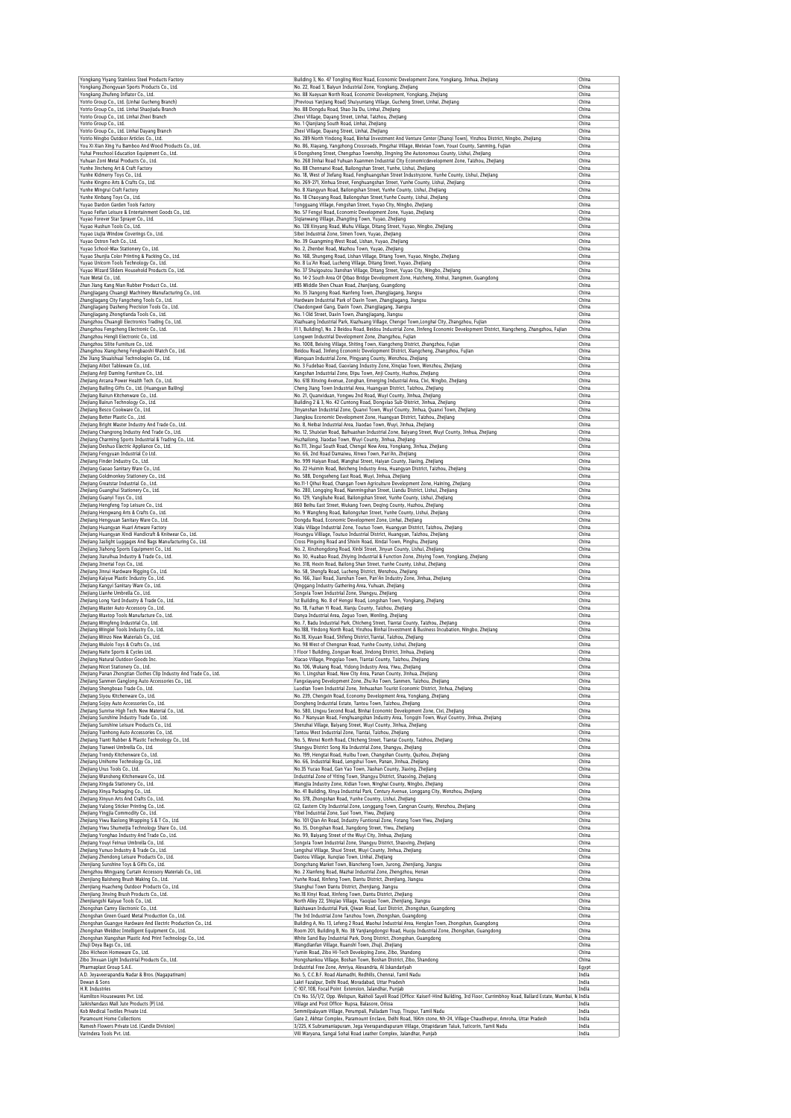| Yongkang Yiyang Stainless Steel Products Factory                                                                                                                                                                                                                                                                                                                                                                                                                                                                                                                                                                                                                                                                                                                                                                                                                                                                                                                                                                                                                                                                                                                                                                                                                                                                                                                                                                                                                                                                                                                                                                                                                                                                                                                                                                                                  | Building 3, No. 47 Tongling West Road, Economic Development Zone, Yongkang, Jinhua, Zhejiang                                                                                                                                    | China          |
|---------------------------------------------------------------------------------------------------------------------------------------------------------------------------------------------------------------------------------------------------------------------------------------------------------------------------------------------------------------------------------------------------------------------------------------------------------------------------------------------------------------------------------------------------------------------------------------------------------------------------------------------------------------------------------------------------------------------------------------------------------------------------------------------------------------------------------------------------------------------------------------------------------------------------------------------------------------------------------------------------------------------------------------------------------------------------------------------------------------------------------------------------------------------------------------------------------------------------------------------------------------------------------------------------------------------------------------------------------------------------------------------------------------------------------------------------------------------------------------------------------------------------------------------------------------------------------------------------------------------------------------------------------------------------------------------------------------------------------------------------------------------------------------------------------------------------------------------------|---------------------------------------------------------------------------------------------------------------------------------------------------------------------------------------------------------------------------------|----------------|
| Yongkang Zhongyuan Sports Products Co., Ltd.<br>Yongkang Zhufeng Inflator Co., Ltd.                                                                                                                                                                                                                                                                                                                                                                                                                                                                                                                                                                                                                                                                                                                                                                                                                                                                                                                                                                                                                                                                                                                                                                                                                                                                                                                                                                                                                                                                                                                                                                                                                                                                                                                                                               | No. 22, Road 3, Baiyun Industrial Zone, Yongkang, Zhejiang<br>No. 88 Xueyuan North Road, Economic Development, Yongkang, Zhejiang                                                                                               | China<br>China |
| Yotrio Group Co., Ltd. (Linhai Gucheng Branch)                                                                                                                                                                                                                                                                                                                                                                                                                                                                                                                                                                                                                                                                                                                                                                                                                                                                                                                                                                                                                                                                                                                                                                                                                                                                                                                                                                                                                                                                                                                                                                                                                                                                                                                                                                                                    | (Previous Yanjiang Road) Shuiyuntang Village, Gucheng Street, Linhai, Zhejiang                                                                                                                                                  | China          |
| Yotrio Group Co., Ltd. Linhai Shaojiadu Branch                                                                                                                                                                                                                                                                                                                                                                                                                                                                                                                                                                                                                                                                                                                                                                                                                                                                                                                                                                                                                                                                                                                                                                                                                                                                                                                                                                                                                                                                                                                                                                                                                                                                                                                                                                                                    | No. 88 Dongdu Road, Shao Jia Du, Linhai, Zhejiang                                                                                                                                                                               | China          |
| Yotrio Group Co., Ltd. Linhai Zhexi Branch<br>Yotrio Group Co., Ltd.                                                                                                                                                                                                                                                                                                                                                                                                                                                                                                                                                                                                                                                                                                                                                                                                                                                                                                                                                                                                                                                                                                                                                                                                                                                                                                                                                                                                                                                                                                                                                                                                                                                                                                                                                                              | Zhexi Village, Dayang Street, Linhai, Taizhou, Zhejiang<br>No. 1 Oianiiang South Road, Linhai, Zheiiang                                                                                                                         | China<br>China |
| Yotrio Group Co., Ltd. Linhai Dayang Branch                                                                                                                                                                                                                                                                                                                                                                                                                                                                                                                                                                                                                                                                                                                                                                                                                                                                                                                                                                                                                                                                                                                                                                                                                                                                                                                                                                                                                                                                                                                                                                                                                                                                                                                                                                                                       | Zhexi Village, Dayang Street, Linhai, Zhejiang                                                                                                                                                                                  | China          |
| Yotrio Ningbo Outdoor Articles Co., Ltd.                                                                                                                                                                                                                                                                                                                                                                                                                                                                                                                                                                                                                                                                                                                                                                                                                                                                                                                                                                                                                                                                                                                                                                                                                                                                                                                                                                                                                                                                                                                                                                                                                                                                                                                                                                                                          | No. 289 North Yindong Road, Binhai Investment And Venture Center (Zhanqi Town), Yinzhou District, Ningbo, Zhejiang                                                                                                              | China          |
| You Xi Xian Xing Yu Bamboo And Wood Products Co., Ltd.<br>Yuhai Preschool Education Equipment Co., Ltd.                                                                                                                                                                                                                                                                                                                                                                                                                                                                                                                                                                                                                                                                                                                                                                                                                                                                                                                                                                                                                                                                                                                                                                                                                                                                                                                                                                                                                                                                                                                                                                                                                                                                                                                                           | No. 86, Xiayang, Yangzhong Crossroads, Pingzhai Village, Meixian Town, Youxi County, Sanming, Fujian<br>6 Dongsheng Street, Chengzhao Township, Jingning She Autonomous County, Lishui, Zhejiang                                | China<br>China |
| Yuhuan Zoni Metal Products Co., Ltd.                                                                                                                                                                                                                                                                                                                                                                                                                                                                                                                                                                                                                                                                                                                                                                                                                                                                                                                                                                                                                                                                                                                                                                                                                                                                                                                                                                                                                                                                                                                                                                                                                                                                                                                                                                                                              | No. 268 Jinhai Road Yuhuan Xuanmen Industrial City Economicdevelopment Zone, Taizhou, Zhejiang                                                                                                                                  | China          |
| Yunhe Jincheng Art & Craft Factory                                                                                                                                                                                                                                                                                                                                                                                                                                                                                                                                                                                                                                                                                                                                                                                                                                                                                                                                                                                                                                                                                                                                                                                                                                                                                                                                                                                                                                                                                                                                                                                                                                                                                                                                                                                                                | No. 88 Chennanxi Road, Bailongshan Street, Yunhe, Lishui, Zhejiang                                                                                                                                                              | China          |
| Yunhe Kidmerry Toys Co., Ltd.                                                                                                                                                                                                                                                                                                                                                                                                                                                                                                                                                                                                                                                                                                                                                                                                                                                                                                                                                                                                                                                                                                                                                                                                                                                                                                                                                                                                                                                                                                                                                                                                                                                                                                                                                                                                                     | No. 18, West of Jiefang Road, Fenghuangshan Street Industryzone, Yunhe County, Lishui, Zhejiang                                                                                                                                 | China          |
| Yunhe Kingmo Arts & Crafts Co., Ltd.<br>Yunhe Mingrui Craft Factory                                                                                                                                                                                                                                                                                                                                                                                                                                                                                                                                                                                                                                                                                                                                                                                                                                                                                                                                                                                                                                                                                                                                                                                                                                                                                                                                                                                                                                                                                                                                                                                                                                                                                                                                                                               | No. 269-271, Xinhua Street, Fenghuangshan Street, Yunhe County, Lishui, Zhejiang<br>No. 8 Xiangyun Road, Bailongshan Street, Yunhe County, Lishui, Zhejiang                                                                     | China<br>China |
| Yunhe Xinbang Toys Co., Ltd.                                                                                                                                                                                                                                                                                                                                                                                                                                                                                                                                                                                                                                                                                                                                                                                                                                                                                                                                                                                                                                                                                                                                                                                                                                                                                                                                                                                                                                                                                                                                                                                                                                                                                                                                                                                                                      | No. 18 Chaoyang Road, Bailongshan Street, Yunhe County, Lishui, Zhejiang                                                                                                                                                        | China          |
| Yuyao Dardon Garden Tools Factory                                                                                                                                                                                                                                                                                                                                                                                                                                                                                                                                                                                                                                                                                                                                                                                                                                                                                                                                                                                                                                                                                                                                                                                                                                                                                                                                                                                                                                                                                                                                                                                                                                                                                                                                                                                                                 | Tongguang Village, Fengshan Street, Yuyao City, Ningbo, Zhejiang                                                                                                                                                                | China          |
| Yuyao Feifan Leisure & Entertainment Goods Co., Ltd.<br>Yuyao Forever Star Sprayer Co., Ltd.                                                                                                                                                                                                                                                                                                                                                                                                                                                                                                                                                                                                                                                                                                                                                                                                                                                                                                                                                                                                                                                                                                                                                                                                                                                                                                                                                                                                                                                                                                                                                                                                                                                                                                                                                      | No. 57 Fengyi Road, Economic Development Zone, Yuyao, Zhejiang<br>Sigianwang Village, Zhangting Town, Yuyao, Zhejiang                                                                                                           | China<br>China |
| Yuyao Hushun Tools Co., Ltd.                                                                                                                                                                                                                                                                                                                                                                                                                                                                                                                                                                                                                                                                                                                                                                                                                                                                                                                                                                                                                                                                                                                                                                                                                                                                                                                                                                                                                                                                                                                                                                                                                                                                                                                                                                                                                      | No. 128 Xinyang Road, Muhu Village, Ditang Street, Yuyao, Ningbo, Zhejiang                                                                                                                                                      | China          |
| Yuyao Liujia Window Coverings Co., Ltd.                                                                                                                                                                                                                                                                                                                                                                                                                                                                                                                                                                                                                                                                                                                                                                                                                                                                                                                                                                                                                                                                                                                                                                                                                                                                                                                                                                                                                                                                                                                                                                                                                                                                                                                                                                                                           | Sibei Industrial Zone, Simen Town, Yuyao, Zhejiang                                                                                                                                                                              | China          |
| Yuvan Ostron Tech Co., Itd.                                                                                                                                                                                                                                                                                                                                                                                                                                                                                                                                                                                                                                                                                                                                                                                                                                                                                                                                                                                                                                                                                                                                                                                                                                                                                                                                                                                                                                                                                                                                                                                                                                                                                                                                                                                                                       | No. 39 Guangming West Road, Lishan, Yuyao, Zhejiang                                                                                                                                                                             | China          |
| Yuyao School-Max Stationery Co., Ltd.<br>Yuyao Shunjia Color Printing & Packing Co., Ltd.                                                                                                                                                                                                                                                                                                                                                                                                                                                                                                                                                                                                                                                                                                                                                                                                                                                                                                                                                                                                                                                                                                                                                                                                                                                                                                                                                                                                                                                                                                                                                                                                                                                                                                                                                         | No. 2, Zhenbei Road, Mazhou Town, Yuyao, Zhejiang<br>No. 168, Shungeng Road, Lishan Village, Ditang Town, Yuyao, Ningbo, Zhejiang                                                                                               | China<br>China |
| Yuyao Unicorn Tools Technology Co., Ltd.                                                                                                                                                                                                                                                                                                                                                                                                                                                                                                                                                                                                                                                                                                                                                                                                                                                                                                                                                                                                                                                                                                                                                                                                                                                                                                                                                                                                                                                                                                                                                                                                                                                                                                                                                                                                          | No. 8 Lu'An Road, Lucheng Village, Ditang Street, Yuyao, Zhejiang                                                                                                                                                               | China          |
| Yuyao Wizard Sliders Household Products Co., Ltd.                                                                                                                                                                                                                                                                                                                                                                                                                                                                                                                                                                                                                                                                                                                                                                                                                                                                                                                                                                                                                                                                                                                                                                                                                                                                                                                                                                                                                                                                                                                                                                                                                                                                                                                                                                                                 | No. 37 Shuigoutou Jianshan Village, Ditang Street, Yuyao City, Ningbo, Zhejiang                                                                                                                                                 | China          |
| Yuze Metal Co., Ltd.<br>Zhan Jiang Kang Nian Rubber Product Co., Ltd.                                                                                                                                                                                                                                                                                                                                                                                                                                                                                                                                                                                                                                                                                                                                                                                                                                                                                                                                                                                                                                                                                                                                                                                                                                                                                                                                                                                                                                                                                                                                                                                                                                                                                                                                                                             | No. 14-2 South Area Of Qibao Bridge Development Zone, Huicheng, Xinhui, Jiangmen, Guangdong                                                                                                                                     | China<br>China |
| Zhangjiagang Chuangji Machinery Manufacturing Co., Ltd.                                                                                                                                                                                                                                                                                                                                                                                                                                                                                                                                                                                                                                                                                                                                                                                                                                                                                                                                                                                                                                                                                                                                                                                                                                                                                                                                                                                                                                                                                                                                                                                                                                                                                                                                                                                           | #85 Middle Shen Chuan Road, Zhanjiang, Guangdong<br>No. 35 Jiangong Road. Nanfeng Town, Zhangjiagang, Jiangsu                                                                                                                   | China          |
| Zhangjiagang City Fangcheng Tools Co., Ltd.                                                                                                                                                                                                                                                                                                                                                                                                                                                                                                                                                                                                                                                                                                                                                                                                                                                                                                                                                                                                                                                                                                                                                                                                                                                                                                                                                                                                                                                                                                                                                                                                                                                                                                                                                                                                       | Hardware Industrial Park of Daxin Town, Zhangjiagang, Jiangsu                                                                                                                                                                   | China          |
| Zhangjiagang Dasheng Precision Tools Co., Ltd.                                                                                                                                                                                                                                                                                                                                                                                                                                                                                                                                                                                                                                                                                                                                                                                                                                                                                                                                                                                                                                                                                                                                                                                                                                                                                                                                                                                                                                                                                                                                                                                                                                                                                                                                                                                                    | Chaodongwei Gang, Daxin Town, Zhangjiagang, Jiangsu                                                                                                                                                                             | China          |
| Zhangjiagang Zhongtianda Tools Co., Ltd.<br>Zhangzhou Chuangli Electronics Trading Co., Ltd.                                                                                                                                                                                                                                                                                                                                                                                                                                                                                                                                                                                                                                                                                                                                                                                                                                                                                                                                                                                                                                                                                                                                                                                                                                                                                                                                                                                                                                                                                                                                                                                                                                                                                                                                                      | No. 1 Old Street, Daxin Town, Zhangjiagang, Jiangsu                                                                                                                                                                             | China<br>China |
| Zhangzhou Fengcheng Electronic Co., Ltd.                                                                                                                                                                                                                                                                                                                                                                                                                                                                                                                                                                                                                                                                                                                                                                                                                                                                                                                                                                                                                                                                                                                                                                                                                                                                                                                                                                                                                                                                                                                                                                                                                                                                                                                                                                                                          | Xiazhuang Industrial Park, Xiazhuang Village, Chengxi Town, Longhai City, Zhangzhou, Fujian<br>Fl 1, Building1, No. 2 Beidou Road, Beidou Industrial Zone, Jinfeng Economic Development District, Xiangcheng, Zhangzhou, Fujian | China          |
| Zhangzhou Hengli Electronic Co., Ltd.                                                                                                                                                                                                                                                                                                                                                                                                                                                                                                                                                                                                                                                                                                                                                                                                                                                                                                                                                                                                                                                                                                                                                                                                                                                                                                                                                                                                                                                                                                                                                                                                                                                                                                                                                                                                             | Longwen Industrial Development Zone, Zhangzhou, Fujian                                                                                                                                                                          | China          |
| Zhangzhou Silite Furniture Co., Ltd.                                                                                                                                                                                                                                                                                                                                                                                                                                                                                                                                                                                                                                                                                                                                                                                                                                                                                                                                                                                                                                                                                                                                                                                                                                                                                                                                                                                                                                                                                                                                                                                                                                                                                                                                                                                                              | No. 1008, Beixing Village, Shiting Town, Xiangcheng District, Zhangzhou, Fujian                                                                                                                                                 | China          |
| Zhangzhou Xiangcheng Fengbaoshi Watch Co., Ltd.<br>Zhe Jiang Shuaishuai Technologies Co., Ltd.                                                                                                                                                                                                                                                                                                                                                                                                                                                                                                                                                                                                                                                                                                                                                                                                                                                                                                                                                                                                                                                                                                                                                                                                                                                                                                                                                                                                                                                                                                                                                                                                                                                                                                                                                    | Beidou Road, Jinfeng Economic Development District, Xiangcheng, Zhangzhou, Fujian<br>Wanguan Industrial Zone, Pingyang County, Wenzhou, Zhejiang                                                                                | China<br>China |
| Zhejiang Aibot Tableware Co., Ltd.                                                                                                                                                                                                                                                                                                                                                                                                                                                                                                                                                                                                                                                                                                                                                                                                                                                                                                                                                                                                                                                                                                                                                                                                                                                                                                                                                                                                                                                                                                                                                                                                                                                                                                                                                                                                                | No. 3 Fudebao Road, Gaoxiang Industry Zone, Xingiao Town, Wenzhou, Zhejiang                                                                                                                                                     | China          |
| Zhejiang Anji Daming Furniture Co., Ltd.                                                                                                                                                                                                                                                                                                                                                                                                                                                                                                                                                                                                                                                                                                                                                                                                                                                                                                                                                                                                                                                                                                                                                                                                                                                                                                                                                                                                                                                                                                                                                                                                                                                                                                                                                                                                          | Kangshan Industrial Zone, Dipu Town, Anji County, Huzhou, Zhejiang                                                                                                                                                              | China          |
| Zhejiang Arcana Power Health Tech. Co., Ltd.                                                                                                                                                                                                                                                                                                                                                                                                                                                                                                                                                                                                                                                                                                                                                                                                                                                                                                                                                                                                                                                                                                                                                                                                                                                                                                                                                                                                                                                                                                                                                                                                                                                                                                                                                                                                      | No. 618 Xinxing Avenue, Zonghan, Emerging Industrial Area, Cixi, Ningbo, Zhejiang                                                                                                                                               | China          |
| Zhejiang Bailing Gifts Co., Ltd. (Huangyan Bailing)<br>Zhejiang Bairun Kitchenware Co., Ltd.                                                                                                                                                                                                                                                                                                                                                                                                                                                                                                                                                                                                                                                                                                                                                                                                                                                                                                                                                                                                                                                                                                                                                                                                                                                                                                                                                                                                                                                                                                                                                                                                                                                                                                                                                      | Cheng Jiang Town Industrial Area, Huangyan District, Taizhou, Zhejiang<br>No. 21, Quanxiduan, Yongwu 2nd Road, Wuyi County, Jinhua, Zhejiang                                                                                    | China<br>China |
| Zhejiang Bairun Technology Co., Ltd.                                                                                                                                                                                                                                                                                                                                                                                                                                                                                                                                                                                                                                                                                                                                                                                                                                                                                                                                                                                                                                                                                                                                                                                                                                                                                                                                                                                                                                                                                                                                                                                                                                                                                                                                                                                                              | Building 2 & 3, No. 42 Cuntong Road, Dongxiao Sub-District, Jinhua, Zhejiang                                                                                                                                                    | China          |
| Zhejiang Besco Cookware Co., Ltd.                                                                                                                                                                                                                                                                                                                                                                                                                                                                                                                                                                                                                                                                                                                                                                                                                                                                                                                                                                                                                                                                                                                                                                                                                                                                                                                                                                                                                                                                                                                                                                                                                                                                                                                                                                                                                 | Jinyanshan Industrial Zone, Quanxi Town, Wuyi County, Jinhua, Quanxi Town, Zhejiang                                                                                                                                             | China          |
| Zhejiang Better Plastic Co., , Ltd.<br>Zhejiang Bright Master Industry And Trade Co., Ltd.                                                                                                                                                                                                                                                                                                                                                                                                                                                                                                                                                                                                                                                                                                                                                                                                                                                                                                                                                                                                                                                                                                                                                                                                                                                                                                                                                                                                                                                                                                                                                                                                                                                                                                                                                        | Jiangkou Economic Development Zone, Huangyan District, Taizhou, Zhejiang<br>No. 8, Neibai Industrial Area, Jiaodao Town, Wuyi, Jinhua, Zhejiang                                                                                 | China<br>China |
| Zhejiang Changrong Industry And Trade Co., Ltd.                                                                                                                                                                                                                                                                                                                                                                                                                                                                                                                                                                                                                                                                                                                                                                                                                                                                                                                                                                                                                                                                                                                                                                                                                                                                                                                                                                                                                                                                                                                                                                                                                                                                                                                                                                                                   | No. 12, Shuixian Road, Baihuashan Industrial Zone, Baiyang Street, Wuyi County, Jinhua, Zhejiang                                                                                                                                | China          |
| Zhejiang Charming Sports Industrial & Trading Co., Ltd.                                                                                                                                                                                                                                                                                                                                                                                                                                                                                                                                                                                                                                                                                                                                                                                                                                                                                                                                                                                                                                                                                                                                                                                                                                                                                                                                                                                                                                                                                                                                                                                                                                                                                                                                                                                           | Huzhailong, Jiaodao Town, Wuyi County, Jinhua, Zhejiang                                                                                                                                                                         | China          |
| Zhejiang Deshuo Electric Appliance Co., Ltd.                                                                                                                                                                                                                                                                                                                                                                                                                                                                                                                                                                                                                                                                                                                                                                                                                                                                                                                                                                                                                                                                                                                                                                                                                                                                                                                                                                                                                                                                                                                                                                                                                                                                                                                                                                                                      | No.111, Jingui South Road, Chengxi New Area, Yongkang, Jinhua, Zhejiang                                                                                                                                                         | China<br>China |
| Zhejiang Fengyuan Industrial Co Ltd.<br>Zhejiang Finder Industry Co., Ltd.                                                                                                                                                                                                                                                                                                                                                                                                                                                                                                                                                                                                                                                                                                                                                                                                                                                                                                                                                                                                                                                                                                                                                                                                                                                                                                                                                                                                                                                                                                                                                                                                                                                                                                                                                                        | No. 66, 2nd Road Damaiwu, Xinwo Town, Pan'An, Zhejiang<br>No. 999 Haiyan Road, Wanghai Street, Haiyan County, Jiaxing, Zhejiang                                                                                                 | China          |
| Zhejiang Gaoao Sanitary Ware Co., Ltd.                                                                                                                                                                                                                                                                                                                                                                                                                                                                                                                                                                                                                                                                                                                                                                                                                                                                                                                                                                                                                                                                                                                                                                                                                                                                                                                                                                                                                                                                                                                                                                                                                                                                                                                                                                                                            | No. 22 Huimin Road, Beicheng Industry Area, Huangyan District, Taizhou, Zhejiang                                                                                                                                                | China          |
| Zhejiang Goldmonkey Stationery Co., Ltd.                                                                                                                                                                                                                                                                                                                                                                                                                                                                                                                                                                                                                                                                                                                                                                                                                                                                                                                                                                                                                                                                                                                                                                                                                                                                                                                                                                                                                                                                                                                                                                                                                                                                                                                                                                                                          | No. 588, Dongseheng East Road, Wuyi, Jinhua, Zhejiang                                                                                                                                                                           | China          |
| Zhejiang Greatstar Industrial Co., Ltd.<br>Zhejiang Guanghui Stationery Co., Ltd.                                                                                                                                                                                                                                                                                                                                                                                                                                                                                                                                                                                                                                                                                                                                                                                                                                                                                                                                                                                                                                                                                                                                                                                                                                                                                                                                                                                                                                                                                                                                                                                                                                                                                                                                                                 | No.11-1 Qihui Road, Changan Town Agriculture Development Zone, Haining, Zhejiang<br>No. 280, Longqing Road, Nanmingshan Street, Liandu District, Lishui, Zhejiang                                                               | China<br>China |
| Zhejiang Guanyi Toys Co., Ltd.                                                                                                                                                                                                                                                                                                                                                                                                                                                                                                                                                                                                                                                                                                                                                                                                                                                                                                                                                                                                                                                                                                                                                                                                                                                                                                                                                                                                                                                                                                                                                                                                                                                                                                                                                                                                                    | No. 129, Yangliuhe Road, Bailongshan Street, Yunhe County, Lishui, Zhejiang                                                                                                                                                     | China          |
| Zhejiang Hengfeng Top Leisure Co., Ltd.                                                                                                                                                                                                                                                                                                                                                                                                                                                                                                                                                                                                                                                                                                                                                                                                                                                                                                                                                                                                                                                                                                                                                                                                                                                                                                                                                                                                                                                                                                                                                                                                                                                                                                                                                                                                           | 860 Beihu East Street, Wukang Town, Deqing County, Huzhou, Zhejiang                                                                                                                                                             | China          |
| Zhejiang Hengwang Arts & Crafts Co., Ltd.                                                                                                                                                                                                                                                                                                                                                                                                                                                                                                                                                                                                                                                                                                                                                                                                                                                                                                                                                                                                                                                                                                                                                                                                                                                                                                                                                                                                                                                                                                                                                                                                                                                                                                                                                                                                         | No. 9 Wangfeng Road, Bailongshan Street, Yunhe County, Lishui, Zhejiang                                                                                                                                                         | China          |
| Zhejiang Hengyuan Sanitary Ware Co., Ltd.<br>Zhejiang Huangyan Huari Artware Factory                                                                                                                                                                                                                                                                                                                                                                                                                                                                                                                                                                                                                                                                                                                                                                                                                                                                                                                                                                                                                                                                                                                                                                                                                                                                                                                                                                                                                                                                                                                                                                                                                                                                                                                                                              | Dongdu Road, Economic Development Zone, Linhai, Zhejiang<br>Xialu Village Industrial Zone, Toutuo Town, Huangyan District, Taizhou, Zhejiang                                                                                    | China<br>China |
| Zhejiang Huangyan Xindi Handicraft & Knitwear Co., Ltd                                                                                                                                                                                                                                                                                                                                                                                                                                                                                                                                                                                                                                                                                                                                                                                                                                                                                                                                                                                                                                                                                                                                                                                                                                                                                                                                                                                                                                                                                                                                                                                                                                                                                                                                                                                            | Houngyu Villiage, Toutuo Industrial District, Huangyan, Taizhou, Zhejiang                                                                                                                                                       | China          |
| Zhejiang Jaslight Luggages And Bags Manufacturing Co., Ltd.                                                                                                                                                                                                                                                                                                                                                                                                                                                                                                                                                                                                                                                                                                                                                                                                                                                                                                                                                                                                                                                                                                                                                                                                                                                                                                                                                                                                                                                                                                                                                                                                                                                                                                                                                                                       | Cross Pingxing Road and Shixin Road, Xindai Town, Pinghu, Zhejiang                                                                                                                                                              | China          |
| Zhejiang Jiahong Sports Equipment Co., Ltd.                                                                                                                                                                                                                                                                                                                                                                                                                                                                                                                                                                                                                                                                                                                                                                                                                                                                                                                                                                                                                                                                                                                                                                                                                                                                                                                                                                                                                                                                                                                                                                                                                                                                                                                                                                                                       | No. 2, Xinzhongdong Road, Xinbi Street, Jinyun County, Lishui, Zhejiang                                                                                                                                                         | China          |
| Zhejiang Jiaruihua Industry & Trade Co., Ltd<br>Zhejiang Jinertai Toys Co., Ltd.                                                                                                                                                                                                                                                                                                                                                                                                                                                                                                                                                                                                                                                                                                                                                                                                                                                                                                                                                                                                                                                                                                                                                                                                                                                                                                                                                                                                                                                                                                                                                                                                                                                                                                                                                                  | No. 30, Huabao Road, Zhiying Industrial & Function Zone, Zhiying Town, Yongkang, Zhejiang<br>No. 318, Hexin Road, Bailong Shan Street, Yunhe County, Lishui, Zhejiang                                                           | China<br>China |
| Zhejiang Jinrui Hardware Rigging Co., Ltd.                                                                                                                                                                                                                                                                                                                                                                                                                                                                                                                                                                                                                                                                                                                                                                                                                                                                                                                                                                                                                                                                                                                                                                                                                                                                                                                                                                                                                                                                                                                                                                                                                                                                                                                                                                                                        | No. 58, Shengfa Road, Lucheng District, Wenzhou, Zhejiang                                                                                                                                                                       | China          |
| Zhejiang Kaiyue Plastic Industry Co., Ltd.                                                                                                                                                                                                                                                                                                                                                                                                                                                                                                                                                                                                                                                                                                                                                                                                                                                                                                                                                                                                                                                                                                                                                                                                                                                                                                                                                                                                                                                                                                                                                                                                                                                                                                                                                                                                        | No. 166, Jiaxi Road, Jianshan Town, Pan'An Industry Zone, Jinhua, Zhejiang                                                                                                                                                      | China          |
| Zhejiang Kangyi Sanitary Ware Co., Ltd.<br>Zhejiang Lianhe Umbrella Co., Ltd.                                                                                                                                                                                                                                                                                                                                                                                                                                                                                                                                                                                                                                                                                                                                                                                                                                                                                                                                                                                                                                                                                                                                                                                                                                                                                                                                                                                                                                                                                                                                                                                                                                                                                                                                                                     | Qinggang Industry Gathering Area, Yuhuan, Zhejiang<br>Songxia Town Industrial Zone, Shangyu, Zhejiang                                                                                                                           | China<br>China |
| Zhejiang Long Yard Industry & Trade Co., Ltd.                                                                                                                                                                                                                                                                                                                                                                                                                                                                                                                                                                                                                                                                                                                                                                                                                                                                                                                                                                                                                                                                                                                                                                                                                                                                                                                                                                                                                                                                                                                                                                                                                                                                                                                                                                                                     | 1st Building, No. 8 of Hengsi Road, Longshan Town, Yongkang, Zhejiang                                                                                                                                                           | China          |
| Zheilang Master Auto-Accessory Co., Ltd.                                                                                                                                                                                                                                                                                                                                                                                                                                                                                                                                                                                                                                                                                                                                                                                                                                                                                                                                                                                                                                                                                                                                                                                                                                                                                                                                                                                                                                                                                                                                                                                                                                                                                                                                                                                                          | No. 18, Fazhan Yi Road, Xianju County, Taizhou, Zhejiang                                                                                                                                                                        | China          |
| Zhejiang Maxtop Tools Manufacture Co., Ltd.                                                                                                                                                                                                                                                                                                                                                                                                                                                                                                                                                                                                                                                                                                                                                                                                                                                                                                                                                                                                                                                                                                                                                                                                                                                                                                                                                                                                                                                                                                                                                                                                                                                                                                                                                                                                       | Danya Industrial Area, Zeguo Town, Wenling, Zhejiang                                                                                                                                                                            | China          |
| Zhejiang Mingfeng Industrial Co., Ltd.<br>Zhejiang Minglei Tools Industry Co., Ltd.                                                                                                                                                                                                                                                                                                                                                                                                                                                                                                                                                                                                                                                                                                                                                                                                                                                                                                                                                                                                                                                                                                                                                                                                                                                                                                                                                                                                                                                                                                                                                                                                                                                                                                                                                               | No. 7, Badu Industrial Park, Chicheng Street, Tiantai County, Taizhou, Zhejiang<br>No.188, Yindong North Road, Yinzhou Binhai Investment & Business Incubation, Ningbo, Zhejiang                                                | China<br>China |
| Zhejiang Minzo New Materials Co., Ltd.                                                                                                                                                                                                                                                                                                                                                                                                                                                                                                                                                                                                                                                                                                                                                                                                                                                                                                                                                                                                                                                                                                                                                                                                                                                                                                                                                                                                                                                                                                                                                                                                                                                                                                                                                                                                            | No.18, Xiyuan Road, Shifeng District, Tiantai, Taizhou, Zhejiang                                                                                                                                                                | China          |
| Zhejiang Mulolo Toys & Crafts Co., Ltd.                                                                                                                                                                                                                                                                                                                                                                                                                                                                                                                                                                                                                                                                                                                                                                                                                                                                                                                                                                                                                                                                                                                                                                                                                                                                                                                                                                                                                                                                                                                                                                                                                                                                                                                                                                                                           | No. 98 West of Chengnan Road, Yunhe County, Lishui, Zhejiang                                                                                                                                                                    | China          |
| Zhejiang Naite Sports & Cycles Ltd.<br>Zhejiang Natural Outdoor Goods Inc.                                                                                                                                                                                                                                                                                                                                                                                                                                                                                                                                                                                                                                                                                                                                                                                                                                                                                                                                                                                                                                                                                                                                                                                                                                                                                                                                                                                                                                                                                                                                                                                                                                                                                                                                                                        | 1 Floor 1 Building, Zongsan Road, Jindong District, Jinhua, Zhejiang<br>Xiacao Village, Pinggiao Town, Tiantai County, Taizhou, Zhejiang                                                                                        | China<br>China |
| Zhejiang Nicet Stationery Co., Ltd.                                                                                                                                                                                                                                                                                                                                                                                                                                                                                                                                                                                                                                                                                                                                                                                                                                                                                                                                                                                                                                                                                                                                                                                                                                                                                                                                                                                                                                                                                                                                                                                                                                                                                                                                                                                                               | No. 106, Wukang Road, Yidong Industry Area, Yiwu, Zhejiang                                                                                                                                                                      | China          |
| Theilang Panan Zhonotian Clothes Clin Industry And Trade Co., Ltd                                                                                                                                                                                                                                                                                                                                                                                                                                                                                                                                                                                                                                                                                                                                                                                                                                                                                                                                                                                                                                                                                                                                                                                                                                                                                                                                                                                                                                                                                                                                                                                                                                                                                                                                                                                 | No. 1. Lingshan Road, New City Area, Panan County, Jinhua, 7                                                                                                                                                                    | Chin:          |
| Zhejiang Sanmen Ganglong Auto Accessories Co., Ltd.                                                                                                                                                                                                                                                                                                                                                                                                                                                                                                                                                                                                                                                                                                                                                                                                                                                                                                                                                                                                                                                                                                                                                                                                                                                                                                                                                                                                                                                                                                                                                                                                                                                                                                                                                                                               | Fangxiayang Development Zone, Zhu'Ao Town, Sanmen, Taizhou, Zhejiang                                                                                                                                                            | China          |
| Zhejiang Shengboao Trade Co., Ltd.<br>Zhejiang Siyou Kitchenware Co., Ltd.                                                                                                                                                                                                                                                                                                                                                                                                                                                                                                                                                                                                                                                                                                                                                                                                                                                                                                                                                                                                                                                                                                                                                                                                                                                                                                                                                                                                                                                                                                                                                                                                                                                                                                                                                                        | Luodian Town Industrial Zone, Jinhuashan Tourist Economic District, Jinhua, Zhejiang<br>No. 239, Chengxin Road, Economy Development Area, Yongkang, Zhejiang                                                                    | China<br>China |
| Zhejiang Sojoy Auto Accessories Co., Ltd.                                                                                                                                                                                                                                                                                                                                                                                                                                                                                                                                                                                                                                                                                                                                                                                                                                                                                                                                                                                                                                                                                                                                                                                                                                                                                                                                                                                                                                                                                                                                                                                                                                                                                                                                                                                                         | Dongheng Industrial Estate, Tantou Town, Taizhou, Zhejiang                                                                                                                                                                      | China          |
| Zhejiang Sunrise High Tech. New Material Co., Ltd.                                                                                                                                                                                                                                                                                                                                                                                                                                                                                                                                                                                                                                                                                                                                                                                                                                                                                                                                                                                                                                                                                                                                                                                                                                                                                                                                                                                                                                                                                                                                                                                                                                                                                                                                                                                                | No. 580, Lingxu Second Road, Binhai Economic Development Zone, Cixi, Zhejiang                                                                                                                                                   | China          |
| Zhejiang Sunshine Industry Trade Co., Ltd.<br>Zhejiang Sunshine Leisure Products Co., Ltd.                                                                                                                                                                                                                                                                                                                                                                                                                                                                                                                                                                                                                                                                                                                                                                                                                                                                                                                                                                                                                                                                                                                                                                                                                                                                                                                                                                                                                                                                                                                                                                                                                                                                                                                                                        | No. 7 Nanyuan Road, Fenghuangshan Industry Area, Tongqin Town, Wuyi Country, Jinhua, Zhejiang                                                                                                                                   | China          |
|                                                                                                                                                                                                                                                                                                                                                                                                                                                                                                                                                                                                                                                                                                                                                                                                                                                                                                                                                                                                                                                                                                                                                                                                                                                                                                                                                                                                                                                                                                                                                                                                                                                                                                                                                                                                                                                   |                                                                                                                                                                                                                                 | China          |
|                                                                                                                                                                                                                                                                                                                                                                                                                                                                                                                                                                                                                                                                                                                                                                                                                                                                                                                                                                                                                                                                                                                                                                                                                                                                                                                                                                                                                                                                                                                                                                                                                                                                                                                                                                                                                                                   | Shenzhai Village, Baiyang Street, Wuyi County, Jinhua, Zhejiang<br>Tantou West Industrial Zone, Tiantai, Taizhou, Zhejiang                                                                                                      | China          |
|                                                                                                                                                                                                                                                                                                                                                                                                                                                                                                                                                                                                                                                                                                                                                                                                                                                                                                                                                                                                                                                                                                                                                                                                                                                                                                                                                                                                                                                                                                                                                                                                                                                                                                                                                                                                                                                   | No. 5, Wenxi North Road, Chicheng Street, Tiantai County, Taizhou, Zhejiang                                                                                                                                                     | China          |
|                                                                                                                                                                                                                                                                                                                                                                                                                                                                                                                                                                                                                                                                                                                                                                                                                                                                                                                                                                                                                                                                                                                                                                                                                                                                                                                                                                                                                                                                                                                                                                                                                                                                                                                                                                                                                                                   | Shanqyu District Song Xia Industrial Zone, Shangyu, Zhejiang                                                                                                                                                                    | China          |
|                                                                                                                                                                                                                                                                                                                                                                                                                                                                                                                                                                                                                                                                                                                                                                                                                                                                                                                                                                                                                                                                                                                                                                                                                                                                                                                                                                                                                                                                                                                                                                                                                                                                                                                                                                                                                                                   | No. 199, Hengtai Road, Huibu Town, Changshan County, Quzhou, Zhejiang<br>No. 66, Industrial Road, Lengshui Town, Panan, Jinhua, Zhejiang                                                                                        | China<br>China |
|                                                                                                                                                                                                                                                                                                                                                                                                                                                                                                                                                                                                                                                                                                                                                                                                                                                                                                                                                                                                                                                                                                                                                                                                                                                                                                                                                                                                                                                                                                                                                                                                                                                                                                                                                                                                                                                   | No.35 Yucao Road, Gan Yao Town, Jiashan County, Jiaxing, Zhejiang                                                                                                                                                               | China          |
|                                                                                                                                                                                                                                                                                                                                                                                                                                                                                                                                                                                                                                                                                                                                                                                                                                                                                                                                                                                                                                                                                                                                                                                                                                                                                                                                                                                                                                                                                                                                                                                                                                                                                                                                                                                                                                                   | Industrial Zone of Yiting Town, Shangyu District, Shaoxing, Zhejiang                                                                                                                                                            | China          |
|                                                                                                                                                                                                                                                                                                                                                                                                                                                                                                                                                                                                                                                                                                                                                                                                                                                                                                                                                                                                                                                                                                                                                                                                                                                                                                                                                                                                                                                                                                                                                                                                                                                                                                                                                                                                                                                   | Wangjia Industry Zone, Xidian Town, Ninghai County, Ningbo, Zhejiang                                                                                                                                                            | China<br>China |
|                                                                                                                                                                                                                                                                                                                                                                                                                                                                                                                                                                                                                                                                                                                                                                                                                                                                                                                                                                                                                                                                                                                                                                                                                                                                                                                                                                                                                                                                                                                                                                                                                                                                                                                                                                                                                                                   | No. 41 Building, Xinya Industrial Park, Century Avenue, Longgang City, Wenzhou, Zhejiang<br>No. 378, Zhongshan Road, Yunhe Country, Lishui, Zhejiang                                                                            | China          |
|                                                                                                                                                                                                                                                                                                                                                                                                                                                                                                                                                                                                                                                                                                                                                                                                                                                                                                                                                                                                                                                                                                                                                                                                                                                                                                                                                                                                                                                                                                                                                                                                                                                                                                                                                                                                                                                   | G2, Eastern City Industrial Zone, Longgang Town, Cangnan County, Wenzhou, Zhejiang                                                                                                                                              | China          |
|                                                                                                                                                                                                                                                                                                                                                                                                                                                                                                                                                                                                                                                                                                                                                                                                                                                                                                                                                                                                                                                                                                                                                                                                                                                                                                                                                                                                                                                                                                                                                                                                                                                                                                                                                                                                                                                   | Yibei Industrial Zone, Suxi Town, Yiwu, Zhejiang                                                                                                                                                                                | China          |
|                                                                                                                                                                                                                                                                                                                                                                                                                                                                                                                                                                                                                                                                                                                                                                                                                                                                                                                                                                                                                                                                                                                                                                                                                                                                                                                                                                                                                                                                                                                                                                                                                                                                                                                                                                                                                                                   | No. 101 Qian An Road, Industry Funtional Zone, Fotang Town Yiwu, Zhejiang                                                                                                                                                       | China          |
|                                                                                                                                                                                                                                                                                                                                                                                                                                                                                                                                                                                                                                                                                                                                                                                                                                                                                                                                                                                                                                                                                                                                                                                                                                                                                                                                                                                                                                                                                                                                                                                                                                                                                                                                                                                                                                                   | No. 35, Dongshan Road, Jiangdong Street, Yiwu, Zhejiang<br>No. 99, Baiyang Street of the Wuyi City, Jinhua, Zhejiang                                                                                                            | China<br>China |
|                                                                                                                                                                                                                                                                                                                                                                                                                                                                                                                                                                                                                                                                                                                                                                                                                                                                                                                                                                                                                                                                                                                                                                                                                                                                                                                                                                                                                                                                                                                                                                                                                                                                                                                                                                                                                                                   | Songxia Town Industrial Zone, Shangyu District, Shaoxing, Zhejiang                                                                                                                                                              | China          |
|                                                                                                                                                                                                                                                                                                                                                                                                                                                                                                                                                                                                                                                                                                                                                                                                                                                                                                                                                                                                                                                                                                                                                                                                                                                                                                                                                                                                                                                                                                                                                                                                                                                                                                                                                                                                                                                   | Lengshui Village, Shuxi Street, Wuyi County, Jinhua, Zhejiang                                                                                                                                                                   | China          |
|                                                                                                                                                                                                                                                                                                                                                                                                                                                                                                                                                                                                                                                                                                                                                                                                                                                                                                                                                                                                                                                                                                                                                                                                                                                                                                                                                                                                                                                                                                                                                                                                                                                                                                                                                                                                                                                   | Daotou Village, Xungiao Town, Linhai, Zhejiang<br>Dongchang Market Town, Biancheng Town, Jurong, Zhenjiang, Jiangsu                                                                                                             | China<br>China |
|                                                                                                                                                                                                                                                                                                                                                                                                                                                                                                                                                                                                                                                                                                                                                                                                                                                                                                                                                                                                                                                                                                                                                                                                                                                                                                                                                                                                                                                                                                                                                                                                                                                                                                                                                                                                                                                   | No. 2 Xianfeng Road, Mazhai Industrial Zone, Zhengzhou, Henan                                                                                                                                                                   | China          |
|                                                                                                                                                                                                                                                                                                                                                                                                                                                                                                                                                                                                                                                                                                                                                                                                                                                                                                                                                                                                                                                                                                                                                                                                                                                                                                                                                                                                                                                                                                                                                                                                                                                                                                                                                                                                                                                   | Yunhe Road, Xinfeng Town, Dantu District, Zhenjiang, Jiangsu                                                                                                                                                                    | China          |
|                                                                                                                                                                                                                                                                                                                                                                                                                                                                                                                                                                                                                                                                                                                                                                                                                                                                                                                                                                                                                                                                                                                                                                                                                                                                                                                                                                                                                                                                                                                                                                                                                                                                                                                                                                                                                                                   | Shanghui Town Dantu District, Zhenjiang, Jiangsu                                                                                                                                                                                | China          |
|                                                                                                                                                                                                                                                                                                                                                                                                                                                                                                                                                                                                                                                                                                                                                                                                                                                                                                                                                                                                                                                                                                                                                                                                                                                                                                                                                                                                                                                                                                                                                                                                                                                                                                                                                                                                                                                   | No.18 Xinyi Road, Xinfeng Town, Dantu District, Zhejiang<br>North Alley 22, Shiqiao Village, Yaoqiao Town, Zhenjiang, Jiangsu                                                                                                   | China<br>China |
|                                                                                                                                                                                                                                                                                                                                                                                                                                                                                                                                                                                                                                                                                                                                                                                                                                                                                                                                                                                                                                                                                                                                                                                                                                                                                                                                                                                                                                                                                                                                                                                                                                                                                                                                                                                                                                                   | Baishawan Industrial Park, Qiwan Road, East District, Zhongshan, Guangdong                                                                                                                                                      | China          |
|                                                                                                                                                                                                                                                                                                                                                                                                                                                                                                                                                                                                                                                                                                                                                                                                                                                                                                                                                                                                                                                                                                                                                                                                                                                                                                                                                                                                                                                                                                                                                                                                                                                                                                                                                                                                                                                   | The 3rd Industrial Zone Tanzhou Town, Zhongshan, Guangdong                                                                                                                                                                      | China          |
|                                                                                                                                                                                                                                                                                                                                                                                                                                                                                                                                                                                                                                                                                                                                                                                                                                                                                                                                                                                                                                                                                                                                                                                                                                                                                                                                                                                                                                                                                                                                                                                                                                                                                                                                                                                                                                                   | Building A, No. 13, Lefeng 2 Road, Maohui Industrial Area, Henglan Town, Zhongshan, Guangdong                                                                                                                                   | China<br>China |
|                                                                                                                                                                                                                                                                                                                                                                                                                                                                                                                                                                                                                                                                                                                                                                                                                                                                                                                                                                                                                                                                                                                                                                                                                                                                                                                                                                                                                                                                                                                                                                                                                                                                                                                                                                                                                                                   | Room 201, Building B, No. 38 Yanjiangdongsi Road, Huoju Industrial Zone, Zhongshan, Guangdong<br>White Sand Bay Industrial Park, Dong District, Zhongshan, Guangdong                                                            | China          |
|                                                                                                                                                                                                                                                                                                                                                                                                                                                                                                                                                                                                                                                                                                                                                                                                                                                                                                                                                                                                                                                                                                                                                                                                                                                                                                                                                                                                                                                                                                                                                                                                                                                                                                                                                                                                                                                   | Wangdianfan Village, Ruanshi Town, Zhuji, Zhejiang                                                                                                                                                                              | China          |
|                                                                                                                                                                                                                                                                                                                                                                                                                                                                                                                                                                                                                                                                                                                                                                                                                                                                                                                                                                                                                                                                                                                                                                                                                                                                                                                                                                                                                                                                                                                                                                                                                                                                                                                                                                                                                                                   | Yumin Road, Zibo Hi-Tech Developing Zone, Zibo, Shandong                                                                                                                                                                        | China          |
|                                                                                                                                                                                                                                                                                                                                                                                                                                                                                                                                                                                                                                                                                                                                                                                                                                                                                                                                                                                                                                                                                                                                                                                                                                                                                                                                                                                                                                                                                                                                                                                                                                                                                                                                                                                                                                                   | Hongshankou Village, Boshan Town, Boshan District, Zibo, Shandong<br>Industrial Free Zone, Amriya, Alexandria, Al Iskandarīyah                                                                                                  | China<br>Egypt |
|                                                                                                                                                                                                                                                                                                                                                                                                                                                                                                                                                                                                                                                                                                                                                                                                                                                                                                                                                                                                                                                                                                                                                                                                                                                                                                                                                                                                                                                                                                                                                                                                                                                                                                                                                                                                                                                   | No. 5, C.C.B.F. Road Alamadhi, Redhills, Chennai, Tamil Nadu                                                                                                                                                                    | India          |
|                                                                                                                                                                                                                                                                                                                                                                                                                                                                                                                                                                                                                                                                                                                                                                                                                                                                                                                                                                                                                                                                                                                                                                                                                                                                                                                                                                                                                                                                                                                                                                                                                                                                                                                                                                                                                                                   | Lakri Fazalpur, Delhi Road, Moradabad, Uttar Pradesh                                                                                                                                                                            | India          |
|                                                                                                                                                                                                                                                                                                                                                                                                                                                                                                                                                                                                                                                                                                                                                                                                                                                                                                                                                                                                                                                                                                                                                                                                                                                                                                                                                                                                                                                                                                                                                                                                                                                                                                                                                                                                                                                   | C-107, 108, Focal Point Extension, Jalandhar, Punjab                                                                                                                                                                            | India          |
|                                                                                                                                                                                                                                                                                                                                                                                                                                                                                                                                                                                                                                                                                                                                                                                                                                                                                                                                                                                                                                                                                                                                                                                                                                                                                                                                                                                                                                                                                                                                                                                                                                                                                                                                                                                                                                                   | Cts No. 55/1/2, Opp. Welspun, Rakholi Sayeli Road (Office: Kaiser1-Hind Building, 3rd Floor, Currimbhoy Road, Ballard Estate, Mumbai, N India<br>Village and Post Office-Rupsa, Balasore, Orissa                                | India          |
|                                                                                                                                                                                                                                                                                                                                                                                                                                                                                                                                                                                                                                                                                                                                                                                                                                                                                                                                                                                                                                                                                                                                                                                                                                                                                                                                                                                                                                                                                                                                                                                                                                                                                                                                                                                                                                                   | Semmilpalayam Village, Perumpali, Palladam Tirup, Tirupur, Tamil Nadu                                                                                                                                                           | India          |
| Zhejiang Tianhong Auto Accessories Co., Ltd.<br>Zhejiang Tianti Rubber & Plastic Technology Co., Ltd.<br>Zheijang Tianwei Umbrella Co., Ltd.<br>Zhejiang Trendy Kitchenware Co., Ltd.<br>Zhejiang Unihome Technology Co., Ltd.<br>Zhejiang Urus Tools Co., Ltd.<br>Zhejiang Wansheng Kitchenware Co., Ltd.<br>Zhejiang Xingda Stationery Co., Ltd.<br>Zhejiang Xinya Packaging Co., Ltd.<br>Zhejiang Xinyun Arts And Crafts Co., Ltd.<br>Zhejiang Yalong Sticker Printing Co., Ltd.<br>Zhejiang Yingjia Commodity Co., Ltd.<br>Zhejiang Yiwu Baolong Wrapping S & T Co., Ltd.<br>Zhejiang Yiwu Shumeijia Technology Share Co., Ltd.<br>Zhejiang Yonghao Industry And Trade Co., Ltd.<br>Zhejiang Youyi Feinuo Umbrella Co., Ltd.<br>Zhejiang Yunuo Industry & Trade Co., Ltd.<br>Zhejiang Zhendong Leisure Products Co., Ltd.<br>Zhenjiang Sunshine Toys & Gifts Co., Ltd.<br>Zhengzhou Mingyang Curtain Accessory Materials Co., Ltd.<br>Zhenjiang Baisheng Brush Making Co., Ltd.<br>Zhenjiang Huacheng Outdoor Products Co., Ltd.<br>Zhenjiang Jinxing Brush Products Co., Ltd.<br>Zhenjiangshi Kaiyue Tools Co., Ltd.<br>Zhongshan Camry Electronic Co., Ltd.<br>Zhongshan Green Guard Metal Production Co., Ltd.<br>Zhongshan Guangye Hardware And Electric Production Co., Ltd.<br>Zhongshan Weldtec Intelligent Equipment Co., Ltd.<br>Zhongshan Xiangshan Plastic And Print Technology Co., Ltd.<br>Zhuji Deya Bags Co., Ltd.<br>Zibo Hicheon Homeware Co., Ltd.<br>Zibo Jinxuan Light Industrial Products Co., Ltd.<br>Pharmaplast Group S.A.E.<br>A.D. Jeyaveerapandia Nadar & Bros. (Nagapatinam)<br>Dewan & Sons<br>H.R. Industries<br>Hamilton Housewares Pvt. Ltd.<br>Jaikishandass Mall Jute Products (P) Ltd.<br>Kob Medical Textiles Private Ltd.<br>Paramount Home Collections<br>Ramesh Flowers Private Ltd. (Candle Division) | Gate 2, Akhtar Complex, Paramount Enclave, Delhi Road, 16Km stone, Nh-24, Village-Chaudherpur, Amroha, Uttar Pradesh<br>3/225, K Subramaniapuram, Jega Veerapandiapuram Village, Ottapidaram Taluk, Tuticorin, Tamil Nadu       | India<br>India |